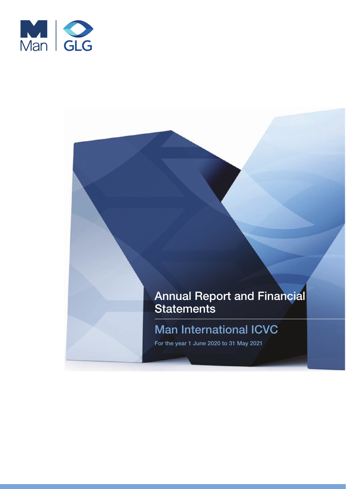

# Annual Report and Financial Statements

# Man International ICVC

For the year 1 June 2020 to 31 May 2021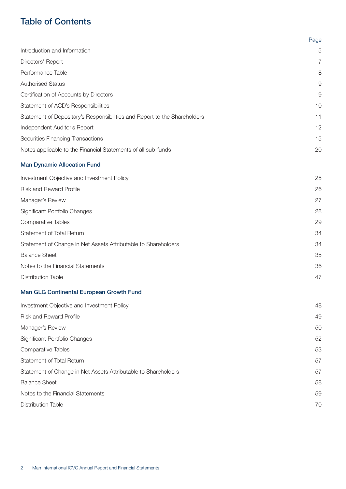### Table of Contents

|                                                                           | Page |
|---------------------------------------------------------------------------|------|
| Introduction and Information                                              | 5    |
| Directors' Report                                                         | 7    |
| Performance Table                                                         | 8    |
| <b>Authorised Status</b>                                                  | 9    |
| Certification of Accounts by Directors                                    | 9    |
| Statement of ACD's Responsibilities                                       | 10   |
| Statement of Depositary's Responsibilities and Report to the Shareholders | 11   |
| Independent Auditor's Report                                              | 12   |
| Securities Financing Transactions                                         | 15   |
| Notes applicable to the Financial Statements of all sub-funds             | 20   |
| <b>Man Dynamic Allocation Fund</b>                                        |      |
| Investment Objective and Investment Policy                                | 25   |
| <b>Risk and Reward Profile</b>                                            | 26   |
| Manager's Review                                                          | 27   |
| Significant Portfolio Changes                                             | 28   |
| <b>Comparative Tables</b>                                                 | 29   |
| Statement of Total Return                                                 | 34   |
| Statement of Change in Net Assets Attributable to Shareholders            | 34   |
| <b>Balance Sheet</b>                                                      | 35   |
| Notes to the Financial Statements                                         | 36   |
| <b>Distribution Table</b>                                                 | 47   |
| Man GLG Continental European Growth Fund                                  |      |
| Investment Objective and Investment Policy                                | 48   |
| <b>Risk and Reward Profile</b>                                            | 49   |
| Manager's Review                                                          | 50   |
| Significant Portfolio Changes                                             | 52   |
| <b>Comparative Tables</b>                                                 | 53   |
| Statement of Total Return                                                 | 57   |
| Statement of Change in Net Assets Attributable to Shareholders            | 57   |
| <b>Balance Sheet</b>                                                      | 58   |
| Notes to the Financial Statements                                         | 59   |
| <b>Distribution Table</b>                                                 | 70   |
|                                                                           |      |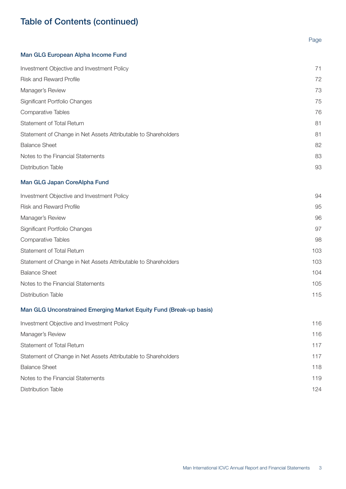### Table of Contents (continued)

## Page [Man GLG European Alpha Income Fund](#page-70-0)

| Investment Objective and Investment Policy                     | 71 |
|----------------------------------------------------------------|----|
| <b>Risk and Reward Profile</b>                                 | 72 |
| Manager's Review                                               | 73 |
| <b>Significant Portfolio Changes</b>                           | 75 |
| <b>Comparative Tables</b>                                      | 76 |
| Statement of Total Return                                      | 81 |
| Statement of Change in Net Assets Attributable to Shareholders | 81 |
| <b>Balance Sheet</b>                                           | 82 |
| Notes to the Financial Statements                              | 83 |
| <b>Distribution Table</b>                                      | 93 |
|                                                                |    |

### [Man GLG Japan CoreAlpha Fund](#page-93-0)

| Investment Objective and Investment Policy                     | 94  |
|----------------------------------------------------------------|-----|
| <b>Risk and Reward Profile</b>                                 | 95  |
| Manager's Review                                               | 96  |
| <b>Significant Portfolio Changes</b>                           | 97  |
| <b>Comparative Tables</b>                                      | 98  |
| Statement of Total Return                                      | 103 |
| Statement of Change in Net Assets Attributable to Shareholders | 103 |
| <b>Balance Sheet</b>                                           | 104 |
| Notes to the Financial Statements                              | 105 |
| <b>Distribution Table</b>                                      | 115 |
|                                                                |     |

### [Man GLG Unconstrained Emerging Market Equity Fund \(Break-up basis\)](#page-115-0)

| Investment Objective and Investment Policy                     | 116 |
|----------------------------------------------------------------|-----|
| Manager's Review                                               | 116 |
| Statement of Total Return                                      | 117 |
| Statement of Change in Net Assets Attributable to Shareholders | 117 |
| <b>Balance Sheet</b>                                           | 118 |
| Notes to the Financial Statements                              | 119 |
| Distribution Table                                             | 124 |
|                                                                |     |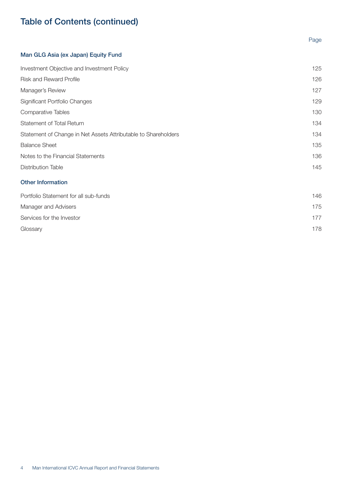### Table of Contents (continued)

# Page [Man GLG Asia \(ex Japan\) Equity Fund](#page-124-0)

| Investment Objective and Investment Policy                     | 125 |
|----------------------------------------------------------------|-----|
| <b>Risk and Reward Profile</b>                                 | 126 |
| Manager's Review                                               | 127 |
| Significant Portfolio Changes                                  | 129 |
| Comparative Tables                                             | 130 |
| Statement of Total Return                                      | 134 |
| Statement of Change in Net Assets Attributable to Shareholders | 134 |
| <b>Balance Sheet</b>                                           | 135 |
| Notes to the Financial Statements                              | 136 |
| <b>Distribution Table</b>                                      | 145 |
| <b>Other Information</b>                                       |     |
| Portfolio Statement for all sub-funds                          | 146 |
| Manager and Advisers                                           | 175 |

[Services for the Investor](#page-176-0) 177

[Glossary](#page-177-0) 178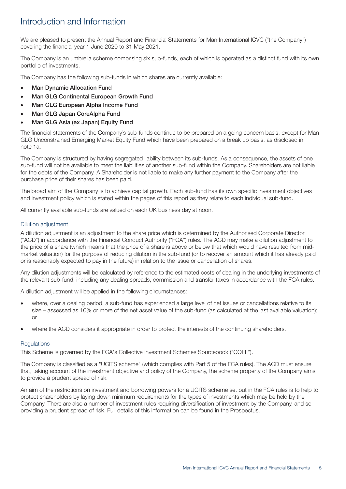### <span id="page-4-0"></span>Introduction and Information

We are pleased to present the Annual Report and Financial Statements for Man International ICVC ("the Company") covering the financial year 1 June 2020 to 31 May 2021.

The Company is an umbrella scheme comprising six sub-funds, each of which is operated as a distinct fund with its own portfolio of investments.

The Company has the following sub-funds in which shares are currently available:

- **Man Dynamic Allocation Fund**
- Man GLG Continental European Growth Fund
- Man GLG European Alpha Income Fund
- Man GLG Japan CoreAlpha Fund
- Man GLG Asia (ex Japan) Equity Fund

The financial statements of the Company's sub-funds continue to be prepared on a going concern basis, except for Man GLG Unconstrained Emerging Market Equity Fund which have been prepared on a break up basis, as disclosed in note 1a.

The Company is structured by having segregated liability between its sub-funds. As a consequence, the assets of one sub-fund will not be available to meet the liabilities of another sub-fund within the Company. Shareholders are not liable for the debts of the Company. A Shareholder is not liable to make any further payment to the Company after the purchase price of their shares has been paid.

The broad aim of the Company is to achieve capital growth. Each sub-fund has its own specific investment objectives and investment policy which is stated within the pages of this report as they relate to each individual sub-fund.

All currently available sub-funds are valued on each UK business day at noon.

#### Dilution adjustment

A dilution adjustment is an adjustment to the share price which is determined by the Authorised Corporate Director ("ACD") in accordance with the Financial Conduct Authority ("FCA") rules. The ACD may make a dilution adjustment to the price of a share (which means that the price of a share is above or below that which would have resulted from midmarket valuation) for the purpose of reducing dilution in the sub-fund (or to recover an amount which it has already paid or is reasonably expected to pay in the future) in relation to the issue or cancellation of shares.

Any dilution adjustments will be calculated by reference to the estimated costs of dealing in the underlying investments of the relevant sub-fund, including any dealing spreads, commission and transfer taxes in accordance with the FCA rules.

A dilution adjustment will be applied in the following circumstances:

- where, over a dealing period, a sub-fund has experienced a large level of net issues or cancellations relative to its size – assessed as 10% or more of the net asset value of the sub-fund (as calculated at the last available valuation); or
- where the ACD considers it appropriate in order to protect the interests of the continuing shareholders.

#### **Regulations**

This Scheme is governed by the FCA's Collective Investment Schemes Sourcebook ("COLL").

The Company is classified as a "UCITS scheme" (which complies with Part 5 of the FCA rules). The ACD must ensure that, taking account of the investment objective and policy of the Company, the scheme property of the Company aims to provide a prudent spread of risk.

An aim of the restrictions on investment and borrowing powers for a UCITS scheme set out in the FCA rules is to help to protect shareholders by laying down minimum requirements for the types of investments which may be held by the Company. There are also a number of investment rules requiring diversification of investment by the Company, and so providing a prudent spread of risk. Full details of this information can be found in the Prospectus.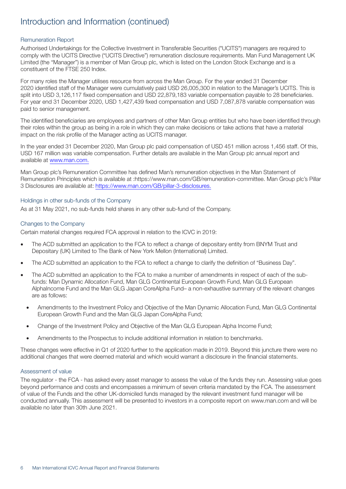### Introduction and Information (continued)

### Remuneration Report

Authorised Undertakings for the Collective Investment in Transferable Securities ("UCITS") managers are required to comply with the UCITS Directive ("UCITS Directive") remuneration disclosure requirements. Man Fund Management UK Limited (the "Manager") is a member of Man Group plc, which is listed on the London Stock Exchange and is a constituent of the FTSE 250 Index.

For many roles the Manager utilises resource from across the Man Group. For the year ended 31 December 2020 identified staff of the Manager were cumulatively paid USD 26,005,300 in relation to the Manager's UCITS. This is split into USD 3,126,117 fixed compensation and USD 22,879,183 variable compensation payable to 28 beneficiaries. For year end 31 December 2020, USD 1,427,439 fixed compensation and USD 7,087,878 variable compensation was paid to senior management.

The identified beneficiaries are employees and partners of other Man Group entities but who have been identified through their roles within the group as being in a role in which they can make decisions or take actions that have a material impact on the risk profile of the Manager acting as UCITS manager.

In the year ended 31 December 2020, Man Group plc paid compensation of USD 451 million across 1,456 staff. Of this, USD 167 million was variable compensation. Further details are available in the Man Group plc annual report and available at [www.man.com.](http://www.man.com.)

Man Group plc's Remuneration Committee has defined Man's remuneration objectives in the Man Statement of Remuneration Principles which is available at :https://www.man.com/GB/remuneration-committee. Man Group plc's Pillar 3 Disclosures are available at: <https://www.man.com/GB/pillar-3-disclosures.>

### Holdings in other sub-funds of the Company

As at 31 May 2021, no sub-funds held shares in any other sub-fund of the Company.

### Changes to the Company

Certain material changes required FCA approval in relation to the ICVC in 2019:

- The ACD submitted an application to the FCA to reflect a change of depositary entity from BNYM Trust and Depositary (UK) Limited to The Bank of New York Mellon (International) Limited.
- The ACD submitted an application to the FCA to reflect a change to clarify the definition of "Business Day".
- The ACD submitted an application to the FCA to make a number of amendments in respect of each of the subfunds: Man Dynamic Allocation Fund, Man GLG Continental European Growth Fund, Man GLG European AlphaIncome Fund and the Man GLG Japan CoreAlpha Fund– a non-exhaustive summary of the relevant changes are as follows:
	- Amendments to the Investment Policy and Objective of the Man Dynamic Allocation Fund, Man GLG Continental European Growth Fund and the Man GLG Japan CoreAlpha Fund;
	- Change of the Investment Policy and Objective of the Man GLG European Alpha Income Fund;
	- Amendments to the Prospectus to include additional information in relation to benchmarks.

These changes were effective in Q1 of 2020 further to the application made in 2019. Beyond this juncture there were no additional changes that were deemed material and which would warrant a disclosure in the financial statements.

### Assessment of value

The regulator - the FCA - has asked every asset manager to assess the value of the funds they run. Assessing value goes beyond performance and costs and encompasses a minimum of seven criteria mandated by the FCA. The assessment of value of the Funds and the other UK-domiciled funds managed by the relevant investment fund manager will be conducted annually. This assessment will be presented to investors in a composite report on www.man.com and will be available no later than 30th June 2021.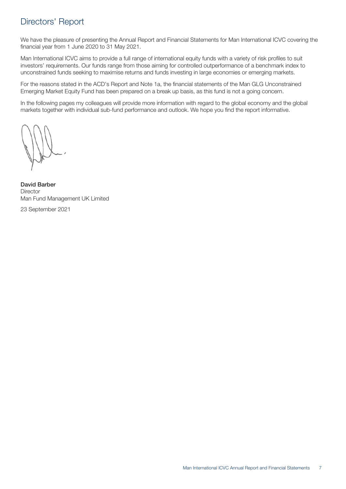### <span id="page-6-0"></span>Directors' Report

We have the pleasure of presenting the Annual Report and Financial Statements for Man International ICVC covering the financial year from 1 June 2020 to 31 May 2021.

Man International ICVC aims to provide a full range of international equity funds with a variety of risk profiles to suit investors' requirements. Our funds range from those aiming for controlled outperformance of a benchmark index to unconstrained funds seeking to maximise returns and funds investing in large economies or emerging markets.

For the reasons stated in the ACD's Report and Note 1a, the financial statements of the Man GLG Unconstrained Emerging Market Equity Fund has been prepared on a break up basis, as this fund is not a going concern.

In the following pages my colleagues will provide more information with regard to the global economy and the global markets together with individual sub-fund performance and outlook. We hope you find the report informative.

David Barber **Director** Man Fund Management UK Limited

23 September 2021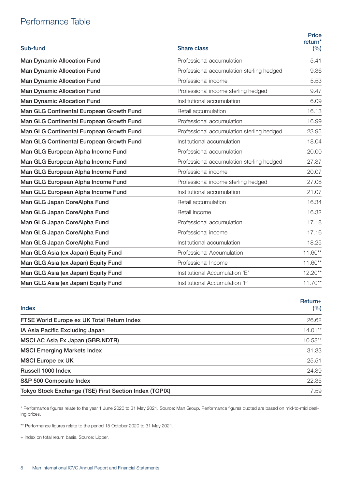### <span id="page-7-0"></span>Performance Table

| Sub-fund                                 | <b>Share class</b>                        | <b>Price</b><br>return <sup>*</sup><br>(%) |
|------------------------------------------|-------------------------------------------|--------------------------------------------|
| <b>Man Dynamic Allocation Fund</b>       | Professional accumulation                 | 5.41                                       |
| <b>Man Dynamic Allocation Fund</b>       | Professional accumulation sterling hedged | 9.36                                       |
| <b>Man Dynamic Allocation Fund</b>       | Professional income                       | 5.53                                       |
| <b>Man Dynamic Allocation Fund</b>       | Professional income sterling hedged       | 9.47                                       |
| <b>Man Dynamic Allocation Fund</b>       | Institutional accumulation                | 6.09                                       |
| Man GLG Continental European Growth Fund | Retail accumulation                       | 16.13                                      |
| Man GLG Continental European Growth Fund | Professional accumulation                 | 16.99                                      |
| Man GLG Continental European Growth Fund | Professional accumulation sterling hedged | 23.95                                      |
| Man GLG Continental European Growth Fund | Institutional accumulation                | 18.04                                      |
| Man GLG European Alpha Income Fund       | Professional accumulation                 | 20.00                                      |
| Man GLG European Alpha Income Fund       | Professional accumulation sterling hedged | 27.37                                      |
| Man GLG European Alpha Income Fund       | Professional income                       | 20.07                                      |
| Man GLG European Alpha Income Fund       | Professional income sterling hedged       | 27.08                                      |
| Man GLG European Alpha Income Fund       | Institutional accumulation                | 21.07                                      |
| Man GLG Japan CoreAlpha Fund             | Retail accumulation                       | 16.34                                      |
| Man GLG Japan CoreAlpha Fund             | Retail income                             | 16.32                                      |
| Man GLG Japan CoreAlpha Fund             | Professional accumulation                 | 17.18                                      |
| Man GLG Japan CoreAlpha Fund             | Professional income                       | 17.16                                      |
| Man GLG Japan CoreAlpha Fund             | Institutional accumulation                | 18.25                                      |
| Man GLG Asia (ex Japan) Equity Fund      | Professional Accumulation                 | $11.60**$                                  |
| Man GLG Asia (ex Japan) Equity Fund      | Professional Income                       | $11.60**$                                  |
| Man GLG Asia (ex Japan) Equity Fund      | Institutional Accumulation 'E'            | $12.20**$                                  |
| Man GLG Asia (ex Japan) Equity Fund      | Institutional Accumulation 'F'            | $11.70**$                                  |

| Return+<br>(%) |
|----------------|
| 26.62          |
| $14.01**$      |
| $10.58**$      |
| 31.33          |
| 25.51          |
| 24.39          |
| 22.35          |
| 7.59           |
|                |

\* Performance figures relate to the year 1 June 2020 to 31 May 2021. Source: Man Group. Performance figures quoted are based on mid-to-mid dealing prices.

\*\* Performance figures relate to the period 15 October 2020 to 31 May 2021.

+ Index on total return basis. Source: Lipper.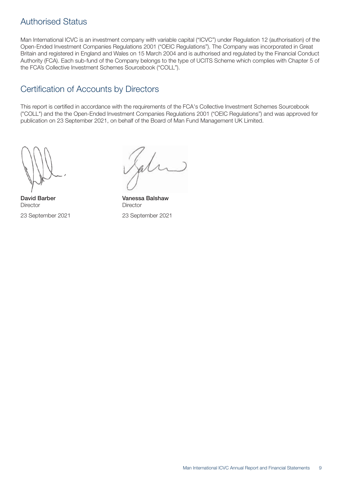### <span id="page-8-0"></span>Authorised Status

Man International ICVC is an investment company with variable capital ("ICVC") under Regulation 12 (authorisation) of the Open-Ended Investment Companies Regulations 2001 ("OEIC Regulations"). The Company was incorporated in Great Britain and registered in England and Wales on 15 March 2004 and is authorised and regulated by the Financial Conduct Authority (FCA). Each sub-fund of the Company belongs to the type of UCITS Scheme which complies with Chapter 5 of the FCA's Collective Investment Schemes Sourcebook ("COLL").

### Certification of Accounts by Directors

This report is certified in accordance with the requirements of the FCA's Collective Investment Schemes Sourcebook ("COLL") and the the Open-Ended Investment Companies Regulations 2001 ("OEIC Regulations") and was approved for publication on 23 September 2021, on behalf of the Board of Man Fund Management UK Limited.

David Barber Vanessa Balshaw Director **Director** Director 23 September 2021 23 September 2021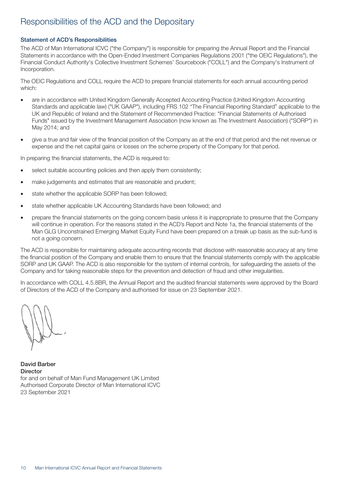### <span id="page-9-0"></span>Responsibilities of the ACD and the Depositary

### Statement of ACD's Responsibilities

The ACD of Man International ICVC ("the Company") is responsible for preparing the Annual Report and the Financial Statements in accordance with the Open-Ended Investment Companies Regulations 2001 ("the OEIC Regulations"), the Financial Conduct Authority's Collective Investment Schemes' Sourcebook ("COLL") and the Company's Instrument of Incorporation.

The OEIC Regulations and COLL require the ACD to prepare financial statements for each annual accounting period which:

- are in accordance with United Kingdom Generally Accepted Accounting Practice (United Kingdom Accounting Standards and applicable law) ("UK GAAP"), including FRS 102 "The Financial Reporting Standard" applicable to the UK and Republic of Ireland and the Statement of Recommended Practice: "Financial Statements of Authorised Funds" issued by the Investment Management Association (now known as The Investment Association) ("SORP") in May 2014; and
- give a true and fair view of the financial position of the Company as at the end of that period and the net revenue or expense and the net capital gains or losses on the scheme property of the Company for that period.

In preparing the financial statements, the ACD is required to:

- select suitable accounting policies and then apply them consistently;
- make judgements and estimates that are reasonable and prudent;
- state whether the applicable SORP has been followed;
- state whether applicable UK Accounting Standards have been followed; and
- prepare the financial statements on the going concern basis unless it is inappropriate to presume that the Company will continue in operation. For the reasons stated in the ACD's Report and Note 1a, the financial statements of the Man GLG Unconstrained Emerging Market Equity Fund have been prepared on a break up basis as the sub-fund is not a going concern.

The ACD is responsible for maintaining adequate accounting records that disclose with reasonable accuracy at any time the financial position of the Company and enable them to ensure that the financial statements comply with the applicable SORP and UK GAAP. The ACD is also responsible for the system of internal controls, for safeguarding the assets of the Company and for taking reasonable steps for the prevention and detection of fraud and other irregularities.

In accordance with COLL 4.5.8BR, the Annual Report and the audited financial statements were approved by the Board of Directors of the ACD of the Company and authorised for issue on 23 September 2021.

David Barber **Director** for and on behalf of Man Fund Management UK Limited Authorised Corporate Director of Man International ICVC 23 September 2021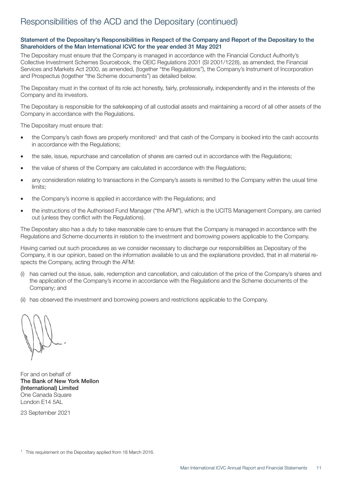### <span id="page-10-0"></span>Responsibilities of the ACD and the Depositary (continued)

### Statement of the Depositary's Responsibilities in Respect of the Company and Report of the Depositary to the Shareholders of the Man International ICVC for the year ended 31 May 2021

The Depositary must ensure that the Company is managed in accordance with the Financial Conduct Authority's Collective Investment Schemes Sourcebook, the OEIC Regulations 2001 (SI 2001/1228), as amended, the Financial Services and Markets Act 2000, as amended, (together "the Regulations"), the Company's Instrument of Incorporation and Prospectus (together "the Scheme documents") as detailed below.

The Depositary must in the context of its role act honestly, fairly, professionally, independently and in the interests of the Company and its investors.

The Depositary is responsible for the safekeeping of all custodial assets and maintaining a record of all other assets of the Company in accordance with the Regulations.

The Depositary must ensure that:

- the Company's cash flows are properly monitored<sup>1</sup> and that cash of the Company is booked into the cash accounts in accordance with the Regulations;
- the sale, issue, repurchase and cancellation of shares are carried out in accordance with the Regulations;
- the value of shares of the Company are calculated in accordance with the Regulations;
- any consideration relating to transactions in the Company's assets is remitted to the Company within the usual time limits;
- the Company's income is applied in accordance with the Regulations; and
- the instructions of the Authorised Fund Manager ("the AFM"), which is the UCITS Management Company, are carried out (unless they conflict with the Regulations).

The Depositary also has a duty to take reasonable care to ensure that the Company is managed in accordance with the Regulations and Scheme documents in relation to the investment and borrowing powers applicable to the Company.

Having carried out such procedures as we consider necessary to discharge our responsibilities as Depositary of the Company, it is our opinion, based on the information available to us and the explanations provided, that in all material respects the Company, acting through the AFM:

- (i) has carried out the issue, sale, redemption and cancellation, and calculation of the price of the Company's shares and the application of the Company's income in accordance with the Regulations and the Scheme documents of the Company; and
- (ii) has observed the investment and borrowing powers and restrictions applicable to the Company.

For and on behalf of The Bank of New York Mellon (International) Limited One Canada Square London E14 5AL

23 September 2021

<sup>&</sup>lt;sup>1</sup> This requirement on the Depositary applied from 18 March 2016.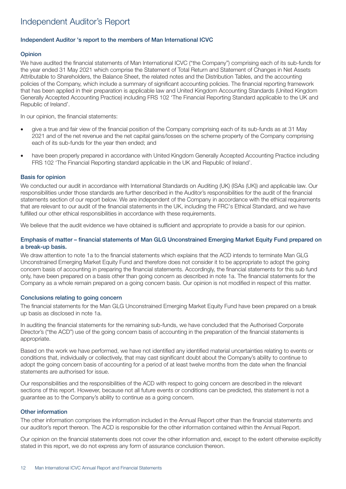### <span id="page-11-0"></span>Independent Auditor's Report

### Independent Auditor 's report to the members of Man International ICVC

#### **Opinion**

We have audited the financial statements of Man International ICVC ("the Company") comprising each of its sub-funds for the year ended 31 May 2021 which comprise the Statement of Total Return and Statement of Changes in Net Assets Attributable to Shareholders, the Balance Sheet, the related notes and the Distribution Tables, and the accounting policies of the Company, which include a summary of significant accounting policies. The financial reporting framework that has been applied in their preparation is applicable law and United Kingdom Accounting Standards (United Kingdom Generally Accepted Accounting Practice) including FRS 102 'The Financial Reporting Standard applicable to the UK and Republic of Ireland'.

In our opinion, the financial statements:

- give a true and fair view of the financial position of the Company comprising each of its sub-funds as at 31 May 2021 and of the net revenue and the net capital gains/losses on the scheme property of the Company comprising each of its sub-funds for the year then ended; and
- have been properly prepared in accordance with United Kingdom Generally Accepted Accounting Practice including FRS 102 'The Financial Reporting standard applicable in the UK and Republic of Ireland'.

#### Basis for opinion

We conducted our audit in accordance with International Standards on Auditing (UK) (ISAs (UK)) and applicable law. Our responsibilities under those standards are further described in the Auditor's responsibilities for the audit of the financial statements section of our report below. We are independent of the Company in accordance with the ethical requirements that are relevant to our audit of the financial statements in the UK, including the FRC's Ethical Standard, and we have fulfilled our other ethical responsibilities in accordance with these requirements.

We believe that the audit evidence we have obtained is sufficient and appropriate to provide a basis for our opinion.

### Emphasis of matter – financial statements of Man GLG Unconstrained Emerging Market Equity Fund prepared on a break-up basis.

We draw attention to note 1a to the financial statements which explains that the ACD intends to terminate Man GLG Unconstrained Emerging Market Equity Fund and therefore does not consider it to be appropriate to adopt the going concern basis of accounting in preparing the financial statements. Accordingly, the financial statements for this sub fund only, have been prepared on a basis other than going concern as described in note 1a. The financial statements for the Company as a whole remain prepared on a going concern basis. Our opinion is not modified in respect of this matter.

### Conclusions relating to going concern

The financial statements for the Man GLG Unconstrained Emerging Market Equity Fund have been prepared on a break up basis as disclosed in note 1a.

In auditing the financial statements for the remaining sub-funds, we have concluded that the Authorised Corporate Director's ("the ACD") use of the going concern basis of accounting in the preparation of the financial statements is appropriate.

Based on the work we have performed, we have not identified any identified material uncertainties relating to events or conditions that, individually or collectively, that may cast significant doubt about the Company's ability to continue to adopt the going concern basis of accounting for a period of at least twelve months from the date when the financial statements are authorised for issue.

Our responsibilities and the responsibilities of the ACD with respect to going concern are described in the relevant sections of this report. However, because not all future events or conditions can be predicted, this statement is not a guarantee as to the Company's ability to continue as a going concern.

#### Other information

The other information comprises the information included in the Annual Report other than the financial statements and our auditor's report thereon. The ACD is responsible for the other information contained within the Annual Report.

Our opinion on the financial statements does not cover the other information and, except to the extent otherwise explicitly stated in this report, we do not express any form of assurance conclusion thereon.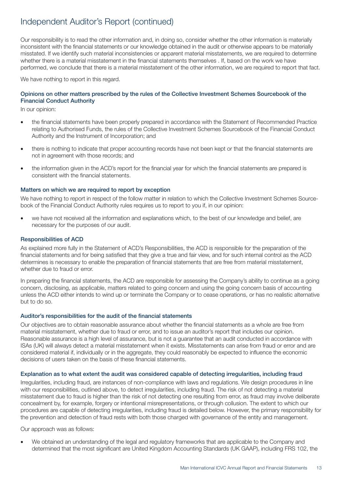### Independent Auditor's Report (continued)

Our responsibility is to read the other information and, in doing so, consider whether the other information is materially inconsistent with the financial statements or our knowledge obtained in the audit or otherwise appears to be materially misstated. If we identify such material inconsistencies or apparent material misstatements, we are required to determine whether there is a material misstatement in the financial statements themselves . If, based on the work we have performed, we conclude that there is a material misstatement of the other information, we are required to report that fact.

We have nothing to report in this regard.

### Opinions on other matters prescribed by the rules of the Collective Investment Schemes Sourcebook of the Financial Conduct Authority

In our opinion:

- the financial statements have been properly prepared in accordance with the Statement of Recommended Practice relating to Authorised Funds, the rules of the Collective Investment Schemes Sourcebook of the Financial Conduct Authority and the Instrument of Incorporation; and
- there is nothing to indicate that proper accounting records have not been kept or that the financial statements are not in agreement with those records; and
- the information given in the ACD's report for the financial year for which the financial statements are prepared is consistent with the financial statements.

### Matters on which we are required to report by exception

We have nothing to report in respect of the follow matter in relation to which the Collective Investment Schemes Sourcebook of the Financial Conduct Authority rules requires us to report to you if, in our opinion:

• we have not received all the information and explanations which, to the best of our knowledge and belief, are necessary for the purposes of our audit.

### Responsibilities of ACD

As explained more fully in the Statement of ACD's Responsibilities, the ACD is responsible for the preparation of the financial statements and for being satisfied that they give a true and fair view, and for such internal control as the ACD determines is necessary to enable the preparation of financial statements that are free from material misstatement, whether due to fraud or error.

In preparing the financial statements, the ACD are responsible for assessing the Company's ability to continue as a going concern, disclosing, as applicable, matters related to going concern and using the going concern basis of accounting unless the ACD either intends to wind up or terminate the Company or to cease operations, or has no realistic alternative but to do so.

#### Auditor's responsibilities for the audit of the financial statements

Our objectives are to obtain reasonable assurance about whether the financial statements as a whole are free from material misstatement, whether due to fraud or error, and to issue an auditor's report that includes our opinion. Reasonable assurance is a high level of assurance, but is not a guarantee that an audit conducted in accordance with ISAs (UK) will always detect a material misstatement when it exists. Misstatements can arise from fraud or error and are considered material if, individually or in the aggregate, they could reasonably be expected to influence the economic decisions of users taken on the basis of these financial statements.

### Explanation as to what extent the audit was considered capable of detecting irregularities, including fraud

Irregularities, including fraud, are instances of non-compliance with laws and regulations. We design procedures in line with our responsibilities, outlined above, to detect irregularities, including fraud. The risk of not detecting a material misstatement due to fraud is higher than the risk of not detecting one resulting from error, as fraud may involve deliberate concealment by, for example, forgery or intentional misrepresentations, or through collusion. The extent to which our procedures are capable of detecting irregularities, including fraud is detailed below. However, the primary responsibility for the prevention and detection of fraud rests with both those charged with governance of the entity and management.

Our approach was as follows:

• We obtained an understanding of the legal and regulatory frameworks that are applicable to the Company and determined that the most significant are United Kingdom Accounting Standards (UK GAAP), including FRS 102, the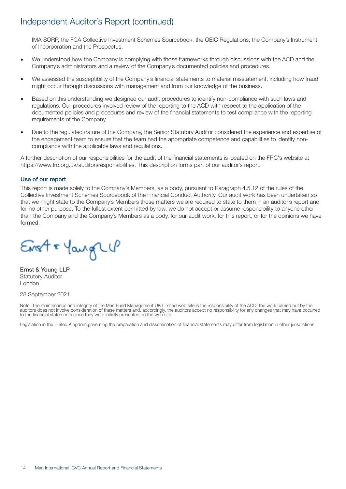### Independent Auditor's Report (continued)

IMA SORP, the FCA Collective Investment Schemes Sourcebook, the OEIC Regulations, the Company's Instrument of Incorporation and the Prospectus.

- We understood how the Company is complying with those frameworks through discussions with the ACD and the Company's administrators and a review of the Company's documented policies and procedures.
- We assessed the susceptibility of the Company's financial statements to material misstatement, including how fraud might occur through discussions with management and from our knowledge of the business.
- Based on this understanding we designed our audit procedures to identify non-compliance with such laws and regulations. Our procedures involved review of the reporting to the ACD with respect to the application of the documented policies and procedures and review of the financial statements to test compliance with the reporting requirements of the Company.
- Due to the regulated nature of the Company, the Senior Statutory Auditor considered the experience and expertise of the engagement team to ensure that the team had the appropriate competence and capabilities to identify noncompliance with the applicable laws and regulations.

A further description of our responsibilities for the audit of the financial statements is located on the FRC's website at https://www.frc.org.uk/auditorsresponsibilities. This description forms part of our auditor's report.

### Use of our report

This report is made solely to the Company's Members, as a body, pursuant to Paragraph 4.5.12 of the rules of the Collective Investment Schemes Sourcebook of the Financial Conduct Authority. Our audit work has been undertaken so that we might state to the Company's Members those matters we are required to state to them in an auditor's report and for no other purpose. To the fullest extent permitted by law, we do not accept or assume responsibility to anyone other than the Company and the Company's Members as a body, for our audit work, for this report, or for the opinions we have formed.

Erst & Yangle

Ernst & Young LLP Statutory Auditor London

#### 28 September 2021

Note: The maintenance and integrity of the Man Fund Management UK Limited web site is the responsibility of the ACD; the work carried out by the auditors does not involve consideration of these matters and, accordingly, the auditors accept no responsibility for any changes that may have occurred to the financial statements since they were initially presented on the web site.

Legislation in the United Kingdom governing the preparation and dissemination of financial statements may differ from legislation in other jurisdictions.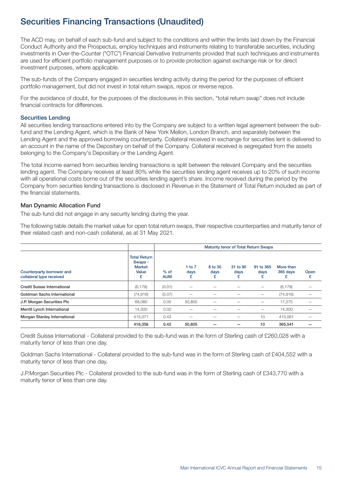### <span id="page-14-0"></span>Securities Financing Transactions (Unaudited)

The ACD may, on behalf of each sub-fund and subject to the conditions and within the limits laid down by the Financial Conduct Authority and the Prospectus, employ techniques and instruments relating to transferable securities, including investments in Over-the-Counter ("OTC") Financial Derivative Instruments provided that such techniques and instruments are used for efficient portfolio management purposes or to provide protection against exchange risk or for direct investment purposes, where applicable.

The sub-funds of the Company engaged in securities lending activity during the period for the purposes of efficient portfolio management, but did not invest in total return swaps, repos or reverse repos.

For the avoidance of doubt, for the purposes of the disclosures in this section, "total return swap" does not include financial contracts for differences.

#### Securities Lending

All securities lending transactions entered into by the Company are subject to a written legal agreement between the subfund and the Lending Agent, which is the Bank of New York Mellon, London Branch, and separately between the Lending Agent and the approved borrowing counterparty. Collateral received in exchange for securities lent is delivered to an account in the name of the Depositary on behalf of the Company. Collateral received is segregated from the assets belonging to the Company's Depositary or the Lending Agent.

The total income earned from securities lending transactions is split between the relevant Company and the securities lending agent. The Company receives at least 80% while the securities lending agent receives up to 20% of such income with all operational costs borne out of the securities lending agent's share. Income received during the period by the Company from securities lending transactions is disclosed in Revenue in the Statement of Total Return included as part of the financial statements.

### Man Dynamic Allocation Fund

The sub-fund did not engage in any security lending during the year.

The following table details the market value for open total return swaps, their respective counterparties and maturity tenor of their related cash and non-cash collateral, as at 31 May 2021.

|                                                       |                                                               | Maturity tenor of Total Return Swaps |                          |                      |                       |                        |                            |           |
|-------------------------------------------------------|---------------------------------------------------------------|--------------------------------------|--------------------------|----------------------|-----------------------|------------------------|----------------------------|-----------|
| Counterparty borrower and<br>collateral type received | <b>Total Return</b><br>Swaps -<br><b>Market</b><br>Value<br>£ | $%$ of<br><b>AUM</b>                 | 1 to 7<br>days<br>£      | 8 to 30<br>days<br>£ | 31 to 90<br>days<br>£ | 91 to 365<br>days<br>£ | More than<br>365 days<br>£ | Open<br>£ |
| <b>Credit Suisse International</b>                    | (6, 179)                                                      | (0.01)                               | $\overline{\phantom{0}}$ |                      |                       | -                      | (6, 179)                   |           |
| Goldman Sachs International                           | (74, 916)                                                     | (0.07)                               | $\overline{\phantom{0}}$ |                      |                       | -                      | (74, 916)                  |           |
| J.P. Morgan Securities Plc                            | 68,080                                                        | 0.05                                 | 50,805                   | -                    |                       | -                      | 17,275                     |           |
| Merrill Lynch International                           | 14,300                                                        | 0.02                                 | $\qquad \qquad$          |                      |                       | -                      | 14,300                     |           |
| Morgan Stanley International                          | 415.071                                                       | 0.43                                 | $\overline{\phantom{0}}$ | -                    | -                     | 10                     | 415,061                    |           |
|                                                       | 416,356                                                       | 0.42                                 | 50,805                   |                      |                       | 10                     | 365.541                    |           |

Credit Suisse International - Collateral provided to the sub-fund was in the form of Sterling cash of £260,028 with a maturity tenor of less than one day.

Goldman Sachs International - Collateral provided to the sub-fund was in the form of Sterling cash of £404,552 with a maturity tenor of less than one day.

J.P.Morgan Securities Plc - Collateral provided to the sub-fund was in the form of Sterling cash of £343,770 with a maturity tenor of less than one day.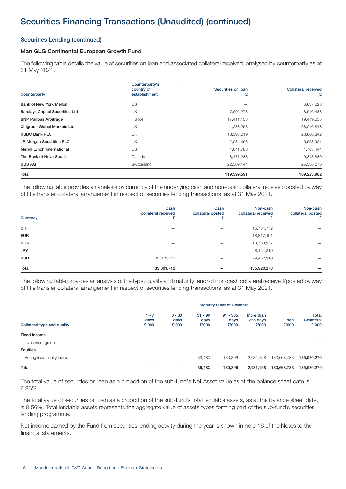### Securities Lending (continued)

### Man GLG Continental European Growth Fund

The following table details the value of securities on loan and associated collateral received, analysed by counterparty as at 31 May 2021.

| Counterparty                           | Counterparty's<br>country of<br>establishment | Securities on Ioan<br>£ | <b>Collateral received</b><br>£ |
|----------------------------------------|-----------------------------------------------|-------------------------|---------------------------------|
| Bank of New York Mellon                | US                                            |                         | 6,637,628                       |
| <b>Barclays Capital Securities Ltd</b> | UK                                            | 7,695,273               | 8,516,488                       |
| <b>BNP Paribas Arbitrage</b>           | France                                        | 17,411,133              | 19,419,655                      |
| <b>Citigroup Global Markets Ltd</b>    | UK                                            | 41,238,253              | 68,016,848                      |
| <b>HSBC Bank PLC</b>                   | UK                                            | 18,398,219              | 23,660,842                      |
| JP Morgan Securities PLC               | UK                                            | 2,034,493               | 6,553,921                       |
| Merrill Lynch International            | US                                            | 1,641,788               | 1,763,444                       |
| The Bank of Nova Scotia                | Canada                                        | 8,471,288               | 9,318,880                       |
| <b>UBS AG</b>                          | Switzerland                                   | 22,509,144              | 25,336,276                      |
| Total                                  |                                               | 119,399,591             | 169,223,982                     |

The following table provides an analysis by currency of the underlying cash and non-cash collateral received/posted by way of title transfer collateral arrangement in respect of securities lending transactions, as at 31 May 2021.

| Currency   | Cash<br>collateral received | Cash<br>collateral posted | Non-cash<br>collateral received | Non-cash<br>collateral posted<br>£ |
|------------|-----------------------------|---------------------------|---------------------------------|------------------------------------|
| CHF        | -                           | -                         | 15,734,772                      | —                                  |
| <b>EUR</b> |                             |                           | 18,817,401                      |                                    |
| <b>GBP</b> |                             |                           | 13,763,977                      |                                    |
| <b>JPY</b> |                             |                           | 8,151,810                       | -                                  |
| <b>USD</b> | 33,303,712                  | –                         | 79,452,310                      | -                                  |
| Total      | 33,303,712                  |                           | 135,920,270                     |                                    |

The following table provides an analysis of the type, quality and maturity tenor of non-cash collateral received/posted by way of title transfer collateral arrangement in respect of securities lending transactions, as at 31 May 2021.

|                             | <b>Maturity tenor of Collateral</b> |                           |                            |                             |                                |               |                                     |
|-----------------------------|-------------------------------------|---------------------------|----------------------------|-----------------------------|--------------------------------|---------------|-------------------------------------|
| Collateral type and quality | $1 - 7$<br>days<br>£'000            | $8 - 30$<br>days<br>£'000 | $31 - 90$<br>days<br>£'000 | $91 - 365$<br>days<br>£'000 | More than<br>365 days<br>£'000 | Open<br>£'000 | <b>Total</b><br>Collateral<br>£'000 |
| Fixed income                |                                     |                           |                            |                             |                                |               |                                     |
| Investment grade            |                                     |                           |                            |                             |                                |               |                                     |
| Equities                    |                                     |                           |                            |                             |                                |               |                                     |
| Recognised equity index     | -                                   | $\overline{\phantom{0}}$  | 39,483                     | 130,896                     | 2,081,158                      | 133,668,733   | 135,920,270                         |
| Total                       |                                     |                           | 39,483                     | 130,896                     | 2,081,158                      | 133,668,733   | 135,920,270                         |

The total value of securities on loan as a proportion of the sub-fund's Net Asset Value as at the balance sheet date is 6.96%.

The total value of securities on loan as a proportion of the sub-fund's total lendable assets, as at the balance sheet date, is 9.56%. Total lendable assets represents the aggregate value of assets types forming part of the sub-fund's securities lending programme.

Net income earned by the Fund from securities lending activity during the year is shown in note 16 of the Notes to the financial statements.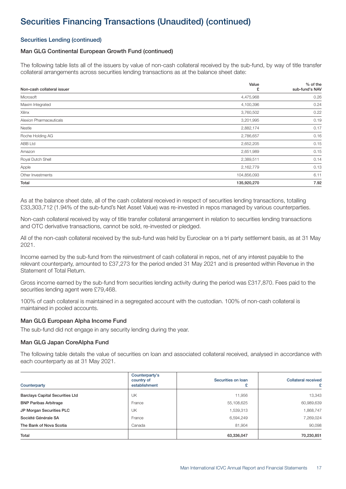### Securities Lending (continued)

### Man GLG Continental European Growth Fund (continued)

The following table lists all of the issuers by value of non-cash collateral received by the sub-fund, by way of title transfer collateral arrangements across securities lending transactions as at the balance sheet date:

| Non-cash collateral issuer | Value<br>£  | % of the<br>sub-fund's NAV |
|----------------------------|-------------|----------------------------|
|                            |             |                            |
| Microsoft                  | 4,475,968   | 0.26                       |
| Maxim Integrated           | 4,100,396   | 0.24                       |
| Xilinx                     | 3,760,502   | 0.22                       |
| Alexion Pharmaceuticals    | 3,201,995   | 0.19                       |
| Nestle                     | 2,882,174   | 0.17                       |
| Roche Holding AG           | 2,786,657   | 0.16                       |
| <b>ABB Ltd</b>             | 2,652,205   | 0.15                       |
| Amazon                     | 2,651,989   | 0.15                       |
| Royal Dutch Shell          | 2,389,511   | 0.14                       |
| Apple                      | 2,162,779   | 0.13                       |
| Other Investments          | 104,856,093 | 6.11                       |
| Total                      | 135,920,270 | 7.92                       |

As at the balance sheet date, all of the cash collateral received in respect of securities lending transactions, totalling £33,303,712 (1.94% of the sub-fund's Net Asset Value) was re-invested in repos managed by various counterparties.

Non-cash collateral received by way of title transfer collateral arrangement in relation to securities lending transactions and OTC derivative transactions, cannot be sold, re-invested or pledged.

All of the non-cash collateral received by the sub-fund was held by Euroclear on a tri party settlement basis, as at 31 May 2021.

Income earned by the sub-fund from the reinvestment of cash collateral in repos, net of any interest payable to the relevant counterparty, amounted to £37,273 for the period ended 31 May 2021 and is presented within Revenue in the Statement of Total Return.

Gross income earned by the sub-fund from securities lending activity during the period was £317,870. Fees paid to the securities lending agent were £79,468.

100% of cash collateral is maintained in a segregated account with the custodian. 100% of non-cash collateral is maintained in pooled accounts.

#### Man GLG European Alpha Income Fund

The sub-fund did not engage in any security lending during the year.

#### Man GLG Japan CoreAlpha Fund

The following table details the value of securities on loan and associated collateral received, analysed in accordance with each counterparty as at 31 May 2021.

| Counterparty                           | Counterparty's<br>country of<br>establishment | Securities on Ioan | <b>Collateral received</b><br>£ |
|----------------------------------------|-----------------------------------------------|--------------------|---------------------------------|
| <b>Barclays Capital Securities Ltd</b> | UK                                            | 11,956             | 13,343                          |
| <b>BNP Paribas Arbitrage</b>           | France                                        | 55,108,625         | 60,989,639                      |
| JP Morgan Securities PLC               | UK                                            | 1,539,313          | 1,868,747                       |
| Société Générale SA                    | France                                        | 6,594,249          | 7,269,024                       |
| The Bank of Nova Scotia                | Canada                                        | 81,904             | 90,098                          |
| <b>Total</b>                           |                                               | 63,336,047         | 70,230,851                      |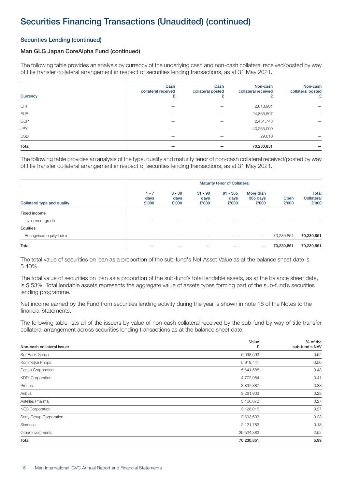### Securities Lending (continued)

### Man GLG Japan CoreAlpha Fund (continued)

The following table provides an analysis by currency of the underlying cash and non-cash collateral received/posted by way of title transfer collateral arrangement in respect of securities lending transactions, as at 31 May 2021.

| Currency   | Cash<br>collateral received | Cash<br>collateral posted | Non-cash<br>collateral received | Non-cash<br>collateral posted |
|------------|-----------------------------|---------------------------|---------------------------------|-------------------------------|
| CHF        |                             |                           | 2,618,901                       | —                             |
| <b>EUR</b> |                             |                           | 24,865,597                      |                               |
| <b>GBP</b> |                             |                           | 2,451,743                       |                               |
| JPY        |                             |                           | 40,265,000                      |                               |
| <b>USD</b> |                             |                           | 29,610                          |                               |
| Total      |                             |                           | 70,230,851                      |                               |

The following table provides an analysis of the type, quality and maturity tenor of non-cash collateral received/posted by way of title transfer collateral arrangement in respect of securities lending transactions, as at 31 May 2021.

| Collateral type and quality |                          | <b>Maturity tenor of Collateral</b> |                            |                             |                                |               |                                     |
|-----------------------------|--------------------------|-------------------------------------|----------------------------|-----------------------------|--------------------------------|---------------|-------------------------------------|
|                             | $1 - 7$<br>days<br>£'000 | $8 - 30$<br>days<br>£'000           | $31 - 90$<br>days<br>£'000 | $91 - 365$<br>days<br>£'000 | More than<br>365 days<br>£'000 | Open<br>£'000 | <b>Total</b><br>Collateral<br>£'000 |
| Fixed income                |                          |                                     |                            |                             |                                |               |                                     |
| Investment grade            |                          |                                     |                            |                             |                                |               |                                     |
| Equities                    |                          |                                     |                            |                             |                                |               |                                     |
| Recognised equity index     | -                        |                                     |                            |                             | $\overline{\phantom{0}}$       | 70,230,851    | 70,230,851                          |
| Total                       |                          |                                     |                            |                             | -                              | 70,230,851    | 70,230,851                          |

The total value of securities on loan as a proportion of the sub-fund's Net Asset Value as at the balance sheet date is 5.40%.

The total value of securities on loan as a proportion of the sub-fund's total lendable assets, as at the balance sheet date, is 5.53%. Total lendable assets represents the aggregate value of assets types forming part of the sub-fund's securities lending programme.

Net income earned by the Fund from securities lending activity during the year is shown in note 16 of the Notes to the financial statements.

The following table lists all of the issuers by value of non-cash collateral received by the sub-fund by way of title transfer collateral arrangement across securities lending transactions as at the balance sheet date:

| Non-cash collateral issuer | Value      | % of the<br>sub-fund's NAV |
|----------------------------|------------|----------------------------|
|                            | £          |                            |
| SoftBank Group             | 6,098,593  | 0.52                       |
| Koninklijke Philips        | 5,919,441  | 0.50                       |
| Denso Corporation          | 5,641,588  | 0.48                       |
| <b>KDDI Corporation</b>    | 4,772,984  | 0.41                       |
| Prosus                     | 3,897,887  | 0.33                       |
| Airbus                     | 3,261,903  | 0.28                       |
| Astellas Pharma            | 3,160,672  | 0.27                       |
| <b>NEC Corporation</b>     | 3,128,015  | 0.27                       |
| Sony Group Corporation     | 2,693,603  | 0.23                       |
| Siemens                    | 2,121,782  | 0.18                       |
| Other Investments          | 29,534,383 | 2.52                       |
| Total                      | 70,230,851 | 5.99                       |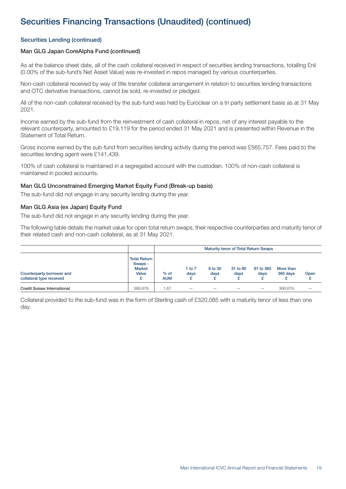### Securities Lending (continued)

### Man GLG Japan CoreAlpha Fund (continued)

As at the balance sheet date, all of the cash collateral received in respect of securities lending transactions, totalling £nil (0.00% of the sub-fund's Net Asset Value) was re-invested in repos managed by various counterparties.

Non-cash collateral received by way of title transfer collateral arrangement in relation to securities lending transactions and OTC derivative transactions, cannot be sold, re-invested or pledged.

All of the non-cash collateral received by the sub-fund was held by Euroclear on a tri party settlement basis as at 31 May 2021.

Income earned by the sub-fund from the reinvestment of cash collateral in repos, net of any interest payable to the relevant counterparty, amounted to £19,119 for the period ended 31 May 2021 and is presented within Revenue in the Statement of Total Return.

Gross income earned by the sub-fund from securities lending activity during the period was £565,757. Fees paid to the securities lending agent were £141,439.

100% of cash collateral is maintained in a segregated account with the custodian. 100% of non-cash collateral is maintained in pooled accounts.

#### Man GLG Unconstrained Emerging Market Equity Fund (Break-up basis)

The sub-fund did not engage in any security lending during the year.

#### Man GLG Asia (ex Japan) Equity Fund

The sub-fund did not engage in any security lending during the year.

The following table details the market value for open total return swaps, their respective counterparties and maturity tenor of their related cash and non-cash collateral, as at 31 May 2021.

|                                                       |                                                                |                      | <b>Maturity tenor of Total Return Swaps</b> |                          |                  |                   |                       |      |
|-------------------------------------------------------|----------------------------------------------------------------|----------------------|---------------------------------------------|--------------------------|------------------|-------------------|-----------------------|------|
| Counterparty borrower and<br>collateral type received | <b>Total Return</b><br>Swaps -<br><b>Market</b><br>Value<br>c. | $%$ of<br><b>AUM</b> | 1 to $7$<br>days                            | 8 to 30<br>days<br>۰     | 31 to 90<br>days | 91 to 365<br>days | More than<br>365 days | Open |
| <b>Credit Suisse International</b>                    | 366.679                                                        | i.67                 | $\qquad \qquad$                             | $\overline{\phantom{a}}$ | _                |                   | 366.679               | -    |

Collateral provided to the sub-fund was in the form of Sterling cash of £320,085 with a maturity tenor of less than one day.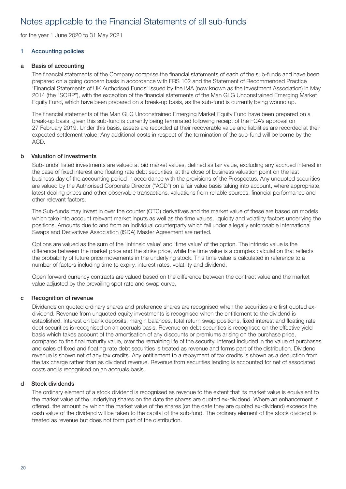<span id="page-19-0"></span>for the year 1 June 2020 to 31 May 2021

### 1 Accounting policies

### a Basis of accounting

The financial statements of the Company comprise the financial statements of each of the sub-funds and have been prepared on a going concern basis in accordance with FRS 102 and the Statement of Recommended Practice 'Financial Statements of UK Authorised Funds' issued by the IMA (now known as the Investment Association) in May 2014 (the "SORP"), with the exception of the financial statements of the Man GLG Unconstrained Emerging Market Equity Fund, which have been prepared on a break-up basis, as the sub-fund is currently being wound up.

The financial statements of the Man GLG Unconstrained Emerging Market Equity Fund have been prepared on a break-up basis, given this sub-fund is currently being terminated following receipt of the FCA's approval on 27 February 2019. Under this basis, assets are recorded at their recoverable value and liabilities are recorded at their expected settlement value. Any additional costs in respect of the termination of the sub-fund will be borne by the ACD.

### b Valuation of investments

Sub-funds' listed investments are valued at bid market values, defined as fair value, excluding any accrued interest in the case of fixed interest and floating rate debt securities, at the close of business valuation point on the last business day of the accounting period in accordance with the provisions of the Prospectus. Any unquoted securities are valued by the Authorised Corporate Director ("ACD") on a fair value basis taking into account, where appropriate, latest dealing prices and other observable transactions, valuations from reliable sources, financial performance and other relevant factors.

The Sub-funds may invest in over the counter (OTC) derivatives and the market value of these are based on models which take into account relevant market inputs as well as the time values, liquidity and volatility factors underlying the positions. Amounts due to and from an individual counterparty which fall under a legally enforceable International Swaps and Derivatives Association (ISDA) Master Agreement are netted.

Options are valued as the sum of the 'intrinsic value' and 'time value' of the option. The intrinsic value is the difference between the market price and the strike price, while the time value is a complex calculation that reflects the probability of future price movements in the underlying stock. This time value is calculated in reference to a number of factors including time to expiry, interest rates, volatility and dividend.

Open forward currency contracts are valued based on the difference between the contract value and the market value adjusted by the prevailing spot rate and swap curve.

#### c Recognition of revenue

Dividends on quoted ordinary shares and preference shares are recognised when the securities are first quoted exdividend. Revenue from unquoted equity investments is recognised when the entitlement to the dividend is established. Interest on bank deposits, margin balances, total return swap positions, fixed interest and floating rate debt securities is recognised on an accruals basis. Revenue on debt securities is recognised on the effective yield basis which takes account of the amortisation of any discounts or premiums arising on the purchase price, compared to the final maturity value, over the remaining life of the security. Interest included in the value of purchases and sales of fixed and floating rate debt securities is treated as revenue and forms part of the distribution. Dividend revenue is shown net of any tax credits. Any entitlement to a repayment of tax credits is shown as a deduction from the tax charge rather than as dividend revenue. Revenue from securities lending is accounted for net of associated costs and is recognised on an accruals basis.

#### d Stock dividends

The ordinary element of a stock dividend is recognised as revenue to the extent that its market value is equivalent to the market value of the underlying shares on the date the shares are quoted ex-dividend. Where an enhancement is offered, the amount by which the market value of the shares (on the date they are quoted ex-dividend) exceeds the cash value of the dividend will be taken to the capital of the sub-fund. The ordinary element of the stock dividend is treated as revenue but does not form part of the distribution.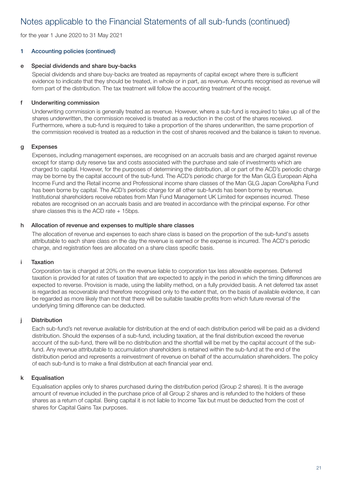for the year 1 June 2020 to 31 May 2021

### 1 Accounting policies (continued)

### e Special dividends and share buy-backs

Special dividends and share buy-backs are treated as repayments of capital except where there is sufficient evidence to indicate that they should be treated, in whole or in part, as revenue. Amounts recognised as revenue will form part of the distribution. The tax treatment will follow the accounting treatment of the receipt.

### f Underwriting commission

Underwriting commission is generally treated as revenue. However, where a sub-fund is required to take up all of the shares underwritten, the commission received is treated as a reduction in the cost of the shares received. Furthermore, where a sub-fund is required to take a proportion of the shares underwritten, the same proportion of the commission received is treated as a reduction in the cost of shares received and the balance is taken to revenue.

### g Expenses

Expenses, including management expenses, are recognised on an accruals basis and are charged against revenue except for stamp duty reserve tax and costs associated with the purchase and sale of investments which are charged to capital. However, for the purposes of determining the distribution, all or part of the ACD's periodic charge may be borne by the capital account of the sub-fund. The ACD's periodic charge for the Man GLG European Alpha Income Fund and the Retail income and Professional income share classes of the Man GLG Japan CoreAlpha Fund has been borne by capital. The ACD's periodic charge for all other sub-funds has been borne by revenue. Institutional shareholders receive rebates from Man Fund Management UK Limited for expenses incurred. These rebates are recognised on an accruals basis and are treated in accordance with the principal expense. For other share classes this is the ACD rate  $+$  15 bps.

### h Allocation of revenue and expenses to multiple share classes

The allocation of revenue and expenses to each share class is based on the proportion of the sub-fund's assets attributable to each share class on the day the revenue is earned or the expense is incurred. The ACD's periodic charge, and registration fees are allocated on a share class specific basis.

### i Taxation

Corporation tax is charged at 20% on the revenue liable to corporation tax less allowable expenses. Deferred taxation is provided for at rates of taxation that are expected to apply in the period in which the timing differences are expected to reverse. Provision is made, using the liability method, on a fully provided basis. A net deferred tax asset is regarded as recoverable and therefore recognised only to the extent that, on the basis of available evidence, it can be regarded as more likely than not that there will be suitable taxable profits from which future reversal of the underlying timing difference can be deducted.

### j Distribution

Each sub-fund's net revenue available for distribution at the end of each distribution period will be paid as a dividend distribution. Should the expenses of a sub-fund, including taxation, at the final distribution exceed the revenue account of the sub-fund, there will be no distribution and the shortfall will be met by the capital account of the subfund. Any revenue attributable to accumulation shareholders is retained within the sub-fund at the end of the distribution period and represents a reinvestment of revenue on behalf of the accumulation shareholders. The policy of each sub-fund is to make a final distribution at each financial year end.

### k Equalisation

Equalisation applies only to shares purchased during the distribution period (Group 2 shares). It is the average amount of revenue included in the purchase price of all Group 2 shares and is refunded to the holders of these shares as a return of capital. Being capital it is not liable to Income Tax but must be deducted from the cost of shares for Capital Gains Tax purposes.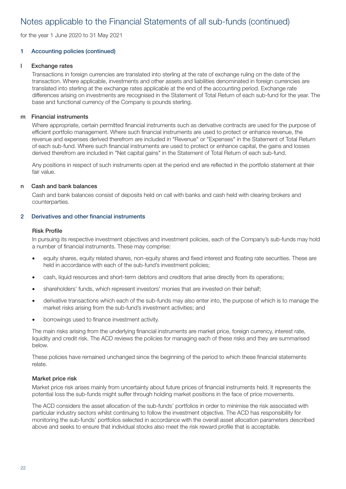for the year 1 June 2020 to 31 May 2021

### 1 Accounting policies (continued)

#### l Exchange rates

Transactions in foreign currencies are translated into sterling at the rate of exchange ruling on the date of the transaction. Where applicable, investments and other assets and liabilities denominated in foreign currencies are translated into sterling at the exchange rates applicable at the end of the accounting period. Exchange rate differences arising on investments are recognised in the Statement of Total Return of each sub-fund for the year. The base and functional currency of the Company is pounds sterling.

#### m Financial instruments

Where appropriate, certain permitted financial instruments such as derivative contracts are used for the purpose of efficient portfolio management. Where such financial instruments are used to protect or enhance revenue, the revenue and expenses derived therefrom are included in "Revenue" or "Expenses" in the Statement of Total Return of each sub-fund. Where such financial instruments are used to protect or enhance capital, the gains and losses derived therefrom are included in "Net capital gains" in the Statement of Total Return of each sub-fund.

Any positions in respect of such instruments open at the period end are reflected in the portfolio statement at their fair value.

#### n Cash and bank balances

Cash and bank balances consist of deposits held on call with banks and cash held with clearing brokers and counterparties.

### 2 Derivatives and other financial instruments

### Risk Profile

In pursuing its respective investment objectives and investment policies, each of the Company's sub-funds may hold a number of financial instruments. These may comprise:

- equity shares, equity related shares, non-equity shares and fixed interest and floating rate securities. These are held in accordance with each of the sub-fund's investment policies;
- cash, liquid resources and short-term debtors and creditors that arise directly from its operations;
- shareholders' funds, which represent investors' monies that are invested on their behalf;
- derivative transactions which each of the sub-funds may also enter into, the purpose of which is to manage the market risks arising from the sub-fund's investment activities; and
- borrowings used to finance investment activity.

The main risks arising from the underlying financial instruments are market price, foreign currency, interest rate, liquidity and credit risk. The ACD reviews the policies for managing each of these risks and they are summarised below.

These policies have remained unchanged since the beginning of the period to which these financial statements relate.

#### Market price risk

Market price risk arises mainly from uncertainty about future prices of financial instruments held. It represents the potential loss the sub-funds might suffer through holding market positions in the face of price movements.

The ACD considers the asset allocation of the sub-funds' portfolios in order to minimise the risk associated with particular industry sectors whilst continuing to follow the investment objective. The ACD has responsibility for monitoring the sub-funds' portfolios selected in accordance with the overall asset allocation parameters described above and seeks to ensure that individual stocks also meet the risk reward profile that is acceptable.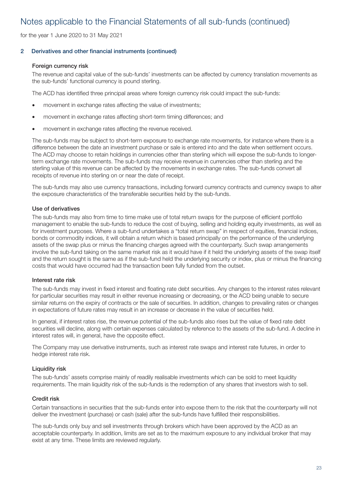for the year 1 June 2020 to 31 May 2021

### 2 Derivatives and other financial instruments (continued)

### Foreign currency risk

The revenue and capital value of the sub-funds' investments can be affected by currency translation movements as the sub-funds' functional currency is pound sterling.

The ACD has identified three principal areas where foreign currency risk could impact the sub-funds:

- movement in exchange rates affecting the value of investments;
- movement in exchange rates affecting short-term timing differences; and
- movement in exchange rates affecting the revenue received.

The sub-funds may be subject to short-term exposure to exchange rate movements, for instance where there is a difference between the date an investment purchase or sale is entered into and the date when settlement occurs. The ACD may choose to retain holdings in currencies other than sterling which will expose the sub-funds to longerterm exchange rate movements. The sub-funds may receive revenue in currencies other than sterling and the sterling value of this revenue can be affected by the movements in exchange rates. The sub-funds convert all receipts of revenue into sterling on or near the date of receipt.

The sub-funds may also use currency transactions, including forward currency contracts and currency swaps to alter the exposure characteristics of the transferable securities held by the sub-funds.

### Use of derivatives

The sub-funds may also from time to time make use of total return swaps for the purpose of efficient portfolio management to enable the sub-funds to reduce the cost of buying, selling and holding equity investments, as well as for investment purposes. Where a sub-fund undertakes a "total return swap" in respect of equities, financial indices, bonds or commodity indices, it will obtain a return which is based principally on the performance of the underlying assets of the swap plus or minus the financing charges agreed with the counterparty. Such swap arrangements involve the sub-fund taking on the same market risk as it would have if it held the underlying assets of the swap itself and the return sought is the same as if the sub-fund held the underlying security or index, plus or minus the financing costs that would have occurred had the transaction been fully funded from the outset.

### Interest rate risk

The sub-funds may invest in fixed interest and floating rate debt securities. Any changes to the interest rates relevant for particular securities may result in either revenue increasing or decreasing, or the ACD being unable to secure similar returns on the expiry of contracts or the sale of securities. In addition, changes to prevailing rates or changes in expectations of future rates may result in an increase or decrease in the value of securities held.

In general, if interest rates rise, the revenue potential of the sub-funds also rises but the value of fixed rate debt securities will decline, along with certain expenses calculated by reference to the assets of the sub-fund. A decline in interest rates will, in general, have the opposite effect.

The Company may use derivative instruments, such as interest rate swaps and interest rate futures, in order to hedge interest rate risk.

### Liquidity risk

The sub-funds' assets comprise mainly of readily realisable investments which can be sold to meet liquidity requirements. The main liquidity risk of the sub-funds is the redemption of any shares that investors wish to sell.

### Credit risk

Certain transactions in securities that the sub-funds enter into expose them to the risk that the counterparty will not deliver the investment (purchase) or cash (sale) after the sub-funds have fulfilled their responsibilities.

The sub-funds only buy and sell investments through brokers which have been approved by the ACD as an acceptable counterparty. In addition, limits are set as to the maximum exposure to any individual broker that may exist at any time. These limits are reviewed regularly.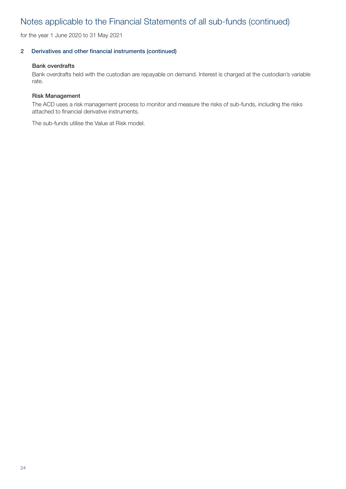for the year 1 June 2020 to 31 May 2021

### 2 Derivatives and other financial instruments (continued)

#### Bank overdrafts

Bank overdrafts held with the custodian are repayable on demand. Interest is charged at the custodian's variable rate.

#### Risk Management

The ACD uses a risk management process to monitor and measure the risks of sub-funds, including the risks attached to financial derivative instruments.

The sub-funds utilise the Value at Risk model.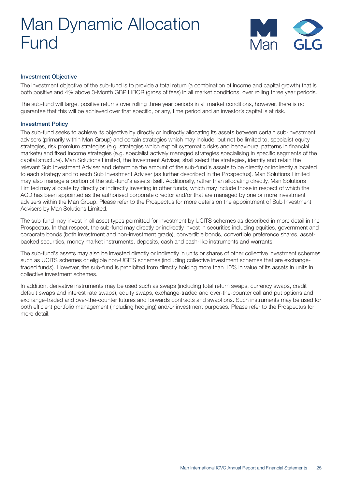

### <span id="page-24-0"></span>Investment Objective

The investment objective of the sub-fund is to provide a total return (a combination of income and capital growth) that is both positive and 4% above 3-Month GBP LIBOR (gross of fees) in all market conditions, over rolling three year periods.

The sub-fund will target positive returns over rolling three year periods in all market conditions, however, there is no guarantee that this will be achieved over that specific, or any, time period and an investor's capital is at risk.

### Investment Policy

The sub-fund seeks to achieve its objective by directly or indirectly allocating its assets between certain sub-investment advisers (primarily within Man Group) and certain strategies which may include, but not be limited to, specialist equity strategies, risk premium strategies (e.g. strategies which exploit systematic risks and behavioural patterns in financial markets) and fixed income strategies (e.g. specialist actively managed strategies specialising in specific segments of the capital structure). Man Solutions Limited, the Investment Adviser, shall select the strategies, identify and retain the relevant Sub Investment Adviser and determine the amount of the sub-fund's assets to be directly or indirectly allocated to each strategy and to each Sub Investment Adviser (as further described in the Prospectus). Man Solutions Limited may also manage a portion of the sub-fund's assets itself. Additionally, rather than allocating directly, Man Solutions Limited may allocate by directly or indirectly investing in other funds, which may include those in respect of which the ACD has been appointed as the authorised corporate director and/or that are managed by one or more investment advisers within the Man Group. Please refer to the Prospectus for more details on the appointment of Sub Investment Advisers by Man Solutions Limited.

The sub-fund may invest in all asset types permitted for investment by UCITS schemes as described in more detail in the Prospectus. In that respect, the sub-fund may directly or indirectly invest in securities including equities, government and corporate bonds (both investment and non-investment grade), convertible bonds, convertible preference shares, assetbacked securities, money market instruments, deposits, cash and cash-like instruments and warrants.

The sub-fund's assets may also be invested directly or indirectly in units or shares of other collective investment schemes such as UCITS schemes or eligible non-UCITS schemes (including collective investment schemes that are exchangetraded funds). However, the sub-fund is prohibited from directly holding more than 10% in value of its assets in units in collective investment schemes.

In addition, derivative instruments may be used such as swaps (including total return swaps, currency swaps, credit default swaps and interest rate swaps), equity swaps, exchange-traded and over-the-counter call and put options and exchange-traded and over-the-counter futures and forwards contracts and swaptions. Such instruments may be used for both efficient portfolio management (including hedging) and/or investment purposes. Please refer to the Prospectus for more detail.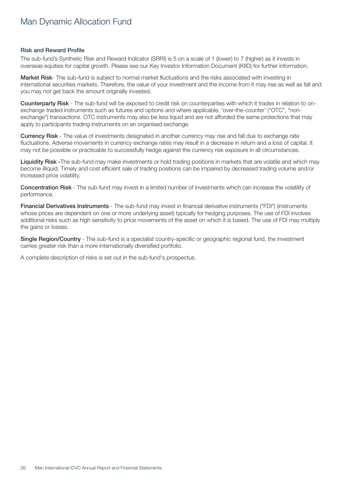#### <span id="page-25-0"></span>Risk and Reward Profile

The sub-fund's Synthetic Risk and Reward Indicator (SRRI) is 5 on a scale of 1 (lower) to 7 (higher) as it invests in overseas equities for capital growth. Please see our Key Investor Information Document (KIID) for further information.

Market Risk- The sub-fund is subject to normal market fluctuations and the risks associated with investing in international securities markets. Therefore, the value of your investment and the income from it may rise as well as fall and you may not get back the amount originally invested.

Counterparty Risk - The sub-fund will be exposed to credit risk on counterparties with which it trades in relation to onexchange traded instruments such as futures and options and where applicable, 'over-the-counter' ("OTC", "nonexchange") transactions. OTC instruments may also be less liquid and are not afforded the same protections that may apply to participants trading instruments on an organised exchange.

Currency Risk - The value of investments designated in another currency may rise and fall due to exchange rate fluctuations. Adverse movements in currency exchange rates may result in a decrease in return and a loss of capital. It may not be possible or practicable to successfully hedge against the currency risk exposure in all circumstances.

Liquidity Risk -The sub-fund may make investments or hold trading positions in markets that are volatile and which may become illiquid. Timely and cost efficient sale of trading positions can be impaired by decreased trading volume and/or increased price volatility.

Concentration Risk - The sub-fund may invest in a limited number of investments which can increase the volatility of performance.

Financial Derivatives Instruments - The sub-fund may invest in financial derivative instruments ("FDI") (instruments whose prices are dependent on one or more underlying asset) typically for hedging purposes. The use of FDI involves additional risks such as high sensitivity to price movements of the asset on which it is based. The use of FDI may multiply the gains or losses.

Single Region/Country - The sub-fund is a specialist country-specific or geographic regional fund, the investment carries greater risk than a more internationally diversified portfolio.

A complete description of risks is set out in the sub-fund's prospectus.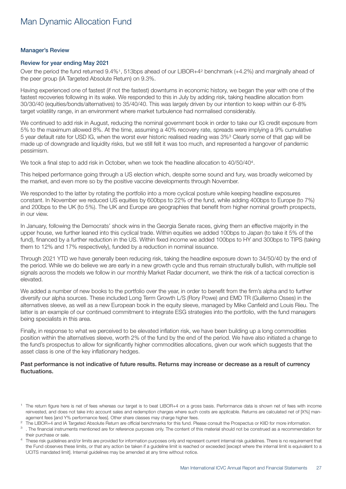### <span id="page-26-0"></span>Manager's Review

#### Review for year ending May 2021

Over the period the fund returned 9.4%1, 513bps ahead of our LIBOR+42 benchmark (+4.2%) and marginally ahead of the peer group (IA Targeted Absolute Return) on 9.3%.

Having experienced one of fastest (if not the fastest) downturns in economic history, we began the year with one of the fastest recoveries following in its wake. We responded to this in July by adding risk, taking headline allocation from 30/30/40 (equities/bonds/alternatives) to 35/40/40. This was largely driven by our intention to keep within our 6-8% target volatility range, in an environment where market turbulence had normalised considerably.

We continued to add risk in August, reducing the nominal government book in order to take our IG credit exposure from 5% to the maximum allowed 8%. At the time, assuming a 40% recovery rate, spreads were implying a 9% cumulative 5 year default rate for USD IG, when the worst ever historic realised reading was 3%3 Clearly some of that gap will be made up of downgrade and liquidity risks, but we still felt it was too much, and represented a hangover of pandemic pessimism.

We took a final step to add risk in October, when we took the headline allocation to 40/50/40<sup>4</sup>.

This helped performance going through a US election which, despite some sound and fury, was broadly welcomed by the market, and even more so by the positive vaccine developments through November.

We responded to the latter by rotating the portfolio into a more cyclical posture while keeping headline exposures constant. In November we reduced US equities by 600bps to 22% of the fund, while adding 400bps to Europe (to 7%) and 200bps to the UK (to 5%). The UK and Europe are geographies that benefit from higher nominal growth prospects, in our view.

In January, following the Democrats' shock wins in the Georgia Senate races, giving them an effective majority in the upper house, we further leaned into this cyclical trade. Within equities we added 100bps to Japan (to take it 5% of the fund), financed by a further reduction in the US. Within fixed income we added 100bps to HY and 300bps to TIPS (taking them to 12% and 17% respectively), funded by a reduction in nominal issuance.

Through 2021 YTD we have generally been reducing risk, taking the headline exposure down to 34/50/40 by the end of the period. While we do believe we are early in a new growth cycle and thus remain structurally bullish, with multiple sell signals across the models we follow in our monthly Market Radar document, we think the risk of a tactical correction is elevated.

We added a number of new books to the portfolio over the year, in order to benefit from the firm's alpha and to further diversify our alpha sources. These included Long Term Growth L/S (Rory Powe) and EMD TR (Guillermo Osses) in the alternatives sleeve, as well as a new European book in the equity sleeve, managed by Mike Canfield and Louis Rieu. The latter is an example of our continued commitment to integrate ESG strategies into the portfolio, with the fund managers being specialists in this area.

Finally, in response to what we perceived to be elevated inflation risk, we have been building up a long commodities position within the alternatives sleeve, worth 2% of the fund by the end of the period. We have also initiated a change to the fund's prospectus to allow for significantly higher commodities allocations, given our work which suggests that the asset class is one of the key inflationary hedges.

### Past performance is not indicative of future results. Returns may increase or decrease as a result of currency fluctuations.

<sup>&</sup>lt;sup>1</sup> The return figure here is net of fees whereas our target is to beat LIBOR+4 on a gross basis. Performance data is shown net of fees with income reinvested, and does not take into account sales and redemption charges where such costs are applicable. Returns are calculated net of [X%] management fees [and Y% performance fees]. Other share classes may charge higher fees.

<sup>&</sup>lt;sup>2</sup> The LIBOR+4 and IA Targeted Absolute Return are official benchmarks for this fund. Please consult the Prospectus or KIID for more information.

<sup>&</sup>lt;sup>3</sup>. The financial instruments mentioned are for reference purposes only. The content of this material should not be construed as a recommendation for their purchase or sale.

These risk guidelines and/or limits are provided for information purposes only and represent current internal risk guidelines. There is no requirement that the Fund observes these limits, or that any action be taken if a guideline limit is reached or exceeded [except where the internal limit is equivalent to a UCITS mandated limit]. Internal guidelines may be amended at any time without notice.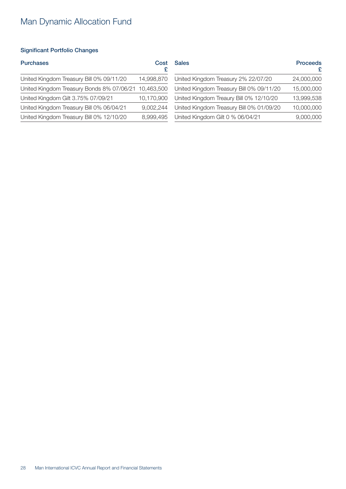### <span id="page-27-0"></span>Significant Portfolio Changes

| Cost                                                 | <b>Sales</b>                             | <b>Proceeds</b> |
|------------------------------------------------------|------------------------------------------|-----------------|
| 14,998,870                                           | United Kingdom Treasury 2% 22/07/20      | 24,000,000      |
| United Kingdom Treasury Bonds 8% 07/06/21 10,463,500 | United Kingdom Treasury Bill 0% 09/11/20 | 15,000,000      |
| 10,170,900                                           | United Kingdom Treaury Bill 0% 12/10/20  | 13,999,538      |
| 9,002,244                                            | United Kingdom Treasury Bill 0% 01/09/20 | 10,000,000      |
| 8,999,495                                            | United Kingdom Gilt 0 % 06/04/21         | 9,000,000       |
|                                                      |                                          |                 |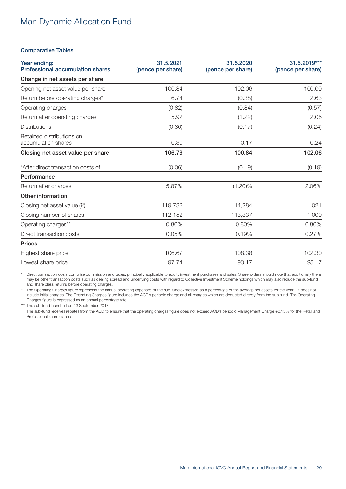#### <span id="page-28-0"></span>Comparative Tables

| Year ending:<br><b>Professional accumulation shares</b> | 31.5.2021<br>(pence per share)<br>(pence per share) |            | 31.5.2019***<br>(pence per share) |  |  |
|---------------------------------------------------------|-----------------------------------------------------|------------|-----------------------------------|--|--|
| Change in net assets per share                          |                                                     |            |                                   |  |  |
| Opening net asset value per share                       | 100.84                                              | 102.06     | 100.00                            |  |  |
| Return before operating charges*                        | 6.74                                                | (0.38)     | 2.63                              |  |  |
| Operating charges                                       | (0.82)                                              | (0.84)     | (0.57)                            |  |  |
| Return after operating charges                          | 5.92                                                | (1.22)     | 2.06                              |  |  |
| <b>Distributions</b>                                    | (0.30)                                              | (0.17)     | (0.24)                            |  |  |
| Retained distributions on<br>accumulation shares        | 0.30                                                | 0.17       | 0.24                              |  |  |
| Closing net asset value per share                       | 106.76                                              | 100.84     | 102.06                            |  |  |
| *After direct transaction costs of                      | (0.06)                                              | (0.19)     | (0.19)                            |  |  |
| Performance                                             |                                                     |            |                                   |  |  |
| Return after charges                                    | 5.87%                                               | $(1.20)\%$ | 2.06%                             |  |  |
| Other information                                       |                                                     |            |                                   |  |  |
| Closing net asset value $(E)$                           | 119,732                                             | 114,284    | 1,021                             |  |  |
| Closing number of shares                                | 112,152                                             | 113,337    | 1,000                             |  |  |
| Operating charges**                                     | 0.80%                                               | 0.80%      | 0.80%                             |  |  |
| Direct transaction costs                                | 0.05%                                               | 0.19%      | 0.27%                             |  |  |
| <b>Prices</b>                                           |                                                     |            |                                   |  |  |
| Highest share price                                     | 106.67                                              | 108.38     | 102.30                            |  |  |
| Lowest share price                                      | 97.74                                               | 93.17      | 95.17                             |  |  |

Direct transaction costs comprise commission and taxes, principally applicable to equity investment purchases and sales. Shareholders should note that additionally there may be other transaction costs such as dealing spread and underlying costs with regard to Collective Investment Scheme holdings which may also reduce the sub-fund and share class returns before operating charges.

\*\* The Operating Charges figure represents the annual operating expenses of the sub-fund expressed as a percentage of the average net assets for the year – it does not include initial charges. The Operating Charges figure includes the ACD's periodic charge and all charges which are deducted directly from the sub-fund. The Operating Charges figure is expressed as an annual percentage rate.

\*\*\* The sub-fund launched on 13 September 2018.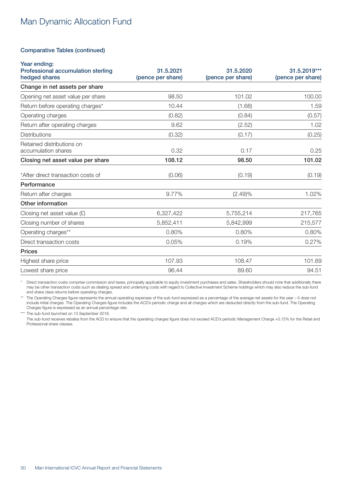#### Comparative Tables (continued)

| Year ending:<br>Professional accumulation sterling<br>hedged shares | 31.5.2021<br>(pence per share) |           | 31.5.2019***<br>(pence per share) |
|---------------------------------------------------------------------|--------------------------------|-----------|-----------------------------------|
| Change in net assets per share                                      |                                |           |                                   |
| Opening net asset value per share                                   | 98.50                          | 101.02    | 100.00                            |
| Return before operating charges*                                    | 10.44                          | (1.68)    | 1.59                              |
| Operating charges                                                   | (0.82)                         | (0.84)    | (0.57)                            |
| Return after operating charges                                      | 9.62                           | (2.52)    | 1.02                              |
| <b>Distributions</b>                                                | (0.32)                         | (0.17)    | (0.25)                            |
| Retained distributions on<br>accumulation shares                    | 0.32                           | 0.17      | 0.25                              |
| Closing net asset value per share                                   | 108.12                         | 98.50     | 101.02                            |
| *After direct transaction costs of                                  | (0.06)                         | (0.19)    | (0.19)                            |
| Performance                                                         |                                |           |                                   |
| Return after charges                                                | 9.77%                          | (2.49)%   | 1.02%                             |
| Other information                                                   |                                |           |                                   |
| Closing net asset value $(E)$                                       | 6,327,422                      | 5,755,214 | 217,765                           |
| Closing number of shares                                            | 5,852,411                      | 5,842,999 | 215,577                           |
| Operating charges**                                                 | 0.80%                          | 0.80%     | 0.80%                             |
| Direct transaction costs                                            | 0.05%                          | 0.19%     | 0.27%                             |
| <b>Prices</b>                                                       |                                |           |                                   |
| Highest share price                                                 | 107.93                         | 108.47    | 101.69                            |
| Lowest share price                                                  | 96.44                          | 89.60     | 94.51                             |

\* Direct transaction costs comprise commission and taxes, principally applicable to equity investment purchases and sales. Shareholders should note that additionally there may be other transaction costs such as dealing spread and underlying costs with regard to Collective Investment Scheme holdings which may also reduce the sub-fund and share class returns before operating charges.

The Operating Charges figure represents the annual operating expenses of the sub-fund expressed as a percentage of the average net assets for the year - it does not include initial charges. The Operating Charges figure includes the ACD's periodic charge and all charges which are deducted directly from the sub-fund. The Operating Charges figure is expressed as an annual percentage rate.

\*\*\* The sub-fund launched on 13 September 2018.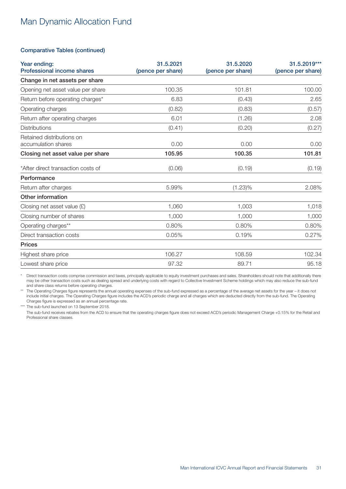### Comparative Tables (continued)

| Year ending:<br><b>Professional income shares</b> | 31.5.2021<br>(pence per share) | 31.5.2020<br>(pence per share) | 31.5.2019***<br>(pence per share) |
|---------------------------------------------------|--------------------------------|--------------------------------|-----------------------------------|
| Change in net assets per share                    |                                |                                |                                   |
| Opening net asset value per share                 | 100.35                         | 101.81                         | 100.00                            |
| Return before operating charges*                  | 6.83                           | (0.43)                         | 2.65                              |
| Operating charges                                 | (0.82)                         | (0.83)                         | (0.57)                            |
| Return after operating charges                    | 6.01                           | (1.26)                         | 2.08                              |
| <b>Distributions</b>                              | (0.41)                         | (0.20)                         | (0.27)                            |
| Retained distributions on<br>accumulation shares  | 0.00                           | 0.00                           | 0.00                              |
| Closing net asset value per share                 | 105.95                         | 100.35                         | 101.81                            |
| *After direct transaction costs of                | (0.06)                         | (0.19)                         | (0.19)                            |
| Performance                                       |                                |                                |                                   |
| Return after charges                              | 5.99%                          | $(1.23)\%$                     | 2.08%                             |
| Other information                                 |                                |                                |                                   |
| Closing net asset value $(E)$                     | 1,060                          | 1,003                          | 1,018                             |
| Closing number of shares                          | 1,000                          | 1,000                          | 1,000                             |
| Operating charges**                               | 0.80%                          | 0.80%                          | 0.80%                             |
| Direct transaction costs                          | 0.05%                          | 0.19%                          | 0.27%                             |
| <b>Prices</b>                                     |                                |                                |                                   |
| Highest share price                               | 106.27                         | 108.59                         | 102.34                            |
| Lowest share price                                | 97.32                          | 89.71                          | 95.18                             |

\* Direct transaction costs comprise commission and taxes, principally applicable to equity investment purchases and sales. Shareholders should note that additionally there may be other transaction costs such as dealing spread and underlying costs with regard to Collective Investment Scheme holdings which may also reduce the sub-fund and share class returns before operating charges.

The Operating Charges figure represents the annual operating expenses of the sub-fund expressed as a percentage of the average net assets for the year - it does not include initial charges. The Operating Charges figure includes the ACD's periodic charge and all charges which are deducted directly from the sub-fund. The Operating Charges figure is expressed as an annual percentage rate.

\*\*\* The sub-fund launched on 13 September 2018.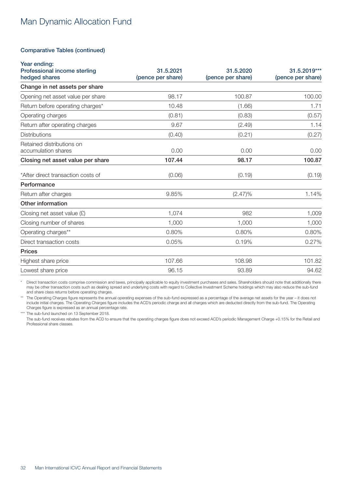#### Comparative Tables (continued)

| Year ending:<br>Professional income sterling     | 31.5.2021         | 31.5.2020         | 31.5.2019***      |
|--------------------------------------------------|-------------------|-------------------|-------------------|
| hedged shares                                    | (pence per share) | (pence per share) | (pence per share) |
| Change in net assets per share                   |                   |                   |                   |
| Opening net asset value per share                | 98.17             | 100.87            | 100.00            |
| Return before operating charges*                 | 10.48             | (1.66)            | 1.71              |
| Operating charges                                | (0.81)            | (0.83)            | (0.57)            |
| Return after operating charges                   | 9.67              | (2.49)            | 1.14              |
| <b>Distributions</b>                             | (0.40)            | (0.21)            | (0.27)            |
| Retained distributions on<br>accumulation shares | 0.00              | 0.00              | 0.00              |
| Closing net asset value per share                | 107.44            | 98.17             | 100.87            |
| *After direct transaction costs of               | (0.06)            | (0.19)            | (0.19)            |
| Performance                                      |                   |                   |                   |
| Return after charges                             | 9.85%             | $(2.47)\%$        | 1.14%             |
| Other information                                |                   |                   |                   |
| Closing net asset value $(E)$                    | 1,074             | 982               | 1,009             |
| Closing number of shares                         | 1,000             | 1,000             | 1,000             |
| Operating charges**                              | 0.80%             | 0.80%             | 0.80%             |
| Direct transaction costs                         | 0.05%             | 0.19%             | 0.27%             |
| <b>Prices</b>                                    |                   |                   |                   |
| Highest share price                              | 107.66            | 108.98            | 101.82            |
| Lowest share price                               | 96.15             | 93.89             | 94.62             |

\* Direct transaction costs comprise commission and taxes, principally applicable to equity investment purchases and sales. Shareholders should note that additionally there may be other transaction costs such as dealing spread and underlying costs with regard to Collective Investment Scheme holdings which may also reduce the sub-fund and share class returns before operating charges.

The Operating Charges figure represents the annual operating expenses of the sub-fund expressed as a percentage of the average net assets for the year - it does not include initial charges. The Operating Charges figure includes the ACD's periodic charge and all charges which are deducted directly from the sub-fund. The Operating Charges figure is expressed as an annual percentage rate.

\*\*\* The sub-fund launched on 13 September 2018.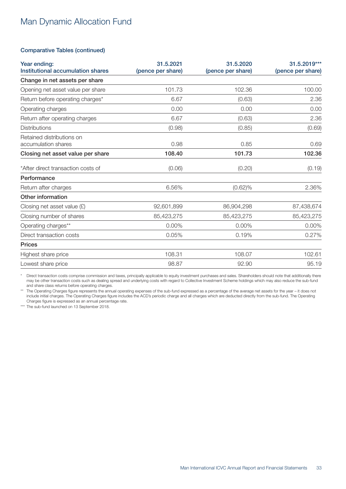### Comparative Tables (continued)

| Year ending:<br>Institutional accumulation shares | 31.5.2021<br>(pence per share) | 31.5.2020<br>(pence per share) | 31.5.2019***<br>(pence per share) |
|---------------------------------------------------|--------------------------------|--------------------------------|-----------------------------------|
| Change in net assets per share                    |                                |                                |                                   |
| Opening net asset value per share                 | 101.73                         | 102.36                         | 100.00                            |
| Return before operating charges*                  | 6.67                           | (0.63)                         | 2.36                              |
| Operating charges                                 | 0.00                           | 0.00                           | 0.00                              |
| Return after operating charges                    | 6.67                           | (0.63)                         | 2.36                              |
| <b>Distributions</b>                              | (0.98)<br>(0.85)               |                                | (0.69)                            |
| Retained distributions on<br>accumulation shares  | 0.98                           | 0.85                           | 0.69                              |
| Closing net asset value per share                 | 108.40                         | 101.73                         | 102.36                            |
| *After direct transaction costs of                | (0.06)                         | (0.20)                         | (0.19)                            |
| Performance                                       |                                |                                |                                   |
| Return after charges                              | 6.56%                          | $(0.62)\%$                     | 2.36%                             |
| Other information                                 |                                |                                |                                   |
| Closing net asset value $(E)$                     | 92,601,899                     | 86,904,298                     | 87,438,674                        |
| Closing number of shares                          | 85,423,275                     | 85,423,275                     | 85,423,275                        |
| Operating charges**                               | 0.00%                          | 0.00%                          | 0.00%                             |
| Direct transaction costs                          | 0.05%                          | 0.19%                          | 0.27%                             |
| <b>Prices</b>                                     |                                |                                |                                   |
| Highest share price                               | 108.31                         | 108.07                         | 102.61                            |
| Lowest share price                                | 98.87                          | 92.90                          | 95.19                             |

\* Direct transaction costs comprise commission and taxes, principally applicable to equity investment purchases and sales. Shareholders should note that additionally there may be other transaction costs such as dealing spread and underlying costs with regard to Collective Investment Scheme holdings which may also reduce the sub-fund and share class returns before operating charges.

\*\* The Operating Charges figure represents the annual operating expenses of the sub-fund expressed as a percentage of the average net assets for the year – it does not include initial charges. The Operating Charges figure includes the ACD's periodic charge and all charges which are deducted directly from the sub-fund. The Operating Charges figure is expressed as an annual percentage rate.

\*\*\* The sub-fund launched on 13 September 2018.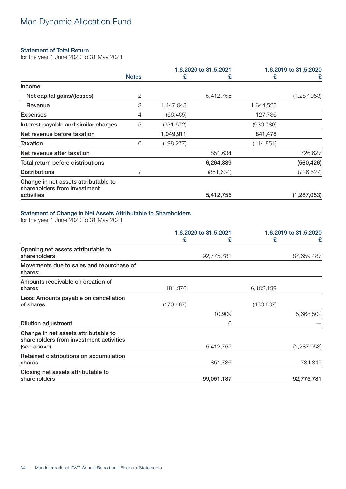### <span id="page-33-0"></span>Statement of Total Return

for the year 1 June 2020 to 31 May 2021

|                                                                      |              | 1.6.2020 to 31.5.2021 |            | 1.6.2019 to 31.5.2020 |               |
|----------------------------------------------------------------------|--------------|-----------------------|------------|-----------------------|---------------|
|                                                                      | <b>Notes</b> | £                     | £          | £                     | £             |
| Income                                                               |              |                       |            |                       |               |
| Net capital gains/(losses)                                           | 2            |                       | 5,412,755  |                       | (1, 287, 053) |
| Revenue                                                              | 3            | 1,447,948             |            | 1,644,528             |               |
| <b>Expenses</b>                                                      | 4            | (66, 465)             |            | 127,736               |               |
| Interest payable and similar charges                                 | 5            | (331, 572)            |            | (930, 786)            |               |
| Net revenue before taxation                                          |              | 1,049,911             |            | 841,478               |               |
| <b>Taxation</b>                                                      | 6            | (198, 277)            |            | (114, 851)            |               |
| Net revenue after taxation                                           |              |                       | 851,634    |                       | 726,627       |
| Total return before distributions                                    |              |                       | 6,264,389  |                       | (560, 426)    |
| <b>Distributions</b>                                                 |              |                       | (851, 634) |                       | (726, 627)    |
| Change in net assets attributable to<br>shareholders from investment |              |                       |            |                       |               |
| activities                                                           |              |                       | 5,412,755  |                       | (1, 287, 053) |

### Statement of Change in Net Assets Attributable to Shareholders

for the year 1 June 2020 to 31 May 2021

|                                                                                 | 1.6.2020 to 31.5.2021 |            | 1.6.2019 to 31.5.2020 |               |
|---------------------------------------------------------------------------------|-----------------------|------------|-----------------------|---------------|
|                                                                                 | £                     | £          | £                     | £             |
| Opening net assets attributable to<br>shareholders                              |                       | 92,775,781 |                       | 87,659,487    |
| Movements due to sales and repurchase of<br>shares:                             |                       |            |                       |               |
| Amounts receivable on creation of<br>shares                                     | 181,376               |            | 6,102,139             |               |
| Less: Amounts payable on cancellation<br>of shares                              | (170, 467)            |            | (433, 637)            |               |
|                                                                                 |                       | 10,909     |                       | 5,668,502     |
| <b>Dilution adjustment</b>                                                      |                       | 6          |                       |               |
| Change in net assets attributable to<br>shareholders from investment activities |                       |            |                       |               |
| (see above)                                                                     |                       | 5,412,755  |                       | (1, 287, 053) |
| Retained distributions on accumulation<br>shares                                |                       | 851,736    |                       | 734,845       |
| Closing net assets attributable to<br>shareholders                              |                       | 99,051,187 |                       | 92,775,781    |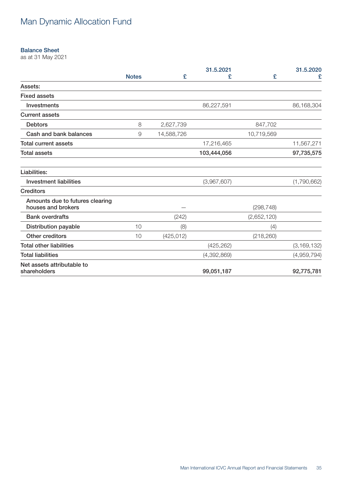### <span id="page-34-0"></span>Balance Sheet

as at 31 May 2021

|                                                       |              |            | 31.5.2021   |             | 31.5.2020     |
|-------------------------------------------------------|--------------|------------|-------------|-------------|---------------|
|                                                       | <b>Notes</b> | £          | £           | £           | £             |
| Assets:                                               |              |            |             |             |               |
| <b>Fixed assets</b>                                   |              |            |             |             |               |
| Investments                                           |              |            | 86,227,591  |             | 86,168,304    |
| <b>Current assets</b>                                 |              |            |             |             |               |
| <b>Debtors</b>                                        | 8            | 2,627,739  |             | 847,702     |               |
| Cash and bank balances                                | 9            | 14,588,726 |             | 10,719,569  |               |
| <b>Total current assets</b>                           |              |            | 17,216,465  |             | 11,567,271    |
| <b>Total assets</b>                                   |              |            | 103,444,056 |             | 97,735,575    |
| Liabilities:                                          |              |            |             |             |               |
| <b>Investment liabilities</b>                         |              |            | (3,967,607) |             | (1,790,662)   |
| <b>Creditors</b>                                      |              |            |             |             |               |
| Amounts due to futures clearing<br>houses and brokers |              |            |             | (298, 748)  |               |
| <b>Bank overdrafts</b>                                |              | (242)      |             | (2,652,120) |               |
| <b>Distribution payable</b>                           | 10           | (8)        |             | (4)         |               |
| Other creditors                                       | 10           | (425, 012) |             | (218, 260)  |               |
| <b>Total other liabilities</b>                        |              |            | (425, 262)  |             | (3, 169, 132) |
| <b>Total liabilities</b>                              |              |            | (4,392,869) |             | (4,959,794)   |
| Net assets attributable to<br>shareholders            |              |            | 99,051,187  |             | 92,775,781    |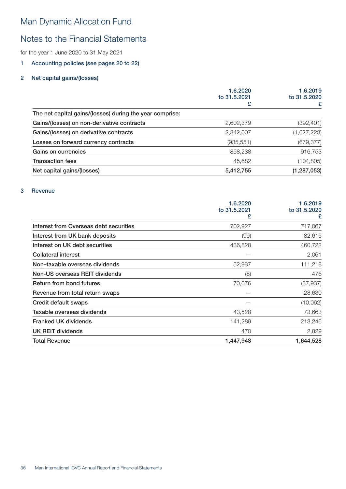### <span id="page-35-0"></span>Notes to the Financial Statements

for the year 1 June 2020 to 31 May 2021

### 1 Accounting policies (see pages 20 to 22)

### 2 Net capital gains/(losses)

|                                                          | 1.6.2020<br>to 31.5.2021<br>£ | 1.6.2019<br>to 31.5.2020<br>£ |
|----------------------------------------------------------|-------------------------------|-------------------------------|
|                                                          |                               |                               |
| The net capital gains/(losses) during the year comprise: |                               |                               |
| Gains/(losses) on non-derivative contracts               | 2,602,379                     | (392, 401)                    |
| Gains/(losses) on derivative contracts                   | 2,842,007                     | (1,027,223)                   |
| Losses on forward currency contracts                     | (935, 551)                    | (679, 377)                    |
| Gains on currencies                                      | 858,238                       | 916,753                       |
| <b>Transaction fees</b>                                  | 45,682                        | (104, 805)                    |
| Net capital gains/(losses)                               | 5,412,755                     | (1, 287, 053)                 |

### 3 Revenue

|                                        | 1.6.2020          | 1.6.2019          |  |
|----------------------------------------|-------------------|-------------------|--|
|                                        | to 31.5.2021<br>£ | to 31.5.2020<br>£ |  |
| Interest from Overseas debt securities | 702,927           | 717,067           |  |
| Interest from UK bank deposits         | (99)              | 82,615            |  |
| Interest on UK debt securities         | 436,828           | 460,722           |  |
| <b>Collateral interest</b>             |                   | 2,061             |  |
| Non-taxable overseas dividends         | 52,937            | 111,218           |  |
| Non-US overseas REIT dividends         | (8)               | 476               |  |
| Return from bond futures               | 70,076            | (37, 937)         |  |
| Revenue from total return swaps        |                   | 28,630            |  |
| Credit default swaps                   |                   | (10,062)          |  |
| Taxable overseas dividends             | 43,528            | 73,663            |  |
| <b>Franked UK dividends</b>            | 141,289           | 213,246           |  |
| <b>UK REIT dividends</b>               | 470               | 2,829             |  |
| <b>Total Revenue</b>                   | 1,447,948         | 1,644,528         |  |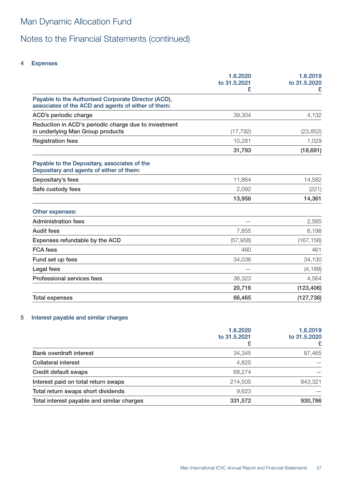### 4 Expenses

|                                                                                                            | 1.6.2020<br>to 31.5.2021<br>£ | 1.6.2019<br>to 31.5.2020 |
|------------------------------------------------------------------------------------------------------------|-------------------------------|--------------------------|
| Payable to the Authorised Corporate Director (ACD),<br>associates of the ACD and agents of either of them: |                               |                          |
| ACD's periodic charge                                                                                      | 39,304                        | 4,132                    |
| Reduction in ACD's periodic charge due to investment<br>in underlying Man Group products                   | (17, 792)                     | (23, 852)                |
| <b>Registration fees</b>                                                                                   | 10,281                        | 1,029                    |
|                                                                                                            | 31,793                        | (18, 691)                |
| Payable to the Depositary, associates of the<br>Depositary and agents of either of them:                   |                               |                          |
| Depositary's fees                                                                                          | 11,864                        | 14,582                   |
| Safe custody fees                                                                                          | 2,092                         | (221)                    |
|                                                                                                            | 13,956                        | 14,361                   |
| Other expenses:                                                                                            |                               |                          |
| <b>Administration fees</b>                                                                                 |                               | 2,585                    |
| <b>Audit fees</b>                                                                                          | 7,855                         | 6,198                    |
| Expenses refundable by the ACD                                                                             | (57, 958)                     | (167, 156)               |
| <b>FCA</b> fees                                                                                            | 460                           | 461                      |
| Fund set up fees                                                                                           | 34,036                        | 34,130                   |
| Legal fees                                                                                                 |                               | (4, 188)                 |
| <b>Professional services fees</b>                                                                          | 36,323                        | 4,564                    |
|                                                                                                            | 20,716                        | (123, 406)               |
| <b>Total expenses</b>                                                                                      | 66,465                        | (127, 736)               |

### 5 Interest payable and similar charges

|                                            | 1.6.2020<br>to 31.5.2021<br>£ | 1.6.2019<br>to 31.5.2020<br>£ |
|--------------------------------------------|-------------------------------|-------------------------------|
| <b>Bank overdraft interest</b>             | 34,345                        | 87,465                        |
| <b>Collateral interest</b>                 | 4,825                         |                               |
| Credit default swaps                       | 68,274                        |                               |
| Interest paid on total return swaps        | 214,505                       | 843,321                       |
| Total return swaps short dividends         | 9,623                         |                               |
| Total interest payable and similar charges | 331,572                       | 930,786                       |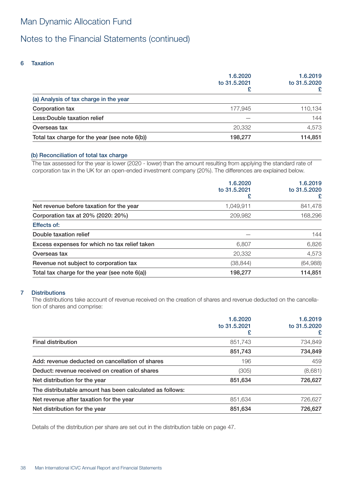### Notes to the Financial Statements (continued)

### 6 Taxation

|                                               | 1.6.2020<br>to 31,5,2021<br>£ | 1.6.2019<br>to 31.5.2020<br>£ |
|-----------------------------------------------|-------------------------------|-------------------------------|
| (a) Analysis of tax charge in the year        |                               |                               |
| Corporation tax                               | 177.945                       | 110,134                       |
| Less: Double taxation relief                  |                               | 144                           |
| Overseas tax                                  | 20,332                        | 4,573                         |
| Total tax charge for the year (see note 6(b)) | 198.277                       | 114,851                       |

### (b) Reconciliation of total tax charge

The tax assessed for the year is lower (2020 - lower) than the amount resulting from applying the standard rate of corporation tax in the UK for an open-ended investment company (20%). The differences are explained below.

|                                               | 1.6.2020<br>to 31.5.2021<br>£ | 1.6.2019<br>to 31.5.2020<br>£ |
|-----------------------------------------------|-------------------------------|-------------------------------|
| Net revenue before taxation for the year      | 1,049,911                     | 841,478                       |
| Corporation tax at 20% (2020: 20%)            | 209,982                       | 168,296                       |
| <b>Effects of:</b>                            |                               |                               |
| Double taxation relief                        |                               | 144                           |
| Excess expenses for which no tax relief taken | 6.807                         | 6,826                         |
| Overseas tax                                  | 20,332                        | 4,573                         |
| Revenue not subject to corporation tax        | (38, 844)                     | (64, 988)                     |
| Total tax charge for the year (see note 6(a)) | 198.277                       | 114,851                       |

### 7 Distributions

The distributions take account of revenue received on the creation of shares and revenue deducted on the cancellation of shares and comprise:

|                                                          | 1.6.2020<br>to 31.5.2021<br>£ | 1.6.2019<br>to 31.5.2020<br>£ |
|----------------------------------------------------------|-------------------------------|-------------------------------|
| <b>Final distribution</b>                                | 851,743                       | 734,849                       |
|                                                          | 851,743                       | 734,849                       |
| Add: revenue deducted on cancellation of shares          | 196                           | 459                           |
| Deduct: revenue received on creation of shares           | (305)                         | (8,681)                       |
| Net distribution for the year                            | 851,634                       | 726,627                       |
| The distributable amount has been calculated as follows: |                               |                               |
| Net revenue after taxation for the year                  | 851.634                       | 726,627                       |
| Net distribution for the year                            | 851,634                       | 726,627                       |

Details of the distribution per share are set out in the distribution table on page 47.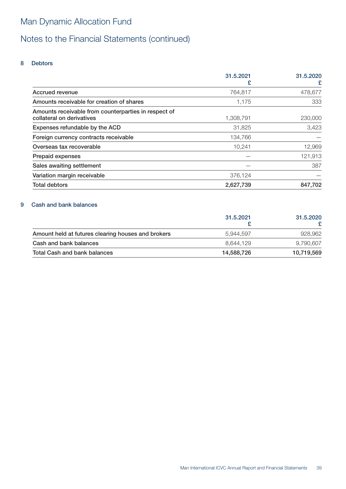# Notes to the Financial Statements (continued)

### 8 Debtors

|                                                      | 31.5.2021 | 31.5.2020 |
|------------------------------------------------------|-----------|-----------|
|                                                      | £         | £         |
| <b>Accrued revenue</b>                               | 764,817   | 478,677   |
| Amounts receivable for creation of shares            | 1.175     | 333       |
| Amounts receivable from counterparties in respect of |           |           |
| collateral on derivatives                            | 1,308,791 | 230,000   |
| Expenses refundable by the ACD                       | 31,825    | 3,423     |
| Foreign currency contracts receivable                | 134,766   |           |
| Overseas tax recoverable                             | 10,241    | 12,969    |
| Prepaid expenses                                     |           | 121,913   |
| Sales awaiting settlement                            |           | 387       |
| Variation margin receivable                          | 376,124   |           |
| <b>Total debtors</b>                                 | 2,627,739 | 847,702   |

### 9 Cash and bank balances

|                                                    | 31.5.2021  | 31.5.2020  |
|----------------------------------------------------|------------|------------|
| Amount held at futures clearing houses and brokers | 5.944.597  | 928,962    |
| Cash and bank balances                             | 8.644.129  | 9,790,607  |
| Total Cash and bank balances                       | 14,588,726 | 10,719,569 |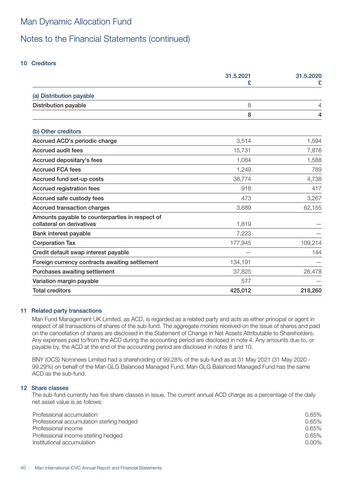### Notes to the Financial Statements (continued)

### 10 Creditors

|                                                                              | 31.5.2021 | 31.5.2020 |
|------------------------------------------------------------------------------|-----------|-----------|
|                                                                              |           | £         |
| (a) Distribution payable                                                     |           |           |
| <b>Distribution payable</b>                                                  | 8         | 4         |
|                                                                              | 8         | 4         |
| (b) Other creditors                                                          |           |           |
| Accrued ACD's periodic charge                                                | 3,514     | 1,594     |
| <b>Accrued audit fees</b>                                                    | 15,731    | 7,876     |
| Accrued depositary's fees                                                    | 1,084     | 1,588     |
| <b>Accrued FCA fees</b>                                                      | 1,249     | 789       |
| Accrued fund set-up costs                                                    | 38,774    | 4,738     |
| <b>Accrued registration fees</b>                                             | 918       | 417       |
| Accrued safe custody fees                                                    | 473       | 3,267     |
| <b>Accrued transaction charges</b>                                           | 3,689     | 62,155    |
| Amounts payable to counterparties in respect of<br>collateral on derivatives | 1,819     |           |
| Bank interest payable                                                        | 7,223     |           |
| <b>Corporation Tax</b>                                                       | 177,945   | 109,214   |
| Credit default swap interest payable                                         |           | 144       |
| Foreign currency contracts awaiting settlement                               | 134,191   |           |
| Purchases awaiting settlement                                                | 37,825    | 26,478    |
| Variation margin payable                                                     | 577       |           |
| <b>Total creditors</b>                                                       | 425,012   | 218,260   |

### 11 Related party transactions

Man Fund Management UK Limited, as ACD, is regarded as a related party and acts as either principal or agent in respect of all transactions of shares of the sub-fund. The aggregate monies received on the issue of shares and paid on the cancellation of shares are disclosed in the Statement of Change in Net Assets Attributable to Shareholders. Any expenses paid to/from the ACD during the accounting period are disclosed in note 4. Any amounts due to, or payable by, the ACD at the end of the accounting period are disclosed in notes 8 and 10.

BNY (OCS) Nominees Limited had a shareholding of 99.28% of the sub-fund as at 31 May 2021 (31 May 2020 - 99.29%) on behalf of the Man GLG Balanced Managed Fund. Man GLG Balanced Managed Fund has the same ACD as the sub-fund.

### 12 Share classes

The sub-fund currently has five share classes in issue. The current annual ACD charge as a percentage of the daily net asset value is as follows:

| Professional accumulation                 | 0.65%    |
|-------------------------------------------|----------|
| Professional accumulation sterling hedged | 0.65%    |
| Professional income                       | 0.65%    |
| Professional income sterling hedged       | 0.65%    |
| Institutional accumulation                | $0.00\%$ |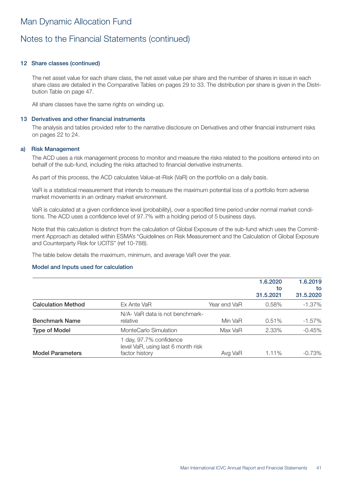### 12 Share classes (continued)

The net asset value for each share class, the net asset value per share and the number of shares in issue in each share class are detailed in the Comparative Tables on pages 29 to 33. The distribution per share is given in the Distribution Table on page 47.

All share classes have the same rights on winding up.

#### 13 Derivatives and other financial instruments

The analysis and tables provided refer to the narrative disclosure on Derivatives and other financial instrument risks on pages 22 to 24.

#### a) Risk Management

The ACD uses a risk management process to monitor and measure the risks related to the positions entered into on behalf of the sub-fund, including the risks attached to financial derivative instruments.

As part of this process, the ACD calculates Value-at-Risk (VaR) on the portfolio on a daily basis.

VaR is a statistical measurement that intends to measure the maximum potential loss of a portfolio from adverse market movements in an ordinary market environment.

VaR is calculated at a given confidence level (probability), over a specified time period under normal market conditions. The ACD uses a confidence level of 97.7% with a holding period of 5 business days.

Note that this calculation is distinct from the calculation of Global Exposure of the sub-fund which uses the Commitment Approach as detailed within ESMA's "Guidelines on Risk Measurement and the Calculation of Global Exposure and Counterparty Risk for UCITS" (ref 10-788).

The table below details the maximum, minimum, and average VaR over the year.

#### Model and Inputs used for calculation

|                           |                                                                                 |              | 1.6.2020<br>to<br>31.5.2021 | 1.6.2019<br>to<br>31.5.2020 |
|---------------------------|---------------------------------------------------------------------------------|--------------|-----------------------------|-----------------------------|
| <b>Calculation Method</b> | Ex Ante VaR                                                                     | Year end VaR | 0.58%                       | $-1.37\%$                   |
| <b>Benchmark Name</b>     | N/A- VaR data is not benchmark-<br>relative                                     | Min VaR      | 0.51%                       | $-1.57\%$                   |
| <b>Type of Model</b>      | MonteCarlo Simulation                                                           | Max VaR      | 2.33%                       | $-0.45%$                    |
| <b>Model Parameters</b>   | 1 day, 97.7% confidence<br>level VaR, using last 6 month risk<br>factor history | Avg VaR      | $1.11\%$                    | $-0.73\%$                   |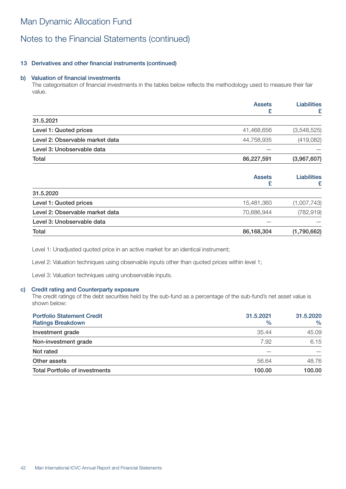### Notes to the Financial Statements (continued)

### 13 Derivatives and other financial instruments (continued)

### b) Valuation of financial investments

The categorisation of financial investments in the tables below reflects the methodology used to measure their fair value.

|                                 | <b>Assets</b><br>£ | <b>Liabilities</b><br>£ |
|---------------------------------|--------------------|-------------------------|
| 31.5.2021                       |                    |                         |
| Level 1: Quoted prices          | 41,468,656         | (3,548,525)             |
| Level 2: Observable market data | 44,758,935         | (419, 082)              |
| Level 3: Unobservable data      |                    |                         |
| Total                           | 86,227,591         | (3,967,607)             |
|                                 | <b>Assets</b>      | <b>Liabilities</b><br>£ |

| 15,481,360 | (1,007,743) |
|------------|-------------|
| 70,686,944 | (782, 919)  |
|            |             |
| 86,168,304 | (1,790,662) |
|            |             |

Level 1: Unadjusted quoted price in an active market for an identical instrument;

Level 2: Valuation techniques using observable inputs other than quoted prices within level 1;

Level 3: Valuation techniques using unobservable inputs.

#### c) Credit rating and Counterparty exposure

The credit ratings of the debt securities held by the sub-fund as a percentage of the sub-fund's net asset value is shown below:

| <b>Portfolio Statement Credit</b>     | 31.5.2021     | 31.5.2020     |
|---------------------------------------|---------------|---------------|
| <b>Ratings Breakdown</b>              | $\frac{0}{0}$ | $\frac{0}{0}$ |
| Investment grade                      | 35.44         | 45.09         |
| Non-investment grade                  | 7.92          | 6.15          |
| Not rated                             |               |               |
| Other assets                          | 56.64         | 48.76         |
| <b>Total Portfolio of investments</b> | 100.00        | 100.00        |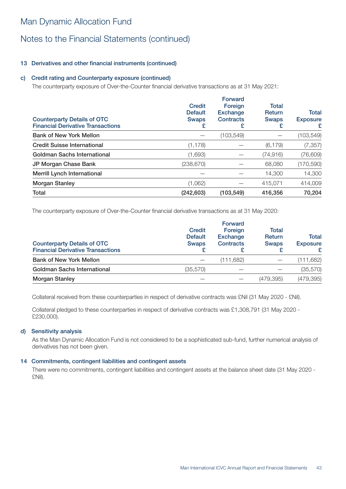# Notes to the Financial Statements (continued)

### 13 Derivatives and other financial instruments (continued)

### c) Credit rating and Counterparty exposure (continued)

The counterparty exposure of Over-the-Counter financial derivative transactions as at 31 May 2021:

| <b>Counterparty Details of OTC</b><br><b>Financial Derivative Transactions</b> | <b>Credit</b><br><b>Default</b><br><b>Swaps</b><br>£ | <b>Forward</b><br>Foreign<br><b>Exchange</b><br><b>Contracts</b><br>£ | <b>Total</b><br>Return<br><b>Swaps</b><br>£ | Total<br><b>Exposure</b><br>£ |
|--------------------------------------------------------------------------------|------------------------------------------------------|-----------------------------------------------------------------------|---------------------------------------------|-------------------------------|
| <b>Bank of New York Mellon</b>                                                 |                                                      | (103,549)                                                             |                                             | (103,549)                     |
| <b>Credit Suisse International</b>                                             | (1, 178)                                             |                                                                       | (6, 179)                                    | (7, 357)                      |
| Goldman Sachs International                                                    | (1,693)                                              |                                                                       | (74, 916)                                   | (76, 609)                     |
| JP Morgan Chase Bank                                                           | (238, 670)                                           |                                                                       | 68,080                                      | (170, 590)                    |
| <b>Merrill Lynch International</b>                                             |                                                      |                                                                       | 14,300                                      | 14,300                        |
| <b>Morgan Stanley</b>                                                          | (1,062)                                              |                                                                       | 415.071                                     | 414,009                       |
| Total                                                                          | (242, 603)                                           | (103, 549)                                                            | 416,356                                     | 70,204                        |

The counterparty exposure of Over-the-Counter financial derivative transactions as at 31 May 2020:

| <b>Counterparty Details of OTC</b><br><b>Financial Derivative Transactions</b> | <b>Credit</b><br><b>Default</b><br><b>Swaps</b> | <b>Forward</b><br>Foreign<br><b>Exchange</b><br><b>Contracts</b> | <b>Total</b><br><b>Return</b><br><b>Swaps</b> | <b>Total</b><br><b>Exposure</b> |
|--------------------------------------------------------------------------------|-------------------------------------------------|------------------------------------------------------------------|-----------------------------------------------|---------------------------------|
| <b>Bank of New York Mellon</b>                                                 |                                                 | (111,682)                                                        |                                               | (111, 682)                      |
| <b>Goldman Sachs International</b>                                             | (35, 570)                                       |                                                                  |                                               | (35, 570)                       |
| <b>Morgan Stanley</b>                                                          |                                                 |                                                                  | (479, 395)                                    | (479, 395)                      |

Collateral received from these counterparties in respect of derivative contracts was £Nil (31 May 2020 - £Nil).

Collateral pledged to these counterparties in respect of derivative contracts was £1,308,791 (31 May 2020 - £230,000).

### d) Sensitivity analysis

As the Man Dynamic Allocation Fund is not considered to be a sophisticated sub-fund, further numerical analysis of derivatives has not been given.

#### 14 Commitments, contingent liabilities and contingent assets

There were no commitments, contingent liabilities and contingent assets at the balance sheet date (31 May 2020 - £Nil).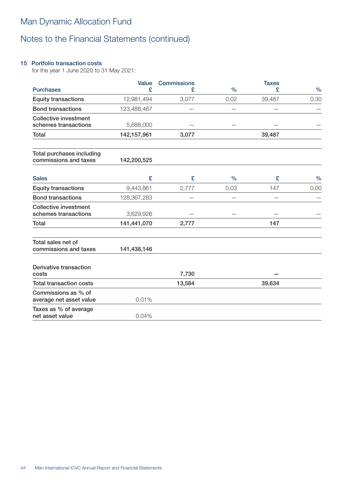### 15 Portfolio transaction costs

for the year 1 June 2020 to 31 May 2021:

|                                                      | Value       | <b>Commissions</b> |               | <b>Taxes</b> |               |
|------------------------------------------------------|-------------|--------------------|---------------|--------------|---------------|
| <b>Purchases</b>                                     | £           | £                  | $\frac{0}{0}$ | £            | $\frac{0}{0}$ |
| <b>Equity transactions</b>                           | 12,981,494  | 3,077              | 0.02          | 39,487       | 0.30          |
| <b>Bond transactions</b>                             | 123,488,467 |                    |               |              |               |
| <b>Collective investment</b><br>schemes transactions | 5,688,000   |                    |               |              |               |
| Total                                                | 142,157,961 | 3,077              |               | 39,487       |               |
| Total purchases including<br>commissions and taxes   | 142,200,525 |                    |               |              |               |
| <b>Sales</b>                                         | £           | £                  | $\frac{0}{0}$ | £            | $\frac{0}{0}$ |
| <b>Equity transactions</b>                           | 9,443,861   | 2,777              | 0.03          | 147          | 0.00          |
| <b>Bond transactions</b>                             | 128,367,283 |                    |               |              |               |
| <b>Collective investment</b><br>schemes transactions | 3,629,926   |                    |               |              |               |
| <b>Total</b>                                         | 141,441,070 | 2,777              |               | 147          |               |
| Total sales net of<br>commissions and taxes          | 141,438,146 |                    |               |              |               |
| Derivative transaction<br>costs                      |             | 7,730              |               |              |               |
| <b>Total transaction costs</b>                       |             | 13,584             |               | 39,634       |               |
| Commissions as % of<br>average net asset value       | 0.01%       |                    |               |              |               |
| Taxes as % of average<br>net asset value             | 0.04%       |                    |               |              |               |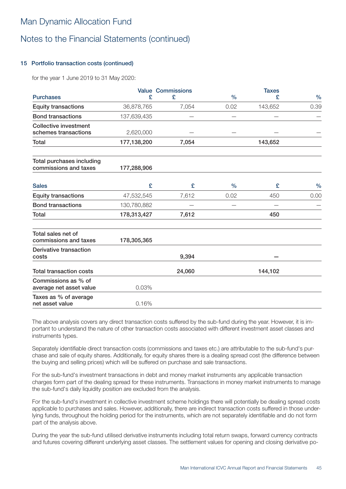### Notes to the Financial Statements (continued)

### 15 Portfolio transaction costs (continued)

for the year 1 June 2019 to 31 May 2020:

|                                                      |             | <b>Value Commissions</b> |               | <b>Taxes</b> |               |
|------------------------------------------------------|-------------|--------------------------|---------------|--------------|---------------|
| <b>Purchases</b>                                     | £           | £                        | $\frac{0}{0}$ | £            | $\frac{0}{0}$ |
| <b>Equity transactions</b>                           | 36,878,765  | 7,054                    | 0.02          | 143,652      | 0.39          |
| <b>Bond transactions</b>                             | 137,639,435 |                          |               |              |               |
| <b>Collective investment</b><br>schemes transactions | 2,620,000   |                          |               |              |               |
| <b>Total</b>                                         | 177,138,200 | 7,054                    |               | 143,652      |               |
| Total purchases including<br>commissions and taxes   | 177,288,906 |                          |               |              |               |
| <b>Sales</b>                                         | £           | £                        | $\%$          | £            | $\frac{0}{0}$ |
| <b>Equity transactions</b>                           | 47,532,545  | 7,612                    | 0.02          | 450          | 0.00          |
| <b>Bond transactions</b>                             | 130,780,882 |                          |               |              |               |
| Total                                                | 178,313,427 | 7,612                    |               | 450          |               |
| Total sales net of<br>commissions and taxes          | 178,305,365 |                          |               |              |               |
| Derivative transaction<br>costs                      |             | 9,394                    |               |              |               |
| <b>Total transaction costs</b>                       |             | 24,060                   |               | 144,102      |               |
| Commissions as % of<br>average net asset value       | 0.03%       |                          |               |              |               |
| Taxes as % of average<br>net asset value             | 0.16%       |                          |               |              |               |

The above analysis covers any direct transaction costs suffered by the sub-fund during the year. However, it is important to understand the nature of other transaction costs associated with different investment asset classes and instruments types.

Separately identifiable direct transaction costs (commissions and taxes etc.) are attributable to the sub-fund's purchase and sale of equity shares. Additionally, for equity shares there is a dealing spread cost (the difference between the buying and selling prices) which will be suffered on purchase and sale transactions.

For the sub-fund's investment transactions in debt and money market instruments any applicable transaction charges form part of the dealing spread for these instruments. Transactions in money market instruments to manage the sub-fund's daily liquidity position are excluded from the analysis.

For the sub-fund's investment in collective investment scheme holdings there will potentially be dealing spread costs applicable to purchases and sales. However, additionally, there are indirect transaction costs suffered in those underlying funds, throughout the holding period for the instruments, which are not separately identifiable and do not form part of the analysis above.

During the year the sub-fund utilised derivative instruments including total return swaps, forward currency contracts and futures covering different underlying asset classes. The settlement values for opening and closing derivative po-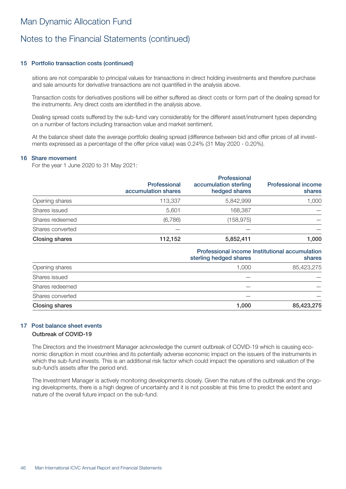### 15 Portfolio transaction costs (continued)

sitions are not comparable to principal values for transactions in direct holding investments and therefore purchase and sale amounts for derivative transactions are not quantified in the analysis above.

Transaction costs for derivatives positions will be either suffered as direct costs or form part of the dealing spread for the instruments. Any direct costs are identified in the analysis above.

Dealing spread costs suffered by the sub-fund vary considerably for the different asset/instrument types depending on a number of factors including transaction value and market sentiment.

At the balance sheet date the average portfolio dealing spread (difference between bid and offer prices of all investments expressed as a percentage of the offer price value) was 0.24% (31 May 2020 - 0.20%).

#### 16 Share movement

For the year 1 June 2020 to 31 May 2021:

|                       | <b>Professional</b><br>accumulation shares | Professional<br>accumulation sterling<br>hedged shares | <b>Professional income</b><br>shares |
|-----------------------|--------------------------------------------|--------------------------------------------------------|--------------------------------------|
| Opening shares        | 113,337                                    | 5,842,999                                              | 1,000                                |
| Shares issued         | 5.601                                      | 168,387                                                |                                      |
| Shares redeemed       | (6,786)                                    | (158, 975)                                             |                                      |
| Shares converted      |                                            |                                                        |                                      |
| <b>Closing shares</b> | 112,152                                    | 5,852,411                                              | 1,000                                |
|                       |                                            |                                                        |                                      |

| Professional income Institutional accumulation<br>shares |                        |  |
|----------------------------------------------------------|------------------------|--|
|                                                          |                        |  |
| 1.000                                                    | 85,423,275             |  |
|                                                          |                        |  |
|                                                          |                        |  |
|                                                          |                        |  |
| 1,000                                                    | 85,423,275             |  |
|                                                          | sterling hedged shares |  |

### 17 Post balance sheet events

### Outbreak of COVID-19

The Directors and the Investment Manager acknowledge the current outbreak of COVID-19 which is causing economic disruption in most countries and its potentially adverse economic impact on the issuers of the instruments in which the sub-fund invests. This is an additional risk factor which could impact the operations and valuation of the sub-fund's assets after the period end.

The Investment Manager is actively monitoring developments closely. Given the nature of the outbreak and the ongoing developments, there is a high degree of uncertainty and it is not possible at this time to predict the extent and nature of the overall future impact on the sub-fund.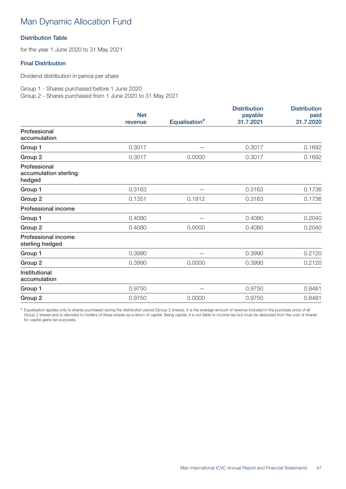### Distribution Table

for the year 1 June 2020 to 31 May 2021

### Final Distribution

Dividend distribution in pence per share

Group 1 - Shares purchased before 1 June 2020 Group 2 - Shares purchased from 1 June 2020 to 31 May 2021

|                                                 | <b>Net</b> |                           | <b>Distribution</b><br>payable | <b>Distribution</b><br>paid |  |
|-------------------------------------------------|------------|---------------------------|--------------------------------|-----------------------------|--|
|                                                 | revenue    | Equalisation <sup>#</sup> | 31.7.2021                      | 31.7.2020                   |  |
| Professional<br>accumulation                    |            |                           |                                |                             |  |
| Group 1                                         | 0.3017     |                           | 0.3017                         | 0.1692                      |  |
| Group 2                                         | 0.3017     | 0.0000                    | 0.3017                         | 0.1692                      |  |
| Professional<br>accumulation sterling<br>hedged |            |                           |                                |                             |  |
| Group 1                                         | 0.3163     |                           | 0.3163                         | 0.1736                      |  |
| Group 2                                         | 0.1351     | 0.1812                    | 0.3163                         | 0.1736                      |  |
| Professional income                             |            |                           |                                |                             |  |
| Group 1                                         | 0.4080     |                           | 0.4080                         | 0.2040                      |  |
| Group 2                                         | 0.4080     | 0.0000                    | 0.4080                         | 0.2040                      |  |
| Professional income<br>sterling hedged          |            |                           |                                |                             |  |
| Group 1                                         | 0.3990     |                           | 0.3990                         | 0.2120                      |  |
| Group 2                                         | 0.3990     | 0.0000                    | 0.3990                         | 0.2120                      |  |
| Institutional<br>accumulation                   |            |                           |                                |                             |  |
| Group 1                                         | 0.9750     |                           | 0.9750                         | 0.8481                      |  |
| Group 2                                         | 0.9750     | 0.0000                    | 0.9750                         | 0.8481                      |  |

# Equalisation applies only to shares purchased during the distribution period (Group 2 shares). It is the average amount of revenue included in the purchase price of all Group 2 shares and is refunded to holders of these shares as a return of capital. Being capital, it is not liable to income tax but must be deducted from the cost of shares for capital gains tax purposes.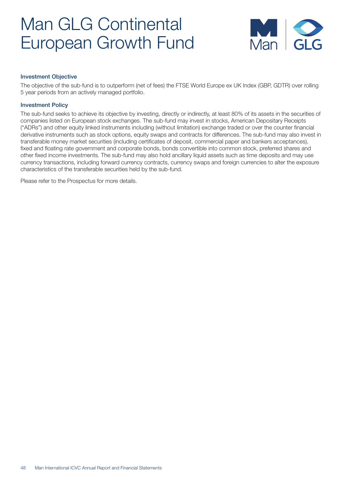

### Investment Objective

The objective of the sub-fund is to outperform (net of fees) the FTSE World Europe ex UK Index (GBP, GDTR) over rolling 5 year periods from an actively managed portfolio.

#### Investment Policy

The sub-fund seeks to achieve its objective by investing, directly or indirectly, at least 80% of its assets in the securities of companies listed on European stock exchanges. The sub-fund may invest in stocks, American Depositary Receipts ("ADRs") and other equity linked instruments including (without limitation) exchange traded or over the counter financial derivative instruments such as stock options, equity swaps and contracts for differences. The sub-fund may also invest in transferable money market securities (including certificates of deposit, commercial paper and bankers acceptances), fixed and floating rate government and corporate bonds, bonds convertible into common stock, preferred shares and other fixed income investments. The sub-fund may also hold ancillary liquid assets such as time deposits and may use currency transactions, including forward currency contracts, currency swaps and foreign currencies to alter the exposure characteristics of the transferable securities held by the sub-fund.

Please refer to the Prospectus for more details.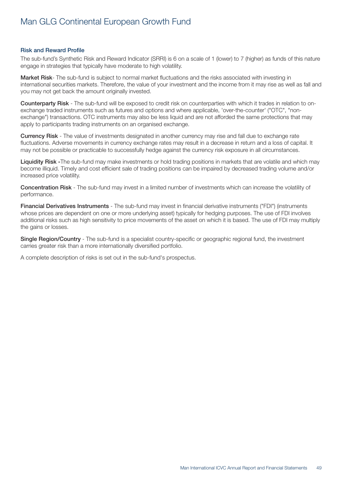#### Risk and Reward Profile

The sub-fund's Synthetic Risk and Reward Indicator (SRRI) is 6 on a scale of 1 (lower) to 7 (higher) as funds of this nature engage in strategies that typically have moderate to high volatility.

Market Risk- The sub-fund is subject to normal market fluctuations and the risks associated with investing in international securities markets. Therefore, the value of your investment and the income from it may rise as well as fall and you may not get back the amount originally invested.

Counterparty Risk - The sub-fund will be exposed to credit risk on counterparties with which it trades in relation to onexchange traded instruments such as futures and options and where applicable, 'over-the-counter' ("OTC", "nonexchange") transactions. OTC instruments may also be less liquid and are not afforded the same protections that may apply to participants trading instruments on an organised exchange.

Currency Risk - The value of investments designated in another currency may rise and fall due to exchange rate fluctuations. Adverse movements in currency exchange rates may result in a decrease in return and a loss of capital. It may not be possible or practicable to successfully hedge against the currency risk exposure in all circumstances.

Liquidity Risk -The sub-fund may make investments or hold trading positions in markets that are volatile and which may become illiquid. Timely and cost efficient sale of trading positions can be impaired by decreased trading volume and/or increased price volatility.

Concentration Risk - The sub-fund may invest in a limited number of investments which can increase the volatility of performance.

Financial Derivatives Instruments - The sub-fund may invest in financial derivative instruments ("FDI") (instruments whose prices are dependent on one or more underlying asset) typically for hedging purposes. The use of FDI involves additional risks such as high sensitivity to price movements of the asset on which it is based. The use of FDI may multiply the gains or losses.

Single Region/Country - The sub-fund is a specialist country-specific or geographic regional fund, the investment carries greater risk than a more internationally diversified portfolio.

A complete description of risks is set out in the sub-fund's prospectus.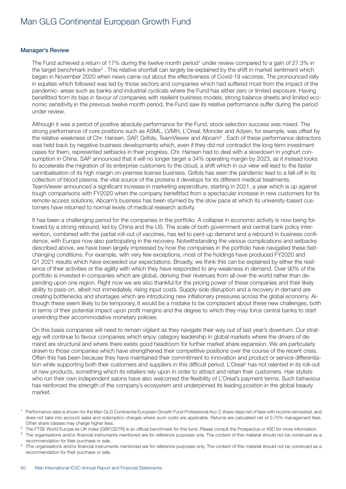#### Manager's Review

The Fund achieved a return of 17% during the twelve month period<sup>1</sup> under review compared to a gain of 27.3% in the target benchmark index<sup>2</sup>. This relative shortfall can largely be explained by the shift in market sentiment which began in November 2020 when news came out about the effectiveness of Covid-19 vaccines. The pronounced rally in equities which followed was led by those sectors and companies which had suffered most from the impact of the pandemic- areas such as banks and industrial cyclicals where the Fund has either zero or limited exposure. Having benefitted from its bias in favour of companies with resilient business models, strong balance sheets and limited economic sensitivity in the previous twelve month period, the Fund saw its relative performance suffer during the period under review.

Although it was a period of positive absolute performance for the Fund, stock selection success was mixed. The strong performance of core positions such as ASML, LVMH, L'Oreal, Moncler and Adyen, for example, was offset by the relative weakness of Chr. Hansen, SAP, Grifols, TeamViewer and Abcam<sup>3</sup>. Each of these performance detractors was held back by negative business developments which, even if they did not contradict the long term investment cases for them, represented setbacks in their progress. Chr. Hansen had to deal with a slowdown in yoghurt consumption in China. SAP announced that it will no longer target a 34% operating margin by 2023, as it instead looks to accelerate the migration of its enterprise customers to the cloud, a shift which in our view will lead to the faster cannibalisation of its high margin on-premise license business. Grifols has seen the pandemic lead to a fall-off in its collection of blood plasma, the vital source of the proteins it develops for its different medical treatments. TeamViewer announced a significant increase in marketing expenditure, starting in 2021, a year which is up against tough comparisons with FY2020 when the company benefitted from a spectacular increase in new customers for its remote-access solutions. Abcam's business has been stymied by the slow pace at which its university-based customers have returned to normal levels of medical research activity.

It has been a challenging period for the companies in the portfolio. A collapse in economic activity is now being followed by a strong rebound, led by China and the US. The scale of both government and central bank policy intervention, combined with the partial roll-out of vaccines, has led to pent-up demand and a rebound in business confidence, with Europe now also participating in the recovery. Notwithstanding the various complications and setbacks described above, we have been largely impressed by how the companies in the portfolio have navigated these fastchanging conditions. For example, with very few exceptions, most of the holdings have produced FY2020 and Q1 2021 results which have exceeded our expectations. Broadly, we think this can be explained by either the resilience of their activities or the agility with which they have responded to any weakness in demand. Over 90% of the portfolio is invested in companies which are global, deriving their revenues from all over the world rather than depending upon one region. Right now we are also thankful for the pricing power of these companies and their likely ability to pass-on, albeit not immediately, rising input costs. Supply-side disruption and a recovery in demand are creating bottlenecks and shortages which are introducing new inflationary pressures across the global economy. Although these seem likely to be temporary, it would be a mistake to be complacent about these new challenges, both in terms of their potential impact upon profit margins and the degree to which they may force central banks to start unwinding their accommodative monetary policies.

On this basis companies will need to remain vigilant as they navigate their way out of last year's downturn. Our strategy will continue to favour companies which enjoy category leadership in global markets where the drivers of demand are structural and where there exists good headroom for further market share expansion. We are particularly drawn to those companies which have strengthened their competitive positions over the course of the recent crisis. Often this has been because they have maintained their commitment to innovation and product or service differentiation while supporting both their customers and suppliers in this difficult period. L'Oreal<sup>4</sup> has not relented in its roll-out of new products, something which its retailers rely upon in order to attract and retain their customers. Hair stylists who run their own independent salons have also welcomed the flexibility of L'Oreal's payment terms. Such behaviour has reinforced the strength of the company's ecosystem and underpinned its leading position in the global beauty market.

<sup>1</sup> Performance data is shown for the Man GLG Continental European Growth Fund Professional Acc C share class net of fees with income reinvested, and does not take into account sales and redemption charges where such costs are applicable. Returns are calculated net of 0.75% management fees. Other share classes may charge higher fees.

<sup>&</sup>lt;sup>2</sup> The FTSE World Europe ex UK index (GBP,GDTR) is an official benchmark for this fund. Please consult the Prospectus or KIID for more information.

<sup>&</sup>lt;sup>3</sup> The organisations and/or financial instruments mentioned are for reference purposes only. The content of this material should not be construed as a recommendation for their purchase or sale .

<sup>4</sup> lThe organisations and/or financial instruments mentioned are for reference purposes only. The content of this material should not be construed as a recommendation for their purchase or sale.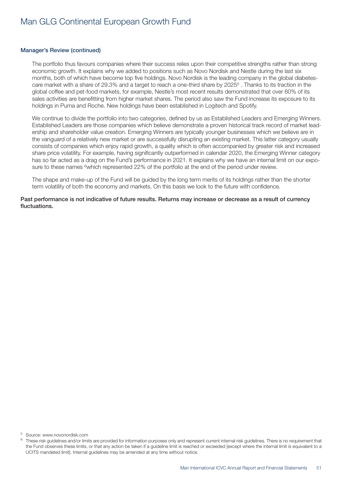#### Manager's Review (continued)

The portfolio thus favours companies where their success relies upon their competitive strengths rather than strong economic growth. It explains why we added to positions such as Novo Nordisk and Nestle during the last six months, both of which have become top five holdings. Novo Nordisk is the leading company in the global diabetescare market with a share of 29.3% and a target to reach a one-third share by 20255 . Thanks to its traction in the global coffee and pet-food markets, for example, Nestle's most recent results demonstrated that over 60% of its sales activities are benefitting from higher market shares. The period also saw the Fund increase its exposure to its holdings in Puma and Roche. New holdings have been established in Logitech and Spotify.

We continue to divide the portfolio into two categories, defined by us as Established Leaders and Emerging Winners. Established Leaders are those companies which believe demonstrate a proven historical track record of market leadership and shareholder value creation. Emerging Winners are typically younger businesses which we believe are in the vanguard of a relatively new market or are successfully disrupting an existing market. This latter category usually consists of companies which enjoy rapid growth, a quality which is often accompanied by greater risk and increased share price volatility. For example, having significantly outperformed in calendar 2020, the Emerging Winner category has so far acted as a drag on the Fund's performance in 2021. It explains why we have an internal limit on our exposure to these names <sup>6</sup>which represented 22% of the portfolio at the end of the period under review.

The shape and make-up of the Fund will be guided by the long term merits of its holdings rather than the shorter term volatility of both the economy and markets. On this basis we look to the future with confidence.

Past performance is not indicative of future results. Returns may increase or decrease as a result of currency fluctuations.

<sup>5</sup> Source: www.novonordisk.com

These risk guidelines and/or limits are provided for information purposes only and represent current internal risk guidelines. There is no requirement that the Fund observes these limits, or that any action be taken if a guideline limit is reached or exceeded [except where the internal limit is equivalent to a UCITS mandated limit]. Internal guidelines may be amended at any time without notice.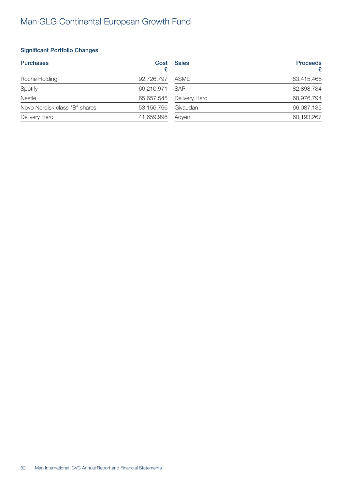### Significant Portfolio Changes

| <b>Purchases</b>              | Cost       | <b>Sales</b>  | <b>Proceeds</b><br>£ |
|-------------------------------|------------|---------------|----------------------|
| Roche Holding                 | 92,726,797 | ASML          | 83,415,466           |
| Spotify                       | 66,210,971 | <b>SAP</b>    | 82,898,734           |
| Nestle                        | 65,657,545 | Delivery Hero | 68,976,794           |
| Novo Nordisk class "B" shares | 53,156,766 | Givaudan      | 66,087,135           |
| Delivery Hero                 | 41,659,996 | Adven         | 60,193,267           |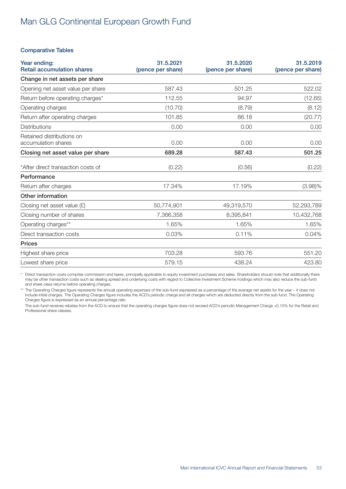### Comparative Tables

| Year ending:<br><b>Retail accumulation shares</b> | 31.5.2021<br>(pence per share) | 31.5.2020<br>(pence per share) | 31.5.2019<br>(pence per share) |
|---------------------------------------------------|--------------------------------|--------------------------------|--------------------------------|
| Change in net assets per share                    |                                |                                |                                |
| Opening net asset value per share                 | 587.43                         | 501.25                         | 522.02                         |
| Return before operating charges*                  | 112.55                         | 94.97                          | (12.65)                        |
| Operating charges                                 | (10.70)                        | (8.79)                         | (8.12)                         |
| Return after operating charges                    | 101.85                         | 86.18                          | (20.77)                        |
| <b>Distributions</b>                              | 0.00                           | 0.00                           | 0.00                           |
| Retained distributions on<br>accumulation shares  | 0.00                           | 0.00                           | 0.00                           |
| Closing net asset value per share                 | 689.28                         | 587.43                         | 501.25                         |
| *After direct transaction costs of                | (0.22)                         | (0.56)                         | (0.22)                         |
| Performance                                       |                                |                                |                                |
| Return after charges                              | 17.34%                         | 17.19%                         | $(3.98)\%$                     |
| Other information                                 |                                |                                |                                |
| Closing net asset value $(E)$                     | 50,774,901                     | 49,319,570                     | 52,293,789                     |
| Closing number of shares                          | 7,366,358                      | 8,395,841                      | 10,432,768                     |
| Operating charges**                               | 1.65%                          | 1.65%                          | 1.65%                          |
| Direct transaction costs                          | 0.03%                          | 0.11%                          | 0.04%                          |
| <b>Prices</b>                                     |                                |                                |                                |
| Highest share price                               | 703.28                         | 593.76                         | 551.20                         |
| Lowest share price                                | 579.15                         | 438.24                         | 423.80                         |

Direct transaction costs comprise commission and taxes, principally applicable to equity investment purchases and sales. Shareholders should note that additionally there may be other transaction costs such as dealing spread and underlying costs with regard to Collective Investment Scheme holdings which may also reduce the sub-fund and share class returns before operating charges.

\*\* The Operating Charges figure represents the annual operating expenses of the sub-fund expressed as a percentage of the average net assets for the year – it does not include initial charges. The Operating Charges figure includes the ACD's periodic charge and all charges which are deducted directly from the sub-fund. The Operating Charges figure is expressed as an annual percentage rate.

The sub-fund receives rebates from the ACD to ensure that the operating charges figure does not exceed ACD's periodic Management Charge +0.15% for the Retail and Professional share classes.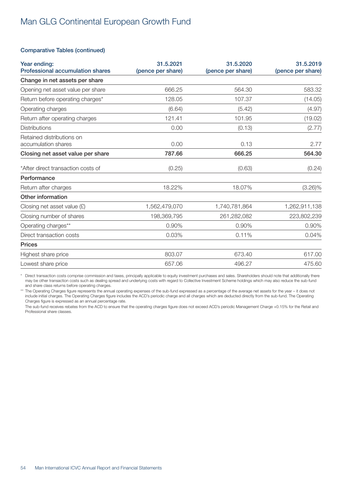### Comparative Tables (continued)

| Year ending:<br><b>Professional accumulation shares</b> | 31.5.2021<br>(pence per share) | 31.5.2020<br>(pence per share) | 31.5.2019<br>(pence per share) |
|---------------------------------------------------------|--------------------------------|--------------------------------|--------------------------------|
| Change in net assets per share                          |                                |                                |                                |
| Opening net asset value per share                       | 666.25                         | 564.30                         | 583.32                         |
| Return before operating charges*                        | 128.05                         | 107.37                         | (14.05)                        |
| Operating charges                                       | (6.64)                         | (5.42)                         | (4.97)                         |
| Return after operating charges                          | 121.41                         | 101.95                         | (19.02)                        |
| <b>Distributions</b>                                    | 0.00                           | (0.13)                         | (2.77)                         |
| Retained distributions on<br>accumulation shares        | 0.00                           | 0.13                           | 2.77                           |
| Closing net asset value per share                       | 787.66                         | 666.25                         | 564.30                         |
| *After direct transaction costs of                      | (0.25)                         | (0.63)                         | (0.24)                         |
| Performance                                             |                                |                                |                                |
| Return after charges                                    | 18.22%                         | 18.07%                         | $(3.26)\%$                     |
| Other information                                       |                                |                                |                                |
| Closing net asset value $(E)$                           | 1,562,479,070                  | 1,740,781,864                  | 1,262,911,138                  |
| Closing number of shares                                | 198,369,795                    | 261,282,082                    | 223,802,239                    |
| Operating charges**                                     | 0.90%                          | 0.90%                          | 0.90%                          |
| Direct transaction costs                                | 0.03%                          | 0.11%                          | 0.04%                          |
| <b>Prices</b>                                           |                                |                                |                                |
| Highest share price                                     | 803.07                         | 673.40                         | 617.00                         |
| Lowest share price                                      | 657.06                         | 496.27                         | 475.60                         |

\* Direct transaction costs comprise commission and taxes, principally applicable to equity investment purchases and sales. Shareholders should note that additionally there may be other transaction costs such as dealing spread and underlying costs with regard to Collective Investment Scheme holdings which may also reduce the sub-fund and share class returns before operating charges.

\*\* The Operating Charges figure represents the annual operating expenses of the sub-fund expressed as a percentage of the average net assets for the year – it does not include initial charges. The Operating Charges figure includes the ACD's periodic charge and all charges which are deducted directly from the sub-fund. The Operating Charges figure is expressed as an annual percentage rate.

The sub-fund receives rebates from the ACD to ensure that the operating charges figure does not exceed ACD's periodic Management Charge +0.15% for the Retail and Professional share classes.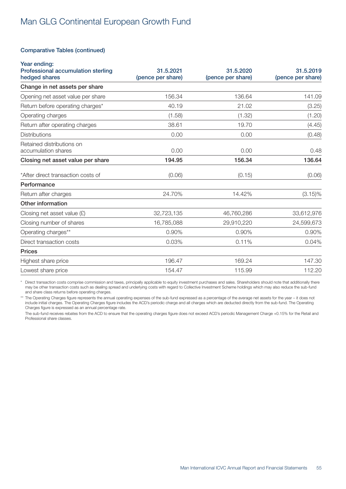### Comparative Tables (continued)

| Year ending:<br>Professional accumulation sterling<br>hedged shares | 31.5.2021<br>(pence per share) | 31.5.2020<br>(pence per share) | 31.5.2019<br>(pence per share) |
|---------------------------------------------------------------------|--------------------------------|--------------------------------|--------------------------------|
| Change in net assets per share                                      |                                |                                |                                |
| Opening net asset value per share                                   | 156.34                         | 136.64                         | 141.09                         |
| Return before operating charges*                                    | 40.19                          | 21.02                          | (3.25)                         |
| Operating charges                                                   | (1.58)                         | (1.32)                         | (1.20)                         |
| Return after operating charges                                      | 38.61                          | 19.70                          | (4.45)                         |
| <b>Distributions</b>                                                | 0.00                           | 0.00                           | (0.48)                         |
| Retained distributions on<br>accumulation shares                    | 0.00                           | 0.00                           | 0.48                           |
| Closing net asset value per share                                   | 194.95                         | 156.34                         | 136.64                         |
| *After direct transaction costs of                                  | (0.06)                         | (0.15)                         | (0.06)                         |
| Performance                                                         |                                |                                |                                |
| Return after charges                                                | 24.70%                         | 14.42%                         | $(3.15)\%$                     |
| Other information                                                   |                                |                                |                                |
| Closing net asset value $(E)$                                       | 32,723,135                     | 46,760,286                     | 33,612,976                     |
| Closing number of shares                                            | 16,785,088                     | 29,910,220                     | 24,599,673                     |
| Operating charges**                                                 | 0.90%                          | 0.90%                          | 0.90%                          |
| Direct transaction costs                                            | 0.03%                          | 0.11%                          | 0.04%                          |
| <b>Prices</b>                                                       |                                |                                |                                |
| Highest share price                                                 | 196.47                         | 169.24                         | 147.30                         |
| Lowest share price                                                  | 154.47                         | 115.99                         | 112.20                         |

\* Direct transaction costs comprise commission and taxes, principally applicable to equity investment purchases and sales. Shareholders should note that additionally there may be other transaction costs such as dealing spread and underlying costs with regard to Collective Investment Scheme holdings which may also reduce the sub-fund and share class returns before operating charges.

\*\* The Operating Charges figure represents the annual operating expenses of the sub-fund expressed as a percentage of the average net assets for the year - it does not include initial charges. The Operating Charges figure includes the ACD's periodic charge and all charges which are deducted directly from the sub-fund. The Operating Charges figure is expressed as an annual percentage rate.

The sub-fund receives rebates from the ACD to ensure that the operating charges figure does not exceed ACD's periodic Management Charge +0.15% for the Retail and Professional share classes.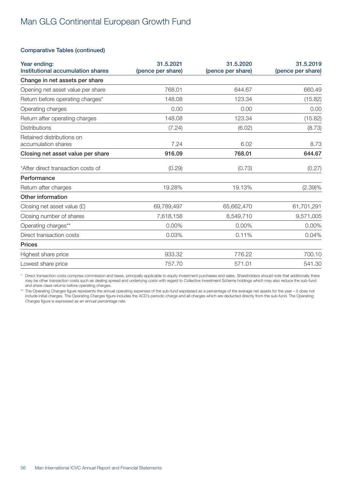### Comparative Tables (continued)

| Year ending:<br>Institutional accumulation shares | 31.5.2021<br>(pence per share) | 31.5.2020<br>(pence per share) | 31.5.2019<br>(pence per share) |
|---------------------------------------------------|--------------------------------|--------------------------------|--------------------------------|
| Change in net assets per share                    |                                |                                |                                |
| Opening net asset value per share                 | 768.01                         | 644.67                         | 660.49                         |
| Return before operating charges*                  | 148.08                         | 123.34                         | (15.82)                        |
| Operating charges                                 | 0.00                           | 0.00                           | 0.00                           |
| Return after operating charges                    | 148.08                         | 123.34                         | (15.82)                        |
| <b>Distributions</b>                              | (7.24)                         | (6.02)                         | (8.73)                         |
| Retained distributions on<br>accumulation shares  | 7.24                           | 6.02                           | 8.73                           |
| Closing net asset value per share                 | 916.09                         | 768.01                         | 644.67                         |
| *After direct transaction costs of                | (0.29)                         | (0.73)                         | (0.27)                         |
| Performance                                       |                                |                                |                                |
| Return after charges                              | 19.28%                         | 19.13%                         | (2.39)%                        |
| Other information                                 |                                |                                |                                |
| Closing net asset value $(E)$                     | 69,789,497                     | 65,662,470                     | 61,701,291                     |
| Closing number of shares                          | 7,618,158                      | 8,549,710                      | 9,571,005                      |
| Operating charges**                               | 0.00%                          | 0.00%                          | 0.00%                          |
| Direct transaction costs                          | 0.03%                          | 0.11%                          | 0.04%                          |
| <b>Prices</b>                                     |                                |                                |                                |
| Highest share price                               | 933.32                         | 776.22                         | 700.10                         |
| Lowest share price                                | 757.70                         | 571.01                         | 541.30                         |

\* Direct transaction costs comprise commission and taxes, principally applicable to equity investment purchases and sales. Shareholders should note that additionally there may be other transaction costs such as dealing spread and underlying costs with regard to Collective Investment Scheme holdings which may also reduce the sub-fund and share class returns before operating charges.

\*\* The Operating Charges figure represents the annual operating expenses of the sub-fund expressed as a percentage of the average net assets for the year – it does not include initial charges. The Operating Charges figure includes the ACD's periodic charge and all charges which are deducted directly from the sub-fund. The Operating Charges figure is expressed as an annual percentage rate.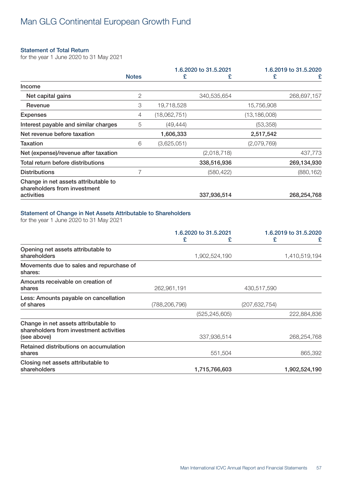### Statement of Total Return

for the year 1 June 2020 to 31 May 2021

|                                                                      |              |              | 1.6.2020 to 31.5.2021 | 1.6.2019 to 31.5.2020 |             |
|----------------------------------------------------------------------|--------------|--------------|-----------------------|-----------------------|-------------|
|                                                                      | <b>Notes</b> | £            | £                     | £                     | £           |
| Income                                                               |              |              |                       |                       |             |
| Net capital gains                                                    | 2            |              | 340,535,654           |                       | 268,697,157 |
| Revenue                                                              | 3            | 19,718,528   |                       | 15,756,908            |             |
| <b>Expenses</b>                                                      | 4            | (18,062,751) |                       | (13,186,008)          |             |
| Interest payable and similar charges                                 | 5            | (49, 444)    |                       | (53, 358)             |             |
| Net revenue before taxation                                          |              | 1,606,333    |                       | 2,517,542             |             |
| Taxation                                                             | 6            | (3,625,051)  |                       | (2,079,769)           |             |
| Net (expense)/revenue after taxation                                 |              |              | (2,018,718)           |                       | 437,773     |
| Total return before distributions                                    |              |              | 338,516,936           |                       | 269,134,930 |
| <b>Distributions</b>                                                 |              |              | (580, 422)            |                       | (880, 162)  |
| Change in net assets attributable to<br>shareholders from investment |              |              |                       |                       |             |
| activities                                                           |              |              | 337,936,514           |                       | 268,254,768 |

### Statement of Change in Net Assets Attributable to Shareholders

for the year 1 June 2020 to 31 May 2021

|                                                                                                | 1.6.2020 to 31.5.2021 |                 | 1.6.2019 to 31.5.2020 |               |
|------------------------------------------------------------------------------------------------|-----------------------|-----------------|-----------------------|---------------|
|                                                                                                | £                     | £               | £                     | £             |
| Opening net assets attributable to<br>shareholders                                             |                       | 1,902,524,190   |                       | 1,410,519,194 |
| Movements due to sales and repurchase of<br>shares:                                            |                       |                 |                       |               |
| Amounts receivable on creation of<br>shares                                                    | 262,961,191           |                 | 430,517,590           |               |
| Less: Amounts payable on cancellation<br>of shares                                             | (788,206,796)         |                 | (207, 632, 754)       |               |
|                                                                                                |                       | (525, 245, 605) |                       | 222,884,836   |
| Change in net assets attributable to<br>shareholders from investment activities<br>(see above) |                       | 337,936,514     |                       | 268,254,768   |
| Retained distributions on accumulation<br>shares                                               |                       | 551,504         |                       | 865,392       |
| Closing net assets attributable to<br>shareholders                                             |                       | 1,715,766,603   |                       | 1,902,524,190 |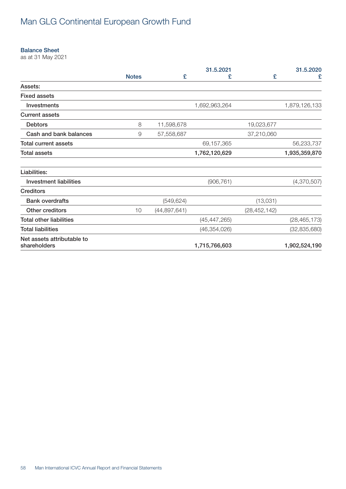#### Balance Sheet

as at 31 May 2021

|                                            |              |                | 31.5.2021      |                | 31.5.2020      |
|--------------------------------------------|--------------|----------------|----------------|----------------|----------------|
|                                            | <b>Notes</b> | £              | £              | £              | £              |
| Assets:                                    |              |                |                |                |                |
| <b>Fixed assets</b>                        |              |                |                |                |                |
| Investments                                |              |                | 1,692,963,264  |                | 1,879,126,133  |
| <b>Current assets</b>                      |              |                |                |                |                |
| <b>Debtors</b>                             | 8            | 11,598,678     |                | 19,023,677     |                |
| Cash and bank balances                     | 9            | 57,558,687     |                | 37,210,060     |                |
| <b>Total current assets</b>                |              |                | 69,157,365     |                | 56,233,737     |
| <b>Total assets</b>                        |              |                | 1,762,120,629  |                | 1,935,359,870  |
| Liabilities:                               |              |                |                |                |                |
| <b>Investment liabilities</b>              |              |                | (906, 761)     |                | (4,370,507)    |
| <b>Creditors</b>                           |              |                |                |                |                |
| <b>Bank overdrafts</b>                     |              | (549, 624)     |                | (13,031)       |                |
| Other creditors                            | 10           | (44, 897, 641) |                | (28, 452, 142) |                |
| <b>Total other liabilities</b>             |              |                | (45, 447, 265) |                | (28, 465, 173) |
| <b>Total liabilities</b>                   |              |                | (46, 354, 026) |                | (32, 835, 680) |
| Net assets attributable to<br>shareholders |              |                | 1,715,766,603  |                | 1,902,524,190  |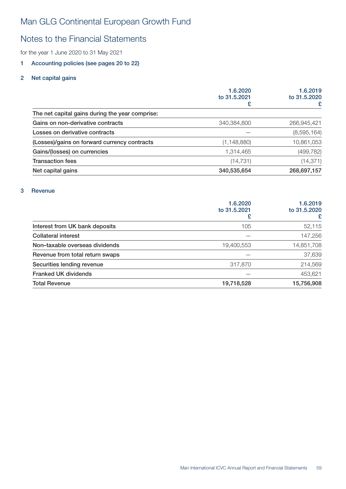### Notes to the Financial Statements

for the year 1 June 2020 to 31 May 2021

### 1 Accounting policies (see pages 20 to 22)

### 2 Net capital gains

| 1.6.2020<br>to 31,5,2021 | 1.6.2019<br>to 31,5,2020<br>£ |
|--------------------------|-------------------------------|
|                          |                               |
| 340,384,800              | 266,945,421                   |
|                          | (8,595,164)                   |
| (1, 148, 880)            | 10,861,053                    |
| 1,314,465                | (499, 782)                    |
| (14, 731)                | (14, 371)                     |
| 340,535,654              | 268,697,157                   |
|                          |                               |

### 3 Revenue

|                                 | 1.6.2020<br>to 31,5,2021 | 1.6.2019<br>to 31.5.2020<br>£ |
|---------------------------------|--------------------------|-------------------------------|
| Interest from UK bank deposits  | 105                      | 52,115                        |
| <b>Collateral interest</b>      |                          | 147,256                       |
| Non-taxable overseas dividends  | 19,400,553               | 14,851,708                    |
| Revenue from total return swaps |                          | 37,639                        |
| Securities lending revenue      | 317,870                  | 214,569                       |
| Franked UK dividends            |                          | 453,621                       |
| <b>Total Revenue</b>            | 19,718,528               | 15,756,908                    |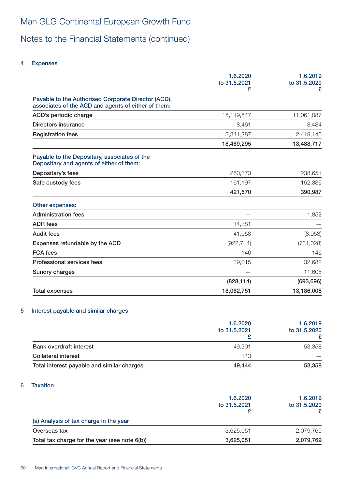Notes to the Financial Statements (continued)

### 4 Expenses

|                                                                                                            | 1.6.2020<br>to 31.5.2021<br>£ | 1.6.2019<br>to 31.5.2020<br>£ |
|------------------------------------------------------------------------------------------------------------|-------------------------------|-------------------------------|
| Payable to the Authorised Corporate Director (ACD),<br>associates of the ACD and agents of either of them: |                               |                               |
| ACD's periodic charge                                                                                      | 15,119,547                    | 11,061,087                    |
| Directors insurance                                                                                        | 8,461                         | 8,484                         |
| <b>Registration fees</b>                                                                                   | 3,341,287                     | 2,419,146                     |
|                                                                                                            | 18,469,295                    | 13,488,717                    |
| Payable to the Depositary, associates of the<br>Depositary and agents of either of them:                   |                               |                               |
| Depositary's fees                                                                                          | 260,373                       | 238,651                       |
| Safe custody fees                                                                                          | 161,197                       | 152,336                       |
|                                                                                                            | 421,570                       | 390,987                       |
| Other expenses:                                                                                            |                               |                               |
| <b>Administration fees</b>                                                                                 |                               | 1,852                         |
| <b>ADR</b> fees                                                                                            | 14,381                        |                               |
| <b>Audit fees</b>                                                                                          | 41,058                        | (8,953)                       |
| Expenses refundable by the ACD                                                                             | (922, 714)                    | (731, 028)                    |
| <b>FCA</b> fees                                                                                            | 146                           | 146                           |
| Professional services fees                                                                                 | 39,015                        | 32,682                        |
| <b>Sundry charges</b>                                                                                      |                               | 11,605                        |
|                                                                                                            | (828, 114)                    | (693, 696)                    |
| <b>Total expenses</b>                                                                                      | 18,062,751                    | 13,186,008                    |

### 5 Interest payable and similar charges

|                                            | 1.6.2020<br>to 31,5,2021 | 1.6.2019<br>to 31.5.2020 |
|--------------------------------------------|--------------------------|--------------------------|
| <b>Bank overdraft interest</b>             | 49.301                   | 53,358                   |
| <b>Collateral interest</b>                 | 143                      |                          |
| Total interest payable and similar charges | 49.444                   | 53,358                   |

### 6 Taxation

|                                               | 1.6.2020<br>to 31.5.2021 | 1.6.2019<br>to 31.5.2020 |
|-----------------------------------------------|--------------------------|--------------------------|
| (a) Analysis of tax charge in the year        |                          |                          |
| Overseas tax                                  | 3,625,051                | 2,079,769                |
| Total tax charge for the year (see note 6(b)) | 3,625,051                | 2,079,769                |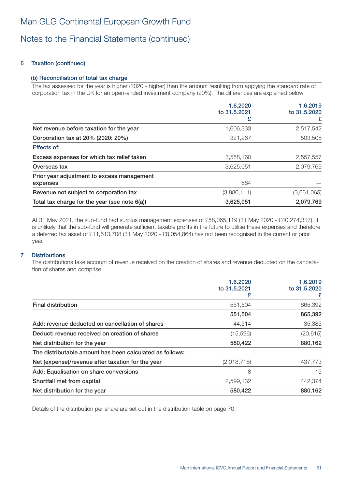### 6 Taxation (continued)

### (b) Reconciliation of total tax charge

The tax assessed for the year is higher (2020 - higher) than the amount resulting from applying the standard rate of corporation tax in the UK for an open-ended investment company (20%). The differences are explained below.

|                                                        | 1.6.2020<br>to 31.5.2021 | 1.6.2019          |
|--------------------------------------------------------|--------------------------|-------------------|
|                                                        |                          | to 31.5.2020<br>£ |
| Net revenue before taxation for the year               | 1,606,333                | 2,517,542         |
| Corporation tax at 20% (2020: 20%)                     | 321,267                  | 503,508           |
| Effects of:                                            |                          |                   |
| Excess expenses for which tax relief taken             | 3,558,160                | 2,557,557         |
| Overseas tax                                           | 3,625,051                | 2,079,769         |
| Prior year adjustment to excess management<br>expenses | 684                      |                   |
| Revenue not subject to corporation tax                 | (3,880,111)              | (3,061,065)       |
| Total tax charge for the year (see note 6(a))          | 3,625,051                | 2,079,769         |

At 31 May 2021, the sub-fund had surplus management expenses of £58,065,119 (31 May 2020 - £40,274,317). It is unlikely that the sub-fund will generate sufficient taxable profits in the future to utilise these expenses and therefore a deferred tax asset of £11,613,708 (31 May 2020 - £8,054,864) has not been recognised in the current or prior year.

### 7 Distributions

The distributions take account of revenue received on the creation of shares and revenue deducted on the cancellation of shares and comprise:

|                                                          | 1.6.2020<br>to 31.5.2021 | 1.6.2019<br>to 31.5.2020 |
|----------------------------------------------------------|--------------------------|--------------------------|
|                                                          | £                        | £                        |
| <b>Final distribution</b>                                | 551,504                  | 865,392                  |
|                                                          | 551,504                  | 865,392                  |
| Add: revenue deducted on cancellation of shares          | 44,514                   | 35,385                   |
| Deduct: revenue received on creation of shares           | (15,596)                 | (20, 615)                |
| Net distribution for the year                            | 580,422                  | 880,162                  |
| The distributable amount has been calculated as follows: |                          |                          |
| Net (expense)/revenue after taxation for the year        | (2,018,718)              | 437,773                  |
| Add: Equalisation on share conversions                   | 8                        | 15                       |
| Shortfall met from capital                               | 2,599,132                | 442,374                  |
| Net distribution for the year                            | 580,422                  | 880,162                  |

Details of the distribution per share are set out in the distribution table on page 70.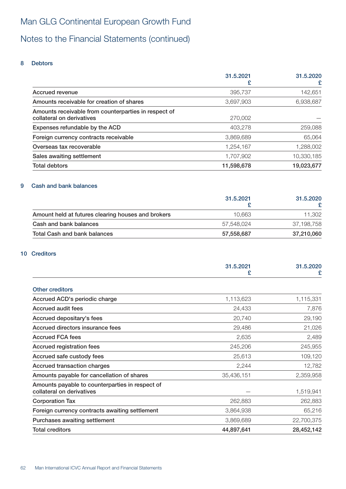# Notes to the Financial Statements (continued)

### 8 Debtors

|                                                      | 31.5.2021  | 31.5.2020  |
|------------------------------------------------------|------------|------------|
|                                                      | £          | £          |
| Accrued revenue                                      | 395,737    | 142,651    |
| Amounts receivable for creation of shares            | 3.697.903  | 6,938,687  |
| Amounts receivable from counterparties in respect of |            |            |
| collateral on derivatives                            | 270,002    |            |
| Expenses refundable by the ACD                       | 403,278    | 259,088    |
| Foreign currency contracts receivable                | 3,869,689  | 65,064     |
| Overseas tax recoverable                             | 1,254,167  | 1,288,002  |
| Sales awaiting settlement                            | 1,707,902  | 10,330,185 |
| <b>Total debtors</b>                                 | 11,598,678 | 19,023,677 |

### 9 Cash and bank balances

|                                                    | 31.5.2021  | 31.5.2020  |
|----------------------------------------------------|------------|------------|
| Amount held at futures clearing houses and brokers | 10.663     | 11.302     |
| Cash and bank balances                             | 57.548.024 | 37,198,758 |
| Total Cash and bank balances                       | 57,558,687 | 37,210,060 |

### 10 Creditors

|                                                                              | 31.5.2021<br>£ | 31.5.2020<br>£ |
|------------------------------------------------------------------------------|----------------|----------------|
| <b>Other creditors</b>                                                       |                |                |
| Accrued ACD's periodic charge                                                | 1,113,623      | 1,115,331      |
| Accrued audit fees                                                           | 24,433         | 7,876          |
| Accrued depositary's fees                                                    | 20,740         | 29,190         |
| Accrued directors insurance fees                                             | 29,486         | 21,026         |
| <b>Accrued FCA fees</b>                                                      | 2,635          | 2,489          |
| Accrued registration fees                                                    | 245,206        | 245,955        |
| Accrued safe custody fees                                                    | 25,613         | 109,120        |
| Accrued transaction charges                                                  | 2,244          | 12,782         |
| Amounts payable for cancellation of shares                                   | 35,436,151     | 2,359,958      |
| Amounts payable to counterparties in respect of<br>collateral on derivatives |                | 1,519,941      |
| <b>Corporation Tax</b>                                                       | 262,883        | 262,883        |
| Foreign currency contracts awaiting settlement                               | 3,864,938      | 65,216         |
| Purchases awaiting settlement                                                | 3,869,689      | 22,700,375     |
| <b>Total creditors</b>                                                       | 44,897,641     | 28,452,142     |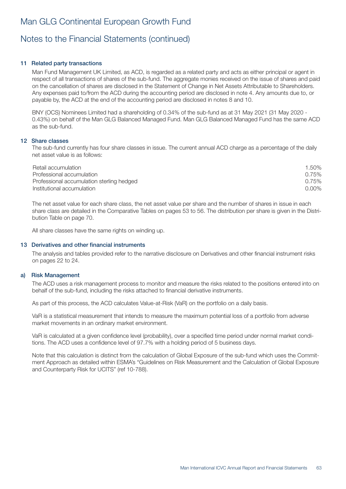### 11 Related party transactions

Man Fund Management UK Limited, as ACD, is regarded as a related party and acts as either principal or agent in respect of all transactions of shares of the sub-fund. The aggregate monies received on the issue of shares and paid on the cancellation of shares are disclosed in the Statement of Change in Net Assets Attributable to Shareholders. Any expenses paid to/from the ACD during the accounting period are disclosed in note 4. Any amounts due to, or payable by, the ACD at the end of the accounting period are disclosed in notes 8 and 10.

BNY (OCS) Nominees Limited had a shareholding of 0.34% of the sub-fund as at 31 May 2021 (31 May 2020 - 0.43%) on behalf of the Man GLG Balanced Managed Fund. Man GLG Balanced Managed Fund has the same ACD as the sub-fund.

#### 12 Share classes

The sub-fund currently has four share classes in issue. The current annual ACD charge as a percentage of the daily net asset value is as follows:

| Retail accumulation                       | 1.50%    |
|-------------------------------------------|----------|
| Professional accumulation                 | 0.75%    |
| Professional accumulation sterling hedged | 0.75%    |
| Institutional accumulation                | $0.00\%$ |

The net asset value for each share class, the net asset value per share and the number of shares in issue in each share class are detailed in the Comparative Tables on pages 53 to 56. The distribution per share is given in the Distribution Table on page 70.

All share classes have the same rights on winding up.

#### 13 Derivatives and other financial instruments

The analysis and tables provided refer to the narrative disclosure on Derivatives and other financial instrument risks on pages 22 to 24.

#### a) Risk Management

The ACD uses a risk management process to monitor and measure the risks related to the positions entered into on behalf of the sub-fund, including the risks attached to financial derivative instruments.

As part of this process, the ACD calculates Value-at-Risk (VaR) on the portfolio on a daily basis.

VaR is a statistical measurement that intends to measure the maximum potential loss of a portfolio from adverse market movements in an ordinary market environment.

VaR is calculated at a given confidence level (probability), over a specified time period under normal market conditions. The ACD uses a confidence level of 97.7% with a holding period of 5 business days.

Note that this calculation is distinct from the calculation of Global Exposure of the sub-fund which uses the Commitment Approach as detailed within ESMA's "Guidelines on Risk Measurement and the Calculation of Global Exposure and Counterparty Risk for UCITS" (ref 10-788).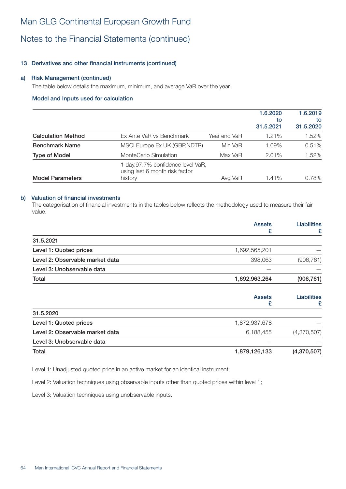### Notes to the Financial Statements (continued)

### 13 Derivatives and other financial instruments (continued)

### a) Risk Management (continued)

The table below details the maximum, minimum, and average VaR over the year.

### Model and Inputs used for calculation

|                           |                                                                                 |              | 1.6.2020<br>to<br>31.5.2021 | 1.6.2019<br>to<br>31.5.2020 |
|---------------------------|---------------------------------------------------------------------------------|--------------|-----------------------------|-----------------------------|
| <b>Calculation Method</b> | Ex Ante VaR vs Benchmark                                                        | Year end VaR | 1.21%                       | 1.52%                       |
| <b>Benchmark Name</b>     | MSCI Europe Ex UK (GBP, NDTR)                                                   | Min VaR      | 1.09%                       | 0.51%                       |
| <b>Type of Model</b>      | MonteCarlo Simulation                                                           | Max VaR      | $2.01\%$                    | 1.52%                       |
| <b>Model Parameters</b>   | 1 day, 97.7% confidence level VaR,<br>using last 6 month risk factor<br>history | Avg VaR      | 1.41%                       | 0.78%                       |

#### b) Valuation of financial investments

The categorisation of financial investments in the tables below reflects the methodology used to measure their fair value.

|                                 | <b>Assets</b><br>£ | <b>Liabilities</b><br>£ |
|---------------------------------|--------------------|-------------------------|
| 31.5.2021                       |                    |                         |
| Level 1: Quoted prices          | 1,692,565,201      |                         |
| Level 2: Observable market data | 398,063            | (906, 761)              |
| Level 3: Unobservable data      |                    |                         |
| Total                           | 1,692,963,264      | (906, 761)              |
|                                 | <b>Assets</b><br>£ | Liabilities<br>£        |
| 31.5.2020                       |                    |                         |
| Level 1: Quoted prices          | 1,872,937,678      |                         |
| Level 2: Observable market data | 6,188,455          | (4,370,507)             |
| Level 3: Unobservable data      |                    |                         |
| Total                           | 1,879,126,133      | (4,370,507)             |

Level 1: Unadjusted quoted price in an active market for an identical instrument;

Level 2: Valuation techniques using observable inputs other than quoted prices within level 1;

Level 3: Valuation techniques using unobservable inputs.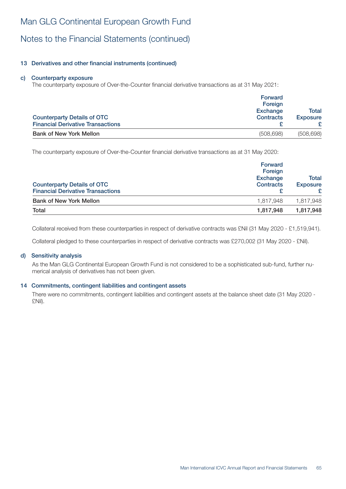# Notes to the Financial Statements (continued)

### 13 Derivatives and other financial instruments (continued)

#### c) Counterparty exposure

The counterparty exposure of Over-the-Counter financial derivative transactions as at 31 May 2021:

| <b>Counterparty Details of OTC</b><br><b>Financial Derivative Transactions</b> | Forward<br>Foreign<br><b>Exchange</b><br><b>Contracts</b> | Total<br><b>Exposure</b> |
|--------------------------------------------------------------------------------|-----------------------------------------------------------|--------------------------|
| <b>Bank of New York Mellon</b>                                                 | (508, 698)                                                | (508, 698)               |

The counterparty exposure of Over-the-Counter financial derivative transactions as at 31 May 2020:

| <b>Forward</b><br>Foreign<br><b>Exchange</b><br><b>Contracts</b><br><b>Exposure</b> |           |
|-------------------------------------------------------------------------------------|-----------|
| 1.817.948                                                                           | 1,817,948 |
| 1,817,948                                                                           | 1,817,948 |
|                                                                                     |           |

Collateral received from these counterparties in respect of derivative contracts was £Nil (31 May 2020 - £1,519,941).

Collateral pledged to these counterparties in respect of derivative contracts was £270,002 (31 May 2020 - £Nil).

#### d) Sensitivity analysis

As the Man GLG Continental European Growth Fund is not considered to be a sophisticated sub-fund, further numerical analysis of derivatives has not been given.

#### 14 Commitments, contingent liabilities and contingent assets

There were no commitments, contingent liabilities and contingent assets at the balance sheet date (31 May 2020 - £Nil).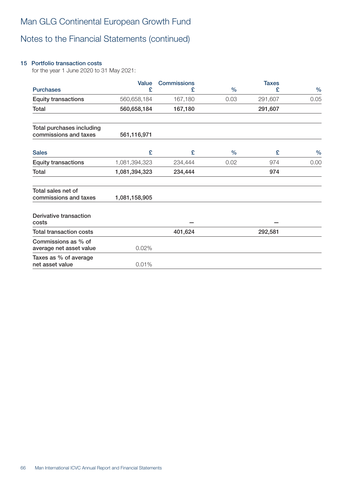### 15 Portfolio transaction costs

for the year 1 June 2020 to 31 May 2021:

|                                                    | Value         | <b>Commissions</b> |               | <b>Taxes</b> |               |
|----------------------------------------------------|---------------|--------------------|---------------|--------------|---------------|
| <b>Purchases</b>                                   | £             | £                  | $\frac{0}{0}$ | £            | $\frac{0}{0}$ |
| <b>Equity transactions</b>                         | 560,658,184   | 167,180            | 0.03          | 291,607      | 0.05          |
| Total                                              | 560,658,184   | 167,180            |               | 291,607      |               |
| Total purchases including<br>commissions and taxes | 561,116,971   |                    |               |              |               |
| <b>Sales</b>                                       | £             | £                  | $\frac{0}{0}$ | £            | $\frac{0}{0}$ |
| <b>Equity transactions</b>                         | 1,081,394,323 | 234,444            | 0.02          | 974          | 0.00          |
| Total                                              | 1,081,394,323 | 234,444            |               | 974          |               |
| Total sales net of<br>commissions and taxes        | 1,081,158,905 |                    |               |              |               |
| Derivative transaction<br>costs                    |               |                    |               |              |               |
| <b>Total transaction costs</b>                     |               | 401,624            |               | 292,581      |               |
| Commissions as % of<br>average net asset value     | 0.02%         |                    |               |              |               |
| Taxes as % of average<br>net asset value           | 0.01%         |                    |               |              |               |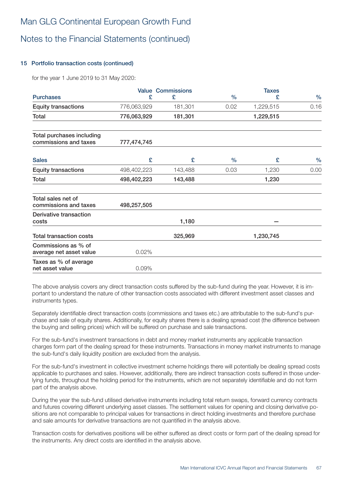### 15 Portfolio transaction costs (continued)

for the year 1 June 2019 to 31 May 2020:

|                                                    |             | <b>Value Commissions</b> |               | <b>Taxes</b> |      |
|----------------------------------------------------|-------------|--------------------------|---------------|--------------|------|
| <b>Purchases</b>                                   | £           | £                        | $\frac{0}{0}$ | £            | $\%$ |
| <b>Equity transactions</b>                         | 776,063,929 | 181,301                  | 0.02          | 1,229,515    | 0.16 |
| Total                                              | 776,063,929 | 181,301                  |               | 1,229,515    |      |
| Total purchases including<br>commissions and taxes | 777,474,745 |                          |               |              |      |
| <b>Sales</b>                                       | £           | £                        | $\%$          | £            | $\%$ |
| <b>Equity transactions</b>                         | 498,402,223 | 143,488                  | 0.03          | 1,230        | 0.00 |
| Total                                              | 498,402,223 | 143,488                  | 1,230         |              |      |
| Total sales net of<br>commissions and taxes        | 498,257,505 |                          |               |              |      |
| Derivative transaction<br>costs                    |             | 1,180                    |               |              |      |
| <b>Total transaction costs</b>                     |             | 325,969                  |               | 1,230,745    |      |
| Commissions as % of<br>average net asset value     | 0.02%       |                          |               |              |      |
| Taxes as % of average<br>net asset value           | 0.09%       |                          |               |              |      |

The above analysis covers any direct transaction costs suffered by the sub-fund during the year. However, it is important to understand the nature of other transaction costs associated with different investment asset classes and instruments types.

Separately identifiable direct transaction costs (commissions and taxes etc.) are attributable to the sub-fund's purchase and sale of equity shares. Additionally, for equity shares there is a dealing spread cost (the difference between the buying and selling prices) which will be suffered on purchase and sale transactions.

For the sub-fund's investment transactions in debt and money market instruments any applicable transaction charges form part of the dealing spread for these instruments. Transactions in money market instruments to manage the sub-fund's daily liquidity position are excluded from the analysis.

For the sub-fund's investment in collective investment scheme holdings there will potentially be dealing spread costs applicable to purchases and sales. However, additionally, there are indirect transaction costs suffered in those underlying funds, throughout the holding period for the instruments, which are not separately identifiable and do not form part of the analysis above.

During the year the sub-fund utilised derivative instruments including total return swaps, forward currency contracts and futures covering different underlying asset classes. The settlement values for opening and closing derivative positions are not comparable to principal values for transactions in direct holding investments and therefore purchase and sale amounts for derivative transactions are not quantified in the analysis above.

Transaction costs for derivatives positions will be either suffered as direct costs or form part of the dealing spread for the instruments. Any direct costs are identified in the analysis above.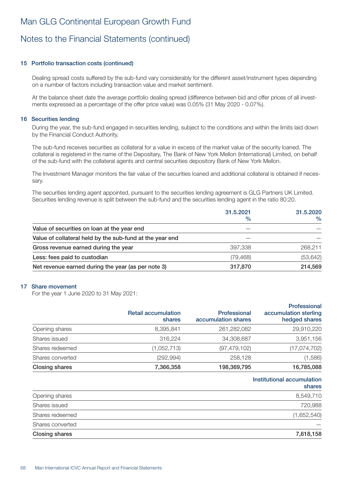### 15 Portfolio transaction costs (continued)

Dealing spread costs suffered by the sub-fund vary considerably for the different asset/instrument types depending on a number of factors including transaction value and market sentiment.

At the balance sheet date the average portfolio dealing spread (difference between bid and offer prices of all investments expressed as a percentage of the offer price value) was 0.05% (31 May 2020 - 0.07%).

#### 16 Securities lending

During the year, the sub-fund engaged in securities lending, subject to the conditions and within the limits laid down by the Financial Conduct Authority.

The sub-fund receives securities as collateral for a value in excess of the market value of the security loaned. The collateral is registered in the name of the Depositary, The Bank of New York Mellon (International) Limited, on behalf of the sub-fund with the collateral agents and central securities depository Bank of New York Mellon.

The Investment Manager monitors the fair value of the securities loaned and additional collateral is obtained if necessary.

The securities lending agent appointed, pursuant to the securities lending agreement is GLG Partners UK Limited. Securities lending revenue is split between the sub-fund and the securities lending agent in the ratio 80:20.

|                                                          | 31.5.2021<br>$\%$ | 31.5.2020<br>$\frac{0}{0}$ |
|----------------------------------------------------------|-------------------|----------------------------|
| Value of securities on loan at the year end              |                   |                            |
| Value of collateral held by the sub-fund at the year end |                   |                            |
| Gross revenue earned during the year                     | 397,338           | 268,211                    |
| Less: fees paid to custodian                             | (79,468)          | (53, 642)                  |
| Net revenue earned during the year (as per note 3)       | 317,870           | 214,569                    |

#### 17 Share movement

For the year 1 June 2020 to 31 May 2021:

|                       | <b>Retail accumulation</b><br>shares | Professional<br>accumulation shares | Professional<br>accumulation sterling<br>hedged shares |
|-----------------------|--------------------------------------|-------------------------------------|--------------------------------------------------------|
| Opening shares        | 8,395,841                            | 261,282,082                         | 29,910,220                                             |
| Shares issued         | 316,224                              | 34,308,687                          | 3,951,156                                              |
| Shares redeemed       | (1,052,713)                          | (97, 479, 102)                      | (17, 074, 702)                                         |
| Shares converted      | (292, 994)                           | 258,128                             | (1,586)                                                |
| <b>Closing shares</b> | 7,366,358                            | 198,369,795                         | 16,785,088                                             |

#### Institutional accumulation shares

| <b>Closing shares</b> | 7,618,158   |
|-----------------------|-------------|
| Shares converted      |             |
| Shares redeemed       | (1,652,540) |
| Shares issued         | 720,988     |
| Opening shares        | 8,549,710   |
|                       |             |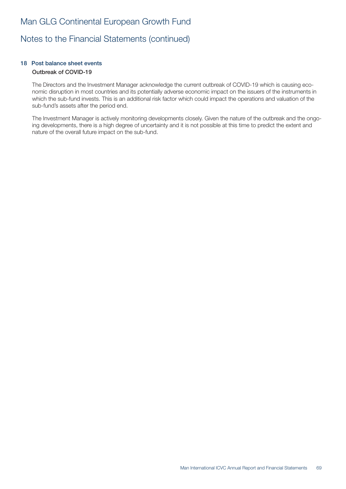### 18 Post balance sheet events Outbreak of COVID-19

The Directors and the Investment Manager acknowledge the current outbreak of COVID-19 which is causing economic disruption in most countries and its potentially adverse economic impact on the issuers of the instruments in which the sub-fund invests. This is an additional risk factor which could impact the operations and valuation of the sub-fund's assets after the period end.

The Investment Manager is actively monitoring developments closely. Given the nature of the outbreak and the ongoing developments, there is a high degree of uncertainty and it is not possible at this time to predict the extent and nature of the overall future impact on the sub-fund.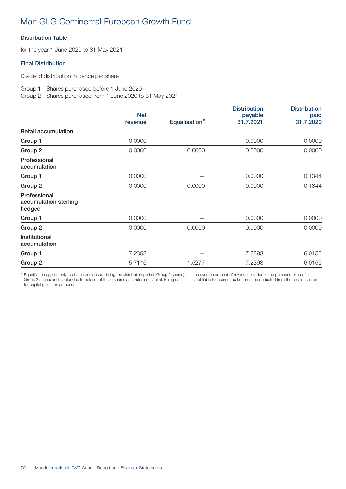### Distribution Table

for the year 1 June 2020 to 31 May 2021

### Final Distribution

Dividend distribution in pence per share

Group 1 - Shares purchased before 1 June 2020 Group 2 - Shares purchased from 1 June 2020 to 31 May 2021

|                                                 | <b>Net</b><br>revenue | Equalisation <sup>#</sup> | <b>Distribution</b><br>payable<br>31.7.2021 | <b>Distribution</b><br>paid<br>31.7.2020 |
|-------------------------------------------------|-----------------------|---------------------------|---------------------------------------------|------------------------------------------|
|                                                 |                       |                           |                                             |                                          |
| <b>Retail accumulation</b>                      |                       |                           |                                             |                                          |
| Group 1                                         | 0.0000                |                           | 0.0000                                      | 0.0000                                   |
| Group 2                                         | 0.0000                | 0.0000                    | 0.0000                                      | 0.0000                                   |
| Professional<br>accumulation                    |                       |                           |                                             |                                          |
| Group 1                                         | 0.0000                |                           | 0.0000                                      | 0.1344                                   |
| Group 2                                         | 0.0000                | 0.0000                    | 0.0000                                      | 0.1344                                   |
| Professional<br>accumulation sterling<br>hedged |                       |                           |                                             |                                          |
| Group 1                                         | 0.0000                |                           | 0.0000                                      | 0.0000                                   |
| Group 2                                         | 0.0000                | 0.0000                    | 0.0000                                      | 0.0000                                   |
| Institutional<br>accumulation                   |                       |                           |                                             |                                          |
| Group 1                                         | 7.2393                |                           | 7.2393                                      | 6.0155                                   |
| Group 2                                         | 5.7116                | 1.5277                    | 7.2393                                      | 6.0155                                   |

# Equalisation applies only to shares purchased during the distribution period (Group 2 shares). It is the average amount of revenue included in the purchase price of all Group 2 shares and is refunded to holders of these shares as a return of capital. Being capital, it is not liable to income tax but must be deducted from the cost of shares for capital gains tax purposes.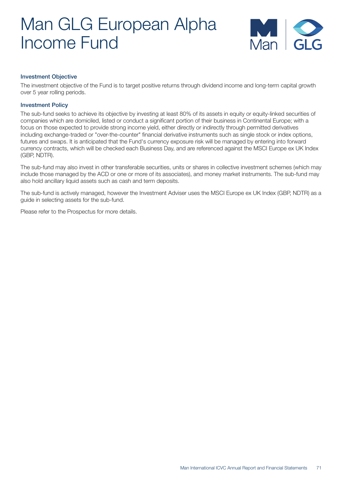# Man GLG European Alpha Income Fund



### Investment Objective

The investment objective of the Fund is to target positive returns through dividend income and long-term capital growth over 5 year rolling periods.

### Investment Policy

The sub-fund seeks to achieve its objective by investing at least 80% of its assets in equity or equity-linked securities of companies which are domiciled, listed or conduct a significant portion of their business in Continental Europe; with a focus on those expected to provide strong income yield, either directly or indirectly through permitted derivatives including exchange-traded or "over-the-counter" financial derivative instruments such as single stock or index options, futures and swaps. It is anticipated that the Fund's currency exposure risk will be managed by entering into forward currency contracts, which will be checked each Business Day, and are referenced against the MSCI Europe ex UK Index (GBP, NDTR).

The sub-fund may also invest in other transferable securities, units or shares in collective investment schemes (which may include those managed by the ACD or one or more of its associates), and money market instruments. The sub-fund may also hold ancillary liquid assets such as cash and term deposits.

The sub-fund is actively managed, however the Investment Adviser uses the MSCI Europe ex UK Index (GBP, NDTR) as a guide in selecting assets for the sub-fund.

Please refer to the Prospectus for more details.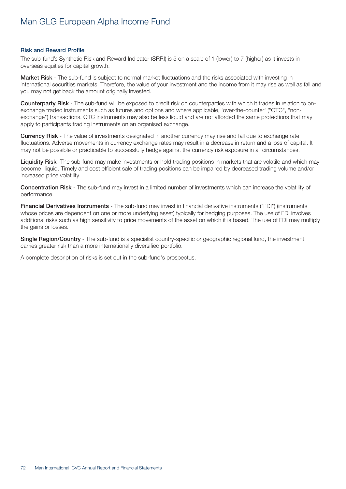# Man GLG European Alpha Income Fund

#### Risk and Reward Profile

The sub-fund's Synthetic Risk and Reward Indicator (SRRI) is 5 on a scale of 1 (lower) to 7 (higher) as it invests in overseas equities for capital growth.

Market Risk - The sub-fund is subject to normal market fluctuations and the risks associated with investing in international securities markets. Therefore, the value of your investment and the income from it may rise as well as fall and you may not get back the amount originally invested.

Counterparty Risk - The sub-fund will be exposed to credit risk on counterparties with which it trades in relation to onexchange traded instruments such as futures and options and where applicable, 'over-the-counter' ("OTC", "nonexchange") transactions. OTC instruments may also be less liquid and are not afforded the same protections that may apply to participants trading instruments on an organised exchange.

Currency Risk - The value of investments designated in another currency may rise and fall due to exchange rate fluctuations. Adverse movements in currency exchange rates may result in a decrease in return and a loss of capital. It may not be possible or practicable to successfully hedge against the currency risk exposure in all circumstances.

Liquidity Risk -The sub-fund may make investments or hold trading positions in markets that are volatile and which may become illiquid. Timely and cost efficient sale of trading positions can be impaired by decreased trading volume and/or increased price volatility.

Concentration Risk - The sub-fund may invest in a limited number of investments which can increase the volatility of performance.

Financial Derivatives Instruments - The sub-fund may invest in financial derivative instruments ("FDI") (instruments whose prices are dependent on one or more underlying asset) typically for hedging purposes. The use of FDI involves additional risks such as high sensitivity to price movements of the asset on which it is based. The use of FDI may multiply the gains or losses.

Single Region/Country - The sub-fund is a specialist country-specific or geographic regional fund, the investment carries greater risk than a more internationally diversified portfolio.

A complete description of risks is set out in the sub-fund's prospectus.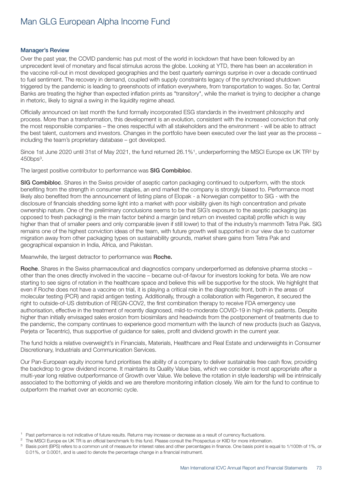#### Manager's Review

Over the past year, the COVID pandemic has put most of the world in lockdown that have been followed by an unprecedent level of monetary and fiscal stimulus across the globe. Looking at YTD, there has been an acceleration in the vaccine roll-out in most developed geographies and the best quarterly earnings surprise in over a decade continued to fuel sentiment. The recovery in demand, coupled with supply constraints legacy of the synchronised shutdown triggered by the pandemic is leading to greenshoots of inflation everywhere, from transportation to wages. So far, Central Banks are treating the higher than expected inflation prints as "transitory", while the market is trying to decipher a change in rhetoric, likely to signal a swing in the liquidity regime ahead.

Officially announced on last month the fund formally incorporated ESG standards in the investment philosophy and process. More than a transformation, this development is an evolution, consistent with the increased conviction that only the most responsible companies – the ones respectful with all stakeholders and the environment - will be able to attract the best talent, customers and investors. Changes in the portfolio have been executed over the last year as the process – including the team's proprietary database – got developed.

Since 1st June 2020 until 31st of May 2021, the fund returned 26.1%<sup>1</sup>, underperforming the MSCI Europe ex UK TR<sup>2</sup> by  $450$ bps $3$ .

The largest positive contributor to performance was SIG Combibloc.

SIG Combibloc. Shares in the Swiss provider of aseptic carton packaging continued to outperform, with the stock benefiting from the strength in consumer staples, an end market the company is strongly biased to. Performance most likely also benefited from the announcement of listing plans of Elopak - a Norwegian competitor to SIG - with the disclosure of financials shedding some light into a market with poor visibility given its high concentration and private ownership nature. One of the preliminary conclusions seems to be that SIG's exposure to the aseptic packaging (as opposed to fresh packaging) is the main factor behind a margin (and return on invested capital) profile which is way higher than that of smaller peers and only comparable (even if still lower) to that of the industry's mammoth Tetra Pak. SIG remains one of the highest conviction ideas of the team, with future growth well supported in our view due to customer migration away from other packaging types on sustainability grounds, market share gains from Tetra Pak and geographical expansion in India, Africa, and Pakistan.

Meanwhile, the largest detractor to performance was Roche.

Roche. Shares in the Swiss pharmaceutical and diagnostics company underperformed as defensive pharma stocks – other than the ones directly involved in the vaccine – became out-of-favour for investors looking for beta. We are now starting to see signs of rotation in the healthcare space and believe this will be supportive for the stock. We highlight that even if Roche does not have a vaccine on trial, it is playing a critical role in the diagnostic front, both in the areas of molecular testing (PCR) and rapid antigen testing. Additionally, through a collaboration with Regeneron, it secured the right to outside-of-US distribution of REGN-COV2, the first combination therapy to receive FDA emergency use authorisation, effective in the treatment of recently diagnosed, mild-to-moderate COVID-19 in high-risk patients. Despite higher than initially envisaged sales erosion from biosimilars and headwinds from the postponement of treatments due to the pandemic, the company continues to experience good momentum with the launch of new products (such as Gazyva, Perjeta or Tecentric), thus supportive of guidance for sales, profit and dividend growth in the current year.

The fund holds a relative overweight's in Financials, Materials, Healthcare and Real Estate and underweights in Consumer Discretionary, Industrials and Communication Services.

Our Pan-European equity income fund prioritises the ability of a company to deliver sustainable free cash flow, providing the backdrop to grow dividend income. It maintains its Quality Value bias, which we consider is most appropriate after a multi-year long relative outperformance of Growth over Value. We believe the rotation in style leadership will be intrinsically associated to the bottoming of yields and we are therefore monitoring inflation closely. We aim for the fund to continue to outperform the market over an economic cycle.

<sup>&</sup>lt;sup>1</sup> Past performance is not indicative of future results. Returns may increase or decrease as a result of currency fluctuations.

The MSCI Europe ex UK TR is an official benchmark fo this fund. Please consult the Prospectus or KIID for more information.

Basis point (BPS) refers to a common unit of measure for interest rates and other percentages in finance. One basis point is equal to 1/100th of 1%, or 0.01%, or 0.0001, and is used to denote the percentage change in a financial instrument.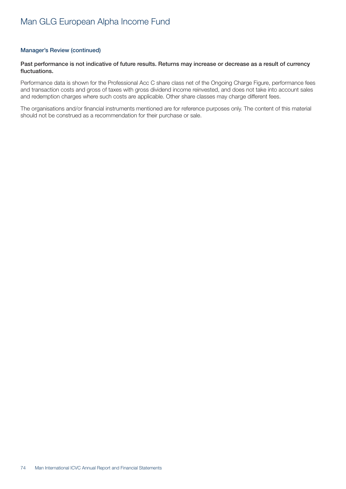#### Manager's Review (continued)

#### Past performance is not indicative of future results. Returns may increase or decrease as a result of currency fluctuations.

Performance data is shown for the Professional Acc C share class net of the Ongoing Charge Figure, performance fees and transaction costs and gross of taxes with gross dividend income reinvested, and does not take into account sales and redemption charges where such costs are applicable. Other share classes may charge different fees.

The organisations and/or financial instruments mentioned are for reference purposes only. The content of this material should not be construed as a recommendation for their purchase or sale.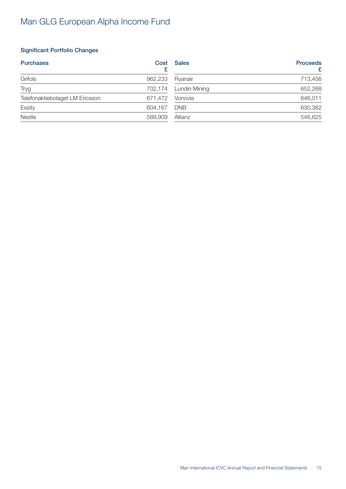### Significant Portfolio Changes

| <b>Purchases</b>                | Cost    | Sales         | <b>Proceeds</b><br>£ |
|---------------------------------|---------|---------------|----------------------|
| Grifols                         | 962,233 | Ryanair       | 713,456              |
| <b>Tryg</b>                     | 702,174 | Lundin Mining | 652,268              |
| Telefonaktiebolaget LM Ericsson | 671,472 | Vonovia       | 646,011              |
| Essity                          | 604,167 | <b>DNB</b>    | 630,382              |
| Nestle                          | 589,909 | Allianz       | 546,625              |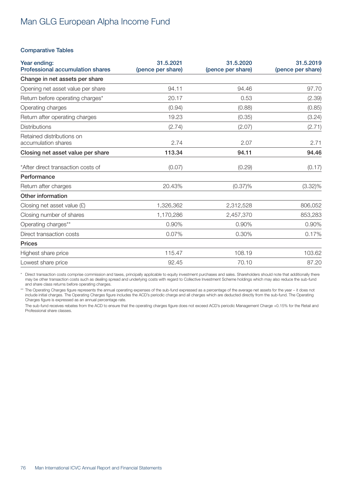#### Comparative Tables

| Year ending:<br><b>Professional accumulation shares</b> | 31.5.2021<br>(pence per share) | 31.5.2020<br>(pence per share) | 31.5.2019<br>(pence per share) |
|---------------------------------------------------------|--------------------------------|--------------------------------|--------------------------------|
| Change in net assets per share                          |                                |                                |                                |
| Opening net asset value per share                       | 94.11                          | 94.46                          | 97.70                          |
| Return before operating charges*                        | 20.17                          | 0.53                           | (2.39)                         |
| Operating charges                                       | (0.94)                         | (0.88)                         | (0.85)                         |
| Return after operating charges                          | 19.23                          | (0.35)                         | (3.24)                         |
| <b>Distributions</b>                                    | (2.74)                         | (2.07)                         | (2.71)                         |
| Retained distributions on<br>accumulation shares        | 2.74                           | 2.07                           | 2.71                           |
| Closing net asset value per share                       | 113.34                         | 94.11                          | 94.46                          |
| *After direct transaction costs of                      | (0.07)                         | (0.29)                         | (0.17)                         |
| Performance                                             |                                |                                |                                |
| Return after charges                                    | 20.43%                         | $(0.37)\%$                     | $(3.32)\%$                     |
| Other information                                       |                                |                                |                                |
| Closing net asset value $(E)$                           | 1,326,362                      | 2,312,528                      | 806,052                        |
| Closing number of shares                                | 1,170,286                      | 2,457,370                      | 853,283                        |
| Operating charges**                                     | 0.90%                          | 0.90%                          | 0.90%                          |
| Direct transaction costs                                | 0.07%                          | 0.30%                          | 0.17%                          |
| <b>Prices</b>                                           |                                |                                |                                |
| Highest share price                                     | 115.47                         | 108.19                         | 103.62                         |
| Lowest share price                                      | 92.45                          | 70.10                          | 87.20                          |

\* Direct transaction costs comprise commission and taxes, principally applicable to equity investment purchases and sales. Shareholders should note that additionally there may be other transaction costs such as dealing spread and underlying costs with regard to Collective Investment Scheme holdings which may also reduce the sub-fund and share class returns before operating charges.

\*\* The Operating Charges figure represents the annual operating expenses of the sub-fund expressed as a percentage of the average net assets for the year – it does not include initial charges. The Operating Charges figure includes the ACD's periodic charge and all charges which are deducted directly from the sub-fund. The Operating Charges figure is expressed as an annual percentage rate.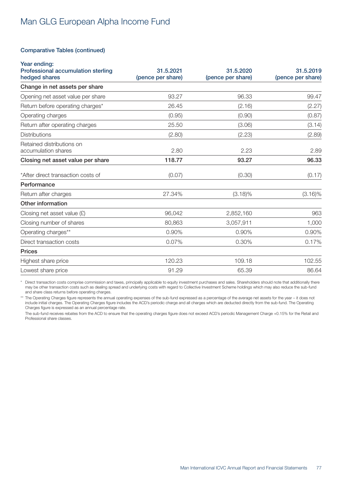#### Comparative Tables (continued)

| Year ending:<br>Professional accumulation sterling<br>hedged shares | 31.5.2021<br>(pence per share) | 31.5.2020<br>(pence per share) | 31.5.2019<br>(pence per share) |
|---------------------------------------------------------------------|--------------------------------|--------------------------------|--------------------------------|
| Change in net assets per share                                      |                                |                                |                                |
| Opening net asset value per share                                   | 93.27                          | 96.33                          | 99.47                          |
| Return before operating charges*                                    | 26.45                          | (2.16)                         | (2.27)                         |
| Operating charges                                                   | (0.95)                         | (0.90)                         | (0.87)                         |
| Return after operating charges                                      | 25.50                          | (3.06)                         | (3.14)                         |
| <b>Distributions</b>                                                | (2.80)                         | (2.23)                         | (2.89)                         |
| Retained distributions on<br>accumulation shares                    | 2.80                           | 2.23                           | 2.89                           |
| Closing net asset value per share                                   | 118.77                         | 93.27                          | 96.33                          |
| *After direct transaction costs of                                  | (0.07)                         | (0.30)                         | (0.17)                         |
| Performance                                                         |                                |                                |                                |
| Return after charges                                                | 27.34%                         | $(3.18)\%$                     | $(3.16)\%$                     |
| Other information                                                   |                                |                                |                                |
| Closing net asset value $(E)$                                       | 96,042                         | 2,852,160                      | 963                            |
| Closing number of shares                                            | 80,863                         | 3,057,911                      | 1,000                          |
| Operating charges**                                                 | 0.90%                          | 0.90%                          | 0.90%                          |
| Direct transaction costs                                            | 0.07%                          | 0.30%                          | 0.17%                          |
| <b>Prices</b>                                                       |                                |                                |                                |
| Highest share price                                                 | 120.23                         | 109.18                         | 102.55                         |
| Lowest share price                                                  | 91.29                          | 65.39                          | 86.64                          |

\* Direct transaction costs comprise commission and taxes, principally applicable to equity investment purchases and sales. Shareholders should note that additionally there may be other transaction costs such as dealing spread and underlying costs with regard to Collective Investment Scheme holdings which may also reduce the sub-fund and share class returns before operating charges.

\*\* The Operating Charges figure represents the annual operating expenses of the sub-fund expressed as a percentage of the average net assets for the year – it does not include initial charges. The Operating Charges figure includes the ACD's periodic charge and all charges which are deducted directly from the sub-fund. The Operating Charges figure is expressed as an annual percentage rate.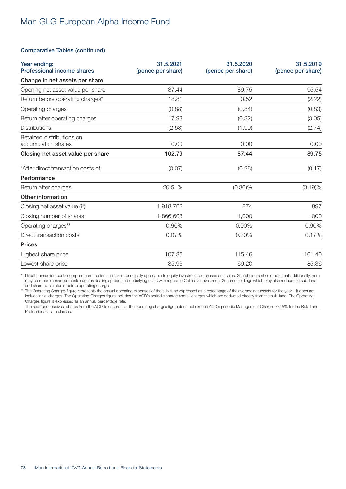#### Comparative Tables (continued)

| Year ending:<br><b>Professional income shares</b> | 31.5.2021<br>(pence per share) | 31.5.2020<br>(pence per share) | 31.5.2019<br>(pence per share) |
|---------------------------------------------------|--------------------------------|--------------------------------|--------------------------------|
| Change in net assets per share                    |                                |                                |                                |
| Opening net asset value per share                 | 87.44                          | 89.75                          | 95.54                          |
| Return before operating charges*                  | 18.81                          | 0.52                           | (2.22)                         |
| Operating charges                                 | (0.88)                         | (0.84)                         | (0.83)                         |
| Return after operating charges                    | 17.93                          | (0.32)                         | (3.05)                         |
| <b>Distributions</b>                              | (2.58)                         | (1.99)                         | (2.74)                         |
| Retained distributions on<br>accumulation shares  | 0.00                           | 0.00                           | 0.00                           |
| Closing net asset value per share                 | 102.79                         | 87.44                          | 89.75                          |
| *After direct transaction costs of                | (0.07)                         | (0.28)                         | (0.17)                         |
| Performance                                       |                                |                                |                                |
| Return after charges                              | 20.51%                         | $(0.36)\%$                     | (3.19)%                        |
| Other information                                 |                                |                                |                                |
| Closing net asset value $(E)$                     | 1,918,702                      | 874                            | 897                            |
| Closing number of shares                          | 1,866,603                      | 1,000                          | 1,000                          |
| Operating charges**                               | 0.90%                          | 0.90%                          | 0.90%                          |
| Direct transaction costs                          | 0.07%                          | 0.30%                          | 0.17%                          |
| <b>Prices</b>                                     |                                |                                |                                |
| Highest share price                               | 107.35                         | 115.46                         | 101.40                         |
| Lowest share price                                | 85.93                          | 69.20                          | 85.36                          |

\* Direct transaction costs comprise commission and taxes, principally applicable to equity investment purchases and sales. Shareholders should note that additionally there may be other transaction costs such as dealing spread and underlying costs with regard to Collective Investment Scheme holdings which may also reduce the sub-fund and share class returns before operating charges.

\*\* The Operating Charges figure represents the annual operating expenses of the sub-fund expressed as a percentage of the average net assets for the year – it does not include initial charges. The Operating Charges figure includes the ACD's periodic charge and all charges which are deducted directly from the sub-fund. The Operating Charges figure is expressed as an annual percentage rate.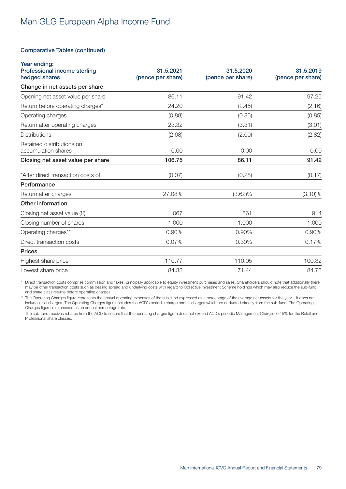#### Comparative Tables (continued)

| Year ending:<br>Professional income sterling     | 31.5.2021         | 31.5.2020         | 31.5.2019         |
|--------------------------------------------------|-------------------|-------------------|-------------------|
| hedged shares                                    | (pence per share) | (pence per share) | (pence per share) |
| Change in net assets per share                   |                   |                   |                   |
| Opening net asset value per share                | 86.11             | 91.42             | 97.25             |
| Return before operating charges*                 | 24.20             | (2.45)            | (2.16)            |
| Operating charges                                | (0.88)            | (0.86)            | (0.85)            |
| Return after operating charges                   | 23.32             | (3.31)            | (3.01)            |
| <b>Distributions</b>                             | (2.68)            | (2.00)            | (2.82)            |
| Retained distributions on<br>accumulation shares | 0.00              | 0.00              | 0.00              |
|                                                  |                   |                   |                   |
| Closing net asset value per share                | 106.75            | 86.11             | 91.42             |
| *After direct transaction costs of               | (0.07)            | (0.28)            | (0.17)            |
| Performance                                      |                   |                   |                   |
| Return after charges                             | 27.08%            | $(3.62)\%$        | $(3.10)\%$        |
| Other information                                |                   |                   |                   |
| Closing net asset value $(E)$                    | 1,067             | 861               | 914               |
| Closing number of shares                         | 1,000             | 1,000             | 1,000             |
| Operating charges**                              | 0.90%             | 0.90%             | 0.90%             |
| Direct transaction costs                         | 0.07%             | 0.30%             | 0.17%             |
| <b>Prices</b>                                    |                   |                   |                   |
| Highest share price                              | 110.77            | 110.05            | 100.32            |
| Lowest share price                               | 84.33             | 71.44             | 84.75             |

\* Direct transaction costs comprise commission and taxes, principally applicable to equity investment purchases and sales. Shareholders should note that additionally there may be other transaction costs such as dealing spread and underlying costs with regard to Collective Investment Scheme holdings which may also reduce the sub-fund and share class returns before operating charges.

\*\* The Operating Charges figure represents the annual operating expenses of the sub-fund expressed as a percentage of the average net assets for the year – it does not include initial charges. The Operating Charges figure includes the ACD's periodic charge and all charges which are deducted directly from the sub-fund. The Operating Charges figure is expressed as an annual percentage rate.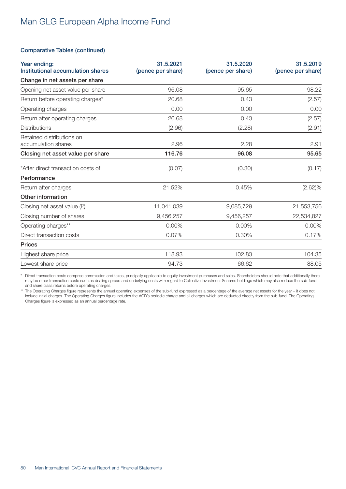#### Comparative Tables (continued)

| Year ending:<br>Institutional accumulation shares | 31.5.2021<br>(pence per share) | 31.5.2020<br>(pence per share) | 31.5.2019<br>(pence per share) |
|---------------------------------------------------|--------------------------------|--------------------------------|--------------------------------|
| Change in net assets per share                    |                                |                                |                                |
| Opening net asset value per share                 | 96.08                          | 95.65                          | 98.22                          |
| Return before operating charges*                  | 20.68                          | 0.43                           | (2.57)                         |
| Operating charges                                 | 0.00                           | 0.00                           | 0.00                           |
| Return after operating charges                    | 20.68                          | 0.43                           | (2.57)                         |
| <b>Distributions</b>                              | (2.96)                         | (2.28)                         | (2.91)                         |
| Retained distributions on<br>accumulation shares  | 2.96                           | 2.28                           | 2.91                           |
| Closing net asset value per share                 | 116.76                         | 96.08                          | 95.65                          |
| *After direct transaction costs of                | (0.07)                         | (0.30)                         | (0.17)                         |
| Performance                                       |                                |                                |                                |
| Return after charges                              | 21.52%                         | 0.45%                          | $(2.62)\%$                     |
| Other information                                 |                                |                                |                                |
| Closing net asset value $(E)$                     | 11,041,039                     | 9,085,729                      | 21,553,756                     |
| Closing number of shares                          | 9,456,257                      | 9,456,257                      | 22,534,827                     |
| Operating charges**                               | 0.00%                          | 0.00%                          | 0.00%                          |
| Direct transaction costs                          | 0.07%                          | 0.30%                          | 0.17%                          |
| <b>Prices</b>                                     |                                |                                |                                |
| Highest share price                               | 118.93                         | 102.83                         | 104.35                         |
| Lowest share price                                | 94.73                          | 66.62                          | 88.05                          |

\* Direct transaction costs comprise commission and taxes, principally applicable to equity investment purchases and sales. Shareholders should note that additionally there may be other transaction costs such as dealing spread and underlying costs with regard to Collective Investment Scheme holdings which may also reduce the sub-fund and share class returns before operating charges.

\*\* The Operating Charges figure represents the annual operating expenses of the sub-fund expressed as a percentage of the average net assets for the year – it does not include initial charges. The Operating Charges figure includes the ACD's periodic charge and all charges which are deducted directly from the sub-fund. The Operating Charges figure is expressed as an annual percentage rate.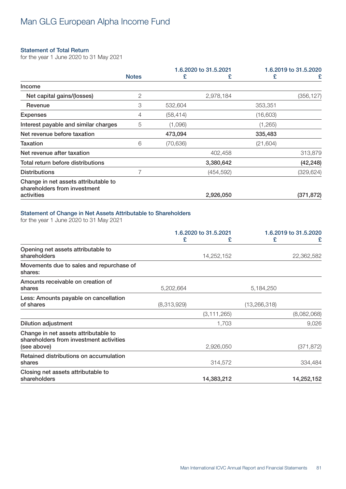#### Statement of Total Return

for the year 1 June 2020 to 31 May 2021

|                                                                      |                |           | 1.6.2020 to 31.5.2021 |           | 1.6.2019 to 31.5.2020 |
|----------------------------------------------------------------------|----------------|-----------|-----------------------|-----------|-----------------------|
|                                                                      | <b>Notes</b>   | £         | £                     | £         | £                     |
| Income                                                               |                |           |                       |           |                       |
| Net capital gains/(losses)                                           | $\overline{2}$ |           | 2,978,184             |           | (356, 127)            |
| Revenue                                                              | 3              | 532,604   |                       | 353,351   |                       |
| <b>Expenses</b>                                                      | 4              | (58, 414) |                       | (16,603)  |                       |
| Interest payable and similar charges                                 | 5              | (1,096)   |                       | (1,265)   |                       |
| Net revenue before taxation                                          |                | 473,094   |                       | 335,483   |                       |
| <b>Taxation</b>                                                      | 6              | (70, 636) |                       | (21, 604) |                       |
| Net revenue after taxation                                           |                |           | 402,458               |           | 313,879               |
| Total return before distributions                                    |                |           | 3,380,642             |           | (42, 248)             |
| <b>Distributions</b>                                                 |                |           | (454, 592)            |           | (329, 624)            |
| Change in net assets attributable to<br>shareholders from investment |                |           |                       |           |                       |
| activities                                                           |                |           | 2,926,050             |           | (371, 872)            |

### Statement of Change in Net Assets Attributable to Shareholders

for the year 1 June 2020 to 31 May 2021

|                                                                                                |             | 1.6.2020 to 31.5.2021 | 1.6.2019 to 31.5.2020 |             |
|------------------------------------------------------------------------------------------------|-------------|-----------------------|-----------------------|-------------|
|                                                                                                | £           | £                     | £                     | £           |
| Opening net assets attributable to<br>shareholders                                             |             | 14,252,152            |                       | 22,362,582  |
| Movements due to sales and repurchase of<br>shares:                                            |             |                       |                       |             |
| Amounts receivable on creation of<br>shares                                                    | 5,202,664   |                       | 5,184,250             |             |
| Less: Amounts payable on cancellation<br>of shares                                             | (8,313,929) |                       | (13, 266, 318)        |             |
|                                                                                                |             | (3, 111, 265)         |                       | (8,082,068) |
| <b>Dilution adjustment</b>                                                                     |             | 1,703                 |                       | 9,026       |
| Change in net assets attributable to<br>shareholders from investment activities<br>(see above) |             | 2,926,050             |                       | (371, 872)  |
| Retained distributions on accumulation<br>shares                                               |             | 314,572               |                       | 334,484     |
| Closing net assets attributable to<br>shareholders                                             |             | 14,383,212            |                       | 14,252,152  |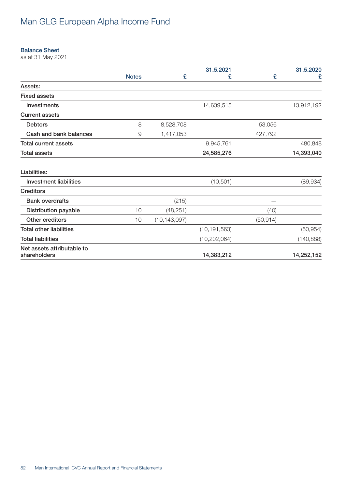#### Balance Sheet

as at 31 May 2021

|                                            |              |                | 31.5.2021      |           | 31.5.2020  |
|--------------------------------------------|--------------|----------------|----------------|-----------|------------|
|                                            | <b>Notes</b> | £              | £              | £         | £          |
| Assets:                                    |              |                |                |           |            |
| <b>Fixed assets</b>                        |              |                |                |           |            |
| Investments                                |              |                | 14,639,515     |           | 13,912,192 |
| <b>Current assets</b>                      |              |                |                |           |            |
| <b>Debtors</b>                             | 8            | 8,528,708      |                | 53,056    |            |
| Cash and bank balances                     | 9            | 1,417,053      |                | 427,792   |            |
| <b>Total current assets</b>                |              |                | 9,945,761      |           | 480,848    |
| <b>Total assets</b>                        |              |                | 24,585,276     |           | 14,393,040 |
| Liabilities:                               |              |                |                |           |            |
| <b>Investment liabilities</b>              |              |                | (10, 501)      |           | (89, 934)  |
| <b>Creditors</b>                           |              |                |                |           |            |
| <b>Bank overdrafts</b>                     |              | (215)          |                |           |            |
| <b>Distribution payable</b>                | 10           | (48, 251)      |                | (40)      |            |
| Other creditors                            | 10           | (10, 143, 097) |                | (50, 914) |            |
| <b>Total other liabilities</b>             |              |                | (10, 191, 563) |           | (50, 954)  |
| <b>Total liabilities</b>                   |              |                | (10, 202, 064) |           | (140, 888) |
| Net assets attributable to<br>shareholders |              |                | 14,383,212     |           | 14,252,152 |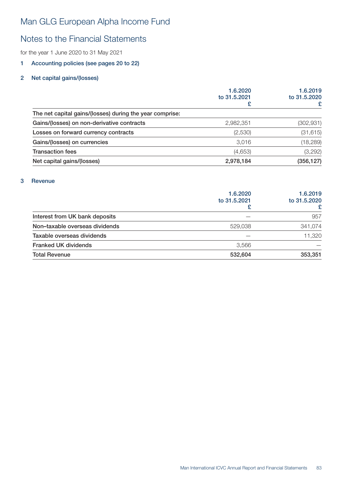### Notes to the Financial Statements

for the year 1 June 2020 to 31 May 2021

### 1 Accounting policies (see pages 20 to 22)

### 2 Net capital gains/(losses)

|                                                          | 1.6.2020<br>to 31,5,2021 | 1.6.2019<br>to 31.5.2020 |
|----------------------------------------------------------|--------------------------|--------------------------|
|                                                          | £                        |                          |
| The net capital gains/(losses) during the year comprise: |                          |                          |
| Gains/(losses) on non-derivative contracts               | 2,982,351                | (302, 931)               |
| Losses on forward currency contracts                     | (2,530)                  | (31, 615)                |
| Gains/(losses) on currencies                             | 3,016                    | (18, 289)                |
| <b>Transaction fees</b>                                  | (4,653)                  | (3,292)                  |
| Net capital gains/(losses)                               | 2,978,184                | (356, 127)               |

#### 3 Revenue

|                                | 1.6.2020<br>to 31,5,2021 | 1.6.2019<br>to 31.5.2020<br>£ |
|--------------------------------|--------------------------|-------------------------------|
| Interest from UK bank deposits |                          | 957                           |
| Non-taxable overseas dividends | 529,038                  | 341,074                       |
| Taxable overseas dividends     |                          | 11,320                        |
| <b>Franked UK dividends</b>    | 3,566                    |                               |
| <b>Total Revenue</b>           | 532,604                  | 353,351                       |
|                                |                          |                               |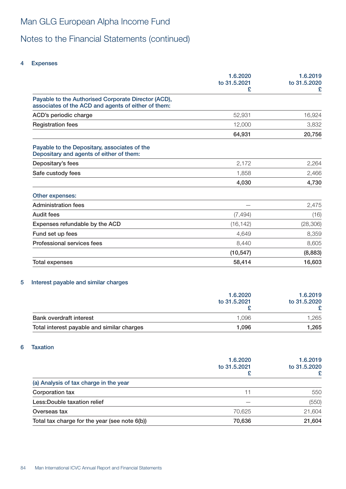# Notes to the Financial Statements (continued)

#### 4 Expenses

| 1.6.2020<br>to 31.5.2021<br>£ | 1.6.2019<br>to 31.5.2020<br>£ |
|-------------------------------|-------------------------------|
|                               |                               |
| 52,931                        | 16,924                        |
| 12,000                        | 3,832                         |
| 64,931                        | 20,756                        |
|                               |                               |
| 2,172                         | 2,264                         |
| 1,858                         | 2,466                         |
| 4,030                         | 4,730                         |
|                               |                               |
|                               | 2,475                         |
| (7, 494)                      | (16)                          |
| (16, 142)                     | (28, 306)                     |
| 4,649                         | 8,359                         |
| 8,440                         | 8,605                         |
| (10, 547)                     | (8,883)                       |
| 58,414                        | 16,603                        |
|                               |                               |

#### 5 Interest payable and similar charges

|                                            | 1.6.2020<br>to 31.5.2021 | 1.6.2019<br>to 31.5.2020 |
|--------------------------------------------|--------------------------|--------------------------|
|                                            |                          |                          |
|                                            |                          |                          |
| <b>Bank overdraft interest</b>             | 1.096                    | .265                     |
| Total interest payable and similar charges | 1.096                    | 1,265                    |

### 6 Taxation

|                                               | 1.6.2020<br>to 31.5.2021 | 1.6.2019<br>to 31.5.2020 |
|-----------------------------------------------|--------------------------|--------------------------|
| (a) Analysis of tax charge in the year        |                          |                          |
| Corporation tax                               | 11                       | 550                      |
| Less: Double taxation relief                  |                          | (550)                    |
| Overseas tax                                  | 70,625                   | 21,604                   |
| Total tax charge for the year (see note 6(b)) | 70,636                   | 21,604                   |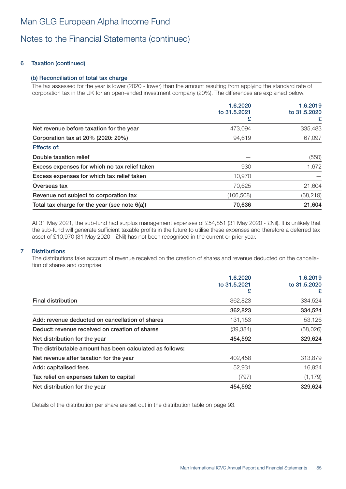### Notes to the Financial Statements (continued)

### 6 Taxation (continued)

### (b) Reconciliation of total tax charge

The tax assessed for the year is lower (2020 - lower) than the amount resulting from applying the standard rate of corporation tax in the UK for an open-ended investment company (20%). The differences are explained below.

| 1.6.2020     | 1.6.2019<br>to 31.5.2020 |
|--------------|--------------------------|
| to 31.5.2021 |                          |
|              | £                        |
| 473,094      | 335,483                  |
| 94,619       | 67,097                   |
|              |                          |
|              | (550)                    |
| 930          | 1,672                    |
| 10,970       |                          |
| 70,625       | 21,604                   |
| (106, 508)   | (68, 219)                |
| 70,636       | 21,604                   |
|              |                          |

At 31 May 2021, the sub-fund had surplus management expenses of £54,851 (31 May 2020 - £Nil). It is unlikely that the sub-fund will generate sufficient taxable profits in the future to utilise these expenses and therefore a deferred tax asset of £10,970 (31 May 2020 - £Nil) has not been recognised in the current or prior year.

### 7 Distributions

The distributions take account of revenue received on the creation of shares and revenue deducted on the cancellation of shares and comprise:

|                                                          | 1.6.2020          |                   | 1.6.2019 |
|----------------------------------------------------------|-------------------|-------------------|----------|
|                                                          | to 31.5.2021<br>£ | to 31.5.2020<br>£ |          |
| <b>Final distribution</b>                                | 362,823           | 334,524           |          |
|                                                          | 362,823           | 334,524           |          |
| Add: revenue deducted on cancellation of shares          | 131,153           | 53,126            |          |
| Deduct: revenue received on creation of shares           | (39, 384)         | (58,026)          |          |
| Net distribution for the year                            | 454,592           | 329,624           |          |
| The distributable amount has been calculated as follows: |                   |                   |          |
| Net revenue after taxation for the year                  | 402,458           | 313,879           |          |
| Add: capitalised fees                                    | 52,931            | 16,924            |          |
| Tax relief on expenses taken to capital                  | (797)             | (1, 179)          |          |
| Net distribution for the year                            | 454,592           | 329,624           |          |

Details of the distribution per share are set out in the distribution table on page 93.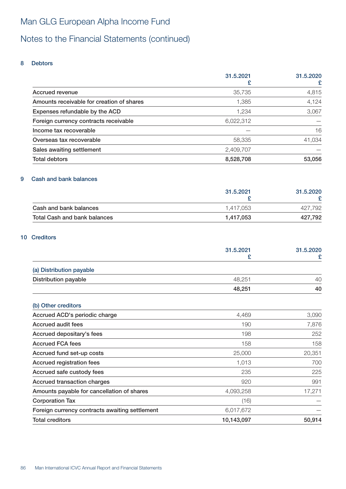# Notes to the Financial Statements (continued)

#### 8 Debtors

|                                           | 31.5.2021 | 31.5.2020 |
|-------------------------------------------|-----------|-----------|
|                                           |           |           |
| Accrued revenue                           | 35,735    | 4,815     |
| Amounts receivable for creation of shares | 1,385     | 4,124     |
| Expenses refundable by the ACD            | 1,234     | 3,067     |
| Foreign currency contracts receivable     | 6,022,312 |           |
| Income tax recoverable                    |           | 16        |
| Overseas tax recoverable                  | 58,335    | 41,034    |
| Sales awaiting settlement                 | 2,409,707 |           |
| <b>Total debtors</b>                      | 8,528,708 | 53,056    |

#### 9 Cash and bank balances

|                              | 31.5.2021 | 31.5.2020 |
|------------------------------|-----------|-----------|
|                              |           |           |
| Cash and bank balances       | 1.417.053 | 427.792   |
| Total Cash and bank balances | 1.417.053 | 427,792   |

### 10 Creditors

|                                                | 31.5.2021<br>£ | 31.5.2020 |
|------------------------------------------------|----------------|-----------|
|                                                |                | £         |
| (a) Distribution payable                       |                |           |
| <b>Distribution payable</b>                    | 48,251         | 40        |
|                                                | 48,251         | 40        |
| (b) Other creditors                            |                |           |
| Accrued ACD's periodic charge                  | 4,469          | 3,090     |
| <b>Accrued audit fees</b>                      | 190            | 7,876     |
| Accrued depositary's fees                      | 198            | 252       |
| <b>Accrued FCA fees</b>                        | 158            | 158       |
| Accrued fund set-up costs                      | 25,000         | 20,351    |
| Accrued registration fees                      | 1,013          | 700       |
| Accrued safe custody fees                      | 235            | 225       |
| Accrued transaction charges                    | 920            | 991       |
| Amounts payable for cancellation of shares     | 4,093,258      | 17,271    |
| <b>Corporation Tax</b>                         | (16)           |           |
| Foreign currency contracts awaiting settlement | 6,017,672      |           |
| <b>Total creditors</b>                         | 10,143,097     | 50,914    |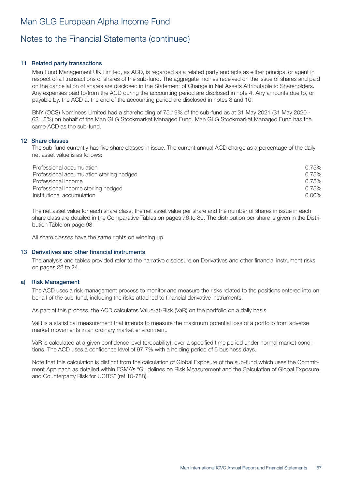### Notes to the Financial Statements (continued)

#### 11 Related party transactions

Man Fund Management UK Limited, as ACD, is regarded as a related party and acts as either principal or agent in respect of all transactions of shares of the sub-fund. The aggregate monies received on the issue of shares and paid on the cancellation of shares are disclosed in the Statement of Change in Net Assets Attributable to Shareholders. Any expenses paid to/from the ACD during the accounting period are disclosed in note 4. Any amounts due to, or payable by, the ACD at the end of the accounting period are disclosed in notes 8 and 10.

BNY (OCS) Nominees Limited had a shareholding of 75.19% of the sub-fund as at 31 May 2021 (31 May 2020 - 63.15%) on behalf of the Man GLG Stockmarket Managed Fund. Man GLG Stockmarket Managed Fund has the same ACD as the sub-fund.

#### 12 Share classes

The sub-fund currently has five share classes in issue. The current annual ACD charge as a percentage of the daily net asset value is as follows:

| Professional accumulation                 | 0.75%    |
|-------------------------------------------|----------|
| Professional accumulation sterling hedged | 0.75%    |
| Professional income                       | 0.75%    |
| Professional income sterling hedged       | 0.75%    |
| Institutional accumulation                | $0.00\%$ |

The net asset value for each share class, the net asset value per share and the number of shares in issue in each share class are detailed in the Comparative Tables on pages 76 to 80. The distribution per share is given in the Distribution Table on page 93.

All share classes have the same rights on winding up.

#### 13 Derivatives and other financial instruments

The analysis and tables provided refer to the narrative disclosure on Derivatives and other financial instrument risks on pages 22 to 24.

#### a) Risk Management

The ACD uses a risk management process to monitor and measure the risks related to the positions entered into on behalf of the sub-fund, including the risks attached to financial derivative instruments.

As part of this process, the ACD calculates Value-at-Risk (VaR) on the portfolio on a daily basis.

VaR is a statistical measurement that intends to measure the maximum potential loss of a portfolio from adverse market movements in an ordinary market environment.

VaR is calculated at a given confidence level (probability), over a specified time period under normal market conditions. The ACD uses a confidence level of 97.7% with a holding period of 5 business days.

Note that this calculation is distinct from the calculation of Global Exposure of the sub-fund which uses the Commitment Approach as detailed within ESMA's "Guidelines on Risk Measurement and the Calculation of Global Exposure and Counterparty Risk for UCITS" (ref 10-788).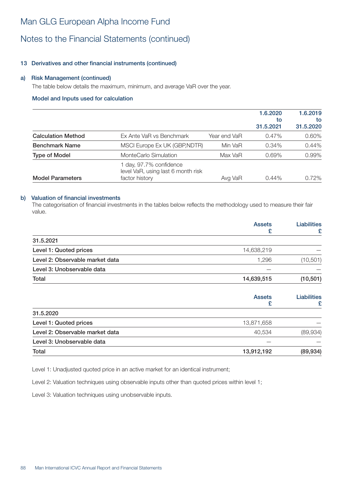### Notes to the Financial Statements (continued)

### 13 Derivatives and other financial instruments (continued)

#### a) Risk Management (continued)

The table below details the maximum, minimum, and average VaR over the year.

#### Model and Inputs used for calculation

|                           |                                                                                 |              | 1.6.2020<br>to<br>31,5,2021 | 1.6.2019<br>to<br>31.5.2020 |
|---------------------------|---------------------------------------------------------------------------------|--------------|-----------------------------|-----------------------------|
| <b>Calculation Method</b> | Ex Ante VaR vs Benchmark                                                        | Year end VaR | $0.47\%$                    | 0.60%                       |
| <b>Benchmark Name</b>     | MSCI Europe Ex UK (GBP, NDTR)                                                   | Min VaR      | 0.34%                       | 0.44%                       |
| <b>Type of Model</b>      | MonteCarlo Simulation                                                           | Max VaR      | 0.69%                       | 0.99%                       |
| <b>Model Parameters</b>   | 1 day, 97.7% confidence<br>level VaR, using last 6 month risk<br>factor history | Avg VaR      | 0.44%                       | 0.72%                       |

#### b) Valuation of financial investments

The categorisation of financial investments in the tables below reflects the methodology used to measure their fair value.

|                                 | <b>Assets</b><br>£ | <b>Liabilities</b><br>£ |
|---------------------------------|--------------------|-------------------------|
| 31.5.2021                       |                    |                         |
| Level 1: Quoted prices          | 14,638,219         |                         |
| Level 2: Observable market data | 1,296              | (10, 501)               |
| Level 3: Unobservable data      |                    |                         |
| Total                           | 14,639,515         | (10, 501)               |
|                                 | <b>Assets</b><br>£ | <b>Liabilities</b><br>£ |
| 31.5.2020                       |                    |                         |
| Level 1: Quoted prices          | 13,871,658         |                         |
| Level 2: Observable market data | 40,534             | (89, 934)               |
| Level 3: Unobservable data      |                    |                         |
| Total                           | 13,912,192         | (89, 934)               |

Level 1: Unadjusted quoted price in an active market for an identical instrument;

Level 2: Valuation techniques using observable inputs other than quoted prices within level 1;

Level 3: Valuation techniques using unobservable inputs.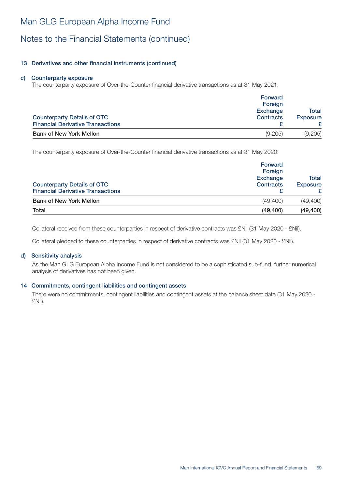# Notes to the Financial Statements (continued)

### 13 Derivatives and other financial instruments (continued)

#### c) Counterparty exposure

The counterparty exposure of Over-the-Counter financial derivative transactions as at 31 May 2021:

| <b>Counterparty Details of OTC</b><br><b>Financial Derivative Transactions</b> | Forward<br>Foreign<br><b>Exchange</b><br><b>Contracts</b> | Total<br><b>Exposure</b> |
|--------------------------------------------------------------------------------|-----------------------------------------------------------|--------------------------|
| <b>Bank of New York Mellon</b>                                                 | (9,205)                                                   | (9,205)                  |

The counterparty exposure of Over-the-Counter financial derivative transactions as at 31 May 2020:

| <b>Counterparty Details of OTC</b><br><b>Financial Derivative Transactions</b> | Forward<br>Foreign<br><b>Exchange</b><br><b>Contracts</b> |           |
|--------------------------------------------------------------------------------|-----------------------------------------------------------|-----------|
| <b>Bank of New York Mellon</b>                                                 | (49, 400)                                                 | (49, 400) |
| Total                                                                          | (49, 400)                                                 | (49, 400) |

Collateral received from these counterparties in respect of derivative contracts was £Nil (31 May 2020 - £Nil).

Collateral pledged to these counterparties in respect of derivative contracts was £Nil (31 May 2020 - £Nil).

#### d) Sensitivity analysis

As the Man GLG European Alpha Income Fund is not considered to be a sophisticated sub-fund, further numerical analysis of derivatives has not been given.

#### 14 Commitments, contingent liabilities and contingent assets

There were no commitments, contingent liabilities and contingent assets at the balance sheet date (31 May 2020 - £Nil).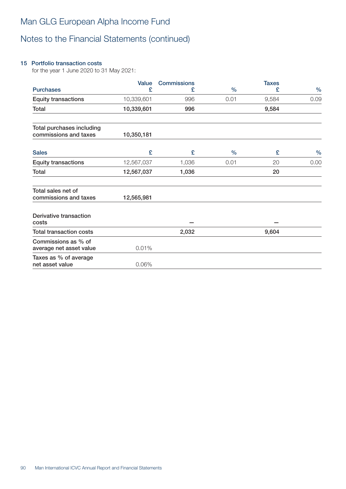# Notes to the Financial Statements (continued)

### 15 Portfolio transaction costs

for the year 1 June 2020 to 31 May 2021:

|                                                    | <b>Value</b> | <b>Commissions</b> |               | <b>Taxes</b> |               |
|----------------------------------------------------|--------------|--------------------|---------------|--------------|---------------|
| <b>Purchases</b>                                   | £            | £                  | $\frac{0}{0}$ | £            | $\frac{0}{0}$ |
| <b>Equity transactions</b>                         | 10,339,601   | 996                | 0.01          | 9,584        | 0.09          |
| Total                                              | 10,339,601   | 996                |               | 9,584        |               |
| Total purchases including<br>commissions and taxes | 10,350,181   |                    |               |              |               |
| <b>Sales</b>                                       | £            | £                  | $\frac{0}{0}$ | £            | $\frac{0}{0}$ |
| <b>Equity transactions</b>                         | 12,567,037   | 1,036              | 0.01          | 20           | 0.00          |
| Total                                              | 12,567,037   | 1,036              |               | 20           |               |
| Total sales net of<br>commissions and taxes        | 12,565,981   |                    |               |              |               |
| Derivative transaction<br>costs                    |              |                    |               |              |               |
| <b>Total transaction costs</b>                     |              | 2,032              |               | 9,604        |               |
| Commissions as % of<br>average net asset value     | 0.01%        |                    |               |              |               |
| Taxes as % of average<br>net asset value           | 0.06%        |                    |               |              |               |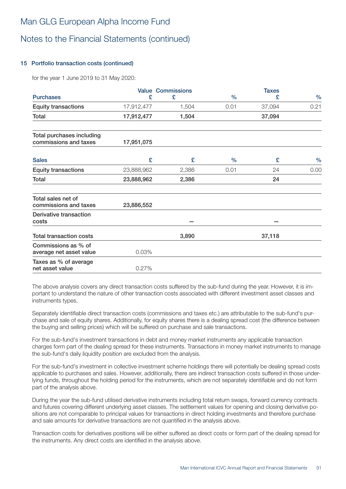### Notes to the Financial Statements (continued)

### 15 Portfolio transaction costs (continued)

for the year 1 June 2019 to 31 May 2020:

|                                                    |            | <b>Value Commissions</b> |               | <b>Taxes</b> |               |
|----------------------------------------------------|------------|--------------------------|---------------|--------------|---------------|
| <b>Purchases</b>                                   | £          | £                        | $\frac{0}{0}$ | £            | $\frac{0}{0}$ |
| <b>Equity transactions</b>                         | 17,912,477 | 1,504                    | 0.01          | 37,094       | 0.21          |
| Total                                              | 17,912,477 | 1,504                    |               | 37,094       |               |
| Total purchases including<br>commissions and taxes | 17,951,075 |                          |               |              |               |
| <b>Sales</b>                                       | £          | £                        | $\%$          | £            | $\%$          |
| <b>Equity transactions</b>                         | 23,888,962 | 2,386                    | 0.01          | 24           | 0.00          |
| Total                                              | 23,888,962 | 2,386                    |               | 24           |               |
| Total sales net of<br>commissions and taxes        | 23,886,552 |                          |               |              |               |
| Derivative transaction<br>costs                    |            |                          |               |              |               |
| <b>Total transaction costs</b>                     |            | 3,890                    |               | 37,118       |               |
| Commissions as % of<br>average net asset value     | 0.03%      |                          |               |              |               |
| Taxes as % of average<br>net asset value           | 0.27%      |                          |               |              |               |

The above analysis covers any direct transaction costs suffered by the sub-fund during the year. However, it is important to understand the nature of other transaction costs associated with different investment asset classes and instruments types.

Separately identifiable direct transaction costs (commissions and taxes etc.) are attributable to the sub-fund's purchase and sale of equity shares. Additionally, for equity shares there is a dealing spread cost (the difference between the buying and selling prices) which will be suffered on purchase and sale transactions.

For the sub-fund's investment transactions in debt and money market instruments any applicable transaction charges form part of the dealing spread for these instruments. Transactions in money market instruments to manage the sub-fund's daily liquidity position are excluded from the analysis.

For the sub-fund's investment in collective investment scheme holdings there will potentially be dealing spread costs applicable to purchases and sales. However, additionally, there are indirect transaction costs suffered in those underlying funds, throughout the holding period for the instruments, which are not separately identifiable and do not form part of the analysis above.

During the year the sub-fund utilised derivative instruments including total return swaps, forward currency contracts and futures covering different underlying asset classes. The settlement values for opening and closing derivative positions are not comparable to principal values for transactions in direct holding investments and therefore purchase and sale amounts for derivative transactions are not quantified in the analysis above.

Transaction costs for derivatives positions will be either suffered as direct costs or form part of the dealing spread for the instruments. Any direct costs are identified in the analysis above.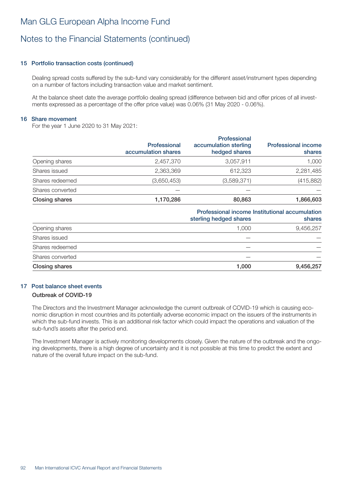### Notes to the Financial Statements (continued)

#### 15 Portfolio transaction costs (continued)

Dealing spread costs suffered by the sub-fund vary considerably for the different asset/instrument types depending on a number of factors including transaction value and market sentiment.

At the balance sheet date the average portfolio dealing spread (difference between bid and offer prices of all investments expressed as a percentage of the offer price value) was 0.06% (31 May 2020 - 0.06%).

#### 16 Share movement

For the year 1 June 2020 to 31 May 2021:

|                       | <b>Professional</b><br>accumulation shares | Professional<br>accumulation sterling<br>hedged shares | <b>Professional income</b><br>shares |
|-----------------------|--------------------------------------------|--------------------------------------------------------|--------------------------------------|
| Opening shares        | 2,457,370                                  | 3,057,911                                              | 1,000                                |
| Shares issued         | 2,363,369                                  | 612,323                                                | 2,281,485                            |
| Shares redeemed       | (3,650,453)                                | (3,589,371)                                            | (415, 882)                           |
| Shares converted      |                                            |                                                        |                                      |
| <b>Closing shares</b> | 1,170,286                                  | 80,863                                                 | 1,866,603                            |

### Professional income Institutional accumulation

| sterling hedged shares | shares    |
|------------------------|-----------|
| 1.000                  | 9,456,257 |
|                        |           |
|                        |           |
|                        |           |
| 1,000                  | 9,456,257 |
|                        |           |

### 17 Post balance sheet events

### Outbreak of COVID-19

The Directors and the Investment Manager acknowledge the current outbreak of COVID-19 which is causing economic disruption in most countries and its potentially adverse economic impact on the issuers of the instruments in which the sub-fund invests. This is an additional risk factor which could impact the operations and valuation of the sub-fund's assets after the period end.

The Investment Manager is actively monitoring developments closely. Given the nature of the outbreak and the ongoing developments, there is a high degree of uncertainty and it is not possible at this time to predict the extent and nature of the overall future impact on the sub-fund.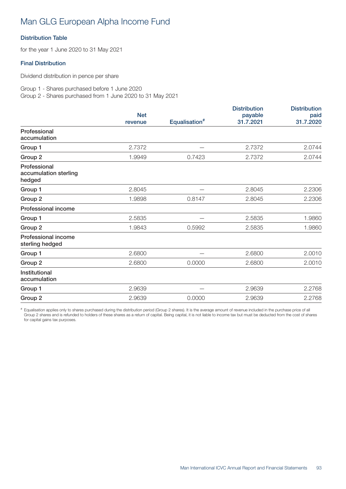### Distribution Table

for the year 1 June 2020 to 31 May 2021

### Final Distribution

Dividend distribution in pence per share

Group 1 - Shares purchased before 1 June 2020 Group 2 - Shares purchased from 1 June 2020 to 31 May 2021

|                                                 | <b>Net</b> |                           | <b>Distribution</b><br>payable | <b>Distribution</b><br>paid |
|-------------------------------------------------|------------|---------------------------|--------------------------------|-----------------------------|
|                                                 | revenue    | Equalisation <sup>#</sup> | 31.7.2021                      | 31.7.2020                   |
| Professional<br>accumulation                    |            |                           |                                |                             |
| Group 1                                         | 2.7372     |                           | 2.7372                         | 2.0744                      |
| Group 2                                         | 1.9949     | 0.7423                    | 2.7372                         | 2.0744                      |
| Professional<br>accumulation sterling<br>hedged |            |                           |                                |                             |
| Group 1                                         | 2.8045     |                           | 2.8045                         | 2.2306                      |
| Group 2                                         | 1.9898     | 0.8147                    | 2.8045                         | 2.2306                      |
| <b>Professional income</b>                      |            |                           |                                |                             |
| Group 1                                         | 2.5835     |                           | 2.5835                         | 1.9860                      |
| Group 2                                         | 1.9843     | 0.5992                    | 2.5835                         | 1.9860                      |
| <b>Professional income</b><br>sterling hedged   |            |                           |                                |                             |
| Group 1                                         | 2.6800     |                           | 2.6800                         | 2.0010                      |
| Group 2                                         | 2.6800     | 0.0000                    | 2.6800                         | 2.0010                      |
| Institutional<br>accumulation                   |            |                           |                                |                             |
| Group 1                                         | 2.9639     |                           | 2.9639                         | 2.2768                      |
| Group 2                                         | 2.9639     | 0.0000                    | 2.9639                         | 2.2768                      |

# Equalisation applies only to shares purchased during the distribution period (Group 2 shares). It is the average amount of revenue included in the purchase price of all Group 2 shares and is refunded to holders of these shares as a return of capital. Being capital, it is not liable to income tax but must be deducted from the cost of shares for capital gains tax purposes.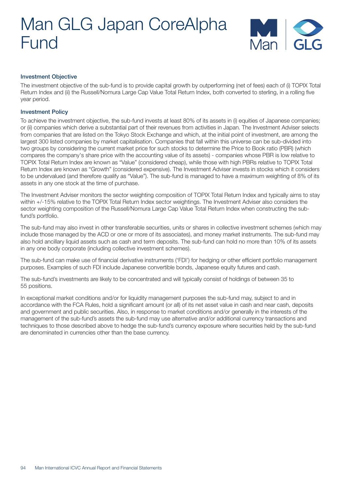

#### Investment Objective

The investment objective of the sub-fund is to provide capital growth by outperforming (net of fees) each of (i) TOPIX Total Return Index and (ii) the Russell/Nomura Large Cap Value Total Return Index, both converted to sterling, in a rolling five year period.

#### Investment Policy

To achieve the investment objective, the sub-fund invests at least 80% of its assets in (i) equities of Japanese companies; or (ii) companies which derive a substantial part of their revenues from activities in Japan. The Investment Adviser selects from companies that are listed on the Tokyo Stock Exchange and which, at the initial point of investment, are among the largest 300 listed companies by market capitalisation. Companies that fall within this universe can be sub-divided into two groups by considering the current market price for such stocks to determine the Price to Book ratio (PBR) (which compares the company's share price with the accounting value of its assets) - companies whose PBR is low relative to TOPIX Total Return Index are known as "Value" (considered cheap), while those with high PBRs relative to TOPIX Total Return Index are known as "Growth" (considered expensive). The Investment Adviser invests in stocks which it considers to be undervalued (and therefore qualify as "Value"). The sub-fund is managed to have a maximum weighting of 8% of its assets in any one stock at the time of purchase.

The Investment Adviser monitors the sector weighting composition of TOPIX Total Return Index and typically aims to stay within +/-15% relative to the TOPIX Total Return Index sector weightings. The Investment Adviser also considers the sector weighting composition of the Russell/Nomura Large Cap Value Total Return Index when constructing the subfund's portfolio.

The sub-fund may also invest in other transferable securities, units or shares in collective investment schemes (which may include those managed by the ACD or one or more of its associates), and money market instruments. The sub-fund may also hold ancillary liquid assets such as cash and term deposits. The sub-fund can hold no more than 10% of its assets in any one body corporate (including collective investment schemes).

The sub-fund can make use of financial derivative instruments ('FDI') for hedging or other efficient portfolio management purposes. Examples of such FDI include Japanese convertible bonds, Japanese equity futures and cash.

The sub-fund's investments are likely to be concentrated and will typically consist of holdings of between 35 to 55 positions.

In exceptional market conditions and/or for liquidity management purposes the sub-fund may, subject to and in accordance with the FCA Rules, hold a significant amount (or all) of its net asset value in cash and near cash, deposits and government and public securities. Also, in response to market conditions and/or generally in the interests of the management of the sub-fund's assets the sub-fund may use alternative and/or additional currency transactions and techniques to those described above to hedge the sub-fund's currency exposure where securities held by the sub-fund are denominated in currencies other than the base currency.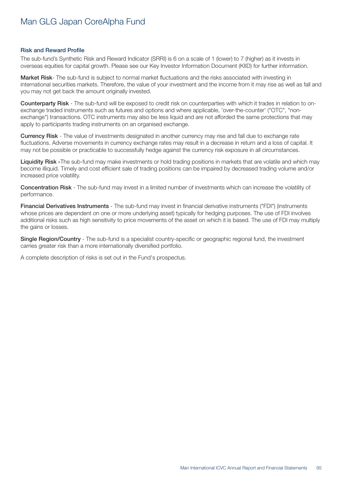#### Risk and Reward Profile

The sub-fund's Synthetic Risk and Reward Indicator (SRRI) is 6 on a scale of 1 (lower) to 7 (higher) as it invests in overseas equities for capital growth. Please see our Key Investor Information Document (KIID) for further information.

Market Risk- The sub-fund is subject to normal market fluctuations and the risks associated with investing in international securities markets. Therefore, the value of your investment and the income from it may rise as well as fall and you may not get back the amount originally invested.

Counterparty Risk - The sub-fund will be exposed to credit risk on counterparties with which it trades in relation to onexchange traded instruments such as futures and options and where applicable, 'over-the-counter' ("OTC", "nonexchange") transactions. OTC instruments may also be less liquid and are not afforded the same protections that may apply to participants trading instruments on an organised exchange.

Currency Risk - The value of investments designated in another currency may rise and fall due to exchange rate fluctuations. Adverse movements in currency exchange rates may result in a decrease in return and a loss of capital. It may not be possible or practicable to successfully hedge against the currency risk exposure in all circumstances.

Liquidity Risk -The sub-fund may make investments or hold trading positions in markets that are volatile and which may become illiquid. Timely and cost efficient sale of trading positions can be impaired by decreased trading volume and/or increased price volatility.

Concentration Risk - The sub-fund may invest in a limited number of investments which can increase the volatility of performance.

Financial Derivatives Instruments - The sub-fund may invest in financial derivative instruments ("FDI") (instruments whose prices are dependent on one or more underlying asset) typically for hedging purposes. The use of FDI involves additional risks such as high sensitivity to price movements of the asset on which it is based. The use of FDI may multiply the gains or losses.

Single Region/Country - The sub-fund is a specialist country-specific or geographic regional fund, the investment carries greater risk than a more internationally diversified portfolio.

A complete description of risks is set out in the Fund's prospectus.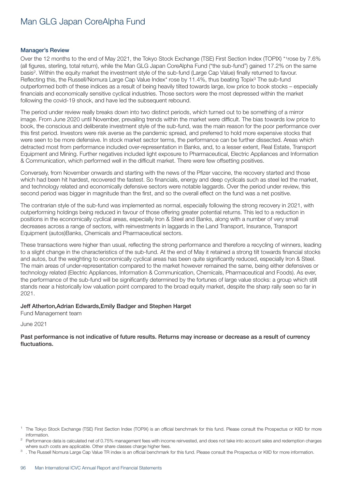#### Manager's Review

Over the 12 months to the end of May 2021, the Tokyo Stock Exchange (TSE) First Section Index (TOPIX) \*1rose by 7.6% (all figures, sterling, total return), while the Man GLG Japan CoreAlpha Fund ("the sub-fund") gained 17.2% on the same basis2. Within the equity market the investment style of the sub-fund (Large Cap Value) finally returned to favour. Reflecting this, the Russell/Nomura Large Cap Value Index<sup>\*</sup> rose by 11.4%, thus beating Topix<sup>3</sup> The sub-fund outperformed both of these indices as a result of being heavily tilted towards large, low price to book stocks – especially financials and economically sensitive cyclical industries. Those sectors were the most depressed within the market following the covid-19 shock, and have led the subsequent rebound.

The period under review really breaks down into two distinct periods, which turned out to be something of a mirror image. From June 2020 until November, prevailing trends within the market were difficult. The bias towards low price to book, the conscious and deliberate investment style of the sub-fund, was the main reason for the poor performance over this first period. Investors were risk averse as the pandemic spread, and preferred to hold more expensive stocks that were seen to be more defensive. In stock market sector terms, the performance can be further dissected. Areas which detracted most from performance included over-representation in Banks, and, to a lesser extent, Real Estate, Transport Equipment and Mining. Further negatives included light exposure to Pharmaceutical, Electric Appliances and Information & Communication, which performed well in the difficult market. There were few offsetting positives.

Conversely, from November onwards and starting with the news of the Pfizer vaccine, the recovery started and those which had been hit hardest, recovered the fastest. So financials, energy and deep cyclicals such as steel led the market, and technology related and economically defensive sectors were notable laggards. Over the period under review, this second period was bigger in magnitude than the first, and so the overall effect on the fund was a net positive.

The contrarian style of the sub-fund was implemented as normal, especially following the strong recovery in 2021, with outperforming holdings being reduced in favour of those offering greater potential returns. This led to a reduction in positions in the economically cyclical areas, especially Iron & Steel and Banks, along with a number of very small decreases across a range of sectors, with reinvestments in laggards in the Land Transport, Insurance, Transport Equipment (autos)Banks, Chemicals and Pharmaceutical sectors.

These transactions were higher than usual, reflecting the strong performance and therefore a recycling of winners, leading to a slight change in the characteristics of the sub-fund. At the end of May it retained a strong tilt towards financial stocks and autos, but the weighting to economically cyclical areas has been quite significantly reduced, especially Iron & Steel. The main areas of under-representation compared to the market however remained the same, being either defensives or technology related (Electric Appliances, Information & Communication, Chemicals, Pharmaceutical and Foods). As ever, the performance of the sub-fund will be significantly determined by the fortunes of large value stocks: a group which still stands near a historically low valuation point compared to the broad equity market, despite the sharp rally seen so far in 2021.

#### Jeff Atherton,Adrian Edwards,Emily Badger and Stephen Harget

Fund Management team

June 2021

Past performance is not indicative of future results. Returns may increase or decrease as a result of currency fluctuations.

<sup>1</sup> The Tokyo Stock Exchange (TSE) First Section Index (TOPIX) is an official benchmark for this fund. Please consult the Prospectus or KIID for more information.

<sup>2</sup> Performance data is calculated net of 0.75% management fees with income reinvested, and does not take into account sales and redemption charges where such costs are applicable. Other share classes charge higher fees.

 $3$ . The Russell Nomura Large Cap Value TR index is an official benchmark for this fund. Please consult the Prospectus or KIID for more information.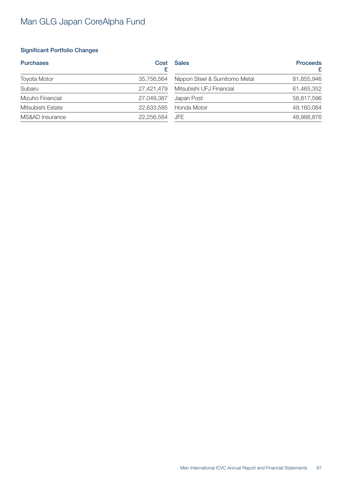### Significant Portfolio Changes

| <b>Purchases</b>    | Cost       | <b>Sales</b>                  | <b>Proceeds</b><br>£ |
|---------------------|------------|-------------------------------|----------------------|
| <b>Toyota Motor</b> | 35,756,564 | Nippon Steel & Sumitomo Metal | 81,855,946           |
| Subaru              | 27,421,479 | Mitsubishi UFJ Financial      | 61,465,352           |
| Mizuho Financial    | 27,049,387 | Japan Post                    | 58,817,596           |
| Mitsubishi Estate   | 22,633,585 | Honda Motor                   | 49,160,084           |
| MS&AD Insurance     | 22,256,564 | JFE                           | 48,988,876           |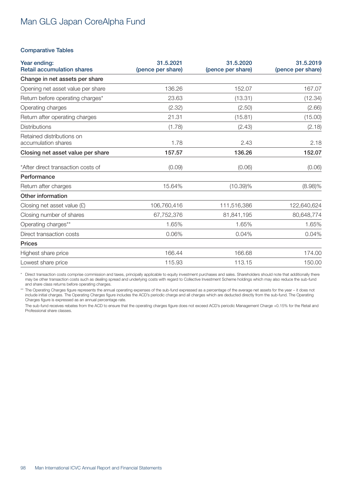#### Comparative Tables

| Year ending:<br><b>Retail accumulation shares</b> | 31.5.2021<br>(pence per share) | 31.5.2020<br>(pence per share) | 31.5.2019<br>(pence per share) |
|---------------------------------------------------|--------------------------------|--------------------------------|--------------------------------|
| Change in net assets per share                    |                                |                                |                                |
| Opening net asset value per share                 | 136.26                         | 152.07                         | 167.07                         |
| Return before operating charges*                  | 23.63                          | (13.31)                        | (12.34)                        |
| Operating charges                                 | (2.32)                         | (2.50)                         | (2.66)                         |
| Return after operating charges                    | 21.31                          | (15.81)                        | (15.00)                        |
| <b>Distributions</b>                              | (1.78)                         | (2.43)                         | (2.18)                         |
| Retained distributions on<br>accumulation shares  | 1.78                           | 2.43                           | 2.18                           |
| Closing net asset value per share                 | 157.57                         | 136.26                         | 152.07                         |
| *After direct transaction costs of                | (0.09)                         | (0.06)                         | (0.06)                         |
| Performance                                       |                                |                                |                                |
| Return after charges                              | 15.64%                         | $(10.39)\%$                    | $(8.98)\%$                     |
| Other information                                 |                                |                                |                                |
| Closing net asset value $(E)$                     | 106,760,416                    | 111,516,386                    | 122,640,624                    |
| Closing number of shares                          | 67,752,376                     | 81,841,195                     | 80,648,774                     |
| Operating charges**                               | 1.65%                          | 1.65%                          | 1.65%                          |
| Direct transaction costs                          | 0.06%                          | 0.04%                          | 0.04%                          |
| <b>Prices</b>                                     |                                |                                |                                |
| Highest share price                               | 166.44                         | 166.68                         | 174.00                         |
| Lowest share price                                | 115.93                         | 113.15                         | 150.00                         |

\* Direct transaction costs comprise commission and taxes, principally applicable to equity investment purchases and sales. Shareholders should note that additionally there may be other transaction costs such as dealing spread and underlying costs with regard to Collective Investment Scheme holdings which may also reduce the sub-fund and share class returns before operating charges.

\*\* The Operating Charges figure represents the annual operating expenses of the sub-fund expressed as a percentage of the average net assets for the year – it does not include initial charges. The Operating Charges figure includes the ACD's periodic charge and all charges which are deducted directly from the sub-fund. The Operating Charges figure is expressed as an annual percentage rate.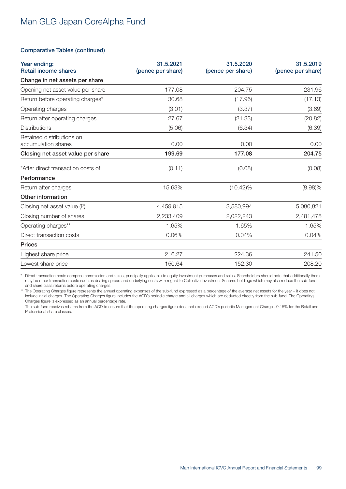#### Comparative Tables (continued)

| Year ending:<br><b>Retail income shares</b>      | 31.5.2021<br>(pence per share) | 31.5.2020<br>(pence per share) | 31.5.2019<br>(pence per share) |
|--------------------------------------------------|--------------------------------|--------------------------------|--------------------------------|
| Change in net assets per share                   |                                |                                |                                |
| Opening net asset value per share                | 177.08                         | 204.75                         | 231.96                         |
| Return before operating charges*                 | 30.68                          | (17.96)                        | (17.13)                        |
| Operating charges                                | (3.01)                         | (3.37)                         | (3.69)                         |
| Return after operating charges                   | 27.67                          | (21.33)                        | (20.82)                        |
| <b>Distributions</b>                             | (5.06)                         | (6.34)                         | (6.39)                         |
| Retained distributions on<br>accumulation shares | 0.00                           | 0.00                           | 0.00                           |
| Closing net asset value per share                | 199.69                         | 177.08                         | 204.75                         |
| *After direct transaction costs of               | (0.11)                         | (0.08)                         | (0.08)                         |
| Performance                                      |                                |                                |                                |
| Return after charges                             | 15.63%                         | $(10.42)\%$                    | $(8.98)\%$                     |
| Other information                                |                                |                                |                                |
| Closing net asset value $(E)$                    | 4,459,915                      | 3,580,994                      | 5,080,821                      |
| Closing number of shares                         | 2,233,409                      | 2,022,243                      | 2,481,478                      |
| Operating charges**                              | 1.65%                          | 1.65%                          | 1.65%                          |
| Direct transaction costs                         | 0.06%                          | 0.04%                          | 0.04%                          |
| <b>Prices</b>                                    |                                |                                |                                |
| Highest share price                              | 216.27                         | 224.36                         | 241.50                         |
| Lowest share price                               | 150.64                         | 152.30                         | 208.20                         |

\* Direct transaction costs comprise commission and taxes, principally applicable to equity investment purchases and sales. Shareholders should note that additionally there may be other transaction costs such as dealing spread and underlying costs with regard to Collective Investment Scheme holdings which may also reduce the sub-fund and share class returns before operating charges.

\*\* The Operating Charges figure represents the annual operating expenses of the sub-fund expressed as a percentage of the average net assets for the year – it does not include initial charges. The Operating Charges figure includes the ACD's periodic charge and all charges which are deducted directly from the sub-fund. The Operating Charges figure is expressed as an annual percentage rate.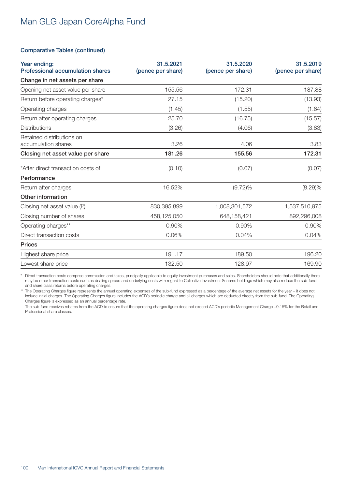#### Comparative Tables (continued)

| Year ending:<br><b>Professional accumulation shares</b> | 31.5.2021<br>(pence per share) | 31.5.2020<br>(pence per share) | 31.5.2019<br>(pence per share) |
|---------------------------------------------------------|--------------------------------|--------------------------------|--------------------------------|
| Change in net assets per share                          |                                |                                |                                |
| Opening net asset value per share                       | 155.56                         | 172.31                         | 187.88                         |
| Return before operating charges*                        | 27.15                          | (15.20)                        | (13.93)                        |
| Operating charges                                       | (1.45)                         | (1.55)                         | (1.64)                         |
| Return after operating charges                          | 25.70                          | (16.75)                        | (15.57)                        |
| <b>Distributions</b>                                    | (3.26)                         | (4.06)                         | (3.83)                         |
| Retained distributions on<br>accumulation shares        | 3.26                           | 4.06                           | 3.83                           |
| Closing net asset value per share                       | 181.26                         | 155.56                         | 172.31                         |
| *After direct transaction costs of                      | (0.10)                         | (0.07)                         | (0.07)                         |
| Performance                                             |                                |                                |                                |
| Return after charges                                    | 16.52%                         | $(9.72)\%$                     | (8.29)%                        |
| Other information                                       |                                |                                |                                |
| Closing net asset value $(E)$                           | 830,395,899                    | 1,008,301,572                  | 1,537,510,975                  |
| Closing number of shares                                | 458,125,050                    | 648,158,421                    | 892,296,008                    |
| Operating charges**                                     | 0.90%                          | 0.90%                          | 0.90%                          |
| Direct transaction costs                                | 0.06%                          | 0.04%                          | 0.04%                          |
| <b>Prices</b>                                           |                                |                                |                                |
| Highest share price                                     | 191.17                         | 189.50                         | 196.20                         |
| Lowest share price                                      | 132.50                         | 128.97                         | 169.90                         |

\* Direct transaction costs comprise commission and taxes, principally applicable to equity investment purchases and sales. Shareholders should note that additionally there may be other transaction costs such as dealing spread and underlying costs with regard to Collective Investment Scheme holdings which may also reduce the sub-fund and share class returns before operating charges.

\*\* The Operating Charges figure represents the annual operating expenses of the sub-fund expressed as a percentage of the average net assets for the year – it does not include initial charges. The Operating Charges figure includes the ACD's periodic charge and all charges which are deducted directly from the sub-fund. The Operating Charges figure is expressed as an annual percentage rate.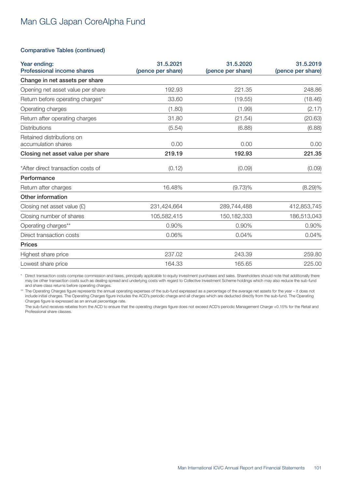#### Comparative Tables (continued)

| Year ending:<br><b>Professional income shares</b> | 31.5.2021<br>(pence per share) | 31.5.2020<br>(pence per share) | 31.5.2019<br>(pence per share) |
|---------------------------------------------------|--------------------------------|--------------------------------|--------------------------------|
| Change in net assets per share                    |                                |                                |                                |
| Opening net asset value per share                 | 192.93                         | 221.35                         | 248.86                         |
| Return before operating charges*                  | 33.60                          | (19.55)                        | (18.46)                        |
| Operating charges                                 | (1.80)                         | (1.99)                         | (2.17)                         |
| Return after operating charges                    | 31.80                          | (21.54)                        | (20.63)                        |
| <b>Distributions</b>                              | (5.54)                         | (6.88)                         | (6.88)                         |
| Retained distributions on<br>accumulation shares  | 0.00                           | 0.00                           | 0.00                           |
| Closing net asset value per share                 | 219.19                         | 192.93                         | 221.35                         |
| *After direct transaction costs of                | (0.12)                         | (0.09)                         | (0.09)                         |
| Performance                                       |                                |                                |                                |
| Return after charges                              | 16.48%                         | $(9.73)\%$                     | (8.29)%                        |
| Other information                                 |                                |                                |                                |
| Closing net asset value $(E)$                     | 231,424,664                    | 289,744,488                    | 412,853,745                    |
| Closing number of shares                          | 105,582,415                    | 150, 182, 333                  | 186,513,043                    |
| Operating charges**                               | 0.90%                          | 0.90%                          | 0.90%                          |
| Direct transaction costs                          | 0.06%                          | 0.04%                          | 0.04%                          |
| <b>Prices</b>                                     |                                |                                |                                |
| Highest share price                               | 237.02                         | 243.39                         | 259.80                         |
| Lowest share price                                | 164.33                         | 165.65                         | 225.00                         |

\* Direct transaction costs comprise commission and taxes, principally applicable to equity investment purchases and sales. Shareholders should note that additionally there may be other transaction costs such as dealing spread and underlying costs with regard to Collective Investment Scheme holdings which may also reduce the sub-fund and share class returns before operating charges.

\*\* The Operating Charges figure represents the annual operating expenses of the sub-fund expressed as a percentage of the average net assets for the year – it does not include initial charges. The Operating Charges figure includes the ACD's periodic charge and all charges which are deducted directly from the sub-fund. The Operating Charges figure is expressed as an annual percentage rate.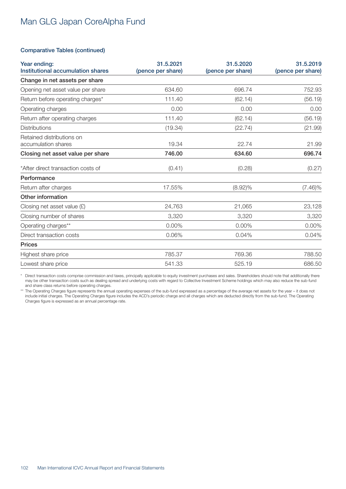#### Comparative Tables (continued)

| Year ending:<br>Institutional accumulation shares | 31.5.2021<br>(pence per share) | 31.5.2020<br>(pence per share) | 31.5.2019<br>(pence per share) |
|---------------------------------------------------|--------------------------------|--------------------------------|--------------------------------|
| Change in net assets per share                    |                                |                                |                                |
| Opening net asset value per share                 | 634.60                         | 696.74                         | 752.93                         |
| Return before operating charges*                  | 111.40                         | (62.14)                        | (56.19)                        |
| Operating charges                                 | 0.00                           | 0.00                           | 0.00                           |
| Return after operating charges                    | 111.40                         | (62.14)                        | (56.19)                        |
| <b>Distributions</b>                              | (19.34)                        | (22.74)                        | (21.99)                        |
| Retained distributions on<br>accumulation shares  | 19.34                          | 22.74                          | 21.99                          |
| Closing net asset value per share                 | 746.00                         | 634.60                         | 696.74                         |
| *After direct transaction costs of                | (0.41)                         | (0.28)                         | (0.27)                         |
| Performance                                       |                                |                                |                                |
| Return after charges                              | 17.55%                         | $(8.92)\%$                     | $(7.46)\%$                     |
| Other information                                 |                                |                                |                                |
| Closing net asset value $(E)$                     | 24,763                         | 21,065                         | 23,128                         |
| Closing number of shares                          | 3,320                          | 3,320                          | 3,320                          |
| Operating charges**                               | 0.00%                          | 0.00%                          | 0.00%                          |
| Direct transaction costs                          | 0.06%                          | 0.04%                          | 0.04%                          |
| <b>Prices</b>                                     |                                |                                |                                |
| Highest share price                               | 785.37                         | 769.36                         | 788.50                         |
| Lowest share price                                | 541.33                         | 525.19                         | 686.50                         |

\* Direct transaction costs comprise commission and taxes, principally applicable to equity investment purchases and sales. Shareholders should note that additionally there may be other transaction costs such as dealing spread and underlying costs with regard to Collective Investment Scheme holdings which may also reduce the sub-fund and share class returns before operating charges.

\*\* The Operating Charges figure represents the annual operating expenses of the sub-fund expressed as a percentage of the average net assets for the year – it does not include initial charges. The Operating Charges figure includes the ACD's periodic charge and all charges which are deducted directly from the sub-fund. The Operating Charges figure is expressed as an annual percentage rate.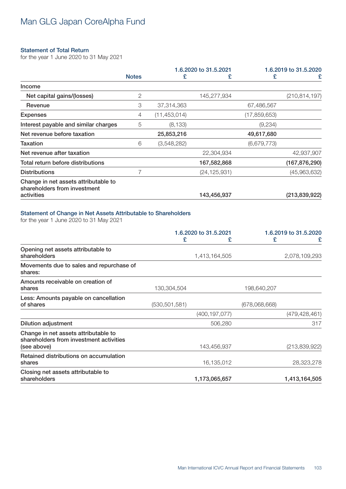#### Statement of Total Return

for the year 1 June 2020 to 31 May 2021

|              |                |                |                       | 1.6.2019 to 31.5.2020 |
|--------------|----------------|----------------|-----------------------|-----------------------|
| <b>Notes</b> | £              | £              | £                     | £                     |
|              |                |                |                       |                       |
| 2            |                | 145,277,934    |                       | (210, 814, 197)       |
| 3            | 37,314,363     |                | 67,486,567            |                       |
| 4            | (11, 453, 014) |                | (17,859,653)          |                       |
| 5            | (8, 133)       |                | (9,234)               |                       |
|              | 25,853,216     |                | 49,617,680            |                       |
| 6            | (3,548,282)    |                | (6,679,773)           |                       |
|              |                | 22,304,934     |                       | 42,937,907            |
|              |                | 167,582,868    |                       | (167, 876, 290)       |
|              |                | (24, 125, 931) |                       | (45,963,632)          |
|              |                |                |                       |                       |
|              |                | 143,456,937    |                       | (213, 839, 922)       |
|              |                |                | 1.6.2020 to 31.5.2021 |                       |

### Statement of Change in Net Assets Attributable to Shareholders

for the year 1 June 2020 to 31 May 2021

|                                                                                                | 1.6.2020 to 31.5.2021 |                 | 1.6.2019 to 31.5.2020 |                 |
|------------------------------------------------------------------------------------------------|-----------------------|-----------------|-----------------------|-----------------|
|                                                                                                | £                     | £               | £                     | £               |
| Opening net assets attributable to<br>shareholders                                             |                       | 1,413,164,505   |                       | 2,078,109,293   |
| Movements due to sales and repurchase of<br>shares:                                            |                       |                 |                       |                 |
| Amounts receivable on creation of<br>shares                                                    | 130,304,504           |                 | 198,640,207           |                 |
| Less: Amounts payable on cancellation<br>of shares                                             | (530, 501, 581)       |                 | (678,068,668)         |                 |
|                                                                                                |                       | (400, 197, 077) |                       | (479, 428, 461) |
| <b>Dilution adjustment</b>                                                                     |                       | 506,280         |                       | 317             |
| Change in net assets attributable to<br>shareholders from investment activities<br>(see above) |                       | 143,456,937     |                       | (213, 839, 922) |
| Retained distributions on accumulation<br>shares                                               |                       | 16,135,012      |                       | 28,323,278      |
| Closing net assets attributable to<br>shareholders                                             |                       | 1,173,065,657   |                       | 1,413,164,505   |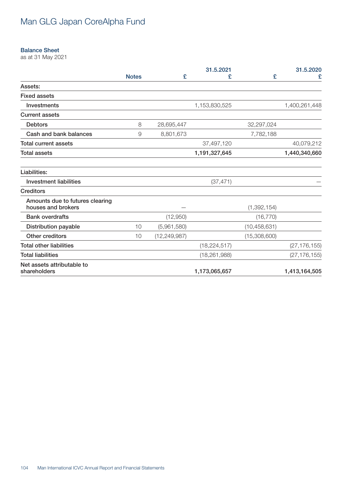#### Balance Sheet

as at 31 May 2021

|                                                       |              |                | 31.5.2021      |                | 31.5.2020      |
|-------------------------------------------------------|--------------|----------------|----------------|----------------|----------------|
|                                                       | <b>Notes</b> | £              | £              | £              | £              |
| Assets:                                               |              |                |                |                |                |
| <b>Fixed assets</b>                                   |              |                |                |                |                |
| Investments                                           |              |                | 1,153,830,525  |                | 1,400,261,448  |
| <b>Current assets</b>                                 |              |                |                |                |                |
| <b>Debtors</b>                                        | 8            | 28,695,447     |                | 32,297,024     |                |
| Cash and bank balances                                | 9            | 8,801,673      |                | 7,782,188      |                |
| <b>Total current assets</b>                           |              |                | 37,497,120     |                | 40,079,212     |
| <b>Total assets</b>                                   |              |                | 1,191,327,645  |                | 1,440,340,660  |
| Liabilities:                                          |              |                |                |                |                |
| <b>Investment liabilities</b>                         |              |                | (37, 471)      |                |                |
| <b>Creditors</b>                                      |              |                |                |                |                |
| Amounts due to futures clearing<br>houses and brokers |              |                |                | (1, 392, 154)  |                |
| <b>Bank overdrafts</b>                                |              | (12,950)       |                | (16, 770)      |                |
| <b>Distribution payable</b>                           | 10           | (5,961,580)    |                | (10, 458, 631) |                |
| Other creditors                                       | 10           | (12, 249, 987) |                | (15,308,600)   |                |
| <b>Total other liabilities</b>                        |              |                | (18, 224, 517) |                | (27, 176, 155) |
| <b>Total liabilities</b>                              |              |                | (18, 261, 988) |                | (27, 176, 155) |
| Net assets attributable to<br>shareholders            |              |                | 1,173,065,657  |                | 1,413,164,505  |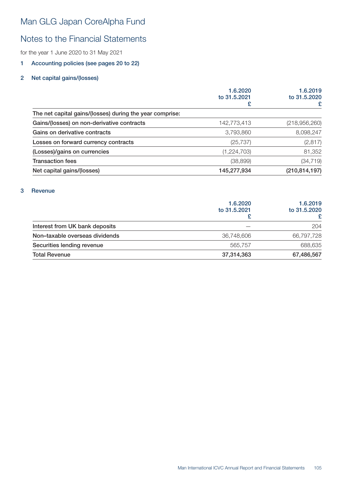### Notes to the Financial Statements

for the year 1 June 2020 to 31 May 2021

### 1 Accounting policies (see pages 20 to 22)

### 2 Net capital gains/(losses)

|                                                          | 1.6.2020<br>to 31.5.2021 | 1.6.2019<br>to 31.5.2020 |
|----------------------------------------------------------|--------------------------|--------------------------|
|                                                          | £                        | £                        |
| The net capital gains/(losses) during the year comprise: |                          |                          |
| Gains/(losses) on non-derivative contracts               | 142,773,413              | (218, 956, 260)          |
| Gains on derivative contracts                            | 3,793,860                | 8,098,247                |
| Losses on forward currency contracts                     | (25, 737)                | (2, 817)                 |
| (Losses)/gains on currencies                             | (1,224,703)              | 81,352                   |
| <b>Transaction fees</b>                                  | (38, 899)                | (34, 719)                |
| Net capital gains/(losses)                               | 145,277,934              | (210, 814, 197)          |
|                                                          |                          |                          |

### 3 Revenue

|                                | 1.6.2020<br>to 31,5,2021 | 1.6.2019<br>to 31.5.2020<br>£ |
|--------------------------------|--------------------------|-------------------------------|
| Interest from UK bank deposits |                          | 204                           |
| Non-taxable overseas dividends | 36,748,606               | 66,797,728                    |
| Securities lending revenue     | 565,757                  | 688,635                       |
| <b>Total Revenue</b>           | 37,314,363               | 67,486,567                    |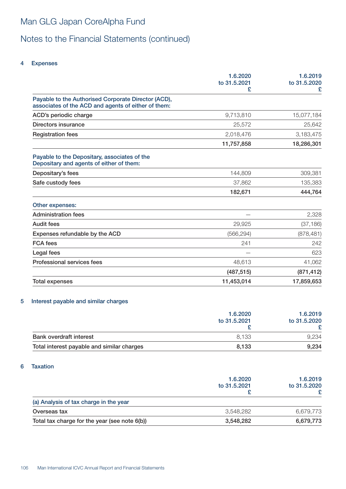# Notes to the Financial Statements (continued)

### 4 Expenses

|                                                                                                            | 1.6.2020<br>to 31.5.2021<br>£ | 1.6.2019<br>to 31.5.2020<br>£ |
|------------------------------------------------------------------------------------------------------------|-------------------------------|-------------------------------|
| Payable to the Authorised Corporate Director (ACD),<br>associates of the ACD and agents of either of them: |                               |                               |
| ACD's periodic charge                                                                                      | 9,713,810                     | 15,077,184                    |
| Directors insurance                                                                                        | 25,572                        | 25,642                        |
| <b>Registration fees</b>                                                                                   | 2,018,476                     | 3,183,475                     |
|                                                                                                            | 11,757,858                    | 18,286,301                    |
| Payable to the Depositary, associates of the<br>Depositary and agents of either of them:                   |                               |                               |
| Depositary's fees                                                                                          | 144,809                       | 309,381                       |
| Safe custody fees                                                                                          | 37,862                        | 135,383                       |
|                                                                                                            | 182,671                       | 444,764                       |
| Other expenses:                                                                                            |                               |                               |
| <b>Administration fees</b>                                                                                 |                               | 2,328                         |
| <b>Audit fees</b>                                                                                          | 29,925                        | (37, 186)                     |
| Expenses refundable by the ACD                                                                             | (566, 294)                    | (878, 481)                    |
| <b>FCA</b> fees                                                                                            | 241                           | 242                           |
| Legal fees                                                                                                 |                               | 623                           |
| Professional services fees                                                                                 | 48,613                        | 41,062                        |
|                                                                                                            | (487, 515)                    | (871, 412)                    |
| Total expenses                                                                                             | 11,453,014                    | 17,859,653                    |

### 5 Interest payable and similar charges

|                                            | 1.6.2020<br>to 31.5.2021 | 1.6.2019<br>to 31.5.2020 |
|--------------------------------------------|--------------------------|--------------------------|
|                                            |                          |                          |
|                                            |                          |                          |
| <b>Bank overdraft interest</b>             | 8.133                    | 9,234                    |
| Total interest payable and similar charges | 8,133                    | 9,234                    |

### 6 Taxation

|                                               | 1.6.2020<br>to 31,5,2021 | 1.6.2019<br>to 31.5.2020 |
|-----------------------------------------------|--------------------------|--------------------------|
| (a) Analysis of tax charge in the year        |                          |                          |
| Overseas tax                                  | 3.548.282                | 6.679.773                |
| Total tax charge for the year (see note 6(b)) | 3,548,282                | 6,679,773                |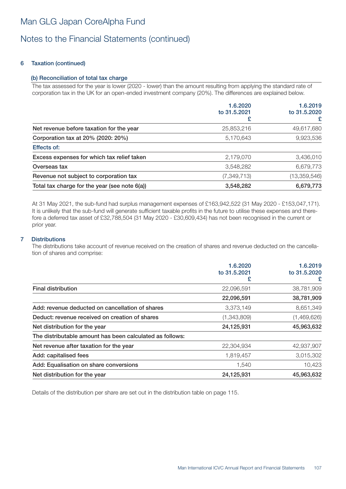### Notes to the Financial Statements (continued)

### 6 Taxation (continued)

### (b) Reconciliation of total tax charge

The tax assessed for the year is lower (2020 - lower) than the amount resulting from applying the standard rate of corporation tax in the UK for an open-ended investment company (20%). The differences are explained below.

|                                               | 1.6.2020<br>to 31.5.2021<br>£ | 1.6.2019<br>to 31.5.2020<br>£ |
|-----------------------------------------------|-------------------------------|-------------------------------|
| Net revenue before taxation for the year      | 25,853,216                    | 49,617,680                    |
| Corporation tax at 20% (2020: 20%)            | 5,170,643                     | 9,923,536                     |
| Effects of:                                   |                               |                               |
| Excess expenses for which tax relief taken    | 2,179,070                     | 3,436,010                     |
| Overseas tax                                  | 3,548,282                     | 6,679,773                     |
| Revenue not subject to corporation tax        | (7, 349, 713)                 | (13, 359, 546)                |
| Total tax charge for the year (see note 6(a)) | 3,548,282                     | 6,679,773                     |

At 31 May 2021, the sub-fund had surplus management expenses of £163,942,522 (31 May 2020 - £153,047,171). It is unlikely that the sub-fund will generate sufficient taxable profits in the future to utilise these expenses and therefore a deferred tax asset of £32,788,504 (31 May 2020 - £30,609,434) has not been recognised in the current or prior year.

### 7 Distributions

The distributions take account of revenue received on the creation of shares and revenue deducted on the cancellation of shares and comprise:

|                                                          | 1.6.2020<br>to 31.5.2021 | 1.6.2019<br>to 31.5.2020 |
|----------------------------------------------------------|--------------------------|--------------------------|
|                                                          |                          | £                        |
| <b>Final distribution</b>                                | 22,096,591               | 38,781,909               |
|                                                          | 22,096,591               | 38,781,909               |
| Add: revenue deducted on cancellation of shares          | 3,373,149                | 8,651,349                |
| Deduct: revenue received on creation of shares           | (1,343,809)              | (1,469,626)              |
| Net distribution for the year                            | 24,125,931               | 45,963,632               |
| The distributable amount has been calculated as follows: |                          |                          |
| Net revenue after taxation for the year                  | 22,304,934               | 42,937,907               |
| Add: capitalised fees                                    | 1,819,457                | 3,015,302                |
| Add: Equalisation on share conversions                   | 1,540                    | 10,423                   |
| Net distribution for the year                            | 24,125,931               | 45,963,632               |

Details of the distribution per share are set out in the distribution table on page 115.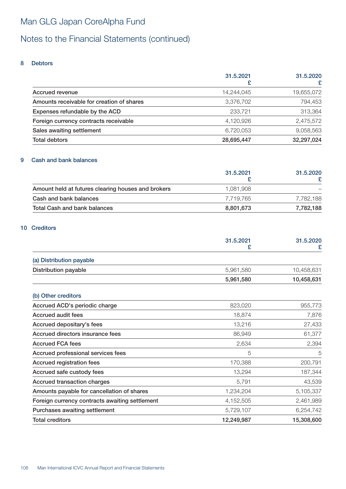# Notes to the Financial Statements (continued)

### 8 Debtors

|                                           | 31.5.2021  | 31.5.2020  |
|-------------------------------------------|------------|------------|
|                                           | £          | £          |
| Accrued revenue                           | 14,244,045 | 19,655,072 |
| Amounts receivable for creation of shares | 3,376,702  | 794,453    |
| Expenses refundable by the ACD            | 233,721    | 313,364    |
| Foreign currency contracts receivable     | 4,120,926  | 2,475,572  |
| Sales awaiting settlement                 | 6,720,053  | 9,058,563  |
| <b>Total debtors</b>                      | 28,695,447 | 32,297,024 |

### 9 Cash and bank balances

|                                                    | 31.5.2021 | 31.5.2020 |
|----------------------------------------------------|-----------|-----------|
| Amount held at futures clearing houses and brokers | 1.081.908 |           |
| Cash and bank balances                             | 7.719.765 | 7.782.188 |
| <b>Total Cash and bank balances</b>                | 8,801,673 | 7,782,188 |

### 10 Creditors

|                                                | 31.5.2021<br>£ | 31.5.2020<br>£ |
|------------------------------------------------|----------------|----------------|
|                                                |                |                |
| (a) Distribution payable                       |                |                |
| <b>Distribution payable</b>                    | 5,961,580      | 10,458,631     |
|                                                | 5,961,580      | 10,458,631     |
| (b) Other creditors                            |                |                |
| Accrued ACD's periodic charge                  | 823,020        | 955,773        |
| <b>Accrued audit fees</b>                      | 18,874         | 7,876          |
| Accrued depositary's fees                      | 13,216         | 27,433         |
| Accrued directors insurance fees               | 86,949         | 61,377         |
| <b>Accrued FCA fees</b>                        | 2,634          | 2,394          |
| Accrued professional services fees             | 5              | 5              |
| <b>Accrued registration fees</b>               | 170,388        | 200,791        |
| Accrued safe custody fees                      | 13,294         | 187,344        |
| Accrued transaction charges                    | 5,791          | 43,539         |
| Amounts payable for cancellation of shares     | 1,234,204      | 5,105,337      |
| Foreign currency contracts awaiting settlement | 4,152,505      | 2,461,989      |
| Purchases awaiting settlement                  | 5,729,107      | 6,254,742      |
| <b>Total creditors</b>                         | 12,249,987     | 15,308,600     |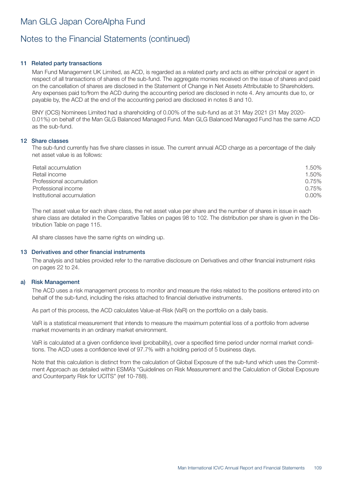# Notes to the Financial Statements (continued)

### 11 Related party transactions

Man Fund Management UK Limited, as ACD, is regarded as a related party and acts as either principal or agent in respect of all transactions of shares of the sub-fund. The aggregate monies received on the issue of shares and paid on the cancellation of shares are disclosed in the Statement of Change in Net Assets Attributable to Shareholders. Any expenses paid to/from the ACD during the accounting period are disclosed in note 4. Any amounts due to, or payable by, the ACD at the end of the accounting period are disclosed in notes 8 and 10.

BNY (OCS) Nominees Limited had a shareholding of 0.00% of the sub-fund as at 31 May 2021 (31 May 2020- 0.01%) on behalf of the Man GLG Balanced Managed Fund. Man GLG Balanced Managed Fund has the same ACD as the sub-fund.

#### 12 Share classes

The sub-fund currently has five share classes in issue. The current annual ACD charge as a percentage of the daily net asset value is as follows:

| Retail accumulation        | 1.50%    |
|----------------------------|----------|
| Retail income              | 1.50%    |
| Professional accumulation  | 0.75%    |
| Professional income        | 0.75%    |
| Institutional accumulation | $0.00\%$ |

The net asset value for each share class, the net asset value per share and the number of shares in issue in each share class are detailed in the Comparative Tables on pages 98 to 102. The distribution per share is given in the Distribution Table on page 115.

All share classes have the same rights on winding up.

#### 13 Derivatives and other financial instruments

The analysis and tables provided refer to the narrative disclosure on Derivatives and other financial instrument risks on pages 22 to 24.

#### a) Risk Management

The ACD uses a risk management process to monitor and measure the risks related to the positions entered into on behalf of the sub-fund, including the risks attached to financial derivative instruments.

As part of this process, the ACD calculates Value-at-Risk (VaR) on the portfolio on a daily basis.

VaR is a statistical measurement that intends to measure the maximum potential loss of a portfolio from adverse market movements in an ordinary market environment.

VaR is calculated at a given confidence level (probability), over a specified time period under normal market conditions. The ACD uses a confidence level of 97.7% with a holding period of 5 business days.

Note that this calculation is distinct from the calculation of Global Exposure of the sub-fund which uses the Commitment Approach as detailed within ESMA's "Guidelines on Risk Measurement and the Calculation of Global Exposure and Counterparty Risk for UCITS" (ref 10-788).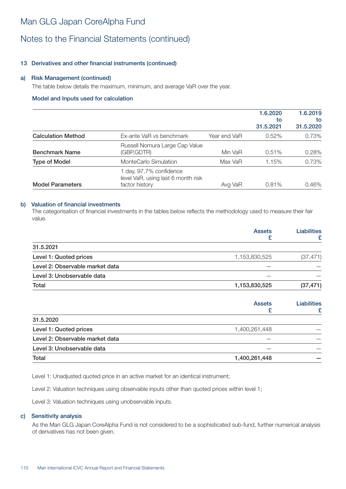# Man GLG Japan CoreAlpha Fund

# Notes to the Financial Statements (continued)

### 13 Derivatives and other financial instruments (continued)

#### a) Risk Management (continued)

The table below details the maximum, minimum, and average VaR over the year.

#### Model and Inputs used for calculation

|                           |                                                                                 |              | 1.6.2020<br>to<br>31,5,2021 | 1.6.2019<br>to<br>31.5.2020 |
|---------------------------|---------------------------------------------------------------------------------|--------------|-----------------------------|-----------------------------|
| <b>Calculation Method</b> | Ex-ante VaR vs benchmark                                                        | Year end VaR | $0.52\%$                    | 0.73%                       |
| <b>Benchmark Name</b>     | Russell Nomura Large Cap Value<br>(GBP,GDTR)                                    | Min VaR      | 0.51%                       | 0.28%                       |
| <b>Type of Model</b>      | MonteCarlo Simulation                                                           | Max VaR      | 1.15%                       | 0.73%                       |
| <b>Model Parameters</b>   | 1 day, 97.7% confidence<br>level VaR, using last 6 month risk<br>factor history | Avg VaR      | 0.81%                       | 0.46%                       |

#### b) Valuation of financial investments

The categorisation of financial investments in the tables below reflects the methodology used to measure their fair value.

|                                 | <b>Assets</b><br>£ | <b>Liabilities</b><br>£ |
|---------------------------------|--------------------|-------------------------|
| 31.5.2021                       |                    |                         |
| Level 1: Quoted prices          | 1,153,830,525      | (37, 471)               |
| Level 2: Observable market data |                    |                         |
| Level 3: Unobservable data      |                    |                         |
| Total                           | 1,153,830,525      | (37, 471)               |
|                                 | <b>Assets</b><br>£ | <b>Liabilities</b><br>£ |
| 31.5.2020                       |                    |                         |
| Level 1: Quoted prices          | 1,400,261,448      |                         |
| Level 2: Observable market data |                    |                         |
| Level 3: Unobservable data      |                    |                         |

Level 1: Unadjusted quoted price in an active market for an identical instrument;

Level 2: Valuation techniques using observable inputs other than quoted prices within level 1;

Total 1,400,261,448 —

Level 3: Valuation techniques using unobservable inputs.

#### c) Sensitivity analysis

As the Man GLG Japan CoreAlpha Fund is not considered to be a sophisticated sub-fund, further numerical analysis of derivatives has not been given.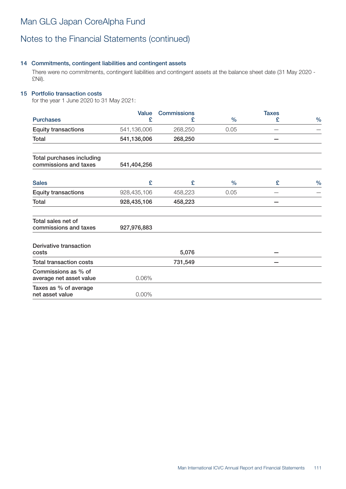# Notes to the Financial Statements (continued)

### 14 Commitments, contingent liabilities and contingent assets

There were no commitments, contingent liabilities and contingent assets at the balance sheet date (31 May 2020 - £Nil).

### 15 Portfolio transaction costs

for the year 1 June 2020 to 31 May 2021:

|                                                    | Value       | <b>Commissions</b> |               | <b>Taxes</b> |               |
|----------------------------------------------------|-------------|--------------------|---------------|--------------|---------------|
| <b>Purchases</b>                                   | £           | £                  | $\%$          | £            | $\frac{0}{0}$ |
| <b>Equity transactions</b>                         | 541,136,006 | 268,250            | 0.05          |              |               |
| Total                                              | 541,136,006 | 268,250            |               |              |               |
| Total purchases including<br>commissions and taxes | 541,404,256 |                    |               |              |               |
| <b>Sales</b>                                       | £           | £                  | $\frac{0}{0}$ | £            | $\frac{0}{0}$ |
| <b>Equity transactions</b>                         | 928,435,106 | 458,223            | 0.05          |              |               |
| Total                                              | 928,435,106 | 458,223            |               |              |               |
| Total sales net of<br>commissions and taxes        | 927,976,883 |                    |               |              |               |
| Derivative transaction<br>costs                    |             | 5,076              |               |              |               |
| <b>Total transaction costs</b>                     |             | 731,549            |               |              |               |
| Commissions as % of<br>average net asset value     | 0.06%       |                    |               |              |               |
| Taxes as % of average<br>net asset value           | $0.00\%$    |                    |               |              |               |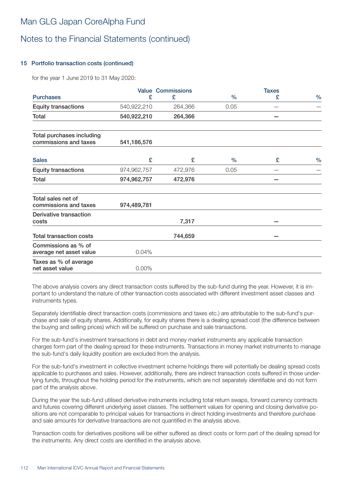# Man GLG Japan CoreAlpha Fund

# Notes to the Financial Statements (continued)

### 15 Portfolio transaction costs (continued)

for the year 1 June 2019 to 31 May 2020:

|                                                    |             | <b>Value Commissions</b> |      | <b>Taxes</b> |               |
|----------------------------------------------------|-------------|--------------------------|------|--------------|---------------|
| <b>Purchases</b>                                   | £           | £                        | $\%$ | £            | $\%$          |
| <b>Equity transactions</b>                         | 540,922,210 | 264,366                  | 0.05 |              |               |
| Total                                              | 540,922,210 | 264,366                  |      |              |               |
| Total purchases including<br>commissions and taxes | 541,186,576 |                          |      |              |               |
| <b>Sales</b>                                       | £           | £                        | $\%$ | £            | $\frac{0}{0}$ |
| <b>Equity transactions</b>                         | 974,962,757 | 472,976                  | 0.05 |              |               |
| Total                                              | 974,962,757 | 472,976                  |      |              |               |
| Total sales net of<br>commissions and taxes        | 974,489,781 |                          |      |              |               |
| Derivative transaction<br>costs                    |             | 7,317                    |      |              |               |
| <b>Total transaction costs</b>                     |             | 744,659                  |      |              |               |
| Commissions as % of<br>average net asset value     | 0.04%       |                          |      |              |               |
| Taxes as % of average<br>net asset value           | 0.00%       |                          |      |              |               |

The above analysis covers any direct transaction costs suffered by the sub-fund during the year. However, it is important to understand the nature of other transaction costs associated with different investment asset classes and instruments types.

Separately identifiable direct transaction costs (commissions and taxes etc.) are attributable to the sub-fund's purchase and sale of equity shares. Additionally, for equity shares there is a dealing spread cost (the difference between the buying and selling prices) which will be suffered on purchase and sale transactions.

For the sub-fund's investment transactions in debt and money market instruments any applicable transaction charges form part of the dealing spread for these instruments. Transactions in money market instruments to manage the sub-fund's daily liquidity position are excluded from the analysis.

For the sub-fund's investment in collective investment scheme holdings there will potentially be dealing spread costs applicable to purchases and sales. However, additionally, there are indirect transaction costs suffered in those underlying funds, throughout the holding period for the instruments, which are not separately identifiable and do not form part of the analysis above.

During the year the sub-fund utilised derivative instruments including total return swaps, forward currency contracts and futures covering different underlying asset classes. The settlement values for opening and closing derivative positions are not comparable to principal values for transactions in direct holding investments and therefore purchase and sale amounts for derivative transactions are not quantified in the analysis above.

Transaction costs for derivatives positions will be either suffered as direct costs or form part of the dealing spread for the instruments. Any direct costs are identified in the analysis above.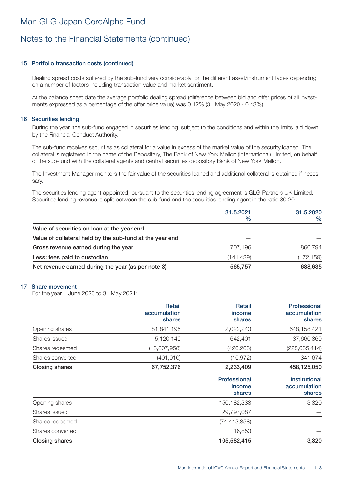# Notes to the Financial Statements (continued)

### 15 Portfolio transaction costs (continued)

Dealing spread costs suffered by the sub-fund vary considerably for the different asset/instrument types depending on a number of factors including transaction value and market sentiment.

At the balance sheet date the average portfolio dealing spread (difference between bid and offer prices of all investments expressed as a percentage of the offer price value) was 0.12% (31 May 2020 - 0.43%).

#### 16 Securities lending

During the year, the sub-fund engaged in securities lending, subject to the conditions and within the limits laid down by the Financial Conduct Authority.

The sub-fund receives securities as collateral for a value in excess of the market value of the security loaned. The collateral is registered in the name of the Depositary, The Bank of New York Mellon (International) Limited, on behalf of the sub-fund with the collateral agents and central securities depository Bank of New York Mellon.

The Investment Manager monitors the fair value of the securities loaned and additional collateral is obtained if necessary.

The securities lending agent appointed, pursuant to the securities lending agreement is GLG Partners UK Limited. Securities lending revenue is split between the sub-fund and the securities lending agent in the ratio 80:20.

|                                                          | 31.5.2021<br>$\%$ | 31.5.2020<br>$\frac{0}{0}$ |
|----------------------------------------------------------|-------------------|----------------------------|
| Value of securities on loan at the year end              |                   |                            |
| Value of collateral held by the sub-fund at the year end |                   |                            |
| Gross revenue earned during the year                     | 707.196           | 860,794                    |
| Less: fees paid to custodian                             | (141,439)         | (172, 159)                 |
| Net revenue earned during the year (as per note 3)       | 565,757           | 688,635                    |

#### 17 Share movement

For the year 1 June 2020 to 31 May 2021:

|                  | <b>Retail</b><br>accumulation<br>shares | <b>Retail</b><br><i>income</i><br>shares | Professional<br>accumulation<br>shares         |
|------------------|-----------------------------------------|------------------------------------------|------------------------------------------------|
| Opening shares   | 81,841,195                              | 2,022,243                                | 648,158,421                                    |
| Shares issued    | 5,120,149                               | 642,401                                  | 37,660,369                                     |
| Shares redeemed  | (18, 807, 958)                          | (420, 263)                               | (228, 035, 414)                                |
| Shares converted | (401, 010)                              | (10, 972)                                | 341,674                                        |
| Closing shares   | 67,752,376                              | 2,233,409                                | 458,125,050                                    |
|                  |                                         | Professional<br>income<br>shares         | <b>Institutional</b><br>accumulation<br>shares |
| Opening shares   |                                         | 150,182,333                              | 3,320                                          |
| Shares issued    |                                         | 29,797,087                               |                                                |
| Shares redeemed  |                                         | (74, 413, 858)                           |                                                |
| Shares converted |                                         | 16,853                                   |                                                |
| Closing shares   |                                         | 105,582,415                              | 3,320                                          |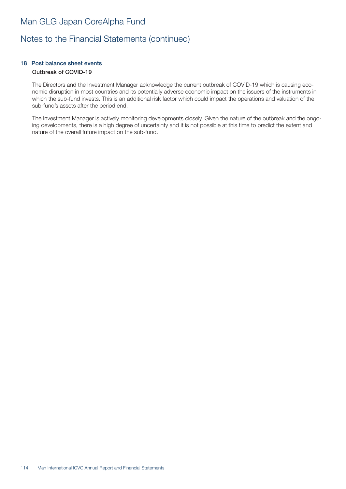# Man GLG Japan CoreAlpha Fund

# Notes to the Financial Statements (continued)

### 18 Post balance sheet events Outbreak of COVID-19

The Directors and the Investment Manager acknowledge the current outbreak of COVID-19 which is causing economic disruption in most countries and its potentially adverse economic impact on the issuers of the instruments in which the sub-fund invests. This is an additional risk factor which could impact the operations and valuation of the sub-fund's assets after the period end.

The Investment Manager is actively monitoring developments closely. Given the nature of the outbreak and the ongoing developments, there is a high degree of uncertainty and it is not possible at this time to predict the extent and nature of the overall future impact on the sub-fund.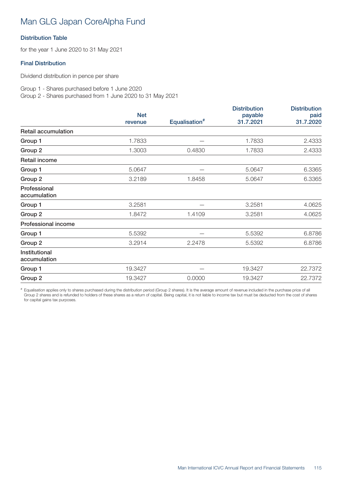# Man GLG Japan CoreAlpha Fund

## Distribution Table

for the year 1 June 2020 to 31 May 2021

### Final Distribution

Dividend distribution in pence per share

Group 1 - Shares purchased before 1 June 2020 Group 2 - Shares purchased from 1 June 2020 to 31 May 2021

|                               |            |                           | <b>Distribution</b> | <b>Distribution</b> |
|-------------------------------|------------|---------------------------|---------------------|---------------------|
|                               | <b>Net</b> |                           | payable             | paid                |
|                               | revenue    | Equalisation <sup>#</sup> | 31.7.2021           | 31.7.2020           |
| <b>Retail accumulation</b>    |            |                           |                     |                     |
| Group 1                       | 1.7833     |                           | 1.7833              | 2.4333              |
| Group 2                       | 1.3003     | 0.4830                    | 1.7833              | 2.4333              |
| Retail income                 |            |                           |                     |                     |
| Group 1                       | 5.0647     |                           | 5.0647              | 6.3365              |
| Group 2                       | 3.2189     | 1.8458                    | 5.0647              | 6.3365              |
| Professional<br>accumulation  |            |                           |                     |                     |
| Group 1                       | 3.2581     |                           | 3.2581              | 4.0625              |
| Group 2                       | 1.8472     | 1.4109                    | 3.2581              | 4.0625              |
| Professional income           |            |                           |                     |                     |
| Group 1                       | 5.5392     |                           | 5.5392              | 6.8786              |
| Group 2                       | 3.2914     | 2.2478                    | 5.5392              | 6.8786              |
| Institutional<br>accumulation |            |                           |                     |                     |
| Group 1                       | 19.3427    |                           | 19.3427             | 22.7372             |
| Group 2                       | 19.3427    | 0.0000                    | 19.3427             | 22.7372             |

# Equalisation applies only to shares purchased during the distribution period (Group 2 shares). It is the average amount of revenue included in the purchase price of all Group 2 shares and is refunded to holders of these shares as a return of capital. Being capital, it is not liable to income tax but must be deducted from the cost of shares for capital gains tax purposes.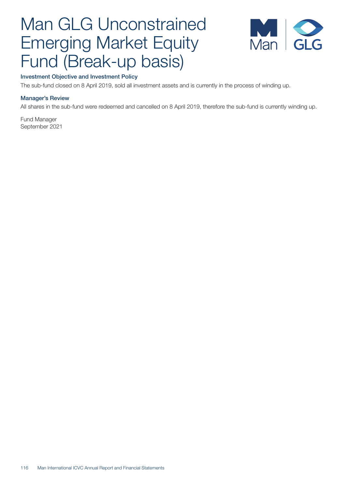

### Investment Objective and Investment Policy

The sub-fund closed on 8 April 2019, sold all investment assets and is currently in the process of winding up.

### Manager's Review

All shares in the sub-fund were redeemed and cancelled on 8 April 2019, therefore the sub-fund is currently winding up.

Fund Manager September 2021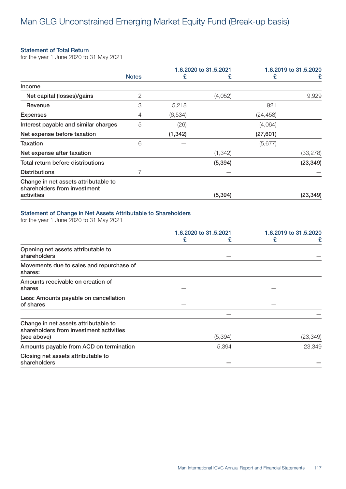### Statement of Total Return

for the year 1 June 2020 to 31 May 2021

|                                                                      |              |          | 1.6.2020 to 31.5.2021 |           | 1.6.2019 to 31.5.2020 |
|----------------------------------------------------------------------|--------------|----------|-----------------------|-----------|-----------------------|
|                                                                      | <b>Notes</b> | £        | £                     | £         | £                     |
| Income                                                               |              |          |                       |           |                       |
| Net capital (losses)/gains                                           | 2            |          | (4,052)               |           | 9,929                 |
| Revenue                                                              | 3            | 5,218    |                       | 921       |                       |
| <b>Expenses</b>                                                      | 4            | (6,534)  |                       | (24, 458) |                       |
| Interest payable and similar charges                                 | 5            | (26)     |                       | (4,064)   |                       |
| Net expense before taxation                                          |              | (1, 342) |                       | (27, 601) |                       |
| <b>Taxation</b>                                                      | 6            |          |                       | (5,677)   |                       |
| Net expense after taxation                                           |              |          | (1, 342)              |           | (33, 278)             |
| Total return before distributions                                    |              |          | (5, 394)              |           | (23, 349)             |
| <b>Distributions</b>                                                 |              |          |                       |           |                       |
| Change in net assets attributable to<br>shareholders from investment |              |          |                       |           |                       |
| activities                                                           |              |          | (5, 394)              |           | (23, 349)             |

### Statement of Change in Net Assets Attributable to Shareholders

for the year 1 June 2020 to 31 May 2021

|                                                                                 |   | 1.6.2020 to 31.5.2021 | 1.6.2019 to 31.5.2020 |           |
|---------------------------------------------------------------------------------|---|-----------------------|-----------------------|-----------|
|                                                                                 | £ | £                     | £                     | £         |
| Opening net assets attributable to<br>shareholders                              |   |                       |                       |           |
| Movements due to sales and repurchase of<br>shares:                             |   |                       |                       |           |
| Amounts receivable on creation of<br>shares                                     |   |                       |                       |           |
| Less: Amounts payable on cancellation<br>of shares                              |   |                       |                       |           |
|                                                                                 |   |                       |                       |           |
| Change in net assets attributable to<br>shareholders from investment activities |   | (5, 394)              |                       |           |
| (see above)                                                                     |   |                       |                       | (23, 349) |
| Amounts payable from ACD on termination                                         |   | 5,394                 |                       | 23,349    |
| Closing net assets attributable to<br>shareholders                              |   |                       |                       |           |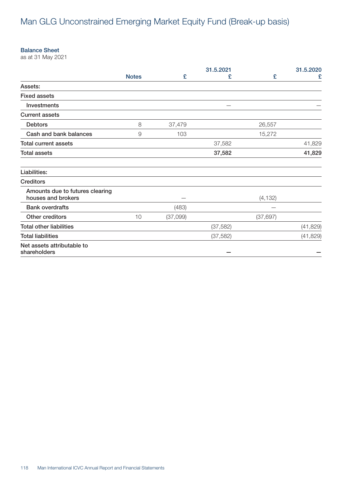#### Balance Sheet

as at 31 May 2021

|                                                       |              |          | 31.5.2021 |           | 31.5.2020 |
|-------------------------------------------------------|--------------|----------|-----------|-----------|-----------|
|                                                       | <b>Notes</b> | £        | £         | £         | £         |
| Assets:                                               |              |          |           |           |           |
| <b>Fixed assets</b>                                   |              |          |           |           |           |
| Investments                                           |              |          |           |           |           |
| <b>Current assets</b>                                 |              |          |           |           |           |
| <b>Debtors</b>                                        | 8            | 37,479   |           | 26,557    |           |
| Cash and bank balances                                | 9            | 103      |           | 15,272    |           |
| <b>Total current assets</b>                           |              |          | 37,582    |           | 41,829    |
| <b>Total assets</b>                                   |              |          | 37,582    |           | 41,829    |
| Liabilities:                                          |              |          |           |           |           |
| <b>Creditors</b>                                      |              |          |           |           |           |
| Amounts due to futures clearing<br>houses and brokers |              |          |           | (4, 132)  |           |
| <b>Bank overdrafts</b>                                |              | (483)    |           |           |           |
| Other creditors                                       | 10           | (37,099) |           | (37, 697) |           |
| <b>Total other liabilities</b>                        |              |          | (37, 582) |           | (41, 829) |
| <b>Total liabilities</b>                              |              |          | (37, 582) |           | (41, 829) |
| Net assets attributable to<br>shareholders            |              |          |           |           |           |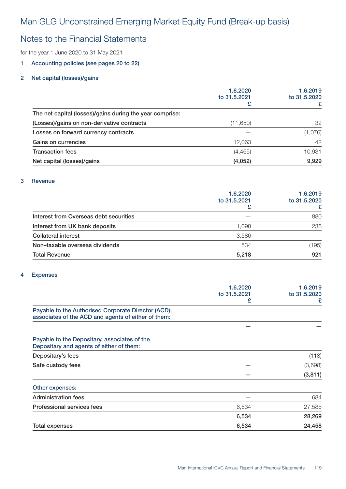# Notes to the Financial Statements

for the year 1 June 2020 to 31 May 2021

### 1 Accounting policies (see pages 20 to 22)

### 2 Net capital (losses)/gains

|                                                          | 1.6.2020<br>to 31,5,2021 | 1.6.2019<br>to 31.5.2020 |
|----------------------------------------------------------|--------------------------|--------------------------|
|                                                          |                          |                          |
| The net capital (losses)/gains during the year comprise: |                          |                          |
| (Losses)/gains on non-derivative contracts               | (11,650)                 | 32                       |
| Losses on forward currency contracts                     |                          | (1,076)                  |
| Gains on currencies                                      | 12,063                   | 42                       |
| <b>Transaction fees</b>                                  | (4, 465)                 | 10,931                   |
| Net capital (losses)/gains                               | (4,052)                  | 9,929                    |

#### 3 Revenue

|                                        | 1.6.2020<br>to 31.5.2021 | 1.6.2019<br>to 31.5.2020 |
|----------------------------------------|--------------------------|--------------------------|
| Interest from Overseas debt securities |                          | 880                      |
| Interest from UK bank deposits         | 1.098                    | 236                      |
| <b>Collateral interest</b>             | 3.586                    |                          |
| Non-taxable overseas dividends         | 534                      | (195)                    |
| <b>Total Revenue</b>                   | 5,218                    | 921                      |

#### 4 Expenses

|                                                                                                            | 1.6.2020<br>to 31.5.2021 | 1.6.2019<br>to 31,5,2020 |
|------------------------------------------------------------------------------------------------------------|--------------------------|--------------------------|
|                                                                                                            | £                        | £                        |
| Payable to the Authorised Corporate Director (ACD),<br>associates of the ACD and agents of either of them: |                          |                          |
|                                                                                                            |                          |                          |
| Payable to the Depositary, associates of the<br>Depositary and agents of either of them:                   |                          |                          |
| Depositary's fees                                                                                          |                          | (113)                    |
| Safe custody fees                                                                                          |                          | (3,698)                  |
|                                                                                                            |                          | (3, 811)                 |
| Other expenses:                                                                                            |                          |                          |
| <b>Administration fees</b>                                                                                 |                          | 684                      |
| <b>Professional services fees</b>                                                                          | 6,534                    | 27,585                   |
|                                                                                                            | 6,534                    | 28,269                   |
| <b>Total expenses</b>                                                                                      | 6,534                    | 24,458                   |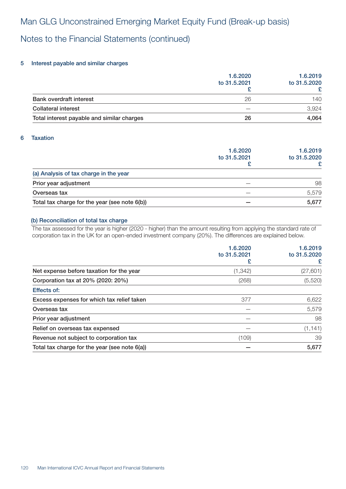# Notes to the Financial Statements (continued)

### 5 Interest payable and similar charges

|                                            | 1.6.2020<br>to 31.5.2021 | 1.6.2019<br>to 31.5.2020 |
|--------------------------------------------|--------------------------|--------------------------|
| <b>Bank overdraft interest</b>             | 26                       | 140                      |
| <b>Collateral interest</b>                 |                          | 3.924                    |
| Total interest payable and similar charges | 26                       | 4,064                    |

### 6 Taxation

|                                               | 1.6.2020<br>to 31,5,2021 | 1.6.2019<br>to 31.5.2020 |
|-----------------------------------------------|--------------------------|--------------------------|
| (a) Analysis of tax charge in the year        |                          |                          |
| Prior year adjustment                         |                          | 98                       |
| Overseas tax                                  |                          | 5,579                    |
| Total tax charge for the year (see note 6(b)) |                          | 5,677                    |

#### (b) Reconciliation of total tax charge

The tax assessed for the year is higher (2020 - higher) than the amount resulting from applying the standard rate of corporation tax in the UK for an open-ended investment company (20%). The differences are explained below.

|                                               | 1.6.2020<br>to 31.5.2021 | 1.6.2019<br>to 31.5.2020<br>£ |
|-----------------------------------------------|--------------------------|-------------------------------|
| Net expense before taxation for the year      | (1, 342)                 | (27, 601)                     |
| Corporation tax at 20% (2020: 20%)            | (268)                    | (5,520)                       |
| Effects of:                                   |                          |                               |
| Excess expenses for which tax relief taken    | 377                      | 6,622                         |
| Overseas tax                                  |                          | 5,579                         |
| Prior year adjustment                         |                          | 98                            |
| Relief on overseas tax expensed               |                          | (1, 141)                      |
| Revenue not subject to corporation tax        | (109)                    | 39                            |
| Total tax charge for the year (see note 6(a)) |                          | 5,677                         |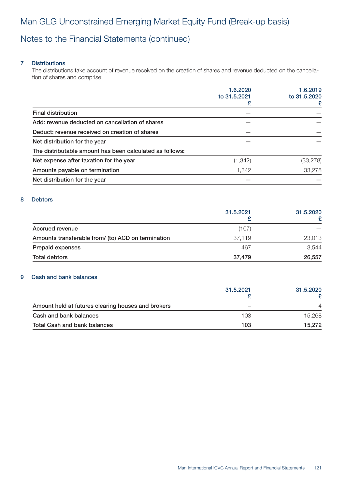# Notes to the Financial Statements (continued)

### 7 Distributions

The distributions take account of revenue received on the creation of shares and revenue deducted on the cancellation of shares and comprise:

|                                                          | 1.6.2020     | 1.6.2019          |
|----------------------------------------------------------|--------------|-------------------|
|                                                          | to 31.5.2021 | to 31.5.2020<br>£ |
| <b>Final distribution</b>                                |              |                   |
| Add: revenue deducted on cancellation of shares          |              |                   |
| Deduct: revenue received on creation of shares           |              |                   |
| Net distribution for the year                            |              |                   |
| The distributable amount has been calculated as follows: |              |                   |
| Net expense after taxation for the year                  | (1, 342)     | (33, 278)         |
| Amounts payable on termination                           | 1,342        | 33,278            |
| Net distribution for the year                            |              |                   |

#### 8 Debtors

|                                                    | 31.5.2021 | 31.5.2020 |
|----------------------------------------------------|-----------|-----------|
| Accrued revenue                                    | (107)     |           |
| Amounts transferable from/ (to) ACD on termination | 37.119    | 23,013    |
| Prepaid expenses                                   | 467       | 3.544     |
| Total debtors                                      | 37.479    | 26,557    |

### 9 Cash and bank balances

|                                                    | 31.5.2021 | 31.5.2020 |
|----------------------------------------------------|-----------|-----------|
|                                                    |           |           |
| Amount held at futures clearing houses and brokers |           |           |
| Cash and bank balances                             | 103       | 15.268    |
| <b>Total Cash and bank balances</b>                | 103       | 15.272    |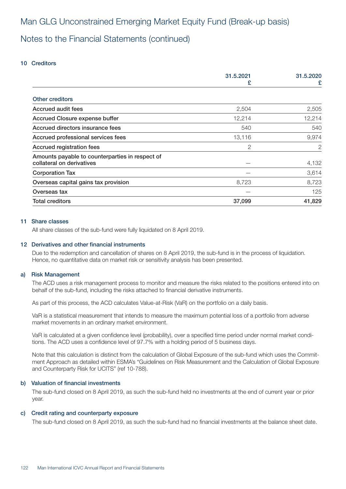# Notes to the Financial Statements (continued)

#### 10 Creditors

|                                                 | 31.5.2021<br>£ | 31.5.2020<br>£ |
|-------------------------------------------------|----------------|----------------|
| <b>Other creditors</b>                          |                |                |
|                                                 |                |                |
| Accrued audit fees                              | 2,504          | 2,505          |
| <b>Accrued Closure expense buffer</b>           | 12,214         | 12,214         |
| Accrued directors insurance fees                | 540            | 540            |
| Accrued professional services fees              | 13,116         | 9,974          |
| <b>Accrued registration fees</b>                | 2              | 2              |
| Amounts payable to counterparties in respect of |                |                |
| collateral on derivatives                       |                | 4,132          |
| <b>Corporation Tax</b>                          |                | 3,614          |
| Overseas capital gains tax provision            | 8,723          | 8,723          |
| Overseas tax                                    |                | 125            |
| <b>Total creditors</b>                          | 37,099         | 41,829         |

#### 11 Share classes

All share classes of the sub-fund were fully liquidated on 8 April 2019.

#### 12 Derivatives and other financial instruments

Due to the redemption and cancellation of shares on 8 April 2019, the sub-fund is in the process of liquidation. Hence, no quantitative data on market risk or sensitivity analysis has been presented.

#### a) Risk Management

The ACD uses a risk management process to monitor and measure the risks related to the positions entered into on behalf of the sub-fund, including the risks attached to financial derivative instruments.

As part of this process, the ACD calculates Value-at-Risk (VaR) on the portfolio on a daily basis.

VaR is a statistical measurement that intends to measure the maximum potential loss of a portfolio from adverse market movements in an ordinary market environment.

VaR is calculated at a given confidence level (probability), over a specified time period under normal market conditions. The ACD uses a confidence level of 97.7% with a holding period of 5 business days.

Note that this calculation is distinct from the calculation of Global Exposure of the sub-fund which uses the Commitment Approach as detailed within ESMA's "Guidelines on Risk Measurement and the Calculation of Global Exposure and Counterparty Risk for UCITS" (ref 10-788).

#### b) Valuation of financial investments

The sub-fund closed on 8 April 2019, as such the sub-fund held no investments at the end of current year or prior year.

#### c) Credit rating and counterparty exposure

The sub-fund closed on 8 April 2019, as such the sub-fund had no financial investments at the balance sheet date.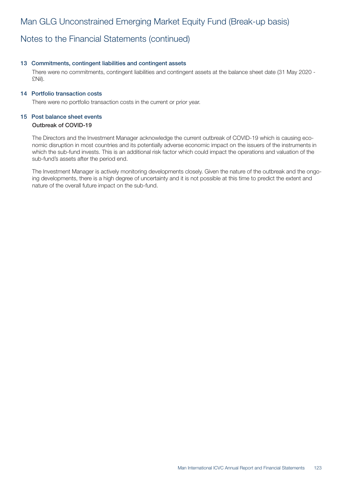# Notes to the Financial Statements (continued)

#### 13 Commitments, contingent liabilities and contingent assets

There were no commitments, contingent liabilities and contingent assets at the balance sheet date (31 May 2020 - £Nil).

#### 14 Portfolio transaction costs

There were no portfolio transaction costs in the current or prior year.

### 15 Post balance sheet events

### Outbreak of COVID-19

The Directors and the Investment Manager acknowledge the current outbreak of COVID-19 which is causing economic disruption in most countries and its potentially adverse economic impact on the issuers of the instruments in which the sub-fund invests. This is an additional risk factor which could impact the operations and valuation of the sub-fund's assets after the period end.

The Investment Manager is actively monitoring developments closely. Given the nature of the outbreak and the ongoing developments, there is a high degree of uncertainty and it is not possible at this time to predict the extent and nature of the overall future impact on the sub-fund.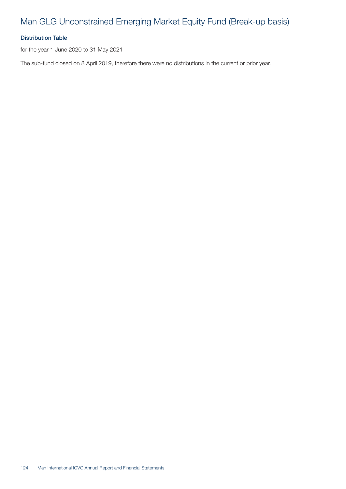## Distribution Table

for the year 1 June 2020 to 31 May 2021

The sub-fund closed on 8 April 2019, therefore there were no distributions in the current or prior year.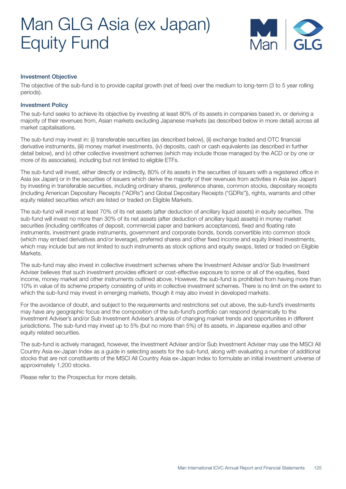

#### Investment Objective

The objective of the sub-fund is to provide capital growth (net of fees) over the medium to long-term (3 to 5 year rolling periods).

#### Investment Policy

The sub-fund seeks to achieve its objective by investing at least 80% of its assets in companies based in, or deriving a majority of their revenues from, Asian markets excluding Japanese markets (as described below in more detail) across all market capitalisations.

The sub-fund may invest in: (i) transferable securities (as described below), (ii) exchange traded and OTC financial derivative instruments, (iii) money market investments, (iv) deposits, cash or cash equivalents (as described in further detail below), and (v) other collective investment schemes (which may include those managed by the ACD or by one or more of its associates), including but not limited to eligible ETFs.

The sub-fund will invest, either directly or indirectly, 80% of its assets in the securities of issuers with a registered office in Asia (ex Japan) or in the securities of issuers which derive the majority of their revenues from activities in Asia (ex Japan) by investing in transferable securities, including ordinary shares, preference shares, common stocks, depositary receipts (including American Depositary Receipts ("ADRs") and Global Depositary Receipts ("GDRs")), rights, warrants and other equity related securities which are listed or traded on Eligible Markets.

The sub-fund will invest at least 70% of its net assets (after deduction of ancillary liquid assets) in equity securities. The sub-fund will invest no more than 30% of its net assets (after deduction of ancillary liquid assets) in money market securities (including certificates of deposit, commercial paper and bankers acceptances), fixed and floating rate instruments, investment grade instruments, government and corporate bonds, bonds convertible into common stock (which may embed derivatives and/or leverage), preferred shares and other fixed income and equity linked investments, which may include but are not limited to such instruments as stock options and equity swaps, listed or traded on Eligible Markets.

The sub-fund may also invest in collective investment schemes where the Investment Adviser and/or Sub Investment Adviser believes that such investment provides efficient or cost-effective exposure to some or all of the equities, fixed income, money market and other instruments outlined above. However, the sub-fund is prohibited from having more than 10% in value of its scheme property consisting of units in collective investment schemes. There is no limit on the extent to which the sub-fund may invest in emerging markets, though it may also invest in developed markets.

For the avoidance of doubt, and subject to the requirements and restrictions set out above, the sub-fund's investments may have any geographic focus and the composition of the sub-fund's portfolio can respond dynamically to the Investment Adviser's and/or Sub Investment Adviser's analysis of changing market trends and opportunities in different jurisdictions. The sub-fund may invest up to 5% (but no more than 5%) of its assets, in Japanese equities and other equity related securities.

The sub-fund is actively managed, however, the Investment Adviser and/or Sub Investment Adviser may use the MSCI All Country Asia ex-Japan Index as a guide in selecting assets for the sub-fund, along with evaluating a number of additional stocks that are not constituents of the MSCI All Country Asia ex-Japan Index to formulate an initial investment universe of approximately 1,200 stocks.

Please refer to the Prospectus for more details.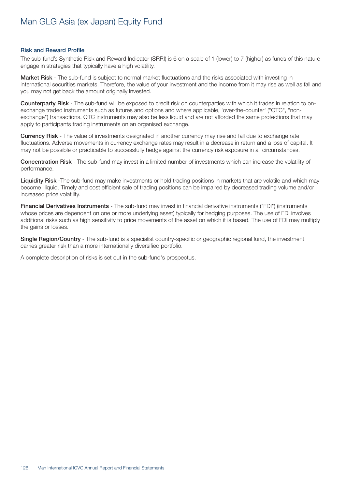#### Risk and Reward Profile

The sub-fund's Synthetic Risk and Reward Indicator (SRRI) is 6 on a scale of 1 (lower) to 7 (higher) as funds of this nature engage in strategies that typically have a high volatility.

Market Risk - The sub-fund is subject to normal market fluctuations and the risks associated with investing in international securities markets. Therefore, the value of your investment and the income from it may rise as well as fall and you may not get back the amount originally invested.

Counterparty Risk - The sub-fund will be exposed to credit risk on counterparties with which it trades in relation to onexchange traded instruments such as futures and options and where applicable, 'over-the-counter' ("OTC", "nonexchange") transactions. OTC instruments may also be less liquid and are not afforded the same protections that may apply to participants trading instruments on an organised exchange.

Currency Risk - The value of investments designated in another currency may rise and fall due to exchange rate fluctuations. Adverse movements in currency exchange rates may result in a decrease in return and a loss of capital. It may not be possible or practicable to successfully hedge against the currency risk exposure in all circumstances.

Concentration Risk - The sub-fund may invest in a limited number of investments which can increase the volatility of performance.

Liquidity Risk -The sub-fund may make investments or hold trading positions in markets that are volatile and which may become illiquid. Timely and cost efficient sale of trading positions can be impaired by decreased trading volume and/or increased price volatility.

Financial Derivatives Instruments - The sub-fund may invest in financial derivative instruments ("FDI") (instruments whose prices are dependent on one or more underlying asset) typically for hedging purposes. The use of FDI involves additional risks such as high sensitivity to price movements of the asset on which it is based. The use of FDI may multiply the gains or losses.

Single Region/Country - The sub-fund is a specialist country-specific or geographic regional fund, the investment carries greater risk than a more internationally diversified portfolio.

A complete description of risks is set out in the sub-fund's prospectus.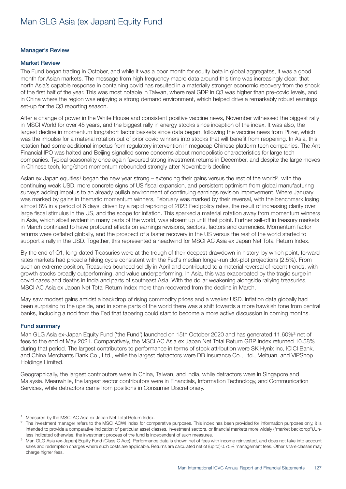#### Manager's Review

#### Market Review

The Fund began trading in October, and while it was a poor month for equity beta in global aggregates, it was a good month for Asian markets. The message from high frequency macro data around this time was increasingly clear: that north Asia's capable response in containing covid has resulted in a materially stronger economic recovery from the shock of the first half of the year. This was most notable in Taiwan, where real GDP in Q3 was higher than pre-covid levels, and in China where the region was enjoying a strong demand environment, which helped drive a remarkably robust earnings set-up for the Q3 reporting season.

After a change of power in the White House and consistent positive vaccine news, November witnessed the biggest rally in MSCI World for over 45 years, and the biggest rally in energy stocks since inception of the index. It was also, the largest decline in momentum long/short factor baskets since data began, following the vaccine news from Pfizer, which was the impulse for a material rotation out of prior covid winners into stocks that will benefit from reopening. In Asia, this rotation had some additional impetus from regulatory intervention in megacap Chinese platform tech companies. The Ant Financial IPO was halted and Beijing signalled some concerns about monopolistic characteristics for large tech companies. Typical seasonality once again favoured strong investment returns in December, and despite the large moves in Chinese tech, long/short momentum rebounded strongly after November's decline.

Asian ex Japan equities<sup>1</sup> began the new year strong – extending their gains versus the rest of the world<sup>2</sup>, with the continuing weak USD, more concrete signs of US fiscal expansion, and persistent optimism from global manufacturing surveys adding impetus to an already bullish environment of continuing earnings revision improvement. Where January was marked by gains in thematic momentum winners, February was marked by their reversal, with the benchmark losing almost 8% in a period of 6 days, driven by a rapid repricing of 2023 Fed policy rates, the result of increasing clarity over large fiscal stimulus in the US, and the scope for inflation. This sparked a material rotation away from momentum winners in Asia, which albeit evident in many parts of the world, was absent up until that point. Further sell-off in treasury markets in March continued to have profound effects on earnings revisions, sectors, factors and currencies. Momentum factor returns were deflated globally, and the prospect of a faster recovery in the US versus the rest of the world started to support a rally in the USD. Together, this represented a headwind for MSCI AC Asia ex Japan Net Total Return Index.

By the end of Q1, long-dated Treasuries were at the trough of their deepest drawdown in history, by which point, forward rates markets had priced a hiking cycle consistent with the Fed's median longer-run dot-plot projections (2.5%). From such an extreme position, Treasuries bounced solidly in April and contributed to a material reversal of recent trends, with growth stocks broadly outperforming, and value underperforming. In Asia, this was exacerbated by the tragic surge in covid cases and deaths in India and parts of southeast Asia. With the dollar weakening alongside rallying treasuries, MSCI AC Asia ex Japan Net Total Return Index more than recovered from the decline in March.

May saw modest gains amidst a backdrop of rising commodity prices and a weaker USD. Inflation data globally had been surprising to the upside, and in some parts of the world there was a shift towards a more hawkish tone from central banks, including a nod from the Fed that tapering could start to become a more active discussion in coming months.

#### Fund summary

Man GLG Asia ex-Japan Equity Fund ('the Fund') launched on 15th October 2020 and has generated 11.60%<sup>3</sup> net of fees to the end of May 2021. Comparatively, the MSCI AC Asia ex Japan Net Total Return GBP Index returned 10.58% during that period. The largest contributors to performance in terms of stock attribution were SK Hynix Inc, ICICI Bank, and China Merchants Bank Co., Ltd., while the largest detractors were DB Insurance Co., Ltd., Meituan, and VIPShop Holdings Limited.

Geographically, the largest contributors were in China, Taiwan, and India, while detractors were in Singapore and Malaysia. Meanwhile, the largest sector contributors were in Financials, Information Technology, and Communication Services, while detractors came from positions in Consumer Discretionary.

Measured by the MSCI AC Asia ex Japan Net Total Return Index.

<sup>&</sup>lt;sup>2</sup> The investment manager refers to the MSCI ACWI index for comparative purposes. This index has been provided for information purposes only, it is intended to provide a comparative indication of particular asset classes, investment sectors, or financial markets more widely ("market backdrop").Unless indicated otherwise, the investment process of the fund is independent of such measures.

<sup>3</sup> Man GLG Asia (ex-Japan) Equity Fund (Class C Acc). Performance data is shown net of fees with income reinvested, and does not take into account sales and redemption charges where such costs are applicable. Returns are calculated net of (up to) 0.75% management fees. Other share classes may charge higher fees.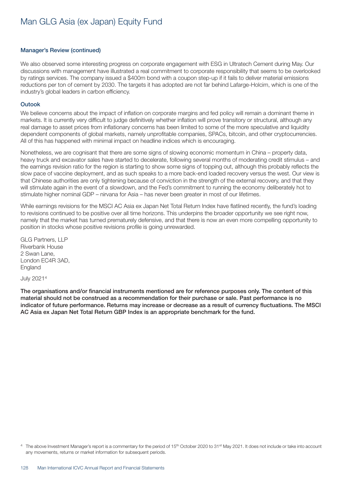#### Manager's Review (continued)

We also observed some interesting progress on corporate engagement with ESG in Ultratech Cement during May. Our discussions with management have illustrated a real commitment to corporate responsibility that seems to be overlooked by ratings services. The company issued a \$400m bond with a coupon step-up if it fails to deliver material emissions reductions per ton of cement by 2030. The targets it has adopted are not far behind Lafarge-Holcim, which is one of the industry's global leaders in carbon efficiency.

#### **Outook**

We believe concerns about the impact of inflation on corporate margins and fed policy will remain a dominant theme in markets. It is currently very difficult to judge definitively whether inflation will prove transitory or structural, although any real damage to asset prices from inflationary concerns has been limited to some of the more speculative and liquidity dependent components of global markets, namely unprofitable companies, SPACs, bitcoin, and other cryptocurrencies. All of this has happened with minimal impact on headline indices which is encouraging.

Nonetheless, we are cognisant that there are some signs of slowing economic momentum in China – property data, heavy truck and excavator sales have started to decelerate, following several months of moderating credit stimulus – and the earnings revision ratio for the region is starting to show some signs of topping out, although this probably reflects the slow pace of vaccine deployment, and as such speaks to a more back-end loaded recovery versus the west. Our view is that Chinese authorities are only tightening because of conviction in the strength of the external recovery, and that they will stimulate again in the event of a slowdown, and the Fed's commitment to running the economy deliberately hot to stimulate higher nominal GDP – nirvana for Asia – has never been greater in most of our lifetimes.

While earnings revisions for the MSCI AC Asia ex Japan Net Total Return Index have flatlined recently, the fund's loading to revisions continued to be positive over all time horizons. This underpins the broader opportunity we see right now, namely that the market has turned prematurely defensive, and that there is now an even more compelling opportunity to position in stocks whose positive revisions profile is going unrewarded.

GLG Partners, LLP Riverbank House 2 Swan Lane, London EC4R 3AD, England

July 20214

The organisations and/or financial instruments mentioned are for reference purposes only. The content of this material should not be construed as a recommendation for their purchase or sale. Past performance is no indicator of future performance. Returns may increase or decrease as a result of currency fluctuations. The MSCI AC Asia ex Japan Net Total Return GBP Index is an appropriate benchmark for the fund.

<sup>&</sup>lt;sup>4</sup> The above Investment Manager's report is a commentary for the period of 15<sup>th</sup> October 2020 to 31<sup>st</sup> May 2021. It does not include or take into account any movements, returns or market information for subsequent periods.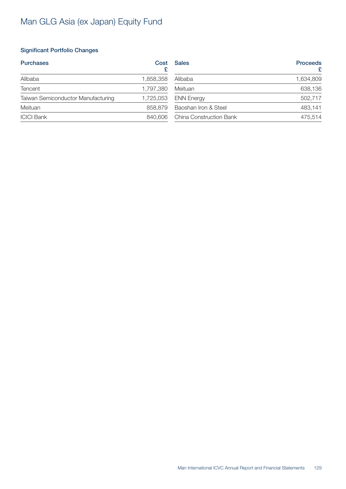## Significant Portfolio Changes

| <b>Purchases</b>                   | Cost      | <b>Sales</b>                   | <b>Proceeds</b><br>£ |
|------------------------------------|-----------|--------------------------------|----------------------|
| Alibaba                            | ,858,358  | Alibaba                        | 1,634,809            |
| <b>Tencent</b>                     | 1,797,380 | Meituan                        | 638,136              |
| Taiwan Semiconductor Manufacturing | 1,725,053 | <b>ENN Energy</b>              | 502,717              |
| Meituan                            | 858,879   | Baoshan Iron & Steel           | 483,141              |
| <b>ICICI Bank</b>                  | 840,606   | <b>China Construction Bank</b> | 475,514              |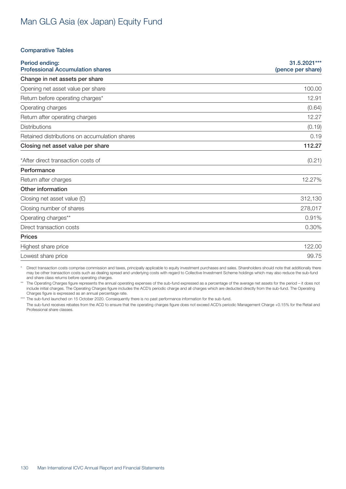#### Comparative Tables

| Period ending:<br><b>Professional Accumulation shares</b> | 31.5.2021***<br>(pence per share) |
|-----------------------------------------------------------|-----------------------------------|
| Change in net assets per share                            |                                   |
| Opening net asset value per share                         | 100.00                            |
| Return before operating charges*                          | 12.91                             |
| Operating charges                                         | (0.64)                            |
| Return after operating charges                            | 12.27                             |
| <b>Distributions</b>                                      | (0.19)                            |
| Retained distributions on accumulation shares             | 0.19                              |
| Closing net asset value per share                         | 112.27                            |
| *After direct transaction costs of                        | (0.21)                            |
| Performance                                               |                                   |
| Return after charges                                      | 12.27%                            |
| Other information                                         |                                   |
| Closing net asset value $(E)$                             | 312,130                           |
| Closing number of shares                                  | 278,017                           |
| Operating charges**                                       | 0.91%                             |
| Direct transaction costs                                  | 0.30%                             |
| <b>Prices</b>                                             |                                   |
| Highest share price                                       | 122.00                            |
| Lowest share price                                        | 99.75                             |

\* Direct transaction costs comprise commission and taxes, principally applicable to equity investment purchases and sales. Shareholders should note that additionally there may be other transaction costs such as dealing spread and underlying costs with regard to Collective Investment Scheme holdings which may also reduce the sub-fund and share class returns before operating charges.

\*\* The Operating Charges figure represents the annual operating expenses of the sub-fund expressed as a percentage of the average net assets for the period – it does not include initial charges. The Operating Charges figure includes the ACD's periodic charge and all charges which are deducted directly from the sub-fund. The Operating Charges figure is expressed as an annual percentage rate.

\*\*\* The sub-fund launched on 15 October 2020. Consequently there is no past performance information for the sub-fund.

The sub-fund receives rebates from the ACD to ensure that the operating charges figure does not exceed ACD's periodic Management Charge +0.15% for the Retail and Professional share classes.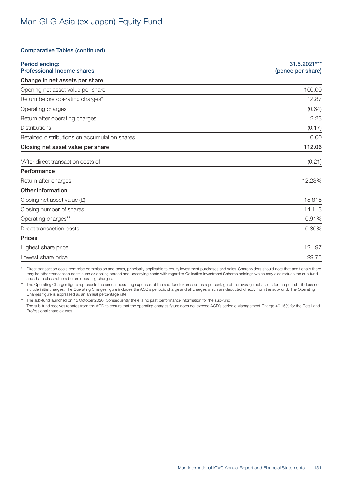#### Comparative Tables (continued)

| Period ending:<br><b>Professional Income shares</b> | 31.5.2021***<br>(pence per share) |
|-----------------------------------------------------|-----------------------------------|
| Change in net assets per share                      |                                   |
| Opening net asset value per share                   | 100.00                            |
| Return before operating charges*                    | 12.87                             |
| Operating charges                                   | (0.64)                            |
| Return after operating charges                      | 12.23                             |
| <b>Distributions</b>                                | (0.17)                            |
| Retained distributions on accumulation shares       | 0.00                              |
| Closing net asset value per share                   | 112.06                            |
| *After direct transaction costs of                  | (0.21)                            |
| Performance                                         |                                   |
| Return after charges                                | 12.23%                            |
| Other information                                   |                                   |
| Closing net asset value $(E)$                       | 15,815                            |
| Closing number of shares                            | 14,113                            |
| Operating charges**                                 | 0.91%                             |
| Direct transaction costs                            | 0.30%                             |
| <b>Prices</b>                                       |                                   |
| Highest share price                                 | 121.97                            |
| Lowest share price                                  | 99.75                             |

\* Direct transaction costs comprise commission and taxes, principally applicable to equity investment purchases and sales. Shareholders should note that additionally there may be other transaction costs such as dealing spread and underlying costs with regard to Collective Investment Scheme holdings which may also reduce the sub-fund and share class returns before operating charges.

The Operating Charges figure represents the annual operating expenses of the sub-fund expressed as a percentage of the average net assets for the period – it does not include initial charges. The Operating Charges figure includes the ACD's periodic charge and all charges which are deducted directly from the sub-fund. The Operating Charges figure is expressed as an annual percentage rate.

\*\*\* The sub-fund launched on 15 October 2020. Consequently there is no past performance information for the sub-fund.

The sub-fund receives rebates from the ACD to ensure that the operating charges figure does not exceed ACD's periodic Management Charge +0.15% for the Retail and Professional share classes.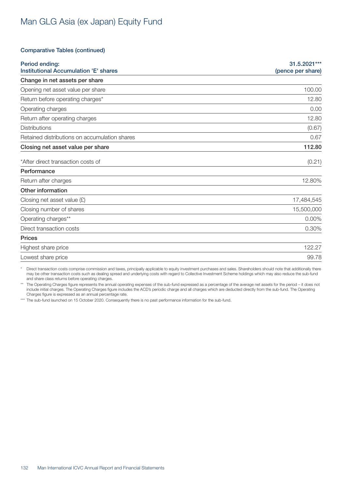#### Comparative Tables (continued)

| Period ending:<br><b>Institutional Accumulation 'E' shares</b> | 31.5.2021***<br>(pence per share) |
|----------------------------------------------------------------|-----------------------------------|
| Change in net assets per share                                 |                                   |
| Opening net asset value per share                              | 100.00                            |
| Return before operating charges*                               | 12.80                             |
| Operating charges                                              | 0.00                              |
| Return after operating charges                                 | 12.80                             |
| <b>Distributions</b>                                           | (0.67)                            |
| Retained distributions on accumulation shares                  | 0.67                              |
| Closing net asset value per share                              | 112.80                            |
| *After direct transaction costs of                             | (0.21)                            |
| Performance                                                    |                                   |
| Return after charges                                           | 12.80%                            |
| Other information                                              |                                   |
| Closing net asset value $(E)$                                  | 17,484,545                        |
| Closing number of shares                                       | 15,500,000                        |
| Operating charges**                                            | $0.00\%$                          |
| Direct transaction costs                                       | 0.30%                             |
| <b>Prices</b>                                                  |                                   |
| Highest share price                                            | 122.27                            |
| Lowest share price                                             | 99.78                             |

\* Direct transaction costs comprise commission and taxes, principally applicable to equity investment purchases and sales. Shareholders should note that additionally there may be other transaction costs such as dealing spread and underlying costs with regard to Collective Investment Scheme holdings which may also reduce the sub-fund and share class returns before operating charges.

The Operating Charges figure represents the annual operating expenses of the sub-fund expressed as a percentage of the average net assets for the period - it does not include initial charges. The Operating Charges figure includes the ACD's periodic charge and all charges which are deducted directly from the sub-fund. The Operating Charges figure is expressed as an annual percentage rate.

\*\*\* The sub-fund launched on 15 October 2020. Consequently there is no past performance information for the sub-fund.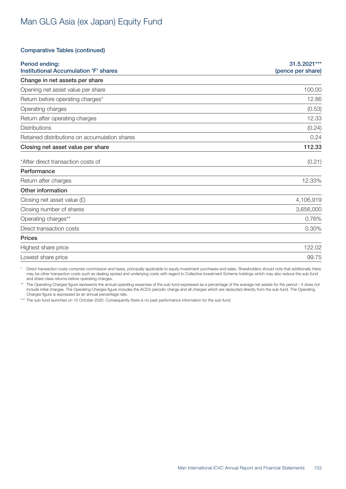### Comparative Tables (continued)

| Period ending:<br><b>Institutional Accumulation 'F' shares</b> | 31.5.2021***<br>(pence per share) |
|----------------------------------------------------------------|-----------------------------------|
| Change in net assets per share                                 |                                   |
| Opening net asset value per share                              | 100.00                            |
| Return before operating charges*                               | 12.86                             |
| Operating charges                                              | (0.53)                            |
| Return after operating charges                                 | 12.33                             |
| <b>Distributions</b>                                           | (0.24)                            |
| Retained distributions on accumulation shares                  | 0.24                              |
| Closing net asset value per share                              | 112.33                            |
| *After direct transaction costs of                             | (0.21)                            |
| Performance                                                    |                                   |
| Return after charges                                           | 12.33%                            |
| Other information                                              |                                   |
| Closing net asset value $(E)$                                  | 4,106,919                         |
| Closing number of shares                                       | 3,656,000                         |
| Operating charges**                                            | 0.76%                             |
| Direct transaction costs                                       | 0.30%                             |
| <b>Prices</b>                                                  |                                   |
| Highest share price                                            | 122.02                            |
| Lowest share price                                             | 99.75                             |

\* Direct transaction costs comprise commission and taxes, principally applicable to equity investment purchases and sales. Shareholders should note that additionally there may be other transaction costs such as dealing spread and underlying costs with regard to Collective Investment Scheme holdings which may also reduce the sub-fund and share class returns before operating charges.

The Operating Charges figure represents the annual operating expenses of the sub-fund expressed as a percentage of the average net assets for the period - it does not include initial charges. The Operating Charges figure includes the ACD's periodic charge and all charges which are deducted directly from the sub-fund. The Operating Charges figure is expressed as an annual percentage rate.

\*\*\* The sub-fund launched on 15 October 2020. Consequently there is no past performance information for the sub-fund.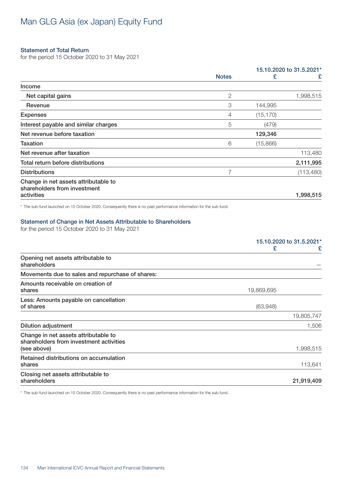#### Statement of Total Return

for the period 15 October 2020 to 31 May 2021

|                                                                      |                |           | 15.10.2020 to 31.5.2021* |
|----------------------------------------------------------------------|----------------|-----------|--------------------------|
|                                                                      | <b>Notes</b>   | £         | £                        |
| Income                                                               |                |           |                          |
| Net capital gains                                                    | $\mathbf{2}$   |           | 1,998,515                |
| Revenue                                                              | 3              | 144,995   |                          |
| <b>Expenses</b>                                                      | $\overline{4}$ | (15, 170) |                          |
| Interest payable and similar charges                                 | 5              | (479)     |                          |
| Net revenue before taxation                                          |                | 129,346   |                          |
| Taxation                                                             | 6              | (15,866)  |                          |
| Net revenue after taxation                                           |                |           | 113,480                  |
| Total return before distributions                                    |                |           | 2,111,995                |
| <b>Distributions</b>                                                 | 7              |           | (113,480)                |
| Change in net assets attributable to<br>shareholders from investment |                |           |                          |
| activities                                                           |                |           | 1,998,515                |
|                                                                      |                |           |                          |

\* The sub-fund launched on 15 October 2020. Consequently there is no past performance information for the sub-fund.

#### Statement of Change in Net Assets Attributable to Shareholders

for the period 15 October 2020 to 31 May 2021

|                                                                                                | 15.10.2020 to 31.5.2021* |  |
|------------------------------------------------------------------------------------------------|--------------------------|--|
|                                                                                                | £<br>£                   |  |
| Opening net assets attributable to<br>shareholders                                             |                          |  |
| Movements due to sales and repurchase of shares:                                               |                          |  |
| Amounts receivable on creation of<br>shares                                                    | 19,869,695               |  |
| Less: Amounts payable on cancellation<br>of shares                                             | (63,948)                 |  |
|                                                                                                | 19,805,747               |  |
| <b>Dilution adjustment</b>                                                                     | 1,506                    |  |
| Change in net assets attributable to<br>shareholders from investment activities<br>(see above) | 1,998,515                |  |
| Retained distributions on accumulation<br>shares                                               | 113,641                  |  |
| Closing net assets attributable to<br>shareholders                                             | 21,919,409               |  |

\* The sub-fund launched on 15 October 2020. Consequently there is no past performance information for the sub-fund.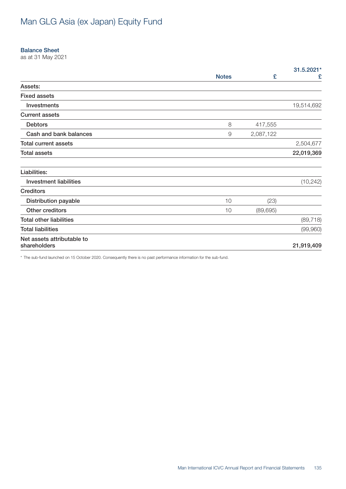#### Balance Sheet

as at 31 May 2021

|                                            |              |           | 31.5.2021* |
|--------------------------------------------|--------------|-----------|------------|
|                                            | <b>Notes</b> | £         | £          |
| Assets:                                    |              |           |            |
| <b>Fixed assets</b>                        |              |           |            |
| Investments                                |              |           | 19,514,692 |
| <b>Current assets</b>                      |              |           |            |
| <b>Debtors</b>                             | $\,8\,$      | 417,555   |            |
| Cash and bank balances                     | $\Theta$     | 2,087,122 |            |
| <b>Total current assets</b>                |              |           | 2,504,677  |
| <b>Total assets</b>                        |              |           | 22,019,369 |
| Liabilities:                               |              |           |            |
| <b>Investment liabilities</b>              |              |           | (10, 242)  |
| <b>Creditors</b>                           |              |           |            |
| <b>Distribution payable</b>                | 10           | (23)      |            |
| Other creditors                            | 10           | (89, 695) |            |
| <b>Total other liabilities</b>             |              |           | (89, 718)  |
| <b>Total liabilities</b>                   |              |           | (99,960)   |
| Net assets attributable to<br>shareholders |              |           | 21,919,409 |

\* The sub-fund launched on 15 October 2020. Consequently there is no past performance information for the sub-fund.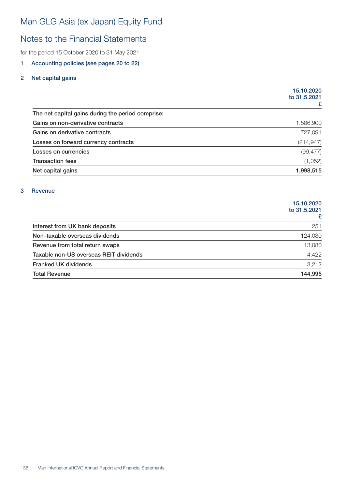# Notes to the Financial Statements

for the period 15 October 2020 to 31 May 2021

### 1 Accounting policies (see pages 20 to 22)

### 2 Net capital gains

|                                                   | 15.10.2020<br>to 31,5,2021 |  |
|---------------------------------------------------|----------------------------|--|
|                                                   | £                          |  |
| The net capital gains during the period comprise: |                            |  |
| Gains on non-derivative contracts                 | 1,586,900                  |  |
| Gains on derivative contracts                     | 727,091                    |  |
| Losses on forward currency contracts              | (214, 947)                 |  |
| Losses on currencies                              | (99, 477)                  |  |
| <b>Transaction fees</b>                           | (1,052)                    |  |
| Net capital gains                                 | 1,998,515                  |  |

### 3 Revenue

|                                        | 15.10.2020<br>to 31,5,2021 |
|----------------------------------------|----------------------------|
| Interest from UK bank deposits         | 251                        |
| Non-taxable overseas dividends         | 124,030                    |
| Revenue from total return swaps        | 13,080                     |
| Taxable non-US overseas REIT dividends | 4,422                      |
| <b>Franked UK dividends</b>            | 3,212                      |
| <b>Total Revenue</b>                   | 144,995                    |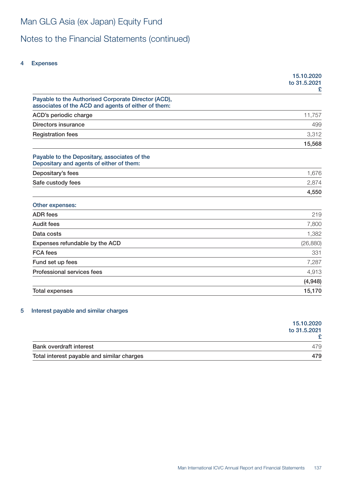# Notes to the Financial Statements (continued)

### 4 Expenses

|                                                                                                            | 15.10.2020<br>to 31.5.2021<br>£ |
|------------------------------------------------------------------------------------------------------------|---------------------------------|
| Payable to the Authorised Corporate Director (ACD),<br>associates of the ACD and agents of either of them: |                                 |
| ACD's periodic charge                                                                                      | 11,757                          |
| Directors insurance                                                                                        | 499                             |
| <b>Registration fees</b>                                                                                   | 3,312                           |
|                                                                                                            | 15,568                          |
| Payable to the Depositary, associates of the<br>Depositary and agents of either of them:                   |                                 |
| Depositary's fees                                                                                          | 1,676                           |
| Safe custody fees                                                                                          | 2,874                           |
|                                                                                                            | 4,550                           |
| Other expenses:                                                                                            |                                 |
| <b>ADR</b> fees                                                                                            | 219                             |
| <b>Audit fees</b>                                                                                          | 7,800                           |
| Data costs                                                                                                 | 1,382                           |
| Expenses refundable by the ACD                                                                             | (26, 880)                       |
| <b>FCA</b> fees                                                                                            | 331                             |
| Fund set up fees                                                                                           | 7,287                           |
| Professional services fees                                                                                 | 4,913                           |
|                                                                                                            | (4,948)                         |
| <b>Total expenses</b>                                                                                      | 15,170                          |

### 5 Interest payable and similar charges

|                                            | 15.10.2020<br>to 31.5.2021 |
|--------------------------------------------|----------------------------|
| <b>Bank overdraft interest</b>             | 479                        |
| Total interest payable and similar charges | 479                        |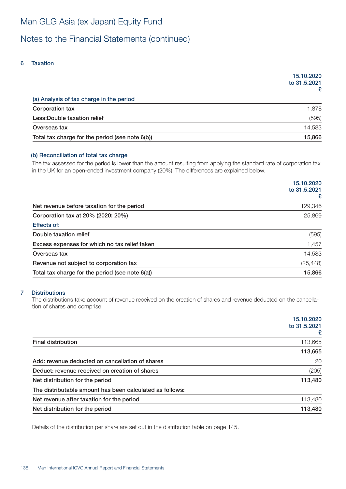# Notes to the Financial Statements (continued)

### 6 Taxation

|                                                 | 15.10.2020<br>to 31,5,2021<br>£ |
|-------------------------------------------------|---------------------------------|
| (a) Analysis of tax charge in the period        |                                 |
| Corporation tax                                 | 1,878                           |
| Less: Double taxation relief                    | (595)                           |
| Overseas tax                                    | 14,583                          |
| Total tax charge for the period (see note 6(b)) | 15,866                          |

### (b) Reconciliation of total tax charge

The tax assessed for the period is lower than the amount resulting from applying the standard rate of corporation tax in the UK for an open-ended investment company (20%). The differences are explained below.

|                                                 | 15.10.2020        |
|-------------------------------------------------|-------------------|
|                                                 | to 31.5.2021<br>£ |
| Net revenue before taxation for the period      | 129,346           |
| Corporation tax at 20% (2020: 20%)              | 25,869            |
| <b>Effects of:</b>                              |                   |
| Double taxation relief                          | (595)             |
| Excess expenses for which no tax relief taken   | 1,457             |
| Overseas tax                                    | 14,583            |
| Revenue not subject to corporation tax          | (25, 448)         |
| Total tax charge for the period (see note 6(a)) | 15,866            |

### 7 Distributions

The distributions take account of revenue received on the creation of shares and revenue deducted on the cancellation of shares and comprise:

|                                                          | 15.10.2020<br>to 31.5.2021<br>£ |
|----------------------------------------------------------|---------------------------------|
| <b>Final distribution</b>                                | 113,665                         |
|                                                          | 113,665                         |
| Add: revenue deducted on cancellation of shares          | 20                              |
| Deduct: revenue received on creation of shares           | (205)                           |
| Net distribution for the period                          | 113,480                         |
| The distributable amount has been calculated as follows: |                                 |
| Net revenue after taxation for the period                | 113,480                         |
| Net distribution for the period                          | 113,480                         |

Details of the distribution per share are set out in the distribution table on page 145.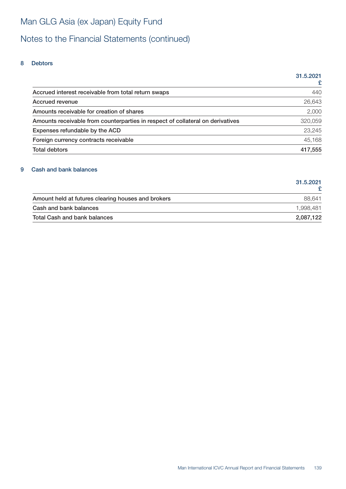# Notes to the Financial Statements (continued)

### 8 Debtors

|                                                                                | 31.5.2021 |
|--------------------------------------------------------------------------------|-----------|
|                                                                                |           |
| Accrued interest receivable from total return swaps                            | 440       |
| Accrued revenue                                                                | 26,643    |
| Amounts receivable for creation of shares                                      | 2,000     |
| Amounts receivable from counterparties in respect of collateral on derivatives | 320,059   |
| Expenses refundable by the ACD                                                 | 23,245    |
| Foreign currency contracts receivable                                          | 45,168    |
| <b>Total debtors</b>                                                           | 417,555   |

### 9 Cash and bank balances

|                                                    | 31.5.2021 |
|----------------------------------------------------|-----------|
| Amount held at futures clearing houses and brokers | 88.641    |
| Cash and bank balances                             | 1.998.481 |
| <b>Total Cash and bank balances</b>                | 2,087,122 |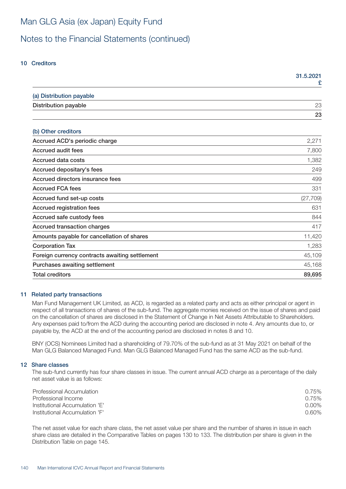# Notes to the Financial Statements (continued)

### 10 Creditors

|                                                | 31.5.2021<br>£ |
|------------------------------------------------|----------------|
| (a) Distribution payable                       |                |
| <b>Distribution payable</b>                    | 23             |
|                                                | 23             |
| (b) Other creditors                            |                |
| Accrued ACD's periodic charge                  | 2,271          |
| <b>Accrued audit fees</b>                      | 7,800          |
| <b>Accrued data costs</b>                      | 1,382          |
| Accrued depositary's fees                      | 249            |
| Accrued directors insurance fees               | 499            |
| <b>Accrued FCA fees</b>                        | 331            |
| Accrued fund set-up costs                      | (27, 709)      |
| <b>Accrued registration fees</b>               | 631            |
| Accrued safe custody fees                      | 844            |
| <b>Accrued transaction charges</b>             | 417            |
| Amounts payable for cancellation of shares     | 11,420         |
| <b>Corporation Tax</b>                         | 1,283          |
| Foreign currency contracts awaiting settlement | 45,109         |
| Purchases awaiting settlement                  | 45,168         |
| <b>Total creditors</b>                         | 89,695         |

### 11 Related party transactions

Man Fund Management UK Limited, as ACD, is regarded as a related party and acts as either principal or agent in respect of all transactions of shares of the sub-fund. The aggregate monies received on the issue of shares and paid on the cancellation of shares are disclosed in the Statement of Change in Net Assets Attributable to Shareholders. Any expenses paid to/from the ACD during the accounting period are disclosed in note 4. Any amounts due to, or payable by, the ACD at the end of the accounting period are disclosed in notes 8 and 10.

BNY (OCS) Nominees Limited had a shareholding of 79.70% of the sub-fund as at 31 May 2021 on behalf of the Man GLG Balanced Managed Fund. Man GLG Balanced Managed Fund has the same ACD as the sub-fund.

#### 12 Share classes

The sub-fund currently has four share classes in issue. The current annual ACD charge as a percentage of the daily net asset value is as follows:

| Professional Accumulation      | 0.75%    |
|--------------------------------|----------|
| Professional Income            | 0.75%    |
| Institutional Accumulation 'E' | $0.00\%$ |
| Institutional Accumulation 'F' | $0.60\%$ |

The net asset value for each share class, the net asset value per share and the number of shares in issue in each share class are detailed in the Comparative Tables on pages 130 to 133. The distribution per share is given in the Distribution Table on page 145.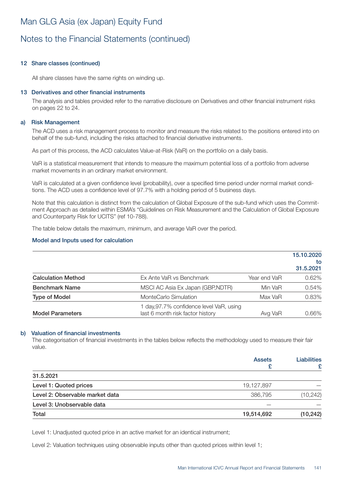# Notes to the Financial Statements (continued)

### 12 Share classes (continued)

All share classes have the same rights on winding up.

#### 13 Derivatives and other financial instruments

The analysis and tables provided refer to the narrative disclosure on Derivatives and other financial instrument risks on pages 22 to 24.

#### a) Risk Management

The ACD uses a risk management process to monitor and measure the risks related to the positions entered into on behalf of the sub-fund, including the risks attached to financial derivative instruments.

As part of this process, the ACD calculates Value-at-Risk (VaR) on the portfolio on a daily basis.

VaR is a statistical measurement that intends to measure the maximum potential loss of a portfolio from adverse market movements in an ordinary market environment.

VaR is calculated at a given confidence level (probability), over a specified time period under normal market conditions. The ACD uses a confidence level of 97.7% with a holding period of 5 business days.

Note that this calculation is distinct from the calculation of Global Exposure of the sub-fund which uses the Commitment Approach as detailed within ESMA's "Guidelines on Risk Measurement and the Calculation of Global Exposure and Counterparty Risk for UCITS" (ref 10-788).

The table below details the maximum, minimum, and average VaR over the period.

#### Model and Inputs used for calculation

|                           |                                                                            |              | 15.10.2020<br>tο<br>31.5.2021 |
|---------------------------|----------------------------------------------------------------------------|--------------|-------------------------------|
| <b>Calculation Method</b> | Ex Ante VaR vs Benchmark                                                   | Year end VaR | 0.62%                         |
| <b>Benchmark Name</b>     | MSCI AC Asia Ex Japan (GBP, NDTR)                                          | Min VaR      | 0.54%                         |
| <b>Type of Model</b>      | MonteCarlo Simulation                                                      | Max VaR      | 0.83%                         |
| <b>Model Parameters</b>   | day, 97.7% confidence level VaR, using<br>last 6 month risk factor history | Avg VaR      | 0.66%                         |

#### b) Valuation of financial investments

The categorisation of financial investments in the tables below reflects the methodology used to measure their fair value.

|                                 | <b>Assets</b> | <b>Liabilities</b><br>₽ |
|---------------------------------|---------------|-------------------------|
| 31.5.2021                       |               |                         |
| Level 1: Quoted prices          | 19,127,897    |                         |
| Level 2: Observable market data | 386,795       | (10, 242)               |
| Level 3: Unobservable data      |               |                         |
| Total                           | 19,514,692    | (10, 242)               |

Level 1: Unadjusted quoted price in an active market for an identical instrument;

Level 2: Valuation techniques using observable inputs other than quoted prices within level 1;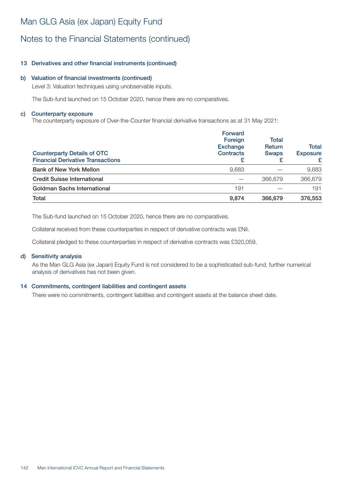# Notes to the Financial Statements (continued)

### 13 Derivatives and other financial instruments (continued)

### b) Valuation of financial investments (continued)

Level 3: Valuation techniques using unobservable inputs.

The Sub-fund launched on 15 October 2020, hence there are no comparatives.

#### c) Counterparty exposure

The counterparty exposure of Over-the-Counter financial derivative transactions as at 31 May 2021:

| <b>Counterparty Details of OTC</b><br><b>Financial Derivative Transactions</b> | <b>Forward</b><br>Foreign<br><b>Exchange</b><br><b>Contracts</b> | <b>Total</b><br><b>Return</b><br><b>Swaps</b> | <b>Total</b><br><b>Exposure</b><br>£ |
|--------------------------------------------------------------------------------|------------------------------------------------------------------|-----------------------------------------------|--------------------------------------|
| <b>Bank of New York Mellon</b>                                                 | 9,683                                                            |                                               | 9,683                                |
| <b>Credit Suisse International</b>                                             |                                                                  | 366,679                                       | 366,679                              |
| <b>Goldman Sachs International</b>                                             | 191                                                              |                                               | 191                                  |
| Total                                                                          | 9.874                                                            | 366,679                                       | 376,553                              |

The Sub-fund launched on 15 October 2020, hence there are no comparatives.

Collateral received from these counterparties in respect of derivative contracts was £Nil.

Collateral pledged to these counterparties in respect of derivative contracts was £320,059.

### d) Sensitivity analysis

As the Man GLG Asia (ex Japan) Equity Fund is not considered to be a sophisticated sub-fund, further numerical analysis of derivatives has not been given.

### 14 Commitments, contingent liabilities and contingent assets

There were no commitments, contingent liabilities and contingent assets at the balance sheet date.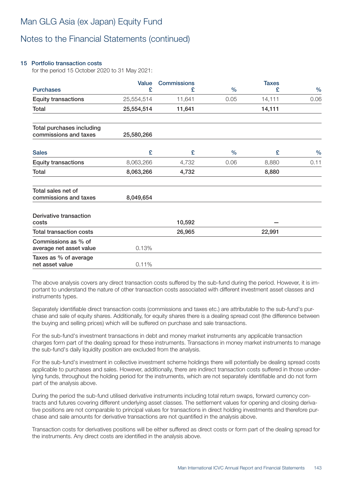# Notes to the Financial Statements (continued)

### 15 Portfolio transaction costs

for the period 15 October 2020 to 31 May 2021:

|                                                    | <b>Value</b> | <b>Commissions</b> |               | <b>Taxes</b> |               |
|----------------------------------------------------|--------------|--------------------|---------------|--------------|---------------|
| <b>Purchases</b>                                   | £            | £                  | $\frac{0}{0}$ | £            | $\frac{0}{0}$ |
| <b>Equity transactions</b>                         | 25,554,514   | 11,641             | 0.05          | 14,111       | 0.06          |
| Total                                              | 25,554,514   | 11,641             |               | 14,111       |               |
| Total purchases including<br>commissions and taxes | 25,580,266   |                    |               |              |               |
| <b>Sales</b>                                       | £            | £                  | $\frac{0}{0}$ | £            | $\frac{0}{0}$ |
| <b>Equity transactions</b>                         | 8,063,266    | 4,732              | 0.06          | 8,880        | 0.11          |
| Total                                              | 8,063,266    | 4,732              |               | 8,880        |               |
| Total sales net of                                 |              |                    |               |              |               |
| commissions and taxes                              | 8,049,654    |                    |               |              |               |
| Derivative transaction<br>costs                    |              | 10,592             |               |              |               |
| <b>Total transaction costs</b>                     |              | 26,965             |               | 22,991       |               |
| Commissions as % of<br>average net asset value     | 0.13%        |                    |               |              |               |
| Taxes as % of average<br>net asset value           | 0.11%        |                    |               |              |               |

The above analysis covers any direct transaction costs suffered by the sub-fund during the period. However, it is important to understand the nature of other transaction costs associated with different investment asset classes and instruments types.

Separately identifiable direct transaction costs (commissions and taxes etc.) are attributable to the sub-fund's purchase and sale of equity shares. Additionally, for equity shares there is a dealing spread cost (the difference between the buying and selling prices) which will be suffered on purchase and sale transactions.

For the sub-fund's investment transactions in debt and money market instruments any applicable transaction charges form part of the dealing spread for these instruments. Transactions in money market instruments to manage the sub-fund's daily liquidity position are excluded from the analysis.

For the sub-fund's investment in collective investment scheme holdings there will potentially be dealing spread costs applicable to purchases and sales. However, additionally, there are indirect transaction costs suffered in those underlying funds, throughout the holding period for the instruments, which are not separately identifiable and do not form part of the analysis above.

During the period the sub-fund utilised derivative instruments including total return swaps, forward currency contracts and futures covering different underlying asset classes. The settlement values for opening and closing derivative positions are not comparable to principal values for transactions in direct holding investments and therefore purchase and sale amounts for derivative transactions are not quantified in the analysis above.

Transaction costs for derivatives positions will be either suffered as direct costs or form part of the dealing spread for the instruments. Any direct costs are identified in the analysis above.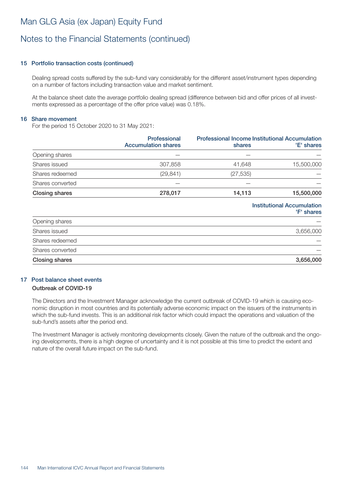# Notes to the Financial Statements (continued)

### 15 Portfolio transaction costs (continued)

Dealing spread costs suffered by the sub-fund vary considerably for the different asset/instrument types depending on a number of factors including transaction value and market sentiment.

At the balance sheet date the average portfolio dealing spread (difference between bid and offer prices of all investments expressed as a percentage of the offer price value) was 0.18%.

#### 16 Share movement

For the period 15 October 2020 to 31 May 2021:

|                       | <b>Professional</b><br><b>Accumulation shares</b> | <b>Professional Income Institutional Accumulation</b><br>shares | 'E' shares                                      |
|-----------------------|---------------------------------------------------|-----------------------------------------------------------------|-------------------------------------------------|
| Opening shares        |                                                   |                                                                 |                                                 |
| Shares issued         | 307,858                                           | 41,648                                                          | 15,500,000                                      |
| Shares redeemed       | (29, 841)                                         | (27, 535)                                                       |                                                 |
| Shares converted      |                                                   |                                                                 |                                                 |
| <b>Closing shares</b> | 278,017                                           | 14,113                                                          | 15,500,000                                      |
|                       |                                                   |                                                                 | <b>Institutional Accumulation</b><br>'F' shares |
| Opening shares        |                                                   |                                                                 |                                                 |
| Shares issued         |                                                   |                                                                 | 3,656,000                                       |
| Shares redeemed       |                                                   |                                                                 |                                                 |
| Shares converted      |                                                   |                                                                 |                                                 |
| Closing shares        |                                                   |                                                                 | 3,656,000                                       |

### 17 Post balance sheet events

#### Outbreak of COVID-19

The Directors and the Investment Manager acknowledge the current outbreak of COVID-19 which is causing economic disruption in most countries and its potentially adverse economic impact on the issuers of the instruments in which the sub-fund invests. This is an additional risk factor which could impact the operations and valuation of the sub-fund's assets after the period end.

The Investment Manager is actively monitoring developments closely. Given the nature of the outbreak and the ongoing developments, there is a high degree of uncertainty and it is not possible at this time to predict the extent and nature of the overall future impact on the sub-fund.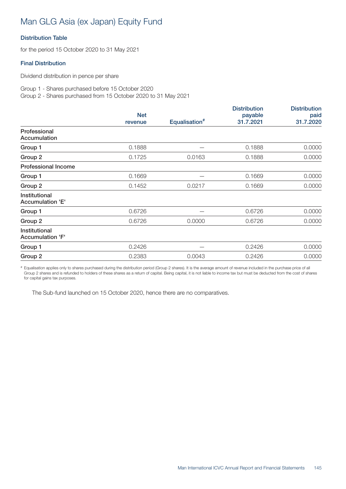## Man GLG Asia (ex Japan) Equity Fund

### Distribution Table

for the period 15 October 2020 to 31 May 2021

### Final Distribution

Dividend distribution in pence per share

Group 1 - Shares purchased before 15 October 2020 Group 2 - Shares purchased from 15 October 2020 to 31 May 2021

|                                          |            |                           | <b>Distribution</b> | <b>Distribution</b> |
|------------------------------------------|------------|---------------------------|---------------------|---------------------|
|                                          | <b>Net</b> |                           | payable             | paid                |
|                                          | revenue    | Equalisation <sup>#</sup> | 31.7.2021           | 31.7.2020           |
| Professional<br>Accumulation             |            |                           |                     |                     |
| Group 1                                  | 0.1888     |                           | 0.1888              | 0.0000              |
| Group 2                                  | 0.1725     | 0.0163                    | 0.1888              | 0.0000              |
| <b>Professional Income</b>               |            |                           |                     |                     |
| Group 1                                  | 0.1669     |                           | 0.1669              | 0.0000              |
| Group 2                                  | 0.1452     | 0.0217                    | 0.1669              | 0.0000              |
| Institutional<br><b>Accumulation 'E'</b> |            |                           |                     |                     |
| Group 1                                  | 0.6726     |                           | 0.6726              | 0.0000              |
| Group 2                                  | 0.6726     | 0.0000                    | 0.6726              | 0.0000              |
| Institutional<br><b>Accumulation 'F'</b> |            |                           |                     |                     |
| Group 1                                  | 0.2426     |                           | 0.2426              | 0.0000              |
| Group 2                                  | 0.2383     | 0.0043                    | 0.2426              | 0.0000              |
|                                          |            |                           |                     |                     |

# Equalisation applies only to shares purchased during the distribution period (Group 2 shares). It is the average amount of revenue included in the purchase price of all Group 2 shares and is refunded to holders of these shares as a return of capital. Being capital, it is not liable to income tax but must be deducted from the cost of shares for capital gains tax purposes.

The Sub-fund launched on 15 October 2020, hence there are no comparatives.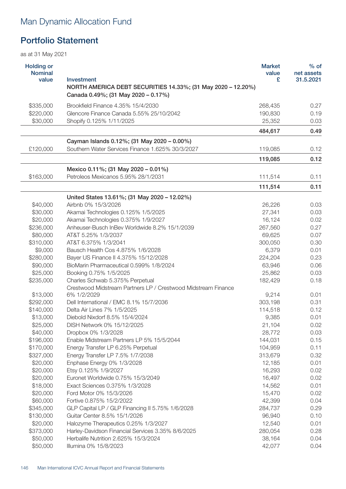# Man Dynamic Allocation Fund

## Portfolio Statement

| NORTH AMERICA DEBT SECURITIES 14.33%; (31 May 2020 - 12.20%)<br>Canada 0.49%; (31 May 2020 - 0.17%)<br>\$335,000<br>Brookfield Finance 4.35% 15/4/2030<br>268,435<br>0.27<br>\$220,000<br>Glencore Finance Canada 5.55% 25/10/2042<br>190,830<br>0.19<br>\$30,000<br>25,352<br>Shopify 0.125% 1/11/2025<br>0.03<br>484,617<br>0.49<br>Cayman Islands 0.12%; (31 May 2020 - 0.00%)<br>Southern Water Services Finance 1.625% 30/3/2027<br>£120,000<br>119,085<br>0.12<br>119,085<br>0.12<br>Mexico 0.11%; (31 May 2020 - 0.01%)<br>\$163,000<br>Petroleos Mexicanos 5.95% 28/1/2031<br>111,514<br>0.11<br>111,514<br>0.11<br>United States 13.61%; (31 May 2020 - 12.02%)<br>\$40,000<br>Airbnb 0% 15/3/2026<br>26,226<br>0.03<br>\$30,000<br>Akamai Technologies 0.125% 1/5/2025<br>27,341<br>0.03<br>\$20,000<br>Akamai Technologies 0.375% 1/9/2027<br>16,124<br>0.02<br>\$236,000<br>Anheuser-Busch InBey Worldwide 8.2% 15/1/2039<br>267,560<br>0.27<br>\$80,000<br>AT&T 5.25% 1/3/2037<br>69,625<br>0.07<br>\$310,000<br>AT&T 6.375% 1/3/2041<br>0.30<br>300,050<br>\$9,000<br>Bausch Health Cos 4.875% 1/6/2028<br>6,379<br>0.01<br>\$280,000<br>Bayer US Finance II 4.375% 15/12/2028<br>224,204<br>0.23<br>\$90,000<br>BioMarin Pharmaceutical 0.599% 1/8/2024<br>63,946<br>0.06<br>\$25,000<br>Booking 0.75% 1/5/2025<br>25,862<br>0.03<br>\$235,000<br>Charles Schwab 5.375% Perpetual<br>0.18<br>182,429<br>Crestwood Midstream Partners LP / Crestwood Midstream Finance<br>\$13,000<br>6% 1/2/2029<br>9,214<br>0.01<br>\$292,000<br>Dell International / EMC 8.1% 15/7/2036<br>303,198<br>0.31<br>\$140,000<br>Delta Air Lines 7% 1/5/2025<br>114,518<br>0.12<br>\$13,000<br>9,385<br>Diebold Nixdorf 8.5% 15/4/2024<br>0.01<br>\$25,000<br>DISH Network 0% 15/12/2025<br>21,104<br>0.02<br>\$40,000<br>Dropbox 0% 1/3/2028<br>28,772<br>0.03<br>Enable Midstream Partners LP 5% 15/5/2044<br>\$196,000<br>144,031<br>0.15<br>\$170,000<br>Energy Transfer LP 6.25% Perpetual<br>104,959<br>0.11<br>\$327,000<br>Energy Transfer LP 7.5% 1/7/2038<br>313,679<br>0.32<br>\$20,000<br>Enphase Energy 0% 1/3/2028<br>12,185<br>0.01<br>\$20,000<br>Etsy 0.125% 1/9/2027<br>16,293<br>0.02<br>\$20,000<br>Euronet Worldwide 0.75% 15/3/2049<br>0.02<br>16,497<br>\$18,000<br>Exact Sciences 0.375% 1/3/2028<br>0.01<br>14,562<br>\$20,000<br>Ford Motor 0% 15/3/2026<br>15,470<br>0.02<br>\$60,000<br>Fortive 0.875% 15/2/2022<br>42,399<br>0.04<br>\$345,000<br>GLP Capital LP / GLP Financing II 5.75% 1/6/2028<br>284,737<br>0.29<br>Guitar Center 8.5% 15/1/2026<br>\$130,000<br>96,940<br>0.10<br>\$20,000<br>Halozyme Therapeutics 0.25% 1/3/2027<br>12,540<br>0.01<br>\$373,000<br>Harley-Davidson Financial Services 3.35% 8/6/2025<br>280,054<br>0.28<br>Herbalife Nutrition 2.625% 15/3/2024<br>\$50,000<br>38,164<br>0.04<br>\$50,000<br>Illumina 0% 15/8/2023<br>42,077<br>0.04 | <b>Holding or</b><br><b>Nominal</b><br>value | Investment | <b>Market</b><br>value<br>£ | $%$ of<br>net assets<br>31.5.2021 |
|------------------------------------------------------------------------------------------------------------------------------------------------------------------------------------------------------------------------------------------------------------------------------------------------------------------------------------------------------------------------------------------------------------------------------------------------------------------------------------------------------------------------------------------------------------------------------------------------------------------------------------------------------------------------------------------------------------------------------------------------------------------------------------------------------------------------------------------------------------------------------------------------------------------------------------------------------------------------------------------------------------------------------------------------------------------------------------------------------------------------------------------------------------------------------------------------------------------------------------------------------------------------------------------------------------------------------------------------------------------------------------------------------------------------------------------------------------------------------------------------------------------------------------------------------------------------------------------------------------------------------------------------------------------------------------------------------------------------------------------------------------------------------------------------------------------------------------------------------------------------------------------------------------------------------------------------------------------------------------------------------------------------------------------------------------------------------------------------------------------------------------------------------------------------------------------------------------------------------------------------------------------------------------------------------------------------------------------------------------------------------------------------------------------------------------------------------------------------------------------------------------------------------------------------------------------------------------------------------------------------------------------------------------------------------------------------------------------------------------------------------------------------------------------------------------------------------------------------------------------------------------------------------|----------------------------------------------|------------|-----------------------------|-----------------------------------|
|                                                                                                                                                                                                                                                                                                                                                                                                                                                                                                                                                                                                                                                                                                                                                                                                                                                                                                                                                                                                                                                                                                                                                                                                                                                                                                                                                                                                                                                                                                                                                                                                                                                                                                                                                                                                                                                                                                                                                                                                                                                                                                                                                                                                                                                                                                                                                                                                                                                                                                                                                                                                                                                                                                                                                                                                                                                                                                      |                                              |            |                             |                                   |
|                                                                                                                                                                                                                                                                                                                                                                                                                                                                                                                                                                                                                                                                                                                                                                                                                                                                                                                                                                                                                                                                                                                                                                                                                                                                                                                                                                                                                                                                                                                                                                                                                                                                                                                                                                                                                                                                                                                                                                                                                                                                                                                                                                                                                                                                                                                                                                                                                                                                                                                                                                                                                                                                                                                                                                                                                                                                                                      |                                              |            |                             |                                   |
|                                                                                                                                                                                                                                                                                                                                                                                                                                                                                                                                                                                                                                                                                                                                                                                                                                                                                                                                                                                                                                                                                                                                                                                                                                                                                                                                                                                                                                                                                                                                                                                                                                                                                                                                                                                                                                                                                                                                                                                                                                                                                                                                                                                                                                                                                                                                                                                                                                                                                                                                                                                                                                                                                                                                                                                                                                                                                                      |                                              |            |                             |                                   |
|                                                                                                                                                                                                                                                                                                                                                                                                                                                                                                                                                                                                                                                                                                                                                                                                                                                                                                                                                                                                                                                                                                                                                                                                                                                                                                                                                                                                                                                                                                                                                                                                                                                                                                                                                                                                                                                                                                                                                                                                                                                                                                                                                                                                                                                                                                                                                                                                                                                                                                                                                                                                                                                                                                                                                                                                                                                                                                      |                                              |            |                             |                                   |
|                                                                                                                                                                                                                                                                                                                                                                                                                                                                                                                                                                                                                                                                                                                                                                                                                                                                                                                                                                                                                                                                                                                                                                                                                                                                                                                                                                                                                                                                                                                                                                                                                                                                                                                                                                                                                                                                                                                                                                                                                                                                                                                                                                                                                                                                                                                                                                                                                                                                                                                                                                                                                                                                                                                                                                                                                                                                                                      |                                              |            |                             |                                   |
|                                                                                                                                                                                                                                                                                                                                                                                                                                                                                                                                                                                                                                                                                                                                                                                                                                                                                                                                                                                                                                                                                                                                                                                                                                                                                                                                                                                                                                                                                                                                                                                                                                                                                                                                                                                                                                                                                                                                                                                                                                                                                                                                                                                                                                                                                                                                                                                                                                                                                                                                                                                                                                                                                                                                                                                                                                                                                                      |                                              |            |                             |                                   |
|                                                                                                                                                                                                                                                                                                                                                                                                                                                                                                                                                                                                                                                                                                                                                                                                                                                                                                                                                                                                                                                                                                                                                                                                                                                                                                                                                                                                                                                                                                                                                                                                                                                                                                                                                                                                                                                                                                                                                                                                                                                                                                                                                                                                                                                                                                                                                                                                                                                                                                                                                                                                                                                                                                                                                                                                                                                                                                      |                                              |            |                             |                                   |
|                                                                                                                                                                                                                                                                                                                                                                                                                                                                                                                                                                                                                                                                                                                                                                                                                                                                                                                                                                                                                                                                                                                                                                                                                                                                                                                                                                                                                                                                                                                                                                                                                                                                                                                                                                                                                                                                                                                                                                                                                                                                                                                                                                                                                                                                                                                                                                                                                                                                                                                                                                                                                                                                                                                                                                                                                                                                                                      |                                              |            |                             |                                   |
|                                                                                                                                                                                                                                                                                                                                                                                                                                                                                                                                                                                                                                                                                                                                                                                                                                                                                                                                                                                                                                                                                                                                                                                                                                                                                                                                                                                                                                                                                                                                                                                                                                                                                                                                                                                                                                                                                                                                                                                                                                                                                                                                                                                                                                                                                                                                                                                                                                                                                                                                                                                                                                                                                                                                                                                                                                                                                                      |                                              |            |                             |                                   |
|                                                                                                                                                                                                                                                                                                                                                                                                                                                                                                                                                                                                                                                                                                                                                                                                                                                                                                                                                                                                                                                                                                                                                                                                                                                                                                                                                                                                                                                                                                                                                                                                                                                                                                                                                                                                                                                                                                                                                                                                                                                                                                                                                                                                                                                                                                                                                                                                                                                                                                                                                                                                                                                                                                                                                                                                                                                                                                      |                                              |            |                             |                                   |
|                                                                                                                                                                                                                                                                                                                                                                                                                                                                                                                                                                                                                                                                                                                                                                                                                                                                                                                                                                                                                                                                                                                                                                                                                                                                                                                                                                                                                                                                                                                                                                                                                                                                                                                                                                                                                                                                                                                                                                                                                                                                                                                                                                                                                                                                                                                                                                                                                                                                                                                                                                                                                                                                                                                                                                                                                                                                                                      |                                              |            |                             |                                   |
|                                                                                                                                                                                                                                                                                                                                                                                                                                                                                                                                                                                                                                                                                                                                                                                                                                                                                                                                                                                                                                                                                                                                                                                                                                                                                                                                                                                                                                                                                                                                                                                                                                                                                                                                                                                                                                                                                                                                                                                                                                                                                                                                                                                                                                                                                                                                                                                                                                                                                                                                                                                                                                                                                                                                                                                                                                                                                                      |                                              |            |                             |                                   |
|                                                                                                                                                                                                                                                                                                                                                                                                                                                                                                                                                                                                                                                                                                                                                                                                                                                                                                                                                                                                                                                                                                                                                                                                                                                                                                                                                                                                                                                                                                                                                                                                                                                                                                                                                                                                                                                                                                                                                                                                                                                                                                                                                                                                                                                                                                                                                                                                                                                                                                                                                                                                                                                                                                                                                                                                                                                                                                      |                                              |            |                             |                                   |
|                                                                                                                                                                                                                                                                                                                                                                                                                                                                                                                                                                                                                                                                                                                                                                                                                                                                                                                                                                                                                                                                                                                                                                                                                                                                                                                                                                                                                                                                                                                                                                                                                                                                                                                                                                                                                                                                                                                                                                                                                                                                                                                                                                                                                                                                                                                                                                                                                                                                                                                                                                                                                                                                                                                                                                                                                                                                                                      |                                              |            |                             |                                   |
|                                                                                                                                                                                                                                                                                                                                                                                                                                                                                                                                                                                                                                                                                                                                                                                                                                                                                                                                                                                                                                                                                                                                                                                                                                                                                                                                                                                                                                                                                                                                                                                                                                                                                                                                                                                                                                                                                                                                                                                                                                                                                                                                                                                                                                                                                                                                                                                                                                                                                                                                                                                                                                                                                                                                                                                                                                                                                                      |                                              |            |                             |                                   |
|                                                                                                                                                                                                                                                                                                                                                                                                                                                                                                                                                                                                                                                                                                                                                                                                                                                                                                                                                                                                                                                                                                                                                                                                                                                                                                                                                                                                                                                                                                                                                                                                                                                                                                                                                                                                                                                                                                                                                                                                                                                                                                                                                                                                                                                                                                                                                                                                                                                                                                                                                                                                                                                                                                                                                                                                                                                                                                      |                                              |            |                             |                                   |
|                                                                                                                                                                                                                                                                                                                                                                                                                                                                                                                                                                                                                                                                                                                                                                                                                                                                                                                                                                                                                                                                                                                                                                                                                                                                                                                                                                                                                                                                                                                                                                                                                                                                                                                                                                                                                                                                                                                                                                                                                                                                                                                                                                                                                                                                                                                                                                                                                                                                                                                                                                                                                                                                                                                                                                                                                                                                                                      |                                              |            |                             |                                   |
|                                                                                                                                                                                                                                                                                                                                                                                                                                                                                                                                                                                                                                                                                                                                                                                                                                                                                                                                                                                                                                                                                                                                                                                                                                                                                                                                                                                                                                                                                                                                                                                                                                                                                                                                                                                                                                                                                                                                                                                                                                                                                                                                                                                                                                                                                                                                                                                                                                                                                                                                                                                                                                                                                                                                                                                                                                                                                                      |                                              |            |                             |                                   |
|                                                                                                                                                                                                                                                                                                                                                                                                                                                                                                                                                                                                                                                                                                                                                                                                                                                                                                                                                                                                                                                                                                                                                                                                                                                                                                                                                                                                                                                                                                                                                                                                                                                                                                                                                                                                                                                                                                                                                                                                                                                                                                                                                                                                                                                                                                                                                                                                                                                                                                                                                                                                                                                                                                                                                                                                                                                                                                      |                                              |            |                             |                                   |
|                                                                                                                                                                                                                                                                                                                                                                                                                                                                                                                                                                                                                                                                                                                                                                                                                                                                                                                                                                                                                                                                                                                                                                                                                                                                                                                                                                                                                                                                                                                                                                                                                                                                                                                                                                                                                                                                                                                                                                                                                                                                                                                                                                                                                                                                                                                                                                                                                                                                                                                                                                                                                                                                                                                                                                                                                                                                                                      |                                              |            |                             |                                   |
|                                                                                                                                                                                                                                                                                                                                                                                                                                                                                                                                                                                                                                                                                                                                                                                                                                                                                                                                                                                                                                                                                                                                                                                                                                                                                                                                                                                                                                                                                                                                                                                                                                                                                                                                                                                                                                                                                                                                                                                                                                                                                                                                                                                                                                                                                                                                                                                                                                                                                                                                                                                                                                                                                                                                                                                                                                                                                                      |                                              |            |                             |                                   |
|                                                                                                                                                                                                                                                                                                                                                                                                                                                                                                                                                                                                                                                                                                                                                                                                                                                                                                                                                                                                                                                                                                                                                                                                                                                                                                                                                                                                                                                                                                                                                                                                                                                                                                                                                                                                                                                                                                                                                                                                                                                                                                                                                                                                                                                                                                                                                                                                                                                                                                                                                                                                                                                                                                                                                                                                                                                                                                      |                                              |            |                             |                                   |
|                                                                                                                                                                                                                                                                                                                                                                                                                                                                                                                                                                                                                                                                                                                                                                                                                                                                                                                                                                                                                                                                                                                                                                                                                                                                                                                                                                                                                                                                                                                                                                                                                                                                                                                                                                                                                                                                                                                                                                                                                                                                                                                                                                                                                                                                                                                                                                                                                                                                                                                                                                                                                                                                                                                                                                                                                                                                                                      |                                              |            |                             |                                   |
|                                                                                                                                                                                                                                                                                                                                                                                                                                                                                                                                                                                                                                                                                                                                                                                                                                                                                                                                                                                                                                                                                                                                                                                                                                                                                                                                                                                                                                                                                                                                                                                                                                                                                                                                                                                                                                                                                                                                                                                                                                                                                                                                                                                                                                                                                                                                                                                                                                                                                                                                                                                                                                                                                                                                                                                                                                                                                                      |                                              |            |                             |                                   |
|                                                                                                                                                                                                                                                                                                                                                                                                                                                                                                                                                                                                                                                                                                                                                                                                                                                                                                                                                                                                                                                                                                                                                                                                                                                                                                                                                                                                                                                                                                                                                                                                                                                                                                                                                                                                                                                                                                                                                                                                                                                                                                                                                                                                                                                                                                                                                                                                                                                                                                                                                                                                                                                                                                                                                                                                                                                                                                      |                                              |            |                             |                                   |
|                                                                                                                                                                                                                                                                                                                                                                                                                                                                                                                                                                                                                                                                                                                                                                                                                                                                                                                                                                                                                                                                                                                                                                                                                                                                                                                                                                                                                                                                                                                                                                                                                                                                                                                                                                                                                                                                                                                                                                                                                                                                                                                                                                                                                                                                                                                                                                                                                                                                                                                                                                                                                                                                                                                                                                                                                                                                                                      |                                              |            |                             |                                   |
|                                                                                                                                                                                                                                                                                                                                                                                                                                                                                                                                                                                                                                                                                                                                                                                                                                                                                                                                                                                                                                                                                                                                                                                                                                                                                                                                                                                                                                                                                                                                                                                                                                                                                                                                                                                                                                                                                                                                                                                                                                                                                                                                                                                                                                                                                                                                                                                                                                                                                                                                                                                                                                                                                                                                                                                                                                                                                                      |                                              |            |                             |                                   |
|                                                                                                                                                                                                                                                                                                                                                                                                                                                                                                                                                                                                                                                                                                                                                                                                                                                                                                                                                                                                                                                                                                                                                                                                                                                                                                                                                                                                                                                                                                                                                                                                                                                                                                                                                                                                                                                                                                                                                                                                                                                                                                                                                                                                                                                                                                                                                                                                                                                                                                                                                                                                                                                                                                                                                                                                                                                                                                      |                                              |            |                             |                                   |
|                                                                                                                                                                                                                                                                                                                                                                                                                                                                                                                                                                                                                                                                                                                                                                                                                                                                                                                                                                                                                                                                                                                                                                                                                                                                                                                                                                                                                                                                                                                                                                                                                                                                                                                                                                                                                                                                                                                                                                                                                                                                                                                                                                                                                                                                                                                                                                                                                                                                                                                                                                                                                                                                                                                                                                                                                                                                                                      |                                              |            |                             |                                   |
|                                                                                                                                                                                                                                                                                                                                                                                                                                                                                                                                                                                                                                                                                                                                                                                                                                                                                                                                                                                                                                                                                                                                                                                                                                                                                                                                                                                                                                                                                                                                                                                                                                                                                                                                                                                                                                                                                                                                                                                                                                                                                                                                                                                                                                                                                                                                                                                                                                                                                                                                                                                                                                                                                                                                                                                                                                                                                                      |                                              |            |                             |                                   |
|                                                                                                                                                                                                                                                                                                                                                                                                                                                                                                                                                                                                                                                                                                                                                                                                                                                                                                                                                                                                                                                                                                                                                                                                                                                                                                                                                                                                                                                                                                                                                                                                                                                                                                                                                                                                                                                                                                                                                                                                                                                                                                                                                                                                                                                                                                                                                                                                                                                                                                                                                                                                                                                                                                                                                                                                                                                                                                      |                                              |            |                             |                                   |
|                                                                                                                                                                                                                                                                                                                                                                                                                                                                                                                                                                                                                                                                                                                                                                                                                                                                                                                                                                                                                                                                                                                                                                                                                                                                                                                                                                                                                                                                                                                                                                                                                                                                                                                                                                                                                                                                                                                                                                                                                                                                                                                                                                                                                                                                                                                                                                                                                                                                                                                                                                                                                                                                                                                                                                                                                                                                                                      |                                              |            |                             |                                   |
|                                                                                                                                                                                                                                                                                                                                                                                                                                                                                                                                                                                                                                                                                                                                                                                                                                                                                                                                                                                                                                                                                                                                                                                                                                                                                                                                                                                                                                                                                                                                                                                                                                                                                                                                                                                                                                                                                                                                                                                                                                                                                                                                                                                                                                                                                                                                                                                                                                                                                                                                                                                                                                                                                                                                                                                                                                                                                                      |                                              |            |                             |                                   |
|                                                                                                                                                                                                                                                                                                                                                                                                                                                                                                                                                                                                                                                                                                                                                                                                                                                                                                                                                                                                                                                                                                                                                                                                                                                                                                                                                                                                                                                                                                                                                                                                                                                                                                                                                                                                                                                                                                                                                                                                                                                                                                                                                                                                                                                                                                                                                                                                                                                                                                                                                                                                                                                                                                                                                                                                                                                                                                      |                                              |            |                             |                                   |
|                                                                                                                                                                                                                                                                                                                                                                                                                                                                                                                                                                                                                                                                                                                                                                                                                                                                                                                                                                                                                                                                                                                                                                                                                                                                                                                                                                                                                                                                                                                                                                                                                                                                                                                                                                                                                                                                                                                                                                                                                                                                                                                                                                                                                                                                                                                                                                                                                                                                                                                                                                                                                                                                                                                                                                                                                                                                                                      |                                              |            |                             |                                   |
|                                                                                                                                                                                                                                                                                                                                                                                                                                                                                                                                                                                                                                                                                                                                                                                                                                                                                                                                                                                                                                                                                                                                                                                                                                                                                                                                                                                                                                                                                                                                                                                                                                                                                                                                                                                                                                                                                                                                                                                                                                                                                                                                                                                                                                                                                                                                                                                                                                                                                                                                                                                                                                                                                                                                                                                                                                                                                                      |                                              |            |                             |                                   |
|                                                                                                                                                                                                                                                                                                                                                                                                                                                                                                                                                                                                                                                                                                                                                                                                                                                                                                                                                                                                                                                                                                                                                                                                                                                                                                                                                                                                                                                                                                                                                                                                                                                                                                                                                                                                                                                                                                                                                                                                                                                                                                                                                                                                                                                                                                                                                                                                                                                                                                                                                                                                                                                                                                                                                                                                                                                                                                      |                                              |            |                             |                                   |
|                                                                                                                                                                                                                                                                                                                                                                                                                                                                                                                                                                                                                                                                                                                                                                                                                                                                                                                                                                                                                                                                                                                                                                                                                                                                                                                                                                                                                                                                                                                                                                                                                                                                                                                                                                                                                                                                                                                                                                                                                                                                                                                                                                                                                                                                                                                                                                                                                                                                                                                                                                                                                                                                                                                                                                                                                                                                                                      |                                              |            |                             |                                   |
|                                                                                                                                                                                                                                                                                                                                                                                                                                                                                                                                                                                                                                                                                                                                                                                                                                                                                                                                                                                                                                                                                                                                                                                                                                                                                                                                                                                                                                                                                                                                                                                                                                                                                                                                                                                                                                                                                                                                                                                                                                                                                                                                                                                                                                                                                                                                                                                                                                                                                                                                                                                                                                                                                                                                                                                                                                                                                                      |                                              |            |                             |                                   |
|                                                                                                                                                                                                                                                                                                                                                                                                                                                                                                                                                                                                                                                                                                                                                                                                                                                                                                                                                                                                                                                                                                                                                                                                                                                                                                                                                                                                                                                                                                                                                                                                                                                                                                                                                                                                                                                                                                                                                                                                                                                                                                                                                                                                                                                                                                                                                                                                                                                                                                                                                                                                                                                                                                                                                                                                                                                                                                      |                                              |            |                             |                                   |
|                                                                                                                                                                                                                                                                                                                                                                                                                                                                                                                                                                                                                                                                                                                                                                                                                                                                                                                                                                                                                                                                                                                                                                                                                                                                                                                                                                                                                                                                                                                                                                                                                                                                                                                                                                                                                                                                                                                                                                                                                                                                                                                                                                                                                                                                                                                                                                                                                                                                                                                                                                                                                                                                                                                                                                                                                                                                                                      |                                              |            |                             |                                   |
|                                                                                                                                                                                                                                                                                                                                                                                                                                                                                                                                                                                                                                                                                                                                                                                                                                                                                                                                                                                                                                                                                                                                                                                                                                                                                                                                                                                                                                                                                                                                                                                                                                                                                                                                                                                                                                                                                                                                                                                                                                                                                                                                                                                                                                                                                                                                                                                                                                                                                                                                                                                                                                                                                                                                                                                                                                                                                                      |                                              |            |                             |                                   |
|                                                                                                                                                                                                                                                                                                                                                                                                                                                                                                                                                                                                                                                                                                                                                                                                                                                                                                                                                                                                                                                                                                                                                                                                                                                                                                                                                                                                                                                                                                                                                                                                                                                                                                                                                                                                                                                                                                                                                                                                                                                                                                                                                                                                                                                                                                                                                                                                                                                                                                                                                                                                                                                                                                                                                                                                                                                                                                      |                                              |            |                             |                                   |
|                                                                                                                                                                                                                                                                                                                                                                                                                                                                                                                                                                                                                                                                                                                                                                                                                                                                                                                                                                                                                                                                                                                                                                                                                                                                                                                                                                                                                                                                                                                                                                                                                                                                                                                                                                                                                                                                                                                                                                                                                                                                                                                                                                                                                                                                                                                                                                                                                                                                                                                                                                                                                                                                                                                                                                                                                                                                                                      |                                              |            |                             |                                   |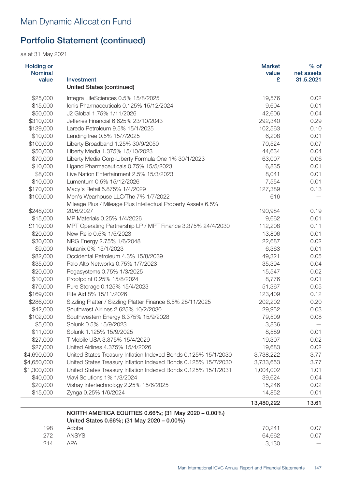| <b>Holding or</b><br><b>Nominal</b><br>value | Investment                                                      | <b>Market</b><br>value<br>£ | $%$ of<br>net assets<br>31.5.2021 |
|----------------------------------------------|-----------------------------------------------------------------|-----------------------------|-----------------------------------|
|                                              | <b>United States (continued)</b>                                |                             |                                   |
| \$25,000                                     | Integra LifeSciences 0.5% 15/8/2025                             | 19,576                      | 0.02                              |
| \$15,000                                     | Ionis Pharmaceuticals 0.125% 15/12/2024                         | 9,604                       | 0.01                              |
| \$50,000                                     | J2 Global 1.75% 1/11/2026                                       | 42,606                      | 0.04                              |
| \$310,000                                    | Jefferies Financial 6.625% 23/10/2043                           | 292,340                     | 0.29                              |
| \$139,000                                    | Laredo Petroleum 9.5% 15/1/2025                                 | 102,563                     | 0.10                              |
| \$10,000                                     | LendingTree 0.5% 15/7/2025                                      | 6,208                       | 0.01                              |
| \$100,000                                    | Liberty Broadband 1.25% 30/9/2050                               | 70,524                      | 0.07                              |
| \$50,000                                     | Liberty Media 1.375% 15/10/2023                                 | 44,634                      | 0.04                              |
| \$70,000                                     | Liberty Media Corp-Liberty Formula One 1% 30/1/2023             | 63,007                      | 0.06                              |
| \$10,000                                     | Ligand Pharmaceuticals 0.75% 15/5/2023                          | 6,835                       | 0.01                              |
| \$8,000                                      | Live Nation Entertainment 2.5% 15/3/2023                        | 8,041                       | 0.01                              |
| \$10,000                                     | Lumentum 0.5% 15/12/2026                                        | 7,554                       | 0.01                              |
| \$170,000                                    | Macy's Retail 5.875% 1/4/2029                                   | 127,389                     | 0.13                              |
| \$100,000                                    | Men's Wearhouse LLC/The 7% 1/7/2022                             | 616                         |                                   |
|                                              | Mileage Plus / Mileage Plus Intellectual Property Assets 6.5%   |                             |                                   |
| \$248,000                                    | 20/6/2027                                                       | 190,984                     | 0.19                              |
| \$15,000                                     | MP Materials 0.25% 1/4/2026                                     | 9,662                       | 0.01                              |
| £110,000                                     | MPT Operating Partnership LP / MPT Finance 3.375% 24/4/2030     | 112,208                     | 0.11                              |
| \$20,000                                     | New Relic 0.5% 1/5/2023                                         | 13,806                      | 0.01                              |
| \$30,000                                     | NRG Energy 2.75% 1/6/2048                                       | 22,687                      | 0.02                              |
| \$9,000                                      | Nutanix 0% 15/1/2023                                            | 6,363                       | 0.01                              |
| \$82,000                                     | Occidental Petroleum 4.3% 15/8/2039                             | 49,321                      | 0.05                              |
| \$35,000                                     | Palo Alto Networks 0.75% 1/7/2023                               | 35,394                      | 0.04                              |
| \$20,000                                     | Pegasystems 0.75% 1/3/2025                                      | 15,547                      | 0.02                              |
| \$10,000                                     | Proofpoint 0.25% 15/8/2024                                      | 8,776                       | 0.01                              |
| \$70,000                                     | Pure Storage 0.125% 15/4/2023                                   | 51,367                      | 0.05                              |
| \$169,000                                    | Rite Aid 8% 15/11/2026                                          | 123,409                     | 0.12                              |
| \$286,000                                    | Sizzling Platter / Sizzling Platter Finance 8.5% 28/11/2025     | 202,202                     | 0.20                              |
| \$42,000                                     | Southwest Airlines 2.625% 10/2/2030                             | 29,952                      | 0.03                              |
| \$102,000                                    | Southwestern Energy 8.375% 15/9/2028                            | 79,509                      | 0.08                              |
| \$5,000                                      | Splunk 0.5% 15/9/2023                                           | 3,836                       |                                   |
| \$11,000                                     | Splunk 1.125% 15/9/2025                                         | 8,589                       | 0.01                              |
| \$27,000                                     | T-Mobile USA 3.375% 15/4/2029                                   | 19,307                      | 0.02                              |
| \$27,000                                     | United Airlines 4.375% 15/4/2026                                | 19,683                      | 0.02                              |
| \$4,690,000                                  | United States Treasury Inflation Indexed Bonds 0.125% 15/1/2030 | 3,738,222                   | 3.77                              |
| \$4,650,000                                  | United States Treasury Inflation Indexed Bonds 0.125% 15/7/2030 | 3,733,653                   | 3.77                              |
| \$1,300,000                                  | United States Treasury Inflation Indexed Bonds 0.125% 15/1/2031 | 1,004,002                   | 1.01                              |
| \$40,000                                     | Viavi Solutions 1% 1/3/2024                                     | 39,624                      | 0.04                              |
| \$20,000                                     | Vishay Intertechnology 2.25% 15/6/2025                          | 15,246                      | 0.02                              |
| \$15,000                                     | Zynga 0.25% 1/6/2024                                            | 14,852                      | 0.01                              |
|                                              |                                                                 | 13,480,222                  | 13.61                             |
|                                              | NORTH AMERICA EQUITIES 0.66%; (31 May 2020 - 0.00%)             |                             |                                   |
|                                              | United States 0.66%; (31 May 2020 - 0.00%)                      |                             |                                   |
| 198                                          | Adobe                                                           | 70,241                      | 0.07                              |
| 272                                          | <b>ANSYS</b>                                                    | 64,662                      | 0.07                              |
| 214                                          | <b>APA</b>                                                      | 3,130                       |                                   |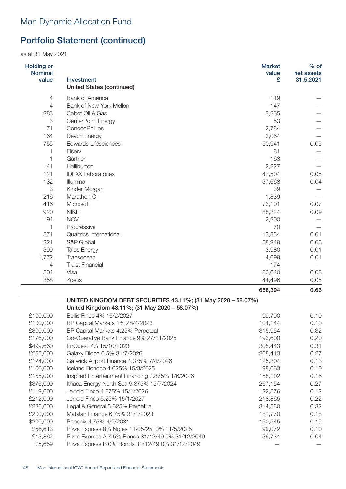as at 31 May 2021

| <b>Holding or</b><br><b>Nominal</b><br>value | Investment<br><b>United States (continued)</b>                                                                 | <b>Market</b><br>value<br>£ | $%$ of<br>net assets<br>31.5.2021 |
|----------------------------------------------|----------------------------------------------------------------------------------------------------------------|-----------------------------|-----------------------------------|
| $\overline{4}$                               | <b>Bank of America</b>                                                                                         | 119                         |                                   |
| $\overline{4}$                               | Bank of New York Mellon                                                                                        | 147                         |                                   |
| 283                                          | Cabot Oil & Gas                                                                                                | 3,265                       |                                   |
| 3                                            | CenterPoint Energy                                                                                             | 53                          |                                   |
| 71                                           | ConocoPhillips                                                                                                 | 2,784                       |                                   |
| 164                                          | Devon Energy                                                                                                   | 3,064                       |                                   |
| 755                                          | <b>Edwards Lifesciences</b>                                                                                    | 50,941                      | 0.05                              |
| 1                                            | Fiserv                                                                                                         | 81                          |                                   |
| 1                                            | Gartner                                                                                                        | 163                         |                                   |
| 141                                          | Halliburton                                                                                                    | 2,227                       |                                   |
| 121                                          | <b>IDEXX Laboratories</b>                                                                                      | 47,504                      | 0.05                              |
| 132                                          | Illumina                                                                                                       | 37,668                      | 0.04                              |
| 3                                            | Kinder Morgan                                                                                                  | 39                          |                                   |
| 216                                          | Marathon Oil                                                                                                   | 1,839                       |                                   |
| 416                                          | Microsoft                                                                                                      | 73,101                      | 0.07                              |
| 920                                          | <b>NIKE</b>                                                                                                    | 88,324                      | 0.09                              |
| 194                                          | <b>NOV</b>                                                                                                     | 2,200                       |                                   |
| 1                                            | Progressive                                                                                                    | 70                          |                                   |
| 571                                          | Qualtrics International                                                                                        | 13,834                      | 0.01                              |
| 221                                          | S&P Global                                                                                                     | 58,949                      | 0.06                              |
| 399                                          | <b>Talos Energy</b>                                                                                            | 3,980                       | 0.01                              |
| 1,772                                        | Transocean                                                                                                     | 4,699                       | 0.01                              |
| 4                                            | <b>Truist Financial</b>                                                                                        | 174                         |                                   |
| 504                                          | Visa                                                                                                           | 80,640                      | 0.08                              |
| 358                                          | Zoetis                                                                                                         | 44,496                      | 0.05                              |
|                                              |                                                                                                                | 658,394                     | 0.66                              |
|                                              | UNITED KINGDOM DEBT SECURITIES 43.11%; (31 May 2020 - 58.07%)<br>United Kingdom 43.11%; (31 May 2020 - 58.07%) |                             |                                   |
| £100,000                                     | Bellis Finco 4% 16/2/2027                                                                                      | 99,790                      | 0.10                              |
| £100,000                                     | BP Capital Markets 1% 28/4/2023                                                                                | 104,144                     | 0.10                              |
| £300,000                                     | BP Capital Markets 4.25% Perpetual                                                                             | 315,954                     | 0.32                              |
| £176,000                                     | Co-Operative Bank Finance 9% 27/11/2025                                                                        | 193,600                     | 0.20                              |
| \$499,660                                    | EnQuest 7% 15/10/2023                                                                                          | 308,443                     | 0.31                              |
| £255,000                                     | Galaxy Bidco 6.5% 31/7/2026                                                                                    | 268,413                     | 0.27                              |
| £124,000                                     | Gatwick Airport Finance 4.375% 7/4/2026                                                                        | 125,304                     | 0.13                              |
| £100,000                                     | Iceland Bondco 4.625% 15/3/2025                                                                                | 98,063                      | 0.10                              |
| £155,000                                     | Inspired Entertainment Financing 7.875% 1/6/2026                                                               | 158,102                     | 0.16                              |
| \$376,000                                    | Ithaca Energy North Sea 9.375% 15/7/2024                                                                       | 267,154                     | 0.27                              |
| £119,000                                     | Jerrold Finco 4.875% 15/1/2026                                                                                 | 122,576                     | 0.12                              |
| £212,000                                     | Jerrold Finco 5.25% 15/1/2027                                                                                  | 218,865                     | 0.22                              |
| £286,000                                     | Legal & General 5.625% Perpetual                                                                               | 314,580                     | 0.32                              |

£200,000 Matalan Finance 6.75% 31/1/2023 181,770 0.18 \$200,000 Phoenix 4.75% 4/9/2031 150,545 150,545 0.15 £56,613 Pizza Express 8% Notes 11/05/25 0% 11/5/2025 99,072 0.10 £13,862 Pizza Express A 7.5% Bonds 31/12/49 0% 31/12/2049 36,734 0.04 £5,659 Pizza Express B 0% Bonds 31/12/49 0% 31/12/2049 — —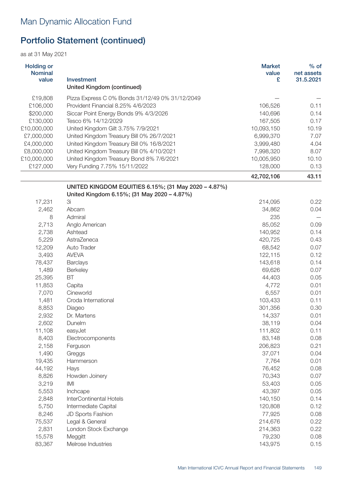as at 31 May 2021

| <b>Holding or</b><br><b>Nominal</b><br>value | Investment<br><b>United Kingdom (continued)</b>      | <b>Market</b><br>value<br>£ | $%$ of<br>net assets<br>31.5.2021 |
|----------------------------------------------|------------------------------------------------------|-----------------------------|-----------------------------------|
| £19,808                                      | Pizza Express C 0% Bonds 31/12/49 0% 31/12/2049      |                             |                                   |
| £106,000                                     | Provident Financial 8.25% 4/6/2023                   | 106,526                     | 0.11                              |
| \$200,000                                    | Siccar Point Energy Bonds 9% 4/3/2026                | 140,696                     | 0.14                              |
| £130,000                                     | Tesco 6% 14/12/2029                                  | 167,505                     | 0.17                              |
| £10,000,000                                  | United Kingdom Gilt 3.75% 7/9/2021                   | 10,093,150                  | 10.19                             |
| £7,000,000                                   | United Kingdom Treasury Bill 0% 26/7/2021            | 6,999,370                   | 7.07                              |
| £4,000,000                                   | United Kingdom Treasury Bill 0% 16/8/2021            | 3,999,480                   | 4.04                              |
| £8,000,000                                   | United Kingdom Treasury Bill 0% 4/10/2021            | 7,998,320                   | 8.07                              |
| £10,000,000                                  | United Kingdom Treasury Bond 8% 7/6/2021             | 10,005,950                  | 10.10                             |
| £127,000                                     | Very Funding 7.75% 15/11/2022                        | 128,000                     | 0.13                              |
|                                              |                                                      | 42,702,106                  | 43.11                             |
|                                              | UNITED KINGDOM EQUITIES 6.15%; (31 May 2020 - 4.87%) |                             |                                   |
|                                              | United Kingdom 6.15%; (31 May 2020 - 4.87%)          |                             |                                   |
| 17,231                                       | 3i                                                   | 214,095                     | 0.22                              |
| 2,462                                        | Abcam                                                | 34,862                      | 0.04                              |
| 8                                            | Admiral                                              | 235                         |                                   |
| 2,713                                        | Anglo American                                       | 85,052                      | 0.09                              |
| 2,738                                        | Ashtead                                              | 140,952                     | 0.14                              |
| 5,229                                        | AstraZeneca                                          | 420,725                     | 0.43                              |
| 12,209                                       | Auto Trader                                          | 68,542                      | 0.07                              |
| 3,493                                        | <b>AVEVA</b>                                         | 122,115                     | 0.12                              |
| 78,437                                       | <b>Barclays</b>                                      | 143,618                     | 0.14                              |
| 1,489                                        | Berkeley                                             | 69,626                      | 0.07                              |
| 25,395                                       | BT                                                   | 44,403                      | 0.05                              |
| 11,853                                       | Capita                                               | 4,772                       | 0.01                              |
| 7,070                                        | Cineworld                                            | 6,557                       | 0.01                              |
| 1,481                                        | Croda International                                  | 103,433                     | 0.11                              |
| 8,853                                        | Diageo                                               | 301,356                     | 0.30                              |
| 2,932                                        | Dr. Martens                                          | 14,337                      | 0.01                              |
| 2,602                                        | Dunelm                                               | 38,119                      | 0.04                              |
| 11,108                                       | easyJet                                              | 111,802                     | 0.11                              |
| 8,403                                        | Electrocomponents                                    | 83,148                      | 0.08                              |
| 2,158                                        | Ferguson                                             | 206,823                     | 0.21                              |
| 1,490                                        | Greggs                                               | 37,071                      | 0.04                              |
| 19,435                                       | Hammerson                                            | 7,764                       | 0.01                              |
| 44,192                                       | Hays                                                 | 76,452                      | 0.08                              |
| 8,826                                        | Howden Joinery                                       | 70,343                      | 0.07                              |
| 3,219                                        | IMI                                                  | 53,403                      | 0.05                              |
| 5,553                                        | Inchcape                                             | 43,397                      | 0.05                              |

2,848 InterContinental Hotels 140,150 0.14 5,750 Intermediate Capital 120,808 0.12 8,246 JD Sports Fashion 2008 2009 12:00 12:00 12:00 12:00 12:00 12:00 12:00 12:00 12:00 12:00 12:00 12:00 12:0 75,537 Legal & General 214,676 0.22 2,831 London Stock Exchange 214,363 0.22 15,578 Meggitt 79,230 0.08 83,367 Melrose Industries 2008 143,975 0.15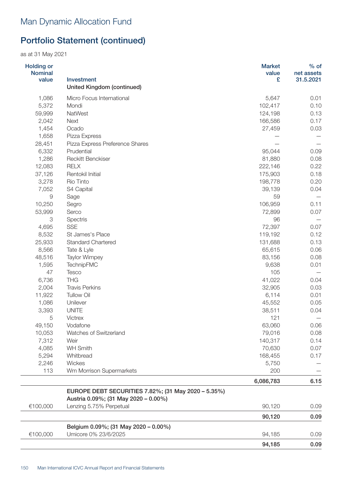| <b>Holding or</b><br><b>Nominal</b><br>value | Investment                                                                                  | <b>Market</b><br>value<br>£ | $%$ of<br>net assets<br>31.5.2021 |
|----------------------------------------------|---------------------------------------------------------------------------------------------|-----------------------------|-----------------------------------|
|                                              | <b>United Kingdom (continued)</b>                                                           |                             |                                   |
| 1,086                                        | Micro Focus International                                                                   | 5,647                       | 0.01                              |
| 5,372                                        | Mondi<br>NatWest                                                                            | 102,417                     | 0.10                              |
| 59,999<br>2,042                              | <b>Next</b>                                                                                 | 124,198<br>166,586          | 0.13<br>0.17                      |
| 1,454                                        | Ocado                                                                                       | 27,459                      | 0.03                              |
| 1,658                                        | Pizza Express                                                                               |                             |                                   |
| 28,451                                       | Pizza Express Preference Shares                                                             |                             |                                   |
| 6,332                                        | Prudential                                                                                  | 95,044                      | 0.09                              |
| 1,286                                        | <b>Reckitt Benckiser</b>                                                                    | 81,880                      | 0.08                              |
| 12,083                                       | <b>RELX</b>                                                                                 | 222,146                     | 0.22                              |
| 37,126                                       | Rentokil Initial                                                                            | 175,903                     | 0.18                              |
| 3,278                                        | Rio Tinto                                                                                   | 198,778                     | 0.20                              |
| 7,052                                        | S4 Capital                                                                                  | 39,139                      | 0.04                              |
| $\Theta$                                     | Sage                                                                                        | 59                          |                                   |
| 10,250                                       | Segro                                                                                       | 106,959                     | 0.11                              |
| 53,999                                       | Serco                                                                                       | 72,899                      | 0.07                              |
| 3                                            | Spectris                                                                                    | 96                          |                                   |
| 4,695                                        | <b>SSE</b>                                                                                  | 72,397                      | 0.07                              |
| 8,532                                        | St James's Place                                                                            | 119,192                     | 0.12                              |
| 25,933                                       | <b>Standard Chartered</b>                                                                   | 131,688                     | 0.13                              |
| 8,566                                        | Tate & Lyle                                                                                 | 65,615                      | 0.06                              |
| 48,516                                       | <b>Taylor Wimpey</b>                                                                        | 83,156                      | 0.08                              |
| 1,595                                        | TechnipFMC                                                                                  | 9,638                       | 0.01                              |
| 47                                           | Tesco                                                                                       | 105                         |                                   |
| 6,736                                        | <b>THG</b>                                                                                  | 41,022                      | 0.04                              |
| 2,004                                        | <b>Travis Perkins</b>                                                                       | 32,905                      | 0.03                              |
| 11,922                                       | <b>Tullow Oil</b>                                                                           | 6,114                       | 0.01                              |
| 1,086                                        | Unilever                                                                                    | 45,552                      | 0.05                              |
| 3,393                                        | <b>UNITE</b>                                                                                | 38,511                      | 0.04                              |
| 5                                            | <b>Victrex</b>                                                                              | 121                         |                                   |
| 49,150                                       | Vodafone                                                                                    | 63,060                      | 0.06                              |
| 10,053                                       | Watches of Switzerland                                                                      | 79,016                      | 0.08                              |
| 7,312                                        | Weir                                                                                        | 140,317                     | 0.14                              |
| 4,085                                        | <b>WH Smith</b>                                                                             | 70,630                      | 0.07                              |
| 5,294                                        | Whitbread                                                                                   | 168,455                     | 0.17                              |
| 2,246                                        | Wickes                                                                                      | 5,750                       |                                   |
| 113                                          | Wm Morrison Supermarkets                                                                    | 200                         |                                   |
|                                              |                                                                                             | 6,086,783                   | 6.15                              |
|                                              | EUROPE DEBT SECURITIES 7.82%; (31 May 2020 - 5.35%)<br>Austria 0.09%; (31 May 2020 - 0.00%) |                             |                                   |
| €100,000                                     | Lenzing 5.75% Perpetual                                                                     | 90,120                      | 0.09                              |
|                                              |                                                                                             | 90,120                      | 0.09                              |
|                                              | Belgium 0.09%; (31 May 2020 - 0.00%)                                                        |                             |                                   |
| €100,000                                     | Umicore 0% 23/6/2025                                                                        | 94,185                      | 0.09                              |
|                                              |                                                                                             | 94,185                      | 0.09                              |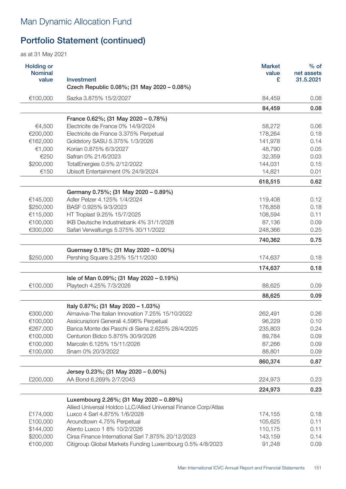| <b>Holding or</b><br><b>Nominal</b><br>value | Investment<br>Czech Republic 0.08%; (31 May 2020 - 0.08%)                                       | <b>Market</b><br>value<br>£ | $%$ of<br>net assets<br>31.5.2021 |
|----------------------------------------------|-------------------------------------------------------------------------------------------------|-----------------------------|-----------------------------------|
| €100,000                                     | Sazka 3.875% 15/2/2027                                                                          | 84,459                      | 0.08                              |
|                                              |                                                                                                 | 84,459                      | 0.08                              |
|                                              | France 0.62%; (31 May 2020 - 0.78%)                                                             |                             |                                   |
| €4,500                                       | Electricite de France 0% 14/9/2024                                                              | 58,272                      | 0.06                              |
| €200,000                                     | Electricite de France 3.375% Perpetual                                                          | 178,264                     | 0.18                              |
| €162,000                                     | Goldstory SASU 5.375% 1/3/2026                                                                  | 141,978                     | 0.14                              |
| €1,000                                       | Korian 0.875% 6/3/2027                                                                          | 48,790                      | 0.05                              |
| €250                                         | Safran 0% 21/6/2023                                                                             | 32,359                      | 0.03                              |
| \$200,000                                    | TotalEnergies 0.5% 2/12/2022                                                                    | 144,031                     | 0.15                              |
| €150                                         | Ubisoft Entertainment 0% 24/9/2024                                                              | 14,821                      | 0.01                              |
|                                              |                                                                                                 | 618,515                     | 0.62                              |
|                                              | Germany 0.75%; (31 May 2020 - 0.89%)                                                            |                             |                                   |
| €145,000                                     | Adler Pelzer 4.125% 1/4/2024                                                                    | 119,408                     | 0.12                              |
| \$250,000                                    | BASF 0.925% 9/3/2023                                                                            | 176,858                     | 0.18                              |
| €115,000                                     | HT Troplast 9.25% 15/7/2025                                                                     | 108,594                     | 0.11                              |
| €100,000                                     | IKB Deutsche Industriebank 4% 31/1/2028                                                         | 87,136                      | 0.09                              |
| €300,000                                     | Safari Verwaltungs 5.375% 30/11/2022                                                            | 248,366                     | 0.25                              |
|                                              |                                                                                                 | 740,362                     | 0.75                              |
|                                              | Guernsey 0.18%; (31 May 2020 - 0.00%)                                                           |                             |                                   |
| \$250,000                                    | Pershing Square 3.25% 15/11/2030                                                                | 174,637                     | 0.18                              |
|                                              |                                                                                                 | 174,637                     | 0.18                              |
|                                              | Isle of Man 0.09%; (31 May 2020 - 0.19%)                                                        |                             |                                   |
| €100,000                                     | Playtech 4.25% 7/3/2026                                                                         | 88,625                      | 0.09                              |
|                                              |                                                                                                 | 88,625                      | 0.09                              |
|                                              | Italy 0.87%; (31 May 2020 - 1.03%)                                                              |                             |                                   |
| €300,000                                     | Almaviva-The Italian Innovation 7.25% 15/10/2022                                                | 262,491                     | 0.26                              |
| €100,000                                     | Assicurazioni Generali 4.596% Perpetual                                                         | 96,229                      | 0.10                              |
| €267,000                                     | Banca Monte dei Paschi di Siena 2.625% 28/4/2025                                                | 235,803                     | 0.24                              |
| €100,000                                     | Centurion Bidco 5.875% 30/9/2026                                                                | 89,784                      | 0.09                              |
| €100,000                                     | Marcolin 6.125% 15/11/2026                                                                      | 87,266                      | 0.09                              |
| €100,000                                     | Snam 0% 20/3/2022                                                                               | 88,801                      | 0.09                              |
|                                              |                                                                                                 | 860,374                     | 0.87                              |
|                                              | Jersey 0.23%; (31 May 2020 - 0.00%)                                                             |                             |                                   |
| £200,000                                     | AA Bond 6.269% 2/7/2043                                                                         | 224,973                     | 0.23                              |
|                                              |                                                                                                 | 224,973                     | 0.23                              |
|                                              | Luxembourg 2.26%; (31 May 2020 - 0.89%)                                                         |                             |                                   |
| £174,000                                     | Allied Universal Holdco LLC/Allied Universal Finance Corp/Atlas<br>Luxco 4 Sarl 4.875% 1/6/2028 | 174,155                     | 0.18                              |
| £100,000                                     | Aroundtown 4.75% Perpetual                                                                      | 105,625                     | 0.11                              |
| \$144,000                                    | Atento Luxco 1 8% 10/2/2026                                                                     | 110,175                     | 0.11                              |
| \$200,000                                    | Cirsa Finance International Sarl 7.875% 20/12/2023                                              | 143,159                     | 0.14                              |
| €100,000                                     | Citigroup Global Markets Funding Luxembourg 0.5% 4/8/2023                                       | 91,248                      | 0.09                              |
|                                              |                                                                                                 |                             |                                   |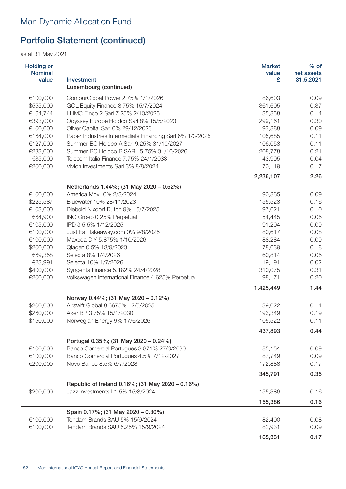| <b>Holding or</b><br><b>Nominal</b><br>value | Investment<br>Luxembourg (continued)                     | <b>Market</b><br>value<br>£ | $%$ of<br>net assets<br>31.5.2021 |
|----------------------------------------------|----------------------------------------------------------|-----------------------------|-----------------------------------|
| €100,000                                     | ContourGlobal Power 2.75% 1/1/2026                       | 86,603                      | 0.09                              |
| \$555,000                                    | GOL Equity Finance 3.75% 15/7/2024                       | 361,605                     | 0.37                              |
| €164,744                                     | LHMC Finco 2 Sarl 7.25% 2/10/2025                        | 135,858                     | 0.14                              |
| €393,000                                     | Odyssey Europe Holdco Sarl 8% 15/5/2023                  | 299,161                     | 0.30                              |
| €100,000                                     | Oliver Capital Sarl 0% 29/12/2023                        | 93,888                      | 0.09                              |
| €164,000                                     | Paper Industries Intermediate Financing Sarl 6% 1/3/2025 | 105,685                     | 0.11                              |
| €127,000                                     | Summer BC Holdco A Sarl 9.25% 31/10/2027                 | 106,053                     | 0.11                              |
| €233,000                                     | Summer BC Holdco B SARL 5.75% 31/10/2026                 | 208,778                     | 0.21                              |
| €35,000                                      | Telecom Italia Finance 7.75% 24/1/2033                   | 43,995                      | 0.04                              |
| €200,000                                     | Vivion Investments Sarl 3% 8/8/2024                      | 170,119                     | 0.17                              |
|                                              |                                                          | 2,236,107                   | 2.26                              |
|                                              | Netherlands 1.44%; (31 May 2020 - 0.52%)                 |                             |                                   |
| €100,000                                     | America Movil 0% 2/3/2024                                | 90,865                      | 0.09                              |
| \$225,587                                    | Bluewater 10% 28/11/2023                                 | 155,523                     | 0.16                              |
| €103,000                                     | Diebold Nixdorf Dutch 9% 15/7/2025                       | 97,621                      | 0.10                              |
| €64,900                                      | ING Groep 0.25% Perpetual                                | 54,445                      | 0.06                              |
| €105,000                                     | IPD 3 5.5% 1/12/2025                                     | 91,204                      | 0.09                              |
| €100,000                                     | Just Eat Takeaway.com 0% 9/8/2025                        | 80,617                      | 0.08                              |
| €100,000                                     | Maxeda DIY 5.875% 1/10/2026                              | 88,284                      | 0.09                              |
| \$200,000                                    | Qiagen 0.5% 13/9/2023                                    | 178,639                     | 0.18                              |
| €69,358                                      | Selecta 8% 1/4/2026                                      | 60,814                      | 0.06                              |
| €23,991                                      | Selecta 10% 1/7/2026                                     | 19,191                      | 0.02                              |
| \$400,000                                    | Syngenta Finance 5.182% 24/4/2028                        | 310,075                     | 0.31                              |
| €200,000                                     | Volkswagen International Finance 4.625% Perpetual        | 198,171                     | 0.20                              |
|                                              |                                                          | 1,425,449                   | 1.44                              |
|                                              | Norway 0.44%; (31 May 2020 - 0.12%)                      |                             |                                   |
| \$200,000                                    | Airswift Global 8.6675% 12/5/2025                        | 139,022                     | 0.14                              |
| \$260,000                                    | Aker BP 3.75% 15/1/2030                                  | 193,349                     | 0.19                              |
| \$150,000                                    | Norwegian Energy 9% 17/6/2026                            | 105,522                     | 0.11                              |
|                                              |                                                          | 437,893                     | 0.44                              |
|                                              | Portugal 0.35%; (31 May 2020 - 0.24%)                    |                             |                                   |
| €100,000                                     | Banco Comercial Portugues 3.871% 27/3/2030               | 85,154                      | 0.09                              |
| €100,000                                     | Banco Comercial Portugues 4.5% 7/12/2027                 | 87,749                      | 0.09                              |
| €200,000                                     | Novo Banco 8.5% 6/7/2028                                 | 172,888                     | 0.17                              |
|                                              |                                                          | 345,791                     | 0.35                              |
|                                              | Republic of Ireland 0.16%; (31 May 2020 - 0.16%)         |                             |                                   |
| \$200,000                                    | Jazz Investments   1.5% 15/8/2024                        | 155,386                     | 0.16                              |
|                                              |                                                          | 155,386                     | 0.16                              |
|                                              | Spain 0.17%; (31 May 2020 - 0.30%)                       |                             |                                   |
| €100,000                                     | Tendam Brands SAU 5% 15/9/2024                           | 82,400                      | 0.08                              |
| €100,000                                     | Tendam Brands SAU 5.25% 15/9/2024                        | 82,931                      | 0.09                              |
|                                              |                                                          | 165,331                     | 0.17                              |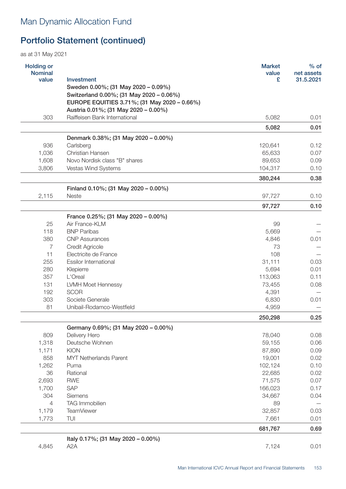as at 31 May 2021

| <b>Holding or</b><br><b>Nominal</b> |                                                                                      | <b>Market</b><br>value | $%$ of<br>net assets |
|-------------------------------------|--------------------------------------------------------------------------------------|------------------------|----------------------|
| value                               | Investment                                                                           | £                      | 31.5.2021            |
|                                     | Sweden 0.00%; (31 May 2020 - 0.09%)                                                  |                        |                      |
|                                     | Switzerland 0.00%; (31 May 2020 - 0.06%)                                             |                        |                      |
|                                     | EUROPE EQUITIES 3.71%; (31 May 2020 - 0.66%)<br>Austria 0.01%; (31 May 2020 - 0.00%) |                        |                      |
| 303                                 | Raiffeisen Bank International                                                        | 5,082                  | 0.01                 |
|                                     |                                                                                      |                        |                      |
|                                     |                                                                                      | 5,082                  | 0.01                 |
|                                     | Denmark 0.38%; (31 May 2020 - 0.00%)                                                 |                        |                      |
| 936                                 | Carlsberg                                                                            | 120,641                | 0.12                 |
| 1,036                               | Christian Hansen                                                                     | 65,633                 | 0.07                 |
| 1,608                               | Novo Nordisk class "B" shares                                                        | 89,653                 | 0.09                 |
| 3,806                               | Vestas Wind Systems                                                                  | 104,317                | 0.10                 |
|                                     |                                                                                      | 380,244                | 0.38                 |
|                                     | Finland 0.10%; (31 May 2020 - 0.00%)                                                 |                        |                      |
| 2,115                               | Neste                                                                                | 97,727                 | 0.10                 |
|                                     |                                                                                      | 97,727                 | 0.10                 |
|                                     | France 0.25%; (31 May 2020 - 0.00%)                                                  |                        |                      |
| 25                                  | Air France-KLM                                                                       | 99                     |                      |
| 118                                 | <b>BNP Paribas</b>                                                                   | 5,669                  |                      |
| 380                                 | <b>CNP Assurances</b>                                                                | 4,846                  | 0.01                 |
| $\overline{7}$                      | <b>Credit Agricole</b>                                                               | 73                     |                      |
| 11                                  | Electricite de France                                                                | 108                    |                      |
| 255                                 | <b>Essilor International</b>                                                         | 31,111                 | 0.03                 |
| 280                                 | Klepierre                                                                            | 5,694                  | 0.01                 |
| 357                                 | L'Oreal                                                                              | 113,063                | 0.11                 |
| 131                                 | LVMH Moet Hennessy                                                                   | 73,455                 | 0.08                 |
| 192                                 | <b>SCOR</b>                                                                          | 4,391                  |                      |
| 303                                 | Societe Generale                                                                     | 6,830                  | 0.01                 |
| 81                                  | Unibail-Rodamco-Westfield                                                            | 4,959                  |                      |
|                                     |                                                                                      | 250,298                | 0.25                 |
|                                     | Germany 0.69%; (31 May 2020 - 0.00%)                                                 |                        |                      |
| 809                                 | Delivery Hero                                                                        | 78,040                 | 0.08                 |
| 1,318                               | Deutsche Wohnen                                                                      | 59,155                 | 0.06                 |
| 1,171                               | <b>KION</b>                                                                          | 87,890                 | 0.09                 |
| 858                                 | <b>MYT Netherlands Parent</b>                                                        | 19,001                 | 0.02                 |
| 1,262                               | Puma                                                                                 | 102,124                | 0.10                 |
| 36                                  | Rational                                                                             | 22,685                 | 0.02                 |
| 2,693                               | <b>RWE</b>                                                                           | 71,575                 | 0.07                 |
| 1,700                               | <b>SAP</b>                                                                           | 166,023                | 0.17                 |
| 304                                 | Siemens                                                                              | 34,667                 | 0.04                 |
| $\overline{4}$                      | TAG Immobilien                                                                       | 89                     |                      |
| 1,179                               | <b>TeamViewer</b>                                                                    | 32,857                 | 0.03                 |
| 1,773                               | TUI                                                                                  | 7,661                  | 0.01                 |
|                                     |                                                                                      | 681,767                | 0.69                 |
|                                     |                                                                                      |                        |                      |
|                                     | Italy 0.17%; (31 May 2020 - 0.00%)                                                   |                        |                      |

4,845 A2A 7,124 0.01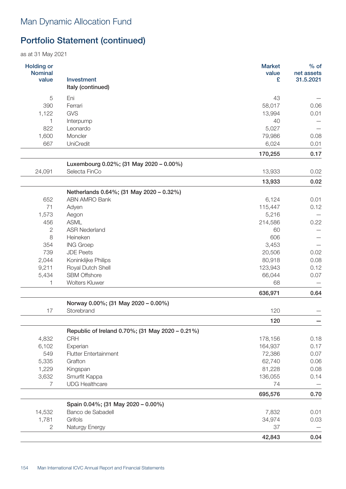| <b>Holding or</b><br><b>Nominal</b><br>value | <b>Investment</b>                                        | <b>Market</b><br>value<br>£ | $%$ of<br>net assets<br>31.5.2021 |
|----------------------------------------------|----------------------------------------------------------|-----------------------------|-----------------------------------|
|                                              | Italy (continued)                                        |                             |                                   |
| 5                                            | Eni                                                      | 43                          |                                   |
| 390                                          | Ferrari                                                  | 58,017                      | 0.06                              |
| 1,122                                        | <b>GVS</b>                                               | 13,994<br>40                | 0.01                              |
| 822                                          | Interpump                                                |                             |                                   |
|                                              | Leonardo<br>Moncler                                      | 5,027<br>79,986             | 0.08                              |
| 1,600<br>667                                 | UniCredit                                                | 6,024                       |                                   |
|                                              |                                                          |                             | 0.01                              |
|                                              |                                                          | 170,255                     | 0.17                              |
| 24,091                                       | Luxembourg 0.02%; (31 May 2020 - 0.00%)<br>Selecta FinCo | 13,933                      | 0.02                              |
|                                              |                                                          |                             |                                   |
|                                              |                                                          | 13,933                      | 0.02                              |
|                                              | Netherlands 0.64%; (31 May 2020 - 0.32%)                 |                             |                                   |
| 652                                          | <b>ABN AMRO Bank</b>                                     | 6,124                       | 0.01                              |
| 71                                           | Adyen                                                    | 115,447                     | 0.12                              |
| 1,573                                        | Aegon                                                    | 5,216                       |                                   |
| 456                                          | <b>ASML</b>                                              | 214,586                     | 0.22                              |
| 2                                            | <b>ASR Nederland</b>                                     | 60                          |                                   |
| 8                                            | Heineken                                                 | 606                         |                                   |
| 354                                          | <b>ING Groep</b>                                         | 3,453                       |                                   |
| 739                                          | <b>JDE Peets</b>                                         | 20,506                      | 0.02                              |
| 2,044                                        | Koninklijke Philips                                      | 80,918                      | 0.08                              |
| 9,211                                        | Royal Dutch Shell                                        | 123,943                     | 0.12                              |
| 5,434                                        | <b>SBM Offshore</b>                                      | 66,044                      | 0.07                              |
| 1                                            | <b>Wolters Kluwer</b>                                    | 68                          |                                   |
|                                              |                                                          | 636,971                     | 0.64                              |
|                                              | Norway 0.00%; (31 May 2020 - 0.00%)                      |                             |                                   |
| 17                                           | Storebrand                                               | 120                         |                                   |
|                                              |                                                          | 120                         |                                   |
|                                              | Republic of Ireland 0.70%; (31 May 2020 - 0.21%)         |                             |                                   |
| 4,832                                        | <b>CRH</b>                                               | 178,156                     | 0.18                              |
| 6,102                                        | Experian                                                 | 164,937                     | 0.17                              |
| 549                                          | <b>Flutter Entertainment</b>                             | 72,386                      | 0.07                              |
| 5,335                                        | Grafton                                                  | 62,740                      | 0.06                              |
| 1,229                                        | Kingspan                                                 | 81,228                      | 0.08                              |
| 3,632                                        | Smurfit Kappa                                            | 136,055                     | 0.14                              |
| $\overline{7}$                               | <b>UDG Healthcare</b>                                    | 74                          |                                   |
|                                              |                                                          | 695,576                     | 0.70                              |
|                                              | Spain 0.04%; (31 May 2020 - 0.00%)                       |                             |                                   |
| 14,532                                       | Banco de Sabadell                                        | 7,832                       | 0.01                              |
| 1,781                                        | Grifols                                                  | 34,974                      | 0.03                              |
| $\overline{2}$                               | Naturgy Energy                                           | 37                          |                                   |
|                                              |                                                          | 42,843                      | 0.04                              |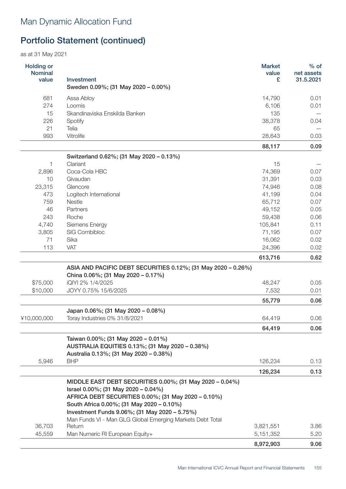| <b>Holding or</b><br><b>Nominal</b><br>value | <b>Investment</b><br>Sweden 0.09%; (31 May 2020 - 0.00%)                                  | <b>Market</b><br>value<br>£ | $%$ of<br>net assets<br>31.5.2021 |
|----------------------------------------------|-------------------------------------------------------------------------------------------|-----------------------------|-----------------------------------|
| 681                                          | Assa Abloy                                                                                | 14,790                      | 0.01                              |
| 274                                          | Loomis                                                                                    | 6,106                       | 0.01                              |
| 15                                           | Skandinaviska Enskilda Banken                                                             | 135                         |                                   |
| 226                                          | Spotify                                                                                   | 38,378                      | 0.04                              |
| 21                                           | Telia                                                                                     | 65                          |                                   |
| 993                                          | Vitrolife                                                                                 | 28,643                      | 0.03                              |
|                                              |                                                                                           | 88,117                      | 0.09                              |
|                                              | Switzerland 0.62%; (31 May 2020 - 0.13%)                                                  |                             |                                   |
| 1                                            | Clariant                                                                                  | 15                          |                                   |
| 2,896                                        | Coca-Cola HBC                                                                             | 74,369                      | 0.07                              |
| 10                                           | Givaudan                                                                                  | 31,391                      | 0.03                              |
| 23,315                                       | Glencore                                                                                  | 74,946                      | 0.08                              |
| 473                                          | Logitech International                                                                    | 41,199                      | 0.04                              |
| 759                                          | <b>Nestle</b>                                                                             | 65,712                      | 0.07                              |
| 46                                           | Partners                                                                                  | 49,152                      | 0.05                              |
| 243                                          | Roche                                                                                     | 59,438                      | 0.06                              |
| 4,740                                        | Siemens Energy                                                                            | 105,841                     | 0.11                              |
| 3,805                                        | SIG Combibloc                                                                             | 71,195                      | 0.07                              |
| 71                                           | Sika                                                                                      | 16,062                      | 0.02                              |
| 113                                          | VAT                                                                                       | 24,396                      | 0.02                              |
|                                              |                                                                                           | 613,716                     | 0.62                              |
|                                              | ASIA AND PACIFIC DEBT SECURITIES 0.12%; (31 May 2020 - 0.26%)                             |                             |                                   |
|                                              | China 0.06%; (31 May 2020 - 0.17%)                                                        |                             |                                   |
| \$75,000                                     | iQIYI 2% 1/4/2025                                                                         | 48,247                      | 0.05                              |
| \$10,000                                     | JOYY 0.75% 15/6/2025                                                                      | 7,532                       | 0.01                              |
|                                              |                                                                                           | 55,779                      | 0.06                              |
|                                              | Japan 0.06%; (31 May 2020 - 0.08%)                                                        |                             |                                   |
| ¥10,000,000                                  | Toray Industries 0% 31/8/2021                                                             | 64,419                      | 0.06                              |
|                                              |                                                                                           | 64,419                      | 0.06                              |
|                                              | Taiwan 0.00%; (31 May 2020 - 0.01%)                                                       |                             |                                   |
|                                              | AUSTRALIA EQUITIES 0.13%; (31 May 2020 - 0.38%)<br>Australia 0.13%; (31 May 2020 - 0.38%) |                             |                                   |
| 5,946                                        | <b>BHP</b>                                                                                | 126,234                     | 0.13                              |
|                                              |                                                                                           |                             |                                   |
|                                              |                                                                                           | 126,234                     | 0.13                              |
|                                              | MIDDLE EAST DEBT SECURITIES 0.00%; (31 May 2020 - 0.04%)                                  |                             |                                   |
|                                              | Israel 0.00%; (31 May 2020 - 0.04%)                                                       |                             |                                   |
|                                              | AFRICA DEBT SECURITIES 0.00%; (31 May 2020 - 0.10%)                                       |                             |                                   |
|                                              | South Africa 0.00%; (31 May 2020 - 0.10%)                                                 |                             |                                   |
|                                              | Investment Funds 9.06%; (31 May 2020 - 5.75%)                                             |                             |                                   |
| 36,703                                       | Man Funds VI - Man GLG Global Emerging Markets Debt Total<br>Return                       | 3,821,551                   | 3.86                              |
| 45,559                                       | Man Numeric RI European Equity+                                                           | 5,151,352                   | 5.20                              |
|                                              |                                                                                           |                             |                                   |
|                                              |                                                                                           | 8,972,903                   | 9.06                              |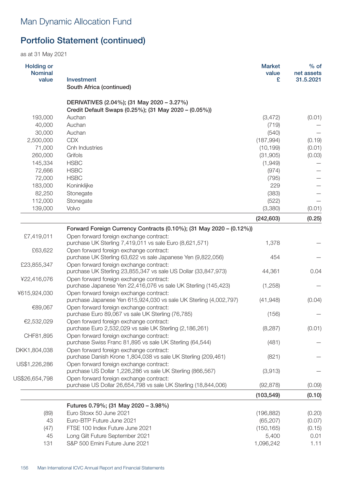| <b>Holding or</b><br><b>Nominal</b><br>value | <b>Investment</b>                                                                                         | <b>Market</b><br>value<br>£ | $%$ of<br>net assets<br>31.5.2021 |
|----------------------------------------------|-----------------------------------------------------------------------------------------------------------|-----------------------------|-----------------------------------|
|                                              | South Africa (continued)                                                                                  |                             |                                   |
|                                              | DERIVATIVES (2.04%); (31 May 2020 - 3.27%)                                                                |                             |                                   |
|                                              | Credit Default Swaps (0.25%); (31 May 2020 - (0.05%))                                                     |                             |                                   |
| 193,000                                      | Auchan                                                                                                    | (3, 472)                    | (0.01)                            |
| 40,000                                       | Auchan                                                                                                    | (719)                       |                                   |
| 30,000                                       | Auchan                                                                                                    | (540)                       |                                   |
| 2,500,000                                    | <b>CDX</b>                                                                                                | (187, 994)                  | (0.19)                            |
| 71,000                                       | Cnh Industries                                                                                            | (10, 199)                   | (0.01)                            |
| 260,000                                      | Grifols                                                                                                   | (31,905)                    | (0.03)                            |
| 145,334                                      | <b>HSBC</b>                                                                                               | (1,949)                     |                                   |
| 72,666                                       | <b>HSBC</b>                                                                                               | (974)                       |                                   |
| 72,000                                       | <b>HSBC</b>                                                                                               | (795)                       |                                   |
| 183,000                                      | Koninklijke                                                                                               | 229                         |                                   |
| 82,250                                       | Stonegate                                                                                                 | (383)                       |                                   |
| 112,000                                      | Stonegate                                                                                                 | (522)                       |                                   |
| 139,000                                      | Volvo                                                                                                     | (3,380)                     | (0.01)                            |
|                                              |                                                                                                           | (242, 603)                  | (0.25)                            |
|                                              | Forward Foreign Currency Contracts (0.10%); (31 May 2020 - (0.12%))                                       |                             |                                   |
| £7,419,011                                   | Open forward foreign exchange contract:                                                                   |                             |                                   |
|                                              | purchase UK Sterling 7,419,011 vs sale Euro (8,621,571)                                                   | 1,378                       |                                   |
| £63,622                                      | Open forward foreign exchange contract:<br>purchase UK Sterling 63,622 vs sale Japanese Yen (9,822,056)   | 454                         |                                   |
| £23,855,347                                  | Open forward foreign exchange contract:                                                                   |                             |                                   |
|                                              | purchase UK Sterling 23,855,347 vs sale US Dollar (33,847,973)                                            | 44,361                      | 0.04                              |
| ¥22,416,076                                  | Open forward foreign exchange contract:                                                                   |                             |                                   |
| ¥615,924,030                                 | purchase Japanese Yen 22,416,076 vs sale UK Sterling (145,423)<br>Open forward foreign exchange contract: | (1,258)                     |                                   |
|                                              | purchase Japanese Yen 615,924,030 vs sale UK Sterling (4,002,797)                                         | (41,948)                    | (0.04)                            |
| €89,067                                      | Open forward foreign exchange contract:                                                                   |                             |                                   |
|                                              | purchase Euro 89,067 vs sale UK Sterling (76,785)                                                         | (156)                       |                                   |
| €2,532,029                                   | Open forward foreign exchange contract:                                                                   |                             |                                   |
|                                              | purchase Euro 2,532,029 vs sale UK Sterling (2,186,261)                                                   | (8, 287)                    | (0.01)                            |
| CHF81,895                                    | Open forward foreign exchange contract:                                                                   |                             |                                   |
|                                              | purchase Swiss Franc 81,895 vs sale UK Sterling (64,544)                                                  | (481)                       |                                   |
| DKK1,804,038                                 | Open forward foreign exchange contract:<br>purchase Danish Krone 1,804,038 vs sale UK Sterling (209,461)  | (821)                       |                                   |
| US\$1,226,286                                | Open forward foreign exchange contract:                                                                   |                             |                                   |
|                                              | purchase US Dollar 1,226,286 vs sale UK Sterling (866,567)                                                | (3,913)                     |                                   |
| US\$26,654,798                               | Open forward foreign exchange contract:                                                                   |                             |                                   |
|                                              | purchase US Dollar 26,654,798 vs sale UK Sterling (18,844,006)                                            | (92, 878)                   | (0.09)                            |
|                                              |                                                                                                           | (103, 549)                  | (0.10)                            |
|                                              | Futures 0.79%; (31 May 2020 - 3.98%)                                                                      |                             |                                   |
| (89)                                         | Euro Stoxx 50 June 2021                                                                                   | (196, 882)                  | (0.20)                            |
| 43                                           | Euro-BTP Future June 2021                                                                                 | (65, 207)                   | (0.07)                            |
| (47)                                         | FTSE 100 Index Future June 2021                                                                           | (150, 165)                  | (0.15)                            |
| 45                                           | Long Gilt Future September 2021                                                                           | 5,400                       | 0.01                              |
| 131                                          | S&P 500 Emini Future June 2021                                                                            | 1,096,242                   | 1.11                              |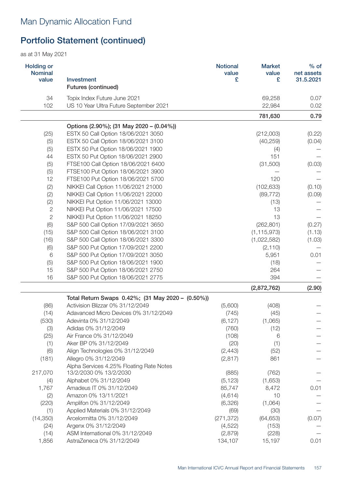| <b>Holding or</b><br><b>Nominal</b><br>value | Investment<br><b>Futures (continued)</b>          | <b>Notional</b><br>value<br>£ | <b>Market</b><br>value<br>£ | % of<br>net assets<br>31.5.2021 |
|----------------------------------------------|---------------------------------------------------|-------------------------------|-----------------------------|---------------------------------|
| 34                                           | Topix Index Future June 2021                      |                               | 69,258                      | 0.07                            |
| 102                                          | US 10 Year Ultra Future September 2021            |                               | 22,984                      | 0.02                            |
|                                              |                                                   |                               | 781,630                     | 0.79                            |
|                                              | Options (2.90%); (31 May 2020 – (0.04%))          |                               |                             |                                 |
| (25)                                         | ESTX 50 Call Option 18/06/2021 3050               |                               | (212,003)                   | (0.22)                          |
| (5)                                          | ESTX 50 Call Option 18/06/2021 3100               |                               | (40, 259)                   | (0.04)                          |
| (5)                                          | ESTX 50 Put Option 18/06/2021 1900                |                               | (4)                         |                                 |
| 44                                           | ESTX 50 Put Option 18/06/2021 2900                |                               | 151                         |                                 |
| (5)                                          | FTSE100 Call Option 18/06/2021 6400               |                               | (31,500)                    | (0.03)                          |
| (5)                                          | FTSE100 Put Option 18/06/2021 3900                |                               |                             |                                 |
| 12                                           | FTSE100 Put Option 18/06/2021 5700                |                               | 120                         |                                 |
| (2)                                          | NIKKEI Call Option 11/06/2021 21000               |                               | (102, 633)                  | (0.10)                          |
| (2)                                          | NIKKEI Call Option 11/06/2021 22000               |                               | (89, 772)                   | (0.09)                          |
| (2)                                          | NIKKEI Put Option 11/06/2021 13000                |                               | (13)                        |                                 |
| $\sqrt{2}$                                   | NIKKEI Put Option 11/06/2021 17500                |                               | 13                          |                                 |
| $\overline{2}$                               | NIKKEI Put Option 11/06/2021 18250                |                               | 13                          |                                 |
| (6)                                          | S&P 500 Call Option 17/09/2021 3650               |                               | (262, 801)                  | (0.27)                          |
|                                              |                                                   |                               |                             |                                 |
| (15)                                         | S&P 500 Call Option 18/06/2021 3100               |                               | (1, 115, 973)               | (1.13)                          |
| (16)                                         | S&P 500 Call Option 18/06/2021 3300               |                               | (1,022,582)                 | (1.03)                          |
| (6)                                          | S&P 500 Put Option 17/09/2021 2200                |                               | (2, 110)                    |                                 |
| 6                                            | S&P 500 Put Option 17/09/2021 3050                |                               | 5,951                       | 0.01                            |
| (5)                                          | S&P 500 Put Option 18/06/2021 1900                |                               | (18)                        |                                 |
| 15                                           | S&P 500 Put Option 18/06/2021 2750                |                               | 264                         |                                 |
| 16                                           | S&P 500 Put Option 18/06/2021 2775                |                               | 394                         |                                 |
|                                              |                                                   |                               | (2,872,762)                 | (2.90)                          |
|                                              | Total Return Swaps 0.42%; (31 May 2020 - (0.50%)) |                               |                             |                                 |
| (86)                                         | Activision Blizzar 0% 31/12/2049                  | (5,600)                       | (408)                       |                                 |
| (14)                                         | Adavanced Micro Devices 0% 31/12/2049             | (745)                         | (45)                        |                                 |
| (530)                                        | Adevinta 0% 31/12/2049                            | (6, 127)                      | (1,065)                     |                                 |
| (3)                                          | Adidas 0% 31/12/2049                              | (760)                         | (12)                        |                                 |
| (25)                                         | Air France 0% 31/12/2049                          | (108)                         | 6                           |                                 |
| (1)                                          | Aker BP 0% 31/12/2049                             | (20)                          | (1)                         |                                 |
| (6)                                          | Align Technologies 0% 31/12/2049                  | (2, 443)                      | (52)                        |                                 |
| (181)                                        | Allegro 0% 31/12/2049                             | (2, 817)                      | 861                         |                                 |
|                                              | Alpha Services 4.25% Floating Rate Notes          |                               |                             |                                 |
| 217,070                                      | 13/2/2030 0% 13/2/2030                            | (885)                         | (762)                       |                                 |
| (4)                                          | Alphabet 0% 31/12/2049                            | (5, 123)                      | (1,653)                     |                                 |
| 1,767                                        | Amadeus IT 0% 31/12/2049                          | 85,747                        | 8,472                       | 0.01                            |
| (2)                                          | Amazon 0% 13/11/2021                              | (4, 614)                      | 10                          |                                 |
| (220)                                        | Amplifon 0% 31/12/2049                            | (6,326)                       | (1,064)                     |                                 |
| (1)                                          | Applied Materials 0% 31/12/2049                   | (69)                          | (30)                        |                                 |
| (14, 350)                                    | Arcelormitta 0% 31/12/2049                        | (271, 372)                    | (64, 653)                   | (0.07)                          |
| (24)                                         | Argenx 0% 31/12/2049                              | (4, 522)                      | (153)                       |                                 |
| (14)                                         | ASM International 0% 31/12/2049                   | (2,879)                       | (228)                       |                                 |
| 1,856                                        | AstraZeneca 0% 31/12/2049                         | 134,107                       | 15,197                      | 0.01                            |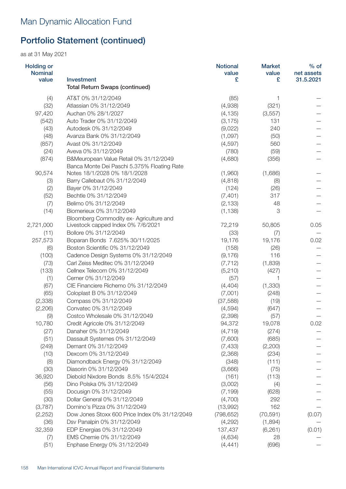| <b>Holding or</b><br><b>Nominal</b> |                                                     | <b>Notional</b><br>value | <b>Market</b><br>value | $%$ of<br>net assets |
|-------------------------------------|-----------------------------------------------------|--------------------------|------------------------|----------------------|
| value                               | Investment<br><b>Total Return Swaps (continued)</b> | £                        | £                      | 31.5.2021            |
|                                     | AT&T 0% 31/12/2049                                  |                          |                        |                      |
| (4)<br>(32)                         | Atlassian 0% 31/12/2049                             | (85)<br>(4,938)          | 1<br>(321)             |                      |
| 97,420                              | Auchan 0% 28/1/2027                                 | (4, 135)                 | (3,557)                |                      |
| (542)                               | Auto Trader 0% 31/12/2049                           | (3, 175)                 | 131                    |                      |
| (43)                                | Autodesk 0% 31/12/2049                              | (9,022)                  | 240                    |                      |
| (48)                                | Avanza Bank 0% 31/12/2049                           | (1,097)                  | (50)                   |                      |
| (857)                               | Avast 0% 31/12/2049                                 | (4,597)                  | 560                    |                      |
| (24)                                | Aveva 0% 31/12/2049                                 | (780)                    | (59)                   |                      |
| (874)                               | B&Meuropean Value Retail 0% 31/12/2049              | (4,680)                  | (356)                  |                      |
|                                     | Banca Monte Dei Paschi 5.375% Floating Rate         |                          |                        |                      |
| 90,574                              | Notes 18/1/2028 0% 18/1/2028                        | (1,960)                  | (1,686)                |                      |
| (3)                                 | Barry Callebaut 0% 31/12/2049                       | (4, 818)                 | (8)                    |                      |
| (2)                                 | Bayer 0% 31/12/2049                                 | (124)                    | (26)                   |                      |
| (52)                                | Bechtle 0% 31/12/2049                               | (7, 401)                 | 317                    |                      |
| (7)                                 | Belimo 0% 31/12/2049                                | (2, 133)                 | 48                     |                      |
| (14)                                | Biomerieux 0% 31/12/2049                            | (1, 138)                 | 3                      |                      |
|                                     | Bloomberg Commodity ex- Agriculture and             |                          |                        |                      |
| 2,721,000                           | Livestock capped Index 0% 7/6/2021                  | 72,219                   | 50,805                 | 0.05                 |
| (11)                                | Bollore 0% 31/12/2049                               | (33)                     | (7)                    |                      |
| 257,573                             | Boparan Bonds 7.625% 30/11/2025                     | 19,176                   | 19,176                 | 0.02                 |
| (6)                                 | Boston Scientific 0% 31/12/2049                     | (158)                    | (26)                   |                      |
| (100)                               | Cadence Design Systems 0% 31/12/2049                | (9, 176)                 | 116                    |                      |
| (73)                                | Carl Zeiss Meditec 0% 31/12/2049                    | (7, 712)                 | (1,839)                |                      |
| (133)                               | Cellnex Telecom 0% 31/12/2049                       | (5,210)                  | (427)                  |                      |
| (1)                                 | Cerner 0% 31/12/2049                                | (57)                     | $\mathbf 1$            |                      |
| (67)                                | CIE Financiere Richemo 0% 31/12/2049                | (4, 404)                 | (1, 330)               |                      |
| (65)                                | Coloplast B 0% 31/12/2049                           | (7,001)                  | (248)                  |                      |
| (2, 338)                            | Compass 0% 31/12/2049                               | (37,588)                 | (19)                   |                      |
| (2,206)                             | Convatec 0% 31/12/2049                              | (4, 594)                 | (647)                  |                      |
| (9)                                 | Costco Wholesale 0% 31/12/2049                      | (2, 398)                 | (57)                   |                      |
| 10,780                              | Credit Agricole 0% 31/12/2049                       | 94,372                   | 19,078                 | 0.02                 |
| (27)                                | Danaher 0% 31/12/2049                               | (4, 719)                 | (274)                  |                      |
| (51)                                | Dassault Systemes 0% 31/12/2049                     | (7,600)                  | (685)                  |                      |
| (249)                               | Demant 0% 31/12/2049                                | (7, 433)                 | (2,200)                |                      |
| (10)                                | Dexcom 0% 31/12/2049                                | (2,368)                  | (234)                  |                      |
| (8)                                 | Diamondback Energy 0% 31/12/2049                    | (348)                    | (111)                  |                      |
| (30)                                | Diasorin 0% 31/12/2049                              | (3,666)                  | (75)                   |                      |
| 36,920                              | Diebold Nixdore Bonds 8.5% 15/4/2024                | (161)                    | (113)                  |                      |
| (56)                                | Dino Polska 0% 31/12/2049                           | (3,002)                  | (4)                    |                      |
| (55)                                | Docusign 0% 31/12/2049                              | (7, 199)                 | (628)                  |                      |
| (30)                                | Dollar General 0% 31/12/2049                        | (4,700)                  | 292                    |                      |
| (3,787)                             | Domino's Pizza 0% 31/12/2049                        | (13,992)                 | 162                    |                      |
| (2, 252)                            | Dow Jones Stoxx 600 Price Index 0% 31/12/2049       | (798, 652)               | (70, 591)              | (0.07)               |
| (36)                                | Dsv Panalpin 0% 31/12/2049                          | (4,292)                  | (1,894)                |                      |
| 32,359                              | EDP Energias 0% 31/12/2049                          | 137,437                  | (6, 261)               | (0.01)               |
| (7)                                 | EMS Chemie 0% 31/12/2049                            | (4,634)                  | 28                     |                      |
| (51)                                | Enphase Energy 0% 31/12/2049                        | (4, 441)                 | (696)                  |                      |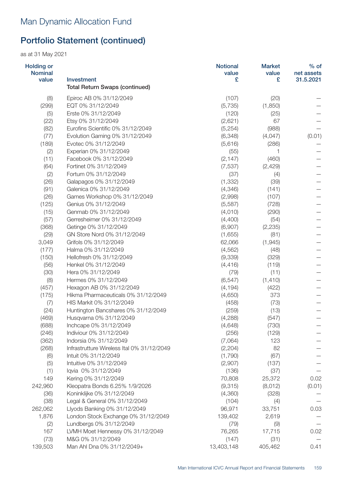| <b>Holding or</b><br><b>Nominal</b> |                                            | <b>Notional</b><br>value | <b>Market</b><br>value | $%$ of<br>net assets |
|-------------------------------------|--------------------------------------------|--------------------------|------------------------|----------------------|
| value                               | Investment                                 | £                        | £                      | 31.5.2021            |
|                                     | <b>Total Return Swaps (continued)</b>      |                          |                        |                      |
| (8)                                 | Epiroc AB 0% 31/12/2049                    | (107)                    | (20)                   |                      |
| (299)                               | EQT 0% 31/12/2049                          | (5,735)                  | (1,850)                |                      |
| (5)                                 | Erste 0% 31/12/2049                        | (120)                    | (25)                   |                      |
| (22)                                | Etsy 0% 31/12/2049                         | (2,621)                  | 67                     |                      |
| (82)                                | Eurofins Scientific 0% 31/12/2049          | (5,254)                  | (988)                  |                      |
| (77)                                | Evolution Gaming 0% 31/12/2049             | (6, 348)                 | (4,047)                | (0.01)               |
| (189)                               | Evotec 0% 31/12/2049                       | (5,616)                  | (286)                  |                      |
| (2)                                 | Experian 0% 31/12/2049                     | (55)                     | 1                      |                      |
| (11)                                | Facebook 0% 31/12/2049                     | (2, 147)                 | (460)                  |                      |
| (64)                                | Fortinet 0% 31/12/2049                     | (7,537)                  | (2,429)                |                      |
| (2)                                 | Fortum 0% 31/12/2049                       | (37)                     | (4)                    |                      |
| (26)                                | Galapagos 0% 31/12/2049                    | (1, 332)                 | (39)                   |                      |
| (91)                                | Galenica 0% 31/12/2049                     | (4,346)                  | (141)                  |                      |
| (26)                                | Games Workshop 0% 31/12/2049               | (2,998)                  | (107)                  |                      |
| (125)                               | Genius 0% 31/12/2049                       | (5,587)                  | (728)                  |                      |
| (15)                                | Genmab 0% 31/12/2049                       | (4,010)                  | (290)                  |                      |
| (57)                                | Gerresheimer 0% 31/12/2049                 | (4,400)                  | (54)                   |                      |
| (368)                               | Getinge 0% 31/12/2049                      | (6,907)                  | (2, 235)               |                      |
| (29)                                | GN Store Nord 0% 31/12/2049                | (1,655)                  | (81)                   |                      |
| 3,049                               | Grifols 0% 31/12/2049                      | 62,066                   | (1,945)                |                      |
| (177)                               | Halma 0% 31/12/2049                        | (4, 562)                 | (48)                   |                      |
| (150)                               | Hellofresh 0% 31/12/2049                   | (9,339)                  | (329)                  |                      |
| (56)                                | Henkel 0% 31/12/2049                       | (4, 416)                 | (119)                  |                      |
| (30)                                | Hera 0% 31/12/2049                         | (79)                     | (11)                   |                      |
| (8)                                 | Hermes 0% 31/12/2049                       | (6, 547)                 | (1, 410)               |                      |
| (457)                               | Hexagon AB 0% 31/12/2049                   | (4, 194)                 | (422)                  |                      |
| (175)                               | Hikma Pharmaceuticals 0% 31/12/2049        | (4,650)                  | 373                    |                      |
| (7)                                 | HIS Markit 0% 31/12/2049                   | (458)                    | (73)                   |                      |
| (24)                                | Huntington Bancshares 0% 31/12/2049        | (259)                    | (13)                   |                      |
| (469)                               | Husqvarna 0% 31/12/2049                    | (4,288)                  | (547)                  |                      |
| (688)                               | Inchcape 0% 31/12/2049                     | (4,648)                  | (730)                  |                      |
| (246)                               | Indiviour 0% 31/12/2049                    | (256)                    | (129)                  |                      |
| (362)                               | Indorsia 0% 31/12/2049                     | (7,064)                  | 123                    |                      |
| (268)                               | Infrastrutture Wireless Ital 0% 31/12/2049 | (2, 204)                 | 82                     |                      |
| (6)                                 | Intuit 0% 31/12/2049                       | (1,790)                  | (67)                   |                      |
| (5)                                 | Intuitive 0% 31/12/2049                    | (2,907)                  | (137)                  |                      |
| (1)                                 | lqvia 0% 31/12/2049                        | (136)                    | (37)                   |                      |
| 149                                 | Kering 0% 31/12/2049                       | 70,808                   | 25,372                 | 0.02                 |
| 242,960                             | Kleopatra Bonds 6.25% 1/9/2026             | (9,315)                  | (8,012)                | (0.01)               |
| (36)                                | Koninklijke 0% 31/12/2049                  | (4,360)                  | (328)                  |                      |
| (38)                                | Legal & General 0% 31/12/2049              | (104)                    | (4)                    |                      |
| 262,062                             | Llyods Banking 0% 31/12/2049               | 96,971                   | 33,751                 | 0.03                 |
| 1,876                               | London Stock Exchange 0% 31/12/2049        | 139,402                  | 2,619                  |                      |
| (2)                                 | Lundbergs 0% 31/12/2049                    | (79)                     | (9)                    |                      |
| 167                                 | LVMH Moet Hennessy 0% 31/12/2049           | 76,265                   | 17,715                 | 0.02                 |
| (73)                                | M&G 0% 31/12/2049                          | (147)                    | (31)                   |                      |
| 139,503                             | Man Ahl Dna 0% 31/12/2049+                 | 13,403,148               | 405,462                | 0.41                 |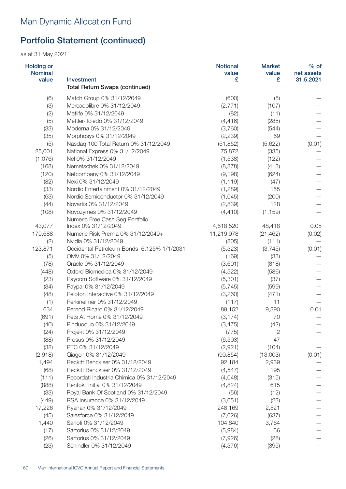| <b>Holding or</b><br><b>Nominal</b> |                                                     | <b>Notional</b><br>value | <b>Market</b><br>value | $%$ of<br>net assets |
|-------------------------------------|-----------------------------------------------------|--------------------------|------------------------|----------------------|
| value                               | Investment<br><b>Total Return Swaps (continued)</b> | £                        | £                      | 31.5.2021            |
| (6)                                 | Match Group 0% 31/12/2049                           | (600)                    | (5)                    |                      |
| (3)                                 | Mercadolibre 0% 31/12/2049                          | (2,771)                  | (107)                  |                      |
| (2)                                 | Metlife 0% 31/12/2049                               | (82)                     | (11)                   |                      |
| (5)                                 | Mettler-Toledo 0% 31/12/2049                        | (4, 416)                 | (285)                  |                      |
| (33)                                | Moderna 0% 31/12/2049                               | (3,760)                  | (544)                  |                      |
| (35)                                | Morphosys 0% 31/12/2049                             | (2, 239)                 | 69                     |                      |
| (5)                                 | Nasdaq 100 Total Return 0% 31/12/2049               | (51, 852)                | (5,622)                | (0.01)               |
| 25,001                              | National Express 0% 31/12/2049                      | 75,872                   | (335)                  |                      |
| (1,076)                             | Nel 0% 31/12/2049                                   | (1,538)                  | (122)                  |                      |
| (168)                               | Nemetschek 0% 31/12/2049                            | (8,378)                  | (413)                  |                      |
| (120)                               | Netcompany 0% 31/12/2049                            | (9, 198)                 | (624)                  |                      |
| (82)                                | Nexi 0% 31/12/2049                                  | (1, 119)                 | (47)                   |                      |
| (33)                                | Nordic Entertainment 0% 31/12/2049                  | (1,289)                  | 155                    |                      |
| (63)                                | Nordic Semiconductor 0% 31/12/2049                  | (1,045)                  | (200)                  |                      |
| (44)                                | Novartis 0% 31/12/2049                              | (2,839)                  | 128                    |                      |
| (108)                               | Novozymes 0% 31/12/2049                             | (4, 410)                 | (1, 159)               |                      |
|                                     | Numeric Free Cash Seg Portfolio                     |                          |                        |                      |
| 43,077                              | Index 0% 31/12/2049                                 | 4,618,520                | 48,418                 | 0.05                 |
| 179,688                             | Numeric Risk Premia 0% 31/12/2049+                  | 11,219,978               | (21, 462)              | (0.02)               |
| (2)                                 | Nvidia 0% 31/12/2049                                | (805)                    | (111)                  |                      |
| 123,871                             | Occidental Petroleum Bonds 6.125% 1/1/2031          | (5,323)                  | (3,745)                | (0.01)               |
| (5)                                 | OMV 0% 31/12/2049                                   | (169)                    | (33)                   |                      |
| (78)                                | Oracle 0% 31/12/2049                                | (3,601)                  | (818)                  |                      |
| (448)                               | Oxford Biomedica 0% 31/12/2049                      | (4, 522)                 | (586)                  |                      |
| (23)                                | Paycom Software 0% 31/12/2049                       | (5,301)                  | (37)                   |                      |
| (34)                                | Paypal 0% 31/12/2049                                | (5,745)                  | (599)                  |                      |
| (48)                                | Peloton Interactive 0% 31/12/2049                   | (3,260)                  | (471)                  |                      |
| (1)                                 | Perkinelmer 0% 31/12/2049                           | (117)                    | 11                     |                      |
| 634                                 | Pernod Ricard 0% 31/12/2049                         | 89,152                   | 9,390                  | 0.01                 |
| (691)                               | Pets At Home 0% 31/12/2049                          | (3, 174)                 | 70                     |                      |
| (40)                                | Pinduoduo 0% 31/12/2049                             | (3, 475)                 | (42)                   |                      |
| (24)                                | Projekt 0% 31/12/2049                               | (775)                    | 2                      |                      |
| (88)                                | Prosus 0% 31/12/2049                                | (6,503)                  | 47                     |                      |
| (32)                                | PTC 0% 31/12/2049                                   | (2,921)                  | (104)                  |                      |
| (2,918)                             | Qiagen 0% 31/12/2049                                | (90, 854)                | (13,003)               | (0.01)               |
| 1,494                               | Reckitt Benckiser 0% 31/12/2049                     | 92,184                   | 2,939                  |                      |
| (68)                                | Reckitt Benckiser 0% 31/12/2049                     | (4, 547)                 | 195                    |                      |
| (111)                               | Recordati Industria Chimica 0% 31/12/2049           | (4,048)                  | (315)                  |                      |
| (888)                               | Rentokil Initial 0% 31/12/2049                      | (4,824)                  | 615                    |                      |
| (33)                                | Royal Bank Of Scotland 0% 31/12/2049                | (56)                     | (12)                   |                      |
| (449)                               | RSA Insurance 0% 31/12/2049                         | (3,051)                  | (23)                   |                      |
| 17,226                              | Ryanair 0% 31/12/2049                               | 248,169                  | 2,521                  |                      |
| (45)                                | Salesforce 0% 31/12/2049                            | (7,026)                  | (637)                  |                      |
| 1,440                               | Sanofi 0% 31/12/2049                                | 104,640                  | 3,764                  |                      |
| (17)                                | Sartorius 0% 31/12/2049                             | (5,984)                  | 56                     |                      |
| (26)                                | Sartorius 0% 31/12/2049                             | (7,926)                  | (28)                   |                      |
| (23)                                | Schindler 0% 31/12/2049                             | (4,376)                  | (395)                  |                      |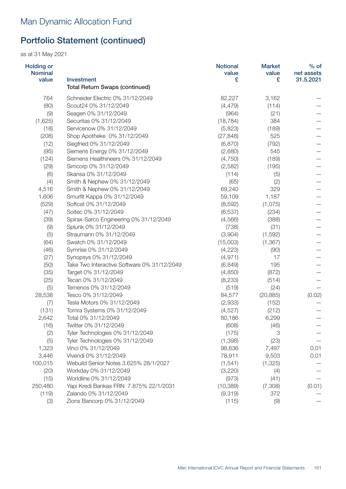| <b>Holding or</b><br><b>Nominal</b> |                                             | <b>Notional</b><br>value | <b>Market</b><br>value | $%$ of<br>net assets |
|-------------------------------------|---------------------------------------------|--------------------------|------------------------|----------------------|
| value                               | Investment                                  | £                        | £                      | 31.5.2021            |
|                                     | <b>Total Return Swaps (continued)</b>       |                          |                        |                      |
| 764                                 | Schneider Electric 0% 31/12/2049            | 82,227                   | 3,162                  |                      |
| (80)                                | Scout24 0% 31/12/2049                       | (4, 479)                 | (114)                  |                      |
| (9)                                 | Seagen 0% 31/12/2049                        | (964)                    | (21)                   |                      |
| (1,625)                             | Securitas 0% 31/12/2049                     | (18, 784)                | 384                    |                      |
| (18)                                | Servicenow 0% 31/12/2049                    | (5,823)                  | (189)                  |                      |
| (208)                               | Shop Apotheke 0% 31/12/2049                 | (27, 848)                | 525                    |                      |
| (12)                                | Siegfried 0% 31/12/2049                     | (6,870)                  | (792)                  |                      |
| (95)                                | Siemens Energy 0% 31/12/2049                | (2,680)                  | 545                    |                      |
| (124)                               | Siemens Healthineers 0% 31/12/2049          | (4,750)                  | (189)                  |                      |
| (29)                                | Simcorp 0% 31/12/2049                       | (2,582)                  | (195)                  |                      |
| (6)                                 | Skansa 0% 31/12/2049                        | (114)                    | (5)                    |                      |
| (4)                                 | Smith & Nephew 0% 31/12/2049                | (65)                     | (2)                    |                      |
| 4,516                               | Smith & Nephew 0% 31/12/2049                | 69,240                   | 329                    |                      |
| 1,606                               | Smurfit Kappa 0% 31/12/2049                 | 59,109                   | 1,187                  |                      |
| (529)                               | Softcat 0% 31/12/2049                       | (8,592)                  | (1,075)                |                      |
| (47)                                | Soitec 0% 31/12/2049                        | (6, 537)                 | (234)                  |                      |
| (39)                                | Spirax-Sarco Engineering 0% 31/12/2049      | (4, 566)                 | (388)                  |                      |
| (9)                                 | Splunk 0% 31/12/2049                        | (738)                    | (31)                   |                      |
| (5)                                 | Straumann 0% 31/12/2049                     | (3,904)                  | (1,592)                |                      |
| (64)                                | Swatch 0% 31/12/2049                        | (15,003)                 | (1, 367)               |                      |
| (46)                                | Symrise 0% 31/12/2049                       | (4,223)                  | (90)                   |                      |
| (27)                                | Synopsys 0% 31/12/2049                      | (4, 971)                 | 17                     |                      |
| (50)                                | Take Two Interactive Software 0% 31/12/2049 | (6, 849)                 | 195                    |                      |
| (35)                                | Target 0% 31/12/2049                        | (4,850)                  | (872)                  |                      |
| (25)                                | Tecan 0% 31/12/2049                         | (8, 233)                 | (514)                  |                      |
| (5)                                 | Temenos 0% 31/12/2049                       | (519)                    | (24)                   |                      |
| 28,538                              | Tesco 0% 31/12/2049                         | 84,577                   | (20, 885)              | (0.02)               |
| (7)                                 | Tesla Motors 0% 31/12/2049                  | (2,933)                  | (152)                  |                      |
| (131)                               | Tomra Systems 0% 31/12/2049                 | (4,527)                  | (212)                  |                      |
| 2,642                               | Total 0% 31/12/2049                         | 80,186                   | 6,299                  |                      |
| (16)                                | Twitter 0% 31/12/2049                       | (608)                    | (46)                   |                      |
| (2)                                 | Tyler Technologies 0% 31/12/2049            | (175)                    | 3                      |                      |
| (5)                                 | Tyler Technologies 0% 31/12/2049            | (1, 398)                 | (23)                   |                      |
| 1,323                               | Vinci 0% 31/12/2049                         | 98,636                   | 7,497                  | 0.01                 |
| 3,446                               | Vivendi 0% 31/12/2049                       | 78,911                   | 9,503                  | 0.01                 |
| 100,015                             | Webuild Senior Notes 3.625% 28/1/2027       | (1, 541)                 | (1, 325)               |                      |
| (20)                                | Workday 0% 31/12/2049                       | (3,220)                  | (4)                    |                      |
| (15)                                | Worldline 0% 31/12/2049                     | (973)                    | (41)                   |                      |
| 250,480                             | Yapi Kredi Bankas FRN 7.875% 22/1/2031      | (10, 389)                | (7,308)                | (0.01)               |
| (119)                               | Zalando 0% 31/12/2049                       | (9,319)                  | 372                    |                      |
| (3)                                 | Zions Bancorp 0% 31/12/2049                 | (115)                    | (9)                    |                      |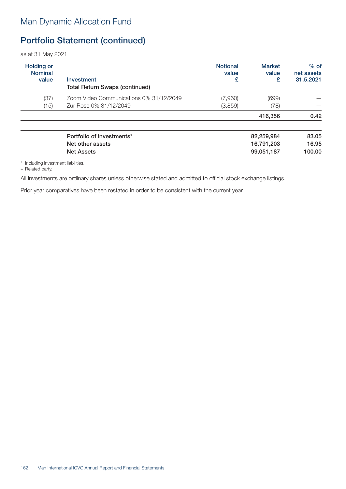as at 31 May 2021

| <b>Holding or</b><br><b>Nominal</b><br>value | Investment<br><b>Total Return Swaps (continued)</b> | <b>Notional</b><br>value<br>£ | <b>Market</b><br>value<br>£ | $%$ of<br>net assets<br>31.5.2021 |
|----------------------------------------------|-----------------------------------------------------|-------------------------------|-----------------------------|-----------------------------------|
| (37)                                         | Zoom Video Communications 0% 31/12/2049             | (7,960)                       | (699)                       |                                   |
| (15)                                         | Zur Rose 0% 31/12/2049                              | (3,859)                       | (78)                        |                                   |
|                                              |                                                     |                               | 416,356                     | 0.42                              |
|                                              |                                                     |                               |                             |                                   |

| Portfolio of investments* | 82.259.984 | 83.05  |
|---------------------------|------------|--------|
| Net other assets          | 16,791,203 | 16.95  |
| <b>Net Assets</b>         | 99,051,187 | 100.00 |

\* Including investment liabilities.

+ Related party.

All investments are ordinary shares unless otherwise stated and admitted to official stock exchange listings.

Prior year comparatives have been restated in order to be consistent with the current year.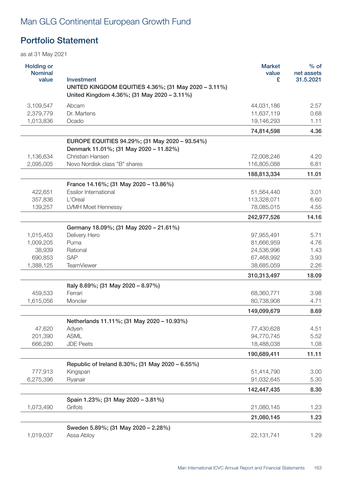# Man GLG Continental European Growth Fund

## Portfolio Statement

| <b>Holding or</b><br><b>Nominal</b><br>value | Investment                                                                                          | <b>Market</b><br>value<br>£ | $%$ of<br>net assets<br>31.5.2021 |
|----------------------------------------------|-----------------------------------------------------------------------------------------------------|-----------------------------|-----------------------------------|
|                                              | UNITED KINGDOM EQUITIES 4.36%; (31 May 2020 - 3.11%)<br>United Kingdom 4.36%; (31 May 2020 - 3.11%) |                             |                                   |
| 3,109,547                                    | Abcam                                                                                               | 44,031,186                  | 2.57                              |
| 2,379,779                                    | Dr. Martens                                                                                         | 11,637,119                  | 0.68                              |
| 1,013,836                                    | Ocado                                                                                               | 19,146,293                  | 1.11                              |
|                                              |                                                                                                     | 74,814,598                  | 4.36                              |
|                                              | EUROPE EQUITIES 94.29%; (31 May 2020 - 93.54%)<br>Denmark 11.01%; (31 May 2020 - 11.82%)            |                             |                                   |
| 1,136,634                                    | Christian Hansen                                                                                    | 72,008,246                  | 4.20                              |
| 2,095,005                                    | Novo Nordisk class "B" shares                                                                       | 116,805,088                 | 6.81                              |
|                                              |                                                                                                     | 188,813,334                 | 11.01                             |
|                                              | France 14.16%; (31 May 2020 - 13.86%)                                                               |                             |                                   |
| 422,651                                      | <b>Essilor International</b>                                                                        | 51,564,440                  | 3.01                              |
| 357,836                                      | L'Oreal                                                                                             | 113,328,071                 | 6.60                              |
| 139,257                                      | <b>LVMH Moet Hennessy</b>                                                                           | 78,085,015                  | 4.55                              |
|                                              |                                                                                                     | 242,977,526                 | 14.16                             |
|                                              | Germany 18.09%; (31 May 2020 - 21.61%)                                                              |                             |                                   |
| 1,015,453                                    | Delivery Hero                                                                                       | 97,955,491                  | 5.71                              |
| 1,009,205                                    | Puma                                                                                                | 81,666,959                  | 4.76                              |
| 38,939                                       | Rational                                                                                            | 24,536,996                  | 1.43                              |
| 690,853                                      | SAP                                                                                                 | 67,468,992                  | 3.93                              |
| 1,388,125                                    | <b>TeamViewer</b>                                                                                   | 38,685,059                  | 2.26                              |
|                                              |                                                                                                     | 310,313,497                 | 18.09                             |
|                                              | Italy 8.69%; (31 May 2020 - 8.97%)                                                                  |                             |                                   |
| 459,533                                      | Ferrari                                                                                             | 68,360,771                  | 3.98                              |
| 1,615,056                                    | Moncler                                                                                             | 80,738,908                  | 4.71                              |
|                                              |                                                                                                     | 149,099,679                 | 8.69                              |
|                                              | Netherlands 11.11%; (31 May 2020 - 10.93%)                                                          |                             |                                   |
| 47,620                                       | Adyen                                                                                               | 77,430,628                  | 4.51                              |
| 201,390                                      | <b>ASML</b>                                                                                         | 94,770,745                  | 5.52                              |
| 666,280                                      | <b>JDE Peets</b>                                                                                    | 18,488,038                  | 1.08                              |
|                                              |                                                                                                     | 190,689,411                 | 11.11                             |
|                                              | Republic of Ireland 8.30%; (31 May 2020 – 6.55%)                                                    |                             |                                   |
| 777,913                                      | Kingspan                                                                                            | 51,414,790                  | 3.00                              |
| 6,275,396                                    | Ryanair                                                                                             | 91,032,645                  | 5.30                              |
|                                              |                                                                                                     | 142,447,435                 | 8.30                              |
|                                              | Spain 1.23%; (31 May 2020 - 3.81%)                                                                  |                             |                                   |
| 1,073,490                                    | Grifols                                                                                             | 21,080,145                  | 1.23                              |
|                                              |                                                                                                     | 21,080,145                  | 1.23                              |
|                                              | Sweden 5.89%; (31 May 2020 - 2.28%)                                                                 |                             |                                   |
| 1,019,037                                    | Assa Abloy                                                                                          | 22, 131, 741                | 1.29                              |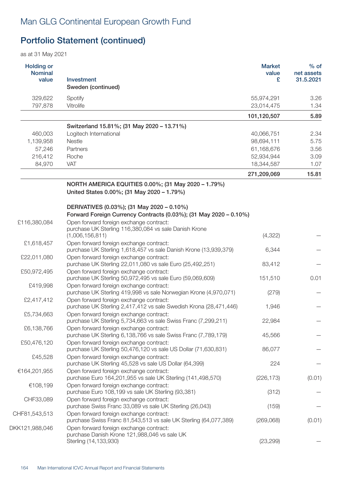| <b>Holding or</b><br><b>Nominal</b><br>value | Investment<br>Sweden (continued)                                                                                                                     | <b>Market</b><br>value<br>£ | $%$ of<br>net assets<br>31.5.2021 |
|----------------------------------------------|------------------------------------------------------------------------------------------------------------------------------------------------------|-----------------------------|-----------------------------------|
| 329,622                                      | Spotify                                                                                                                                              | 55,974,291                  | 3.26                              |
| 797,878                                      | Vitrolife                                                                                                                                            | 23,014,475                  | 1.34                              |
|                                              |                                                                                                                                                      | 101,120,507                 | 5.89                              |
|                                              | Switzerland 15.81%; (31 May 2020 - 13.71%)                                                                                                           |                             |                                   |
| 460,003                                      | Logitech International                                                                                                                               | 40,066,751                  | 2.34                              |
| 1,139,958                                    | <b>Nestle</b>                                                                                                                                        | 98,694,111                  | 5.75                              |
| 57,246                                       | Partners                                                                                                                                             | 61,168,676                  | 3.56                              |
| 216,412                                      | Roche                                                                                                                                                | 52,934,944                  | 3.09                              |
| 84,970                                       | VAT                                                                                                                                                  | 18,344,587                  | 1.07                              |
|                                              |                                                                                                                                                      | 271,209,069                 | 15.81                             |
|                                              | NORTH AMERICA EQUITIES 0.00%; (31 May 2020 - 1.79%)<br>United States 0.00%; (31 May 2020 - 1.79%)                                                    |                             |                                   |
|                                              | DERIVATIVES (0.03%); (31 May 2020 - 0.10%)                                                                                                           |                             |                                   |
|                                              | Forward Foreign Currency Contracts (0.03%); (31 May 2020 - 0.10%)                                                                                    |                             |                                   |
| £116,380,084                                 | Open forward foreign exchange contract:<br>purchase UK Sterling 116,380,084 vs sale Danish Krone<br>(1,006,156,811)                                  | (4, 322)                    |                                   |
| £1,618,457                                   | Open forward foreign exchange contract:                                                                                                              |                             |                                   |
|                                              | purchase UK Sterling 1,618,457 vs sale Danish Krone (13,939,379)                                                                                     | 6,344                       |                                   |
| £22,011,080                                  | Open forward foreign exchange contract:<br>purchase UK Sterling 22,011,080 vs sale Euro (25,492,251)                                                 | 83,412                      |                                   |
| £50,972,495                                  | Open forward foreign exchange contract:<br>purchase UK Sterling 50,972,495 vs sale Euro (59,069,609)                                                 | 151,510                     | 0.01                              |
| £419,998                                     | Open forward foreign exchange contract:<br>purchase UK Sterling 419,998 vs sale Norwegian Krone (4,970,071)                                          | (279)                       |                                   |
| £2,417,412                                   | Open forward foreign exchange contract:<br>purchase UK Sterling 2,417,412 vs sale Swedish Krona (28,471,446)                                         | 1,946                       |                                   |
| £5,734,663                                   | Open forward foreign exchange contract:<br>purchase UK Sterling 5,734,663 vs sale Swiss Franc (7,299,211)                                            | 22,984                      |                                   |
| £6,138,766                                   | Open forward foreign exchange contract:<br>purchase UK Sterling 6,138,766 vs sale Swiss Franc (7,789,179)                                            | 45,566                      |                                   |
| £50,476,120<br>£45,528                       | Open forward foreign exchange contract:<br>purchase UK Sterling 50,476,120 vs sale US Dollar (71,630,831)<br>Open forward foreign exchange contract: | 86,077                      |                                   |
|                                              | purchase UK Sterling 45,528 vs sale US Dollar (64,399)<br>Open forward foreign exchange contract:                                                    | 224                         |                                   |
| €164,201,955                                 | purchase Euro 164,201,955 vs sale UK Sterling (141,498,570)                                                                                          | (226, 173)                  | (0.01)                            |
| €108,199                                     | Open forward foreign exchange contract:<br>purchase Euro 108,199 vs sale UK Sterling (93,381)                                                        | (312)                       |                                   |
| CHF33,089                                    | Open forward foreign exchange contract:<br>purchase Swiss Franc 33,089 vs sale UK Sterling (26,043)                                                  | (159)                       |                                   |
| CHF81,543,513                                | Open forward foreign exchange contract:<br>purchase Swiss Franc 81,543,513 vs sale UK Sterling (64,077,389)                                          | (269,068)                   | (0.01)                            |
| DKK121,988,046                               | Open forward foreign exchange contract:<br>purchase Danish Krone 121,988,046 vs sale UK<br>Sterling (14,133,930)                                     | (23, 299)                   |                                   |
|                                              |                                                                                                                                                      |                             |                                   |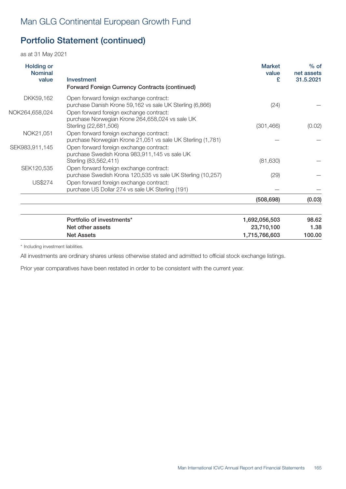as at 31 May 2021

| <b>Holding or</b><br><b>Nominal</b><br>value | Investment<br><b>Forward Foreign Currency Contracts (continued)</b>                                                 | <b>Market</b><br>value<br>£ | $%$ of<br>net assets<br>31.5.2021 |
|----------------------------------------------|---------------------------------------------------------------------------------------------------------------------|-----------------------------|-----------------------------------|
| DKK59,162                                    | Open forward foreign exchange contract:<br>purchase Danish Krone 59,162 vs sale UK Sterling (6,866)                 | (24)                        |                                   |
| NOK264,658,024                               | Open forward foreign exchange contract:<br>purchase Norwegian Krone 264,658,024 vs sale UK<br>Sterling (22,681,506) | (301, 466)                  | (0.02)                            |
| NOK21,051                                    | Open forward foreign exchange contract:<br>purchase Norwegian Krone 21,051 vs sale UK Sterling (1,781)              |                             |                                   |
| SEK983,911,145                               | Open forward foreign exchange contract:<br>purchase Swedish Krona 983,911,145 vs sale UK<br>Sterling (83,562,411)   | (81, 630)                   |                                   |
| SEK120,535                                   | Open forward foreign exchange contract:<br>purchase Swedish Krona 120,535 vs sale UK Sterling (10,257)              | (29)                        |                                   |
| <b>US\$274</b>                               | Open forward foreign exchange contract:<br>purchase US Dollar 274 vs sale UK Sterling (191)                         |                             |                                   |
|                                              |                                                                                                                     | (508, 698)                  | (0.03)                            |
|                                              | Portfolio of investments*                                                                                           | 1,692,056,503               | 98.62                             |
|                                              | Net other assets<br><b>Net Assets</b>                                                                               | 23,710,100<br>1,715,766,603 | 1.38<br>100.00                    |

\* Including investment liabilities.

All investments are ordinary shares unless otherwise stated and admitted to official stock exchange listings.

Prior year comparatives have been restated in order to be consistent with the current year.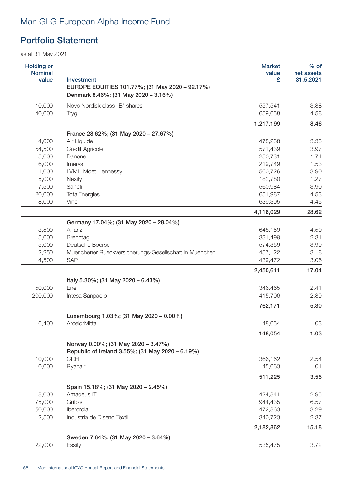# Man GLG European Alpha Income Fund

## Portfolio Statement

| <b>Holding or</b><br><b>Nominal</b><br>value | Investment<br>EUROPE EQUITIES 101.77%; (31 May 2020 - 92.17%)<br>Denmark 8.46%; (31 May 2020 - 3.16%) | <b>Market</b><br>value<br>£ | $%$ of<br>net assets<br>31.5.2021 |
|----------------------------------------------|-------------------------------------------------------------------------------------------------------|-----------------------------|-----------------------------------|
| 10,000                                       | Novo Nordisk class "B" shares                                                                         | 557,541                     | 3.88                              |
| 40,000                                       | Tryg                                                                                                  | 659,658                     | 4.58                              |
|                                              |                                                                                                       | 1,217,199                   | 8.46                              |
|                                              | France 28.62%; (31 May 2020 - 27.67%)                                                                 |                             |                                   |
| 4,000                                        | Air Liquide                                                                                           | 478,238                     | 3.33                              |
| 54,500                                       | Credit Agricole                                                                                       | 571,439                     | 3.97                              |
| 5,000                                        | Danone                                                                                                | 250,731                     | 1.74                              |
| 6,000                                        | Imerys                                                                                                | 219,749                     | 1.53                              |
| 1,000                                        | <b>LVMH Moet Hennessy</b>                                                                             | 560,726                     | 3.90                              |
| 5,000                                        | Nexity                                                                                                | 182,780                     | 1.27                              |
| 7,500                                        | Sanofi                                                                                                | 560,984                     | 3.90                              |
| 20,000                                       | TotalEnergies                                                                                         | 651,987                     | 4.53                              |
| 8,000                                        | Vinci                                                                                                 | 639,395                     | 4.45                              |
|                                              |                                                                                                       | 4,116,029                   | 28.62                             |
|                                              | Germany 17.04%; (31 May 2020 - 28.04%)                                                                |                             |                                   |
| 3,500                                        | Allianz                                                                                               | 648,159                     | 4.50                              |
| 5,000                                        | Brenntag                                                                                              | 331,499                     | 2.31                              |
| 5,000                                        | Deutsche Boerse                                                                                       | 574,359                     | 3.99                              |
| 2,250                                        | Muenchener Rueckversicherungs-Gesellschaft in Muenchen                                                | 457,122                     | 3.18                              |
| 4,500                                        | <b>SAP</b>                                                                                            | 439,472                     | 3.06                              |
|                                              |                                                                                                       | 2,450,611                   | 17.04                             |
|                                              | Italy 5.30%; (31 May 2020 - 6.43%)                                                                    |                             |                                   |
| 50,000                                       | Enel                                                                                                  | 346,465                     | 2.41                              |
| 200,000                                      | Intesa Sanpaolo                                                                                       | 415,706                     | 2.89                              |
|                                              |                                                                                                       | 762,171                     | 5.30                              |
|                                              | Luxembourg 1.03%; (31 May 2020 - 0.00%)                                                               |                             |                                   |
| 6,400                                        | ArcelorMittal                                                                                         | 148,054                     | 1.03                              |
|                                              |                                                                                                       | 148,054                     | 1.03                              |
|                                              | Norway 0.00%; (31 May 2020 - 3.47%)                                                                   |                             |                                   |
|                                              | Republic of Ireland 3.55%; (31 May 2020 - 6.19%)                                                      |                             |                                   |
| 10,000                                       | <b>CRH</b>                                                                                            | 366,162                     | 2.54                              |
| 10,000                                       | Ryanair                                                                                               | 145,063                     | 1.01                              |
|                                              |                                                                                                       | 511,225                     | 3.55                              |
|                                              | Spain 15.18%; (31 May 2020 - 2.45%)                                                                   |                             |                                   |
| 8,000                                        | Amadeus IT                                                                                            | 424,841                     | 2.95                              |
| 75,000                                       | Grifols                                                                                               | 944,435                     | 6.57                              |
| 50,000                                       | Iberdrola                                                                                             | 472,863                     | 3.29                              |
| 12,500                                       | Industria de Diseno Textil                                                                            | 340,723                     | 2.37                              |
|                                              |                                                                                                       | 2,182,862                   | 15.18                             |
|                                              | Sweden 7.64%; (31 May 2020 - 3.64%)                                                                   |                             |                                   |
| 22,000                                       | Essity                                                                                                | 535,475                     | 3.72                              |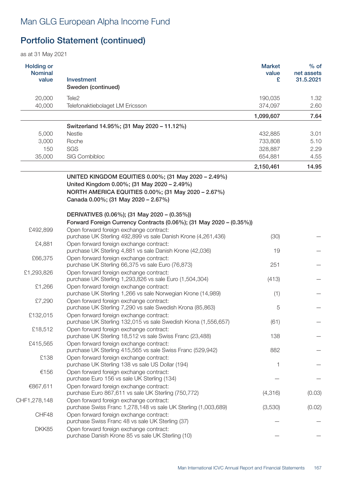| <b>Holding or</b><br><b>Nominal</b><br>value | <b>Investment</b><br>Sweden (continued)                                                                                                                                                           | <b>Market</b><br>value<br>£ | $%$ of<br>net assets<br>31.5.2021 |
|----------------------------------------------|---------------------------------------------------------------------------------------------------------------------------------------------------------------------------------------------------|-----------------------------|-----------------------------------|
| 20,000                                       | Tele <sub>2</sub>                                                                                                                                                                                 | 190,035                     | 1.32                              |
| 40,000                                       | Telefonaktiebolaget LM Ericsson                                                                                                                                                                   | 374,097                     | 2.60                              |
|                                              |                                                                                                                                                                                                   | 1,099,607                   | 7.64                              |
|                                              | Switzerland 14.95%; (31 May 2020 - 11.12%)                                                                                                                                                        |                             |                                   |
| 5,000                                        | Nestle                                                                                                                                                                                            | 432,885                     | 3.01                              |
| 3,000                                        | Roche                                                                                                                                                                                             | 733,808                     | 5.10                              |
| 150                                          | SGS                                                                                                                                                                                               | 328,887                     | 2.29                              |
| 35,000                                       | SIG Combibloc                                                                                                                                                                                     | 654,881                     | 4.55                              |
|                                              |                                                                                                                                                                                                   | 2,150,461                   | 14.95                             |
|                                              | UNITED KINGDOM EQUITIES 0.00%; (31 May 2020 - 2.49%)<br>United Kingdom 0.00%; (31 May 2020 - 2.49%)<br>NORTH AMERICA EQUITIES 0.00%; (31 May 2020 - 2.67%)<br>Canada 0.00%; (31 May 2020 - 2.67%) |                             |                                   |
|                                              | DERIVATIVES (0.06%); (31 May 2020 – (0.35%))                                                                                                                                                      |                             |                                   |
|                                              | Forward Foreign Currency Contracts (0.06%); (31 May 2020 - (0.35%))                                                                                                                               |                             |                                   |
| £492,899                                     | Open forward foreign exchange contract:<br>purchase UK Sterling 492,899 vs sale Danish Krone (4,261,436)                                                                                          | (30)                        |                                   |
| £4,881                                       | Open forward foreign exchange contract:<br>purchase UK Sterling 4,881 vs sale Danish Krone (42,036)                                                                                               | 19                          |                                   |
| £66,375                                      | Open forward foreign exchange contract:<br>purchase UK Sterling 66,375 vs sale Euro (76,873)                                                                                                      | 251                         |                                   |
| £1,293,826                                   | Open forward foreign exchange contract:<br>purchase UK Sterling 1,293,826 vs sale Euro (1,504,304)                                                                                                | (413)                       |                                   |
| £1,266                                       | Open forward foreign exchange contract:<br>purchase UK Sterling 1,266 vs sale Norwegian Krone (14,989)                                                                                            | (1)                         |                                   |
| £7,290                                       | Open forward foreign exchange contract:<br>purchase UK Sterling 7,290 vs sale Swedish Krona (85,863)                                                                                              | 5                           |                                   |
| £132,015                                     | Open forward foreign exchange contract:<br>purchase UK Sterling 132,015 vs sale Swedish Krona (1,556,657)                                                                                         | (61)                        |                                   |
| £18,512                                      | Open forward foreign exchange contract:<br>purchase UK Sterling 18,512 vs sale Swiss Franc (23,488)                                                                                               | 138                         |                                   |
| £415,565                                     | Open forward foreign exchange contract:<br>purchase UK Sterling 415,565 vs sale Swiss Franc (529,942)                                                                                             | 882                         |                                   |
| £138                                         | Open forward foreign exchange contract:<br>purchase UK Sterling 138 vs sale US Dollar (194)                                                                                                       | 1                           |                                   |
| €156                                         | Open forward foreign exchange contract:<br>purchase Euro 156 vs sale UK Sterling (134)                                                                                                            |                             |                                   |
| €867,611                                     | Open forward foreign exchange contract:<br>purchase Euro 867,611 vs sale UK Sterling (750,772)                                                                                                    | (4, 316)                    | (0.03)                            |
| CHF1,278,148                                 | Open forward foreign exchange contract:<br>purchase Swiss Franc 1,278,148 vs sale UK Sterling (1,003,689)                                                                                         | (3,530)                     | (0.02)                            |
| CHF48                                        | Open forward foreign exchange contract:<br>purchase Swiss Franc 48 vs sale UK Sterling (37)                                                                                                       |                             |                                   |
| DKK85                                        | Open forward foreign exchange contract:<br>purchase Danish Krone 85 vs sale UK Sterling (10)                                                                                                      |                             |                                   |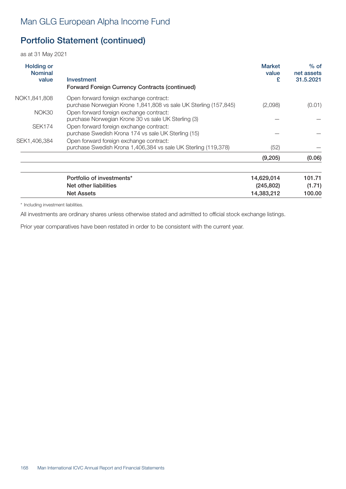as at 31 May 2021

| <b>Holding or</b><br><b>Nominal</b><br>value | Investment<br><b>Forward Foreign Currency Contracts (continued)</b>                                         | <b>Market</b><br>value<br>£ | $%$ of<br>net assets<br>31.5.2021 |
|----------------------------------------------|-------------------------------------------------------------------------------------------------------------|-----------------------------|-----------------------------------|
| NOK1,841,808                                 | Open forward foreign exchange contract:<br>purchase Norwegian Krone 1,841,808 vs sale UK Sterling (157,845) | (2,098)                     | (0.01)                            |
| NOK30                                        | Open forward foreign exchange contract:<br>purchase Norwegian Krone 30 vs sale UK Sterling (3)              |                             |                                   |
| <b>SEK174</b>                                | Open forward foreign exchange contract:<br>purchase Swedish Krona 174 vs sale UK Sterling (15)              |                             |                                   |
| SEK1,406,384                                 | Open forward foreign exchange contract:<br>purchase Swedish Krona 1,406,384 vs sale UK Sterling (119,378)   | (52)                        |                                   |
|                                              |                                                                                                             | (9,205)                     | (0.06)                            |
|                                              | Portfolio of investments*<br>Net other liabilities                                                          | 14,629,014<br>(245, 802)    | 101.71<br>(1.71)                  |

Net Assets 14,383,212 100.00

\* Including investment liabilities.

All investments are ordinary shares unless otherwise stated and admitted to official stock exchange listings.

Prior year comparatives have been restated in order to be consistent with the current year.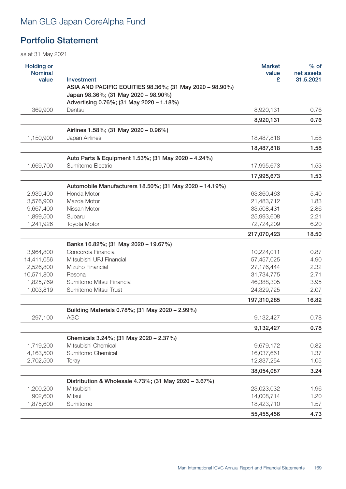# Man GLG Japan CoreAlpha Fund

### Portfolio Statement

| <b>Holding or</b><br><b>Nominal</b> |                                                                        | <b>Market</b><br>value | $%$ of<br>net assets |
|-------------------------------------|------------------------------------------------------------------------|------------------------|----------------------|
| value                               | Investment<br>ASIA AND PACIFIC EQUITIES 98.36%; (31 May 2020 - 98.90%) | £                      | 31.5.2021            |
|                                     | Japan 98.36%; (31 May 2020 - 98.90%)                                   |                        |                      |
|                                     | Advertising 0.76%; (31 May 2020 - 1.18%)                               |                        |                      |
| 369,900                             | Dentsu                                                                 | 8,920,131              | 0.76                 |
|                                     |                                                                        | 8,920,131              | 0.76                 |
|                                     | Airlines 1.58%; (31 May 2020 - 0.96%)                                  |                        |                      |
| 1,150,900                           | Japan Airlines                                                         | 18,487,818             | 1.58                 |
|                                     |                                                                        | 18,487,818             | 1.58                 |
|                                     | Auto Parts & Equipment 1.53%; (31 May 2020 - 4.24%)                    |                        |                      |
| 1,669,700                           | Sumitomo Electric                                                      | 17,995,673             | 1.53                 |
|                                     |                                                                        | 17,995,673             | 1.53                 |
|                                     | Automobile Manufacturers 18.50%; (31 May 2020 - 14.19%)                |                        |                      |
| 2,939,400                           | Honda Motor                                                            | 63,360,463             | 5.40                 |
| 3,576,900                           | Mazda Motor                                                            | 21,483,712             | 1.83                 |
| 9,667,400                           | Nissan Motor                                                           | 33,508,431             | 2.86                 |
| 1,899,500                           | Subaru                                                                 | 25,993,608             | 2.21                 |
| 1,241,926                           | Toyota Motor                                                           | 72,724,209             | 6.20                 |
|                                     |                                                                        | 217,070,423            | 18.50                |
|                                     | Banks 16.82%; (31 May 2020 - 19.67%)                                   |                        |                      |
| 3,964,800                           | Concordia Financial                                                    | 10,224,011             | 0.87                 |
| 14,411,056                          | Mitsubishi UFJ Financial                                               | 57,457,025             | 4.90                 |
| 2,526,800                           | Mizuho Financial                                                       | 27,176,444             | 2.32                 |
| 10,571,800                          | Resona                                                                 | 31,734,775             | 2.71                 |
| 1,825,769                           | Sumitomo Mitsui Financial                                              | 46,388,305             | 3.95                 |
| 1,003,819                           | Sumitomo Mitsui Trust                                                  | 24,329,725             | 2.07                 |
|                                     |                                                                        | 197,310,285            | 16.82                |
|                                     | Building Materials 0.78%; (31 May 2020 - 2.99%)                        |                        |                      |
| 297,100                             | <b>AGC</b>                                                             | 9,132,427              | 0.78                 |
|                                     |                                                                        | 9,132,427              | 0.78                 |
|                                     | Chemicals 3.24%; (31 May 2020 - 2.37%)                                 |                        |                      |
| 1,719,200                           | Mitsubishi Chemical                                                    | 9,679,172              | 0.82                 |
| 4,163,500                           | Sumitomo Chemical                                                      | 16,037,661             | 1.37                 |
| 2,702,500                           | Toray                                                                  | 12,337,254             | 1.05                 |
|                                     |                                                                        | 38,054,087             | 3.24                 |
|                                     | Distribution & Wholesale 4.73%; (31 May 2020 - 3.67%)                  |                        |                      |
| 1,200,200                           | Mitsubishi                                                             | 23,023,032             | 1.96                 |
| 902,600                             | Mitsui                                                                 | 14,008,714             | 1.20                 |
| 1,875,600                           | Sumitomo                                                               | 18,423,710             | 1.57                 |
|                                     |                                                                        | 55,455,456             | 4.73                 |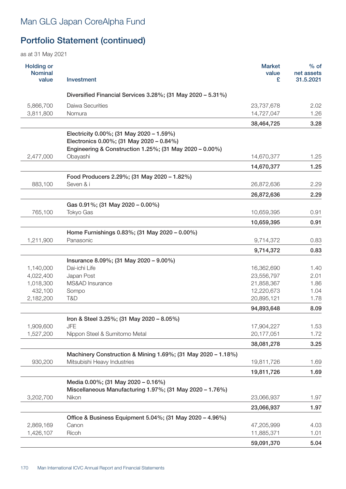# Man GLG Japan CoreAlpha Fund

# Portfolio Statement (continued)

| <b>Holding or</b><br><b>Nominal</b><br>value | Investment                                                   | <b>Market</b><br>value<br>£ | $%$ of<br>net assets<br>31.5.2021 |
|----------------------------------------------|--------------------------------------------------------------|-----------------------------|-----------------------------------|
|                                              | Diversified Financial Services 3.28%; (31 May 2020 - 5.31%)  |                             |                                   |
| 5,866,700                                    | Daiwa Securities                                             | 23,737,678                  | 2.02                              |
| 3,811,800                                    | Nomura                                                       | 14,727,047                  | 1.26                              |
|                                              |                                                              | 38,464,725                  | 3.28                              |
|                                              | Electricity 0.00%; (31 May 2020 - 1.59%)                     |                             |                                   |
|                                              | Electronics 0.00%; (31 May 2020 - 0.84%)                     |                             |                                   |
|                                              | Engineering & Construction 1.25%; (31 May 2020 - 0.00%)      |                             |                                   |
| 2,477,000                                    | Obayashi                                                     | 14,670,377                  | 1.25                              |
|                                              |                                                              | 14,670,377                  | 1.25                              |
|                                              | Food Producers 2.29%; (31 May 2020 - 1.82%)                  |                             |                                   |
| 883,100                                      | Seven & i                                                    | 26,872,636                  | 2.29                              |
|                                              |                                                              | 26,872,636                  | 2.29                              |
|                                              | Gas 0.91%; (31 May 2020 - 0.00%)                             |                             |                                   |
| 765,100                                      | Tokyo Gas                                                    | 10,659,395                  | 0.91                              |
|                                              |                                                              | 10,659,395                  | 0.91                              |
|                                              | Home Furnishings 0.83%; (31 May 2020 - 0.00%)                |                             |                                   |
| 1,211,900                                    | Panasonic                                                    | 9,714,372                   | 0.83                              |
|                                              |                                                              | 9,714,372                   | 0.83                              |
|                                              | Insurance 8.09%; (31 May 2020 - 9.00%)                       |                             |                                   |
| 1,140,000                                    | Dai-ichi Life                                                | 16,362,690                  | 1.40                              |
| 4,022,400                                    | Japan Post                                                   | 23,556,797                  | 2.01                              |
| 1,018,300                                    | MS&AD Insurance                                              | 21,858,367                  | 1.86                              |
| 432,100                                      | Sompo                                                        | 12,220,673                  | 1.04                              |
| 2,182,200                                    | T&D                                                          | 20,895,121                  | 1.78                              |
|                                              |                                                              | 94,893,648                  | 8.09                              |
|                                              | Iron & Steel 3.25%; (31 May 2020 - 8.05%)                    |                             |                                   |
| 1,909,600                                    | <b>JFE</b>                                                   | 17,904,227                  | 1.53                              |
| 1,527,200                                    | Nippon Steel & Sumitomo Metal                                | 20,177,051                  | 1.72                              |
|                                              |                                                              | 38,081,278                  | 3.25                              |
|                                              | Machinery Construction & Mining 1.69%; (31 May 2020 - 1.18%) |                             |                                   |
| 930,200                                      | Mitsubishi Heavy Industries                                  | 19,811,726                  | 1.69                              |
|                                              |                                                              | 19,811,726                  | 1.69                              |
|                                              | Media 0.00%; (31 May 2020 - 0.16%)                           |                             |                                   |
|                                              | Miscellaneous Manufacturing 1.97%; (31 May 2020 - 1.76%)     |                             |                                   |
| 3,202,700                                    | Nikon                                                        | 23,066,937                  | 1.97                              |
|                                              |                                                              | 23,066,937                  | 1.97                              |
|                                              | Office & Business Equipment 5.04%; (31 May 2020 - 4.96%)     |                             |                                   |
| 2,869,169                                    | Canon                                                        | 47,205,999                  | 4.03                              |
| 1,426,107                                    | Ricoh                                                        | 11,885,371                  | 1.01                              |
|                                              |                                                              | 59,091,370                  | 5.04                              |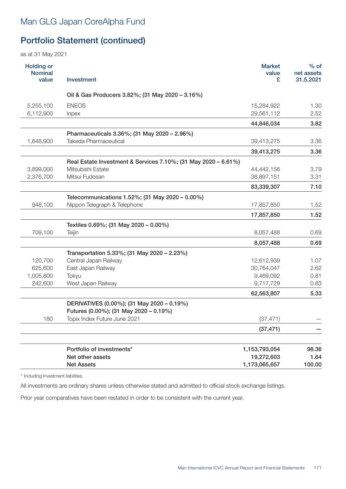as at 31 May 2021

| <b>Holding or</b><br><b>Nominal</b><br>value | Investment                                                     | <b>Market</b><br>value<br>£ | $%$ of<br>net assets<br>31.5.2021 |
|----------------------------------------------|----------------------------------------------------------------|-----------------------------|-----------------------------------|
|                                              | Oil & Gas Producers 3.82%; (31 May 2020 - 3.16%)               |                             |                                   |
| 5,255,100                                    | <b>ENEOS</b>                                                   | 15,284,922                  | 1.30                              |
| 6,112,900                                    | Inpex                                                          | 29,561,112                  | 2.52                              |
|                                              |                                                                | 44,846,034                  | 3.82                              |
|                                              | Pharmaceuticals 3.36%; (31 May 2020 - 2.96%)                   |                             |                                   |
| 1,648,900                                    | Takeda Pharmaceutical                                          | 39,413,275                  | 3.36                              |
|                                              |                                                                | 39,413,275                  | 3.36                              |
|                                              | Real Estate Investment & Services 7.10%; (31 May 2020 - 6.61%) |                             |                                   |
| 3,899,000                                    | Mitsubishi Estate                                              | 44,442,156                  | 3.79                              |
| 2,376,700                                    | Mitsui Fudosan                                                 | 38,897,151                  | 3.31                              |
|                                              |                                                                | 83,339,307                  | 7.10                              |
|                                              | Telecommunications 1.52%; (31 May 2020 - 0.00%)                |                             |                                   |
| 948,100                                      | Nippon Telegraph & Telephone                                   | 17,857,850                  | 1.52                              |
|                                              |                                                                | 17,857,850                  | 1.52                              |
|                                              | Textiles 0.69%; (31 May 2020 - 0.00%)                          |                             |                                   |
| 709,100                                      | Teijin                                                         | 8,057,488                   | 0.69                              |
|                                              |                                                                | 8,057,488                   | 0.69                              |
|                                              | Transportation 5.33%; (31 May 2020 - 2.23%)                    |                             |                                   |
| 120,700                                      | Central Japan Railway                                          | 12,612,939                  | 1.07                              |
| 625,600                                      | East Japan Railway                                             | 30,764,047                  | 2.62                              |
| 1,005,800                                    | Tokyu                                                          | 9,469,092                   | 0.81                              |
| 242,600                                      | West Japan Railway                                             | 9,717,729                   | 0.83                              |
|                                              |                                                                | 62,563,807                  | 5.33                              |
|                                              | DERIVATIVES (0.00%); (31 May 2020 - 0.19%)                     |                             |                                   |
|                                              | Futures (0.00%); (31 May 2020 - 0.19%)                         |                             |                                   |
| 180                                          | Topix Index Future June 2021                                   | (37, 471)                   |                                   |
|                                              |                                                                | (37, 471)                   |                                   |
|                                              |                                                                |                             |                                   |
|                                              | Portfolio of investments*                                      | 1,153,793,054               | 98.36                             |
|                                              | Net other assets                                               | 19,272,603                  | 1.64                              |
|                                              | <b>Net Assets</b>                                              | 1,173,065,657               | 100.00                            |

\* Including investment liabilities.

All investments are ordinary shares unless otherwise stated and admitted to official stock exchange listings.

Prior year comparatives have been restated in order to be consistent with the current year.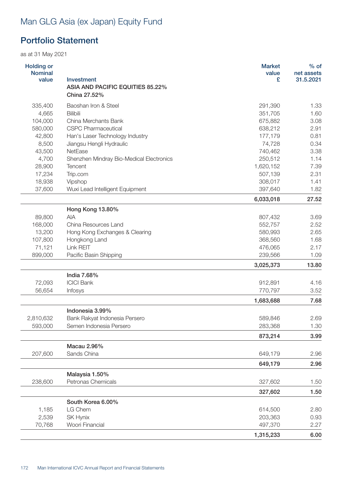# Man GLG Asia (ex Japan) Equity Fund

## Portfolio Statement

| <b>Holding or</b><br><b>Nominal</b> |                                                | <b>Market</b><br>value | $%$ of<br>net assets |
|-------------------------------------|------------------------------------------------|------------------------|----------------------|
| value                               | Investment<br>ASIA AND PACIFIC EQUITIES 85.22% | £                      | 31.5.2021            |
|                                     | China 27.52%                                   |                        |                      |
| 335,400                             | Baoshan Iron & Steel                           | 291,390                | 1.33                 |
| 4,665                               | <b>Bilibili</b>                                | 351,705                | 1.60                 |
| 104,000                             | China Merchants Bank                           | 675,882                | 3.08                 |
| 580,000                             | <b>CSPC Pharmaceutical</b>                     | 638,212                | 2.91                 |
| 42,800                              | Han's Laser Technology Industry                | 177,179                | 0.81                 |
| 8,500                               | Jiangsu Hengli Hydraulic                       | 74,728                 | 0.34                 |
| 43,500                              | NetEase                                        | 740,462                | 3.38                 |
| 4,700                               | Shenzhen Mindray Bio-Medical Electronics       | 250,512                | 1.14                 |
| 28,900                              | <b>Tencent</b>                                 | 1,620,152              | 7.39                 |
| 17,234                              | Trip.com                                       | 507,139                | 2.31                 |
| 18,938                              | Vipshop                                        | 308,017                | 1.41                 |
| 37,600                              | Wuxi Lead Intelligent Equipment                | 397,640                | 1.82                 |
|                                     |                                                | 6,033,018              | 27.52                |
|                                     | Hong Kong 13.80%                               |                        |                      |
| 89,800                              | <b>AIA</b>                                     | 807,432                | 3.69                 |
| 168,000                             | China Resources Land                           | 552,757                | 2.52                 |
| 13,200                              | Hong Kong Exchanges & Clearing                 | 580,993                | 2.65                 |
| 107,800                             | Hongkong Land                                  | 368,560                | 1.68                 |
| 71,121                              | Link REIT                                      | 476,065                | 2.17                 |
| 899,000                             | Pacific Basin Shipping                         | 239,566                | 1.09                 |
|                                     |                                                | 3,025,373              | 13.80                |
|                                     | India 7.68%                                    |                        |                      |
| 72,093                              | <b>ICICI Bank</b>                              | 912,891                | 4.16                 |
| 56,654                              | Infosys                                        | 770,797                | 3.52                 |
|                                     |                                                | 1,683,688              | 7.68                 |
|                                     | Indonesia 3.99%                                |                        |                      |
| 2,810,632                           | Bank Rakyat Indonesia Persero                  | 589,846                | 2.69                 |
| 593,000                             | Semen Indonesia Persero                        | 283,368                | 1.30                 |
|                                     |                                                | 873,214                | 3.99                 |
|                                     | Macau 2.96%                                    |                        |                      |
| 207,600                             | Sands China                                    | 649,179                | 2.96                 |
|                                     |                                                | 649,179                | 2.96                 |
|                                     | Malaysia 1.50%                                 |                        |                      |
| 238,600                             | Petronas Chemicals                             | 327,602                | 1.50                 |
|                                     |                                                | 327,602                | 1.50                 |
|                                     | South Korea 6.00%                              |                        |                      |
| 1,185                               | LG Chem                                        | 614,500                | 2.80                 |
| 2,539                               | SK Hynix                                       | 203,363                | 0.93                 |
| 70,768                              | Woori Financial                                | 497,370                | 2.27                 |
|                                     |                                                | 1,315,233              | 6.00                 |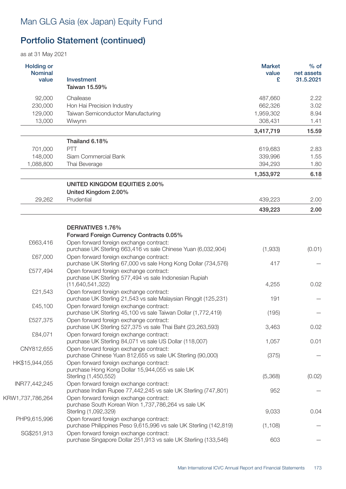# Man GLG Asia (ex Japan) Equity Fund

# Portfolio Statement (continued)

| <b>Holding or</b><br><b>Nominal</b><br>value | <b>Investment</b><br>Taiwan 15.59%                                                                                       | <b>Market</b><br>value<br>£ | $%$ of<br>net assets<br>31.5.2021 |
|----------------------------------------------|--------------------------------------------------------------------------------------------------------------------------|-----------------------------|-----------------------------------|
| 92,000                                       | Chailease                                                                                                                | 487,660                     | 2.22                              |
| 230,000                                      | Hon Hai Precision Industry                                                                                               | 662,326                     | 3.02                              |
| 129,000                                      | Taiwan Semiconductor Manufacturing                                                                                       | 1,959,302                   | 8.94                              |
| 13,000                                       | Wiwynn                                                                                                                   | 308,431                     | 1.41                              |
|                                              |                                                                                                                          | 3,417,719                   | 15.59                             |
|                                              | Thailand 6.18%                                                                                                           |                             |                                   |
| 701,000                                      | PTT                                                                                                                      | 619,683                     | 2.83                              |
| 148,000                                      | Siam Commercial Bank                                                                                                     | 339,996                     | 1.55                              |
| 1,088,800                                    | Thai Beverage                                                                                                            | 394,293                     | 1.80                              |
|                                              |                                                                                                                          | 1,353,972                   | 6.18                              |
|                                              | <b>UNITED KINGDOM EQUITIES 2.00%</b><br>United Kingdom 2.00%                                                             |                             |                                   |
| 29,262                                       | Prudential                                                                                                               | 439,223                     | 2.00                              |
|                                              |                                                                                                                          | 439,223                     | 2.00                              |
|                                              |                                                                                                                          |                             |                                   |
|                                              | DERIVATIVES 1.76%                                                                                                        |                             |                                   |
|                                              | Forward Foreign Currency Contracts 0.05%                                                                                 |                             |                                   |
| £663,416                                     | Open forward foreign exchange contract:<br>purchase UK Sterling 663,416 vs sale Chinese Yuan (6,032,904)                 | (1,933)                     | (0.01)                            |
| £67,000                                      | Open forward foreign exchange contract:<br>purchase UK Sterling 67,000 vs sale Hong Kong Dollar (734,576)                | 417                         |                                   |
| £577,494                                     | Open forward foreign exchange contract:<br>purchase UK Sterling 577,494 vs sale Indonesian Rupiah<br>(11, 640, 541, 322) | 4,255                       | 0.02                              |
| £21,543                                      | Open forward foreign exchange contract:                                                                                  |                             |                                   |
|                                              | purchase UK Sterling 21,543 vs sale Malaysian Ringgit (125,231)                                                          | 191                         |                                   |
| £45,100                                      | Open forward foreign exchange contract:<br>purchase UK Sterling 45,100 vs sale Taiwan Dollar (1,772,419)                 | (195)                       |                                   |
| £527,375                                     | Open forward foreign exchange contract:<br>purchase UK Sterling 527,375 vs sale Thai Baht (23,263,593)                   | 3,463                       | 0.02                              |
| £84,071                                      | Open forward foreign exchange contract:<br>purchase UK Sterling 84,071 vs sale US Dollar (118,007)                       | 1,057                       | 0.01                              |
| CNY812,655                                   | Open forward foreign exchange contract:<br>purchase Chinese Yuan 812,655 vs sale UK Sterling (90,000)                    | (375)                       |                                   |
| HK\$15,944,055                               | Open forward foreign exchange contract:<br>purchase Hong Kong Dollar 15,944,055 vs sale UK<br>Sterling (1,450,552)       | (5,368)                     | (0.02)                            |
| INR77,442,245                                | Open forward foreign exchange contract:                                                                                  |                             |                                   |
| KRW1,737,786,264                             | purchase Indian Rupee 77,442,245 vs sale UK Sterling (747,801)<br>Open forward foreign exchange contract:                | 952                         |                                   |
|                                              | purchase South Korean Won 1,737,786,264 vs sale UK<br>Sterling (1,092,329)                                               | 9,033                       | 0.04                              |
| PHP9,615,996                                 | Open forward foreign exchange contract:                                                                                  |                             |                                   |
| SG\$251,913                                  | purchase Philippines Peso 9,615,996 vs sale UK Sterling (142,819)<br>Open forward foreign exchange contract:             | (1, 108)                    |                                   |
|                                              | purchase Singapore Dollar 251,913 vs sale UK Sterling (133,546)                                                          | 603                         |                                   |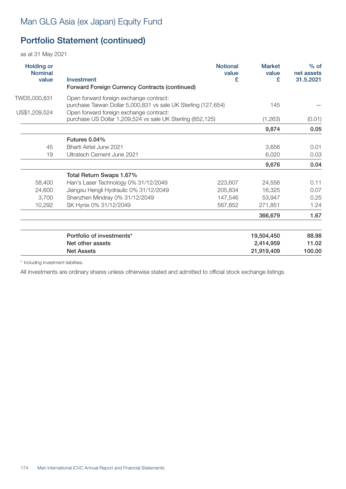as at 31 May 2021

| $%$ of<br>net assets<br>31.5.2021 | <b>Market</b><br>value<br>£ | <b>Notional</b><br>value<br>£ | Investment<br><b>Forward Foreign Currency Contracts (continued)</b>                                       | <b>Holding or</b><br><b>Nominal</b><br>value |
|-----------------------------------|-----------------------------|-------------------------------|-----------------------------------------------------------------------------------------------------------|----------------------------------------------|
|                                   | 145                         |                               | Open forward foreign exchange contract:                                                                   | TWD5,000,831                                 |
|                                   |                             |                               | purchase Taiwan Dollar 5,000,831 vs sale UK Sterling (127,654)<br>Open forward foreign exchange contract: | US\$1,209,524                                |
| (0.01)                            | (1,263)                     |                               | purchase US Dollar 1,209,524 vs sale UK Sterling (852,125)                                                |                                              |
| 0.05                              | 9,874                       |                               |                                                                                                           |                                              |
|                                   |                             |                               | Futures 0.04%                                                                                             |                                              |
| 0.01                              | 3,656                       |                               | Bharti Airtel June 2021                                                                                   | 45                                           |
| 0.03                              | 6,020                       |                               | Ultratech Cement June 2021                                                                                | 19                                           |
| 0.04                              | 9,676                       |                               |                                                                                                           |                                              |
|                                   |                             |                               | Total Return Swaps 1.67%                                                                                  |                                              |
| 0.11                              | 24,556                      | 223,607                       | Han's Laser Technology 0% 31/12/2049                                                                      | 58,400                                       |
| 0.07                              | 16,325                      | 205,834                       | Jiangsu Hengli Hydraulic 0% 31/12/2049                                                                    | 24,600                                       |
| 0.25                              | 53,947                      | 147,546                       | Shenzhen Mindray 0% 31/12/2049                                                                            | 3,700                                        |
| 1.24                              | 271.851                     | 567,852                       | SK Hynix 0% 31/12/2049                                                                                    | 10,292                                       |
| 1.67                              | 366,679                     |                               |                                                                                                           |                                              |
| 88.98                             | 19,504,450                  |                               | Portfolio of investments*                                                                                 |                                              |
| 11.02                             | 2,414,959                   |                               | Net other assets                                                                                          |                                              |
| 100.00                            | 21,919,409                  |                               | <b>Net Assets</b>                                                                                         |                                              |

\* Including investment liabilities.

All investments are ordinary shares unless otherwise stated and admitted to official stock exchange listings.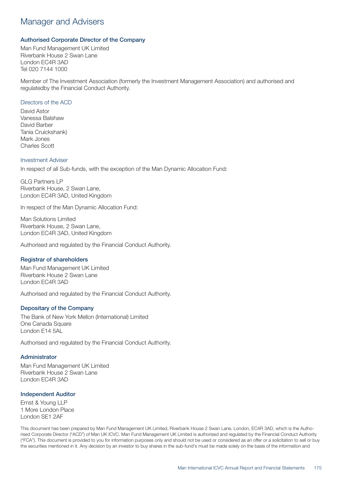### Manager and Advisers

### Authorised Corporate Director of the Company

Man Fund Management UK Limited Riverbank House 2 Swan Lane London EC4R 3AD Tel 020 7144 1000

Member of The Investment Association (formerly the Investment Management Association) and authorised and regulatedby the Financial Conduct Authority.

#### Directors of the ACD

David Astor Vanessa Balshaw David Barber Tania Cruickshank) Mark Jones Charles Scott

#### Investment Adviser

In respect of all Sub-funds, with the exception of the Man Dynamic Allocation Fund:

GLG Partners LP Riverbank House, 2 Swan Lane, London EC4R 3AD, United Kingdom

In respect of the Man Dynamic Allocation Fund:

Man Solutions Limited Riverbank House, 2 Swan Lane, London EC4R 3AD, United Kingdom

Authorised and regulated by the Financial Conduct Authority.

### Registrar of shareholders

Man Fund Management UK Limited Riverbank House 2 Swan Lane London EC4R 3AD

Authorised and regulated by the Financial Conduct Authority.

### Depositary of the Company

The Bank of New York Mellon (International) Limited One Canada Square London E14 5AL

Authorised and regulated by the Financial Conduct Authority.

#### Administrator

Man Fund Management UK Limited Riverbank House 2 Swan Lane London EC4R 3AD

### Independent Auditor

Ernst & Young LLP 1 More London Place London SE1 2AF

This document has been prepared by Man Fund Management UK Limited, Riverbank House 2 Swan Lane, London, EC4R 3AD, which is the Authorised Corporate Director ("ACD") of Man UK ICVC. Man Fund Management UK Limited is authorised and regulated by the Financial Conduct Authority ("FCA"). This document is provided to you for information purposes only and should not be used or considered as an offer or a solicitation to sell or buy the securities mentioned in it. Any decision by an investor to buy shares in the sub-fund's must be made solely on the basis of the information and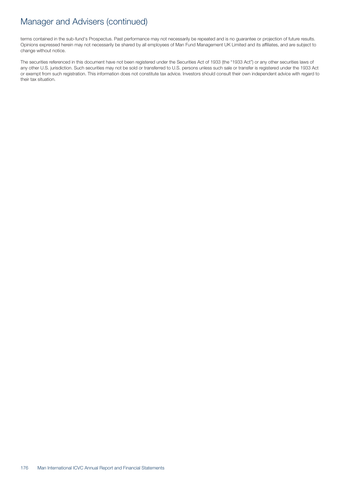### Manager and Advisers (continued)

terms contained in the sub-fund's Prospectus. Past performance may not necessarily be repeated and is no guarantee or projection of future results. Opinions expressed herein may not necessarily be shared by all employees of Man Fund Management UK Limited and its affiliates, and are subject to change without notice.

The securities referenced in this document have not been registered under the Securities Act of 1933 (the "1933 Act") or any other securities laws of any other U.S. jurisdiction. Such securities may not be sold or transferred to U.S. persons unless such sale or transfer is registered under the 1933 Act or exempt from such registration. This information does not constitute tax advice. Investors should consult their own independent advice with regard to their tax situation.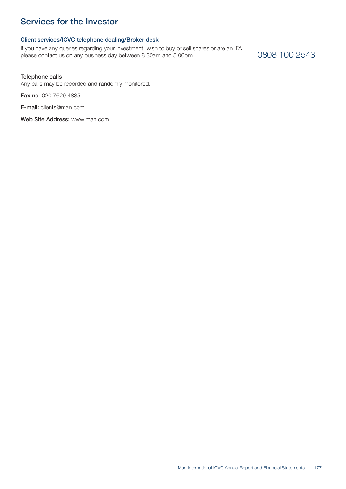## Services for the Investor

### Client services/ICVC telephone dealing/Broker desk

If you have any queries regarding your investment, wish to buy or sell shares or are an IFA, please contact us on any business day between 8.30am and 5.00pm.

### 0808 100 2543

#### Telephone calls

Any calls may be recorded and randomly monitored.

Fax no: 020 7629 4835

E-mail: clients@man.com

Web Site Address: www.man.com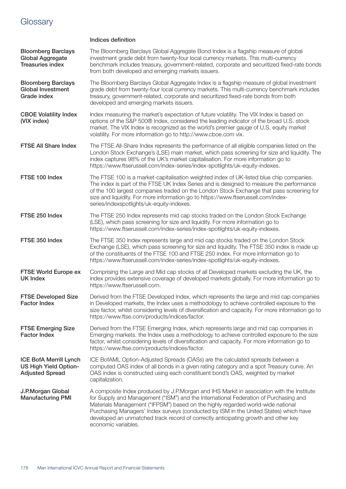# **Glossary**

| <b>Bloomberg Barclays</b><br><b>Global Aggregate</b><br><b>Treasuries index</b>         | The Bloomberg Barclays Global Aggregate Bond Index is a flagship measure of global<br>investment grade debt from twenty-four local currency markets. This multi-currency<br>benchmark includes treasury, government-related, corporate and securitized fixed-rate bonds<br>from both developed and emerging markets issuers.                                                                                                                                               |
|-----------------------------------------------------------------------------------------|----------------------------------------------------------------------------------------------------------------------------------------------------------------------------------------------------------------------------------------------------------------------------------------------------------------------------------------------------------------------------------------------------------------------------------------------------------------------------|
| <b>Bloomberg Barclays</b><br><b>Global Investment</b><br>Grade index                    | The Bloomberg Barclays Global Aggregate Index is a flagship measure of global investment<br>grade debt from twenty-four local currency markets. This multi-currency benchmark includes<br>treasury, government-related, corporate and securitized fixed-rate bonds from both<br>developed and emerging markets issuers.                                                                                                                                                    |
| <b>CBOE Volatility Index</b><br>(VIX index)                                             | Index measuring the market's expectation of future volatility. The VIX Index is based on<br>options of the S&P 500® Index, considered the leading indicator of the broad U.S. stock<br>market. The VIX Index is recognized as the world's premier gauge of U.S. equity market<br>volatility. For more information go to http://www.cboe.com vix.                                                                                                                           |
| <b>FTSE All Share Index</b>                                                             | The FTSE All-Share Index represents the performance of all eligible companies listed on the<br>London Stock Exchange's (LSE) main market, which pass screening for size and liquidity. The<br>index captures 98% of the UK's market capitalisation. For more information go to<br>https://www.ftserussell.com/index-series/index-spotlights/uk-equity-indexes.                                                                                                             |
| FTSE 100 Index                                                                          | The FTSE 100 is a market-capitalisation weighted index of UK-listed blue chip companies.<br>The index is part of the FTSE UK Index Series and is designed to measure the performance<br>of the 100 largest companies traded on the London Stock Exchange that pass screening for<br>size and liquidity. For more information go to https://www.ftserussell.com/index-<br>series/indexspotlights/uk-equity-indexes.                                                         |
| FTSE 250 Index                                                                          | The FTSE 250 Index represents mid cap stocks traded on the London Stock Exchange<br>(LSE), which pass screening for size and liquidity. For more information go to<br>https://www.ftserussell.com/index-series/index-spotlights/uk-equity-indexes.                                                                                                                                                                                                                         |
| FTSE 350 Index                                                                          | The FTSE 350 Index represents large and mid cap stocks traded on the London Stock<br>Exchange (LSE), which pass screening for size and liquidity. The FTSE 350 index is made up<br>of the constituents of the FTSE 100 and FTSE 250 index. For more information go to<br>https://www.ftserussell.com/index-series/index-spotlights/uk-equity-indexes.                                                                                                                      |
| <b>FTSE World Europe ex</b><br><b>UK Index</b>                                          | Comprising the Large and Mid cap stocks of all Developed markets excluding the UK, the<br>index provides extensive coverage of developed markets globally. For more information go to<br>https://www.ftserussell.com.                                                                                                                                                                                                                                                      |
| <b>FTSE Developed Size</b><br><b>Factor Index</b>                                       | Derived from the FTSE Developed Index, which represents the large and mid cap companies<br>in Developed markets, the Index uses a methodology to achieve controlled exposure to the<br>size factor, whilst considering levels of diversification and capacity. For more information go to<br>https://www.ftse.com/products/indices/factor.                                                                                                                                 |
| <b>FTSE Emerging Size</b><br><b>Factor Index</b>                                        | Derived from the FTSE Emerging Index, which represents large and mid cap companies in<br>Emerging markets. the Index uses a methodology to achieve controlled exposure to the size<br>factor, whilst considering levels of diversification and capacity. For more information go to<br>https://www.ftse.com/products/indices/factor.                                                                                                                                       |
| <b>ICE BofA Merrill Lynch</b><br><b>US High Yield Option-</b><br><b>Adjusted Spread</b> | ICE BofAML Option-Adjusted Spreads (OASs) are the calculated spreads between a<br>computed OAS index of all bonds in a given rating category and a spot Treasury curve. An<br>OAS index is constructed using each constituent bond's OAS, weighted by market<br>capitalization.                                                                                                                                                                                            |
| J.P.Morgan Global<br><b>Manufacturing PMI</b>                                           | A composite Index produced by J.P.Morgan and IHS Markit in association with the Institute<br>for Supply and Management ("ISM") and the International Federation of Purchasing and<br>Materials Management ("IFPSM") based on the highly regarded world-wide national<br>Purchasing Managers' Index surveys (conducted by ISM in the United States) which have<br>developed an unmatched track record of correctly anticipating growth and other key<br>economic variables. |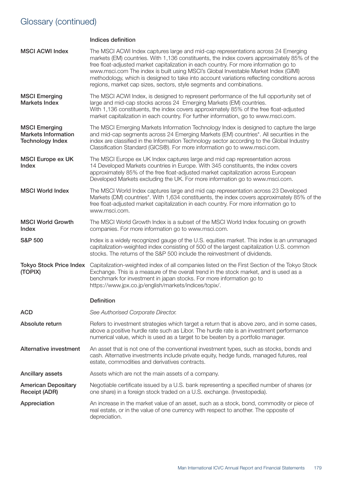# Glossary (continued)

|                                                                               | <b>Indices definition</b>                                                                                                                                                                                                                                                                                                                                                                                                                                                                                                             |
|-------------------------------------------------------------------------------|---------------------------------------------------------------------------------------------------------------------------------------------------------------------------------------------------------------------------------------------------------------------------------------------------------------------------------------------------------------------------------------------------------------------------------------------------------------------------------------------------------------------------------------|
| <b>MSCI ACWI Index</b>                                                        | The MSCI ACWI Index captures large and mid-cap representations across 24 Emerging<br>markets (EM) countries. With 1,136 constituents, the index covers approximately 85% of the<br>free float-adjusted market capitalization in each country. For more information go to<br>www.msci.com The index is built using MSCI's Global Investable Market Index (GIMI)<br>methodology, which is designed to take into account variations reflecting conditions across<br>regions, market cap sizes, sectors, style segments and combinations. |
| <b>MSCI Emerging</b><br><b>Markets Index</b>                                  | The MSCI ACWI Index, is designed to represent performance of the full opportunity set of<br>large and mid-cap stocks across 24 Emerging Markets (EM) countries.<br>With 1,136 constituents, the index covers approximately 85% of the free float-adjusted<br>market capitalization in each country. For further information, go to www.msci.com.                                                                                                                                                                                      |
| <b>MSCI Emerging</b><br><b>Markets Information</b><br><b>Technology Index</b> | The MSCI Emerging Markets Information Technology Index is designed to capture the large<br>and mid-cap segments across 24 Emerging Markets (EM) countries*. All securities in the<br>index are classified in the Information Technology sector according to the Global Industry<br>Classification Standard (GICS®). For more information go to www.msci.com.                                                                                                                                                                          |
| <b>MSCI Europe ex UK</b><br>Index                                             | The MSCI Europe ex UK Index captures large and mid cap representation across<br>14 Developed Markets countries in Europe. With 345 constituents, the index covers<br>approximately 85% of the free float-adjusted market capitalization across European<br>Developed Markets excluding the UK. For more information go to www.msci.com.                                                                                                                                                                                               |
| <b>MSCI World Index</b>                                                       | The MSCI World Index captures large and mid cap representation across 23 Developed<br>Markets (DM) countries*. With 1,634 constituents, the index covers approximately 85% of the<br>free float-adjusted market capitalization in each country. For more information go to<br>www.msci.com.                                                                                                                                                                                                                                           |
| <b>MSCI World Growth</b><br>Index                                             | The MSCI World Growth Index is a subset of the MSCI World Index focusing on growth<br>companies. For more information go to www.msci.com.                                                                                                                                                                                                                                                                                                                                                                                             |
| <b>S&amp;P 500</b>                                                            | Index is a widely recognized gauge of the U.S. equities market. This index is an unmanaged<br>capitalization-weighted index consisting of 500 of the largest capitalization U.S. common<br>stocks. The returns of the S&P 500 include the reinvestment of dividends.                                                                                                                                                                                                                                                                  |
| <b>Tokyo Stock Price Index</b><br>(TOPIX)                                     | Capitalization-weighted index of all companies listed on the First Section of the Tokyo Stock<br>Exchange. This is a measure of the overall trend in the stock market, and is used as a<br>benchmark for investment in japan stocks. For more information go to<br>https://www.jpx.co.jp/english/markets/indices/topix/.                                                                                                                                                                                                              |
|                                                                               | <b>Definition</b>                                                                                                                                                                                                                                                                                                                                                                                                                                                                                                                     |
| <b>ACD</b>                                                                    | See Authorised Corporate Director.                                                                                                                                                                                                                                                                                                                                                                                                                                                                                                    |
| Absolute return                                                               | Refers to investment strategies which target a return that is above zero, and in some cases,<br>above a positive hurdle rate such as Libor. The hurdle rate is an investment performance<br>numerical value, which is used as a target to be beaten by a portfolio manager.                                                                                                                                                                                                                                                           |
| Alternative investment                                                        | An asset that is not one of the conventional investment types, such as stocks, bonds and<br>cash. Alternative investments include private equity, hedge funds, managed futures, real<br>estate, commodities and derivatives contracts.                                                                                                                                                                                                                                                                                                |
| Ancillary assets                                                              | Assets which are not the main assets of a company.                                                                                                                                                                                                                                                                                                                                                                                                                                                                                    |
| <b>American Depositary</b><br>Receipt (ADR)                                   | Negotiable certificate issued by a U.S. bank representing a specified number of shares (or<br>one share) in a foreign stock traded on a U.S. exchange. (Investopedia).                                                                                                                                                                                                                                                                                                                                                                |
| Appreciation                                                                  | An increase in the market value of an asset, such as a stock, bond, commodity or piece of<br>real estate, or in the value of one currency with respect to another. The opposite of<br>depreciation.                                                                                                                                                                                                                                                                                                                                   |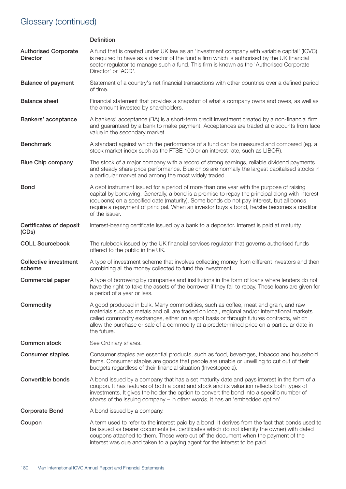# Glossary (continued)

|                                                | <b>Definition</b>                                                                                                                                                                                                                                                                                                                                                                                    |
|------------------------------------------------|------------------------------------------------------------------------------------------------------------------------------------------------------------------------------------------------------------------------------------------------------------------------------------------------------------------------------------------------------------------------------------------------------|
| <b>Authorised Corporate</b><br><b>Director</b> | A fund that is created under UK law as an 'investment company with variable capital' (ICVC)<br>is required to have as a director of the fund a firm which is authorised by the UK financial<br>sector regulator to manage such a fund. This firm is known as the 'Authorised Corporate<br>Director' or 'ACD'.                                                                                        |
| <b>Balance of payment</b>                      | Statement of a country's net financial transactions with other countries over a defined period<br>of time.                                                                                                                                                                                                                                                                                           |
| <b>Balance sheet</b>                           | Financial statement that provides a snapshot of what a company owns and owes, as well as<br>the amount invested by shareholders.                                                                                                                                                                                                                                                                     |
| Bankers' acceptance                            | A bankers' acceptance (BA) is a short-term credit investment created by a non-financial firm<br>and guaranteed by a bank to make payment. Acceptances are traded at discounts from face<br>value in the secondary market.                                                                                                                                                                            |
| <b>Benchmark</b>                               | A standard against which the performance of a fund can be measured and compared (eg. a<br>stock market index such as the FTSE 100 or an interest rate, such as LIBOR).                                                                                                                                                                                                                               |
| <b>Blue Chip company</b>                       | The stock of a major company with a record of strong earnings, reliable dividend payments<br>and steady share price performance. Blue chips are normally the largest capitalised stocks in<br>a particular market and among the most widely traded.                                                                                                                                                  |
| <b>Bond</b>                                    | A debt instrument issued for a period of more than one year with the purpose of raising<br>capital by borrowing. Generally, a bond is a promise to repay the principal along with interest<br>(coupons) on a specified date (maturity). Some bonds do not pay interest, but all bonds<br>require a repayment of principal. When an investor buys a bond, he/she becomes a creditor<br>of the issuer. |
| Certificates of deposit<br>(CDs)               | Interest-bearing certificate issued by a bank to a depositor. Interest is paid at maturity.                                                                                                                                                                                                                                                                                                          |
| <b>COLL Sourcebook</b>                         | The rulebook issued by the UK financial services regulator that governs authorised funds<br>offered to the public in the UK.                                                                                                                                                                                                                                                                         |
| <b>Collective investment</b><br>scheme         | A type of investment scheme that involves collecting money from different investors and then<br>combining all the money collected to fund the investment.                                                                                                                                                                                                                                            |
| Commercial paper                               | A type of borrowing by companies and institutions in the form of loans where lenders do not<br>have the right to take the assets of the borrower if they fail to repay. These loans are given for<br>a period of a year or less.                                                                                                                                                                     |
| Commodity                                      | A good produced in bulk. Many commodities, such as coffee, meat and grain, and raw<br>materials such as metals and oil, are traded on local, regional and/or international markets<br>called commodity exchanges, either on a spot basis or through futures contracts, which<br>allow the purchase or sale of a commodity at a predetermined price on a particular date in<br>the future.            |
| <b>Common stock</b>                            | See Ordinary shares.                                                                                                                                                                                                                                                                                                                                                                                 |
| <b>Consumer staples</b>                        | Consumer staples are essential products, such as food, beverages, tobacco and household<br>items. Consumer staples are goods that people are unable or unwilling to cut out of their<br>budgets regardless of their financial situation (Investopedia).                                                                                                                                              |
| Convertible bonds                              | A bond issued by a company that has a set maturity date and pays interest in the form of a<br>coupon. It has features of both a bond and stock and its valuation reflects both types of<br>investments. It gives the holder the option to convert the bond into a specific number of<br>shares of the issuing company - in other words, it has an 'embedded option'.                                 |
| <b>Corporate Bond</b>                          | A bond issued by a company.                                                                                                                                                                                                                                                                                                                                                                          |
| Coupon                                         | A term used to refer to the interest paid by a bond. It derives from the fact that bonds used to<br>be issued as bearer documents (ie. certificates which do not identify the owner) with dated<br>coupons attached to them. These were cut off the document when the payment of the<br>interest was due and taken to a paying agent for the interest to be paid.                                    |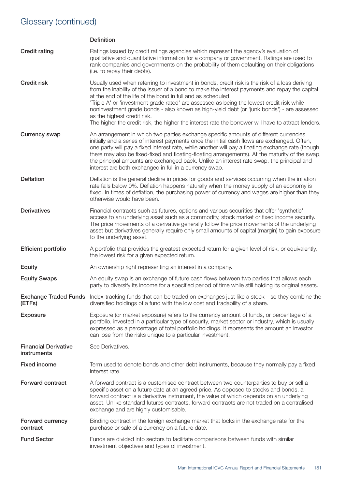|                                            | <b>Definition</b>                                                                                                                                                                                                                                                                                                                                                                                                                                                                                                                                                                                 |
|--------------------------------------------|---------------------------------------------------------------------------------------------------------------------------------------------------------------------------------------------------------------------------------------------------------------------------------------------------------------------------------------------------------------------------------------------------------------------------------------------------------------------------------------------------------------------------------------------------------------------------------------------------|
| <b>Credit rating</b>                       | Ratings issued by credit ratings agencies which represent the agency's evaluation of<br>qualitative and quantitative information for a company or government. Ratings are used to<br>rank companies and governments on the probability of them defaulting on their obligations<br>(i.e. to repay their debts).                                                                                                                                                                                                                                                                                    |
| <b>Credit risk</b>                         | Usually used when referring to investment in bonds, credit risk is the risk of a loss deriving<br>from the inability of the issuer of a bond to make the interest payments and repay the capital<br>at the end of the life of the bond in full and as scheduled.<br>'Triple A' or 'investment grade rated' are assessed as being the lowest credit risk while<br>noninvestment grade bonds - also known as high-yield debt (or 'junk bonds') - are assessed<br>as the highest credit risk.<br>The higher the credit risk, the higher the interest rate the borrower will have to attract lenders. |
| <b>Currency swap</b>                       | An arrangement in which two parties exchange specific amounts of different currencies<br>initially and a series of interest payments once the initial cash flows are exchanged. Often,<br>one party will pay a fixed interest rate, while another will pay a floating exchange rate (though<br>there may also be fixed-fixed and floating-floating arrangements). At the maturity of the swap,<br>the principal amounts are exchanged back. Unlike an interest rate swap, the principal and<br>interest are both exchanged in full in a currency swap.                                            |
| Deflation                                  | Deflation is the general decline in prices for goods and services occurring when the inflation<br>rate falls below 0%. Deflation happens naturally when the money supply of an economy is<br>fixed. In times of deflation, the purchasing power of currency and wages are higher than they<br>otherwise would have been.                                                                                                                                                                                                                                                                          |
| <b>Derivatives</b>                         | Financial contracts such as futures, options and various securities that offer 'synthetic'<br>access to an underlying asset such as a commodity, stock market or fixed income security.<br>The price movements of a derivative generally follow the price movements of the underlying<br>asset but derivatives generally require only small amounts of capital (margin) to gain exposure<br>to the underlying asset.                                                                                                                                                                              |
| <b>Efficient portfolio</b>                 | A portfolio that provides the greatest expected return for a given level of risk, or equivalently,<br>the lowest risk for a given expected return.                                                                                                                                                                                                                                                                                                                                                                                                                                                |
| <b>Equity</b>                              | An ownership right representing an interest in a company.                                                                                                                                                                                                                                                                                                                                                                                                                                                                                                                                         |
| <b>Equity Swaps</b>                        | An equity swap is an exchange of future cash flows between two parties that allows each<br>party to diversify its income for a specified period of time while still holding its original assets.                                                                                                                                                                                                                                                                                                                                                                                                  |
| (ETFs)                                     | Exchange Traded Funds Index-tracking funds that can be traded on exchanges just like a stock - so they combine the<br>diversified holdings of a fund with the low cost and tradability of a share.                                                                                                                                                                                                                                                                                                                                                                                                |
| <b>Exposure</b>                            | Exposure (or market exposure) refers to the currency amount of funds, or percentage of a<br>portfolio, invested in a particular type of security, market sector or industry, which is usually<br>expressed as a percentage of total portfolio holdings. It represents the amount an investor<br>can lose from the risks unique to a particular investment.                                                                                                                                                                                                                                        |
| <b>Financial Derivative</b><br>instruments | See Derivatives.                                                                                                                                                                                                                                                                                                                                                                                                                                                                                                                                                                                  |
| <b>Fixed income</b>                        | Term used to denote bonds and other debt instruments, because they normally pay a fixed<br>interest rate.                                                                                                                                                                                                                                                                                                                                                                                                                                                                                         |
| <b>Forward contract</b>                    | A forward contract is a customised contract between two counterparties to buy or sell a<br>specific asset on a future date at an agreed price. As opposed to stocks and bonds, a<br>forward contract is a derivative instrument, the value of which depends on an underlying<br>asset. Unlike standard futures contracts, forward contracts are not traded on a centralised<br>exchange and are highly customisable.                                                                                                                                                                              |
| Forward currency<br>contract               | Binding contract in the foreign exchange market that locks in the exchange rate for the<br>purchase or sale of a currency on a future date.                                                                                                                                                                                                                                                                                                                                                                                                                                                       |
| <b>Fund Sector</b>                         | Funds are divided into sectors to facilitate comparisons between funds with similar<br>investment objectives and types of investment.                                                                                                                                                                                                                                                                                                                                                                                                                                                             |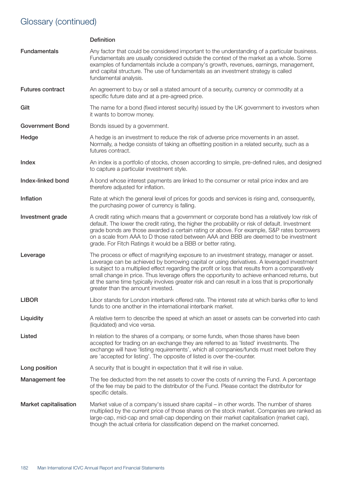|                              | <b>Definition</b>                                                                                                                                                                                                                                                                                                                                                                                                                                                                                                                    |
|------------------------------|--------------------------------------------------------------------------------------------------------------------------------------------------------------------------------------------------------------------------------------------------------------------------------------------------------------------------------------------------------------------------------------------------------------------------------------------------------------------------------------------------------------------------------------|
| <b>Fundamentals</b>          | Any factor that could be considered important to the understanding of a particular business.<br>Fundamentals are usually considered outside the context of the market as a whole. Some<br>examples of fundamentals include a company's growth, revenues, earnings, management,<br>and capital structure. The use of fundamentals as an investment strategy is called<br>fundamental analysis.                                                                                                                                        |
| <b>Futures contract</b>      | An agreement to buy or sell a stated amount of a security, currency or commodity at a<br>specific future date and at a pre-agreed price.                                                                                                                                                                                                                                                                                                                                                                                             |
| Gilt                         | The name for a bond (fixed interest security) issued by the UK government to investors when<br>it wants to borrow money.                                                                                                                                                                                                                                                                                                                                                                                                             |
| <b>Government Bond</b>       | Bonds issued by a government.                                                                                                                                                                                                                                                                                                                                                                                                                                                                                                        |
| Hedge                        | A hedge is an investment to reduce the risk of adverse price movements in an asset.<br>Normally, a hedge consists of taking an offsetting position in a related security, such as a<br>futures contract.                                                                                                                                                                                                                                                                                                                             |
| Index                        | An index is a portfolio of stocks, chosen according to simple, pre-defined rules, and designed<br>to capture a particular investment style.                                                                                                                                                                                                                                                                                                                                                                                          |
| Index-linked bond            | A bond whose interest payments are linked to the consumer or retail price index and are<br>therefore adjusted for inflation.                                                                                                                                                                                                                                                                                                                                                                                                         |
| Inflation                    | Rate at which the general level of prices for goods and services is rising and, consequently,<br>the purchasing power of currency is falling.                                                                                                                                                                                                                                                                                                                                                                                        |
| Investment grade             | A credit rating which means that a government or corporate bond has a relatively low risk of<br>default. The lower the credit rating, the higher the probability or risk of default. Investment<br>grade bonds are those awarded a certain rating or above. For example, S&P rates borrowers<br>on a scale from AAA to D those rated between AAA and BBB are deemed to be investment<br>grade. For Fitch Ratings it would be a BBB or better rating.                                                                                 |
| Leverage                     | The process or effect of magnifying exposure to an investment strategy, manager or asset.<br>Leverage can be achieved by borrowing capital or using derivatives. A leveraged investment<br>is subject to a multiplied effect regarding the profit or loss that results from a comparatively<br>small change in price. Thus leverage offers the opportunity to achieve enhanced returns, but<br>at the same time typically involves greater risk and can result in a loss that is proportionally<br>greater than the amount invested. |
| <b>LIBOR</b>                 | Libor stands for London interbank offered rate. The interest rate at which banks offer to lend<br>funds to one another in the international interbank market.                                                                                                                                                                                                                                                                                                                                                                        |
| Liquidity                    | A relative term to describe the speed at which an asset or assets can be converted into cash<br>(liquidated) and vice versa.                                                                                                                                                                                                                                                                                                                                                                                                         |
| Listed                       | In relation to the shares of a company, or some funds, when those shares have been<br>accepted for trading on an exchange they are referred to as 'listed' investments. The<br>exchange will have 'listing requirements', which all companies/funds must meet before they<br>are 'accepted for listing'. The opposite of listed is over the-counter.                                                                                                                                                                                 |
| Long position                | A security that is bought in expectation that it will rise in value.                                                                                                                                                                                                                                                                                                                                                                                                                                                                 |
| Management fee               | The fee deducted from the net assets to cover the costs of running the Fund. A percentage<br>of the fee may be paid to the distributor of the Fund. Please contact the distributor for<br>specific details.                                                                                                                                                                                                                                                                                                                          |
| <b>Market capitalisation</b> | Market value of a company's issued share capital – in other words. The number of shares<br>multiplied by the current price of those shares on the stock market. Companies are ranked as<br>large-cap, mid-cap and small-cap depending on their market capitalisation (market cap),<br>though the actual criteria for classification depend on the market concerned.                                                                                                                                                                  |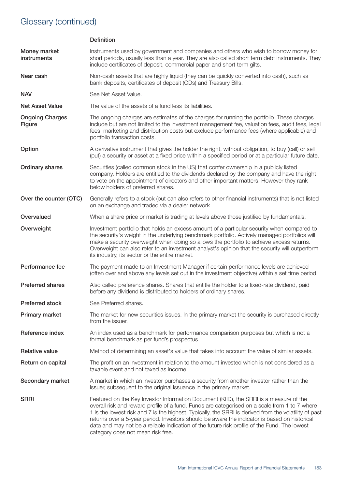|                                         | <b>Definition</b>                                                                                                                                                                                                                                                                                                                                                                                                                                                                                                                     |
|-----------------------------------------|---------------------------------------------------------------------------------------------------------------------------------------------------------------------------------------------------------------------------------------------------------------------------------------------------------------------------------------------------------------------------------------------------------------------------------------------------------------------------------------------------------------------------------------|
| Money market<br>instruments             | Instruments used by government and companies and others who wish to borrow money for<br>short periods, usually less than a year. They are also called short term debt instruments. They<br>include certificates of deposit, commercial paper and short term gilts.                                                                                                                                                                                                                                                                    |
| Near cash                               | Non-cash assets that are highly liquid (they can be quickly converted into cash), such as<br>bank deposits, certificates of deposit (CDs) and Treasury Bills.                                                                                                                                                                                                                                                                                                                                                                         |
| <b>NAV</b>                              | See Net Asset Value.                                                                                                                                                                                                                                                                                                                                                                                                                                                                                                                  |
| <b>Net Asset Value</b>                  | The value of the assets of a fund less its liabilities.                                                                                                                                                                                                                                                                                                                                                                                                                                                                               |
| <b>Ongoing Charges</b><br><b>Figure</b> | The ongoing charges are estimates of the charges for running the portfolio. These charges<br>include but are not limited to the investment management fee, valuation fees, audit fees, legal<br>fees, marketing and distribution costs but exclude performance fees (where applicable) and<br>portfolio transaction costs.                                                                                                                                                                                                            |
| Option                                  | A derivative instrument that gives the holder the right, without obligation, to buy (call) or sell<br>(put) a security or asset at a fixed price within a specified period or at a particular future date.                                                                                                                                                                                                                                                                                                                            |
| <b>Ordinary shares</b>                  | Securities (called common stock in the US) that confer ownership in a publicly listed<br>company. Holders are entitled to the dividends declared by the company and have the right<br>to vote on the appointment of directors and other important matters. However they rank<br>below holders of preferred shares.                                                                                                                                                                                                                    |
| Over the counter (OTC)                  | Generally refers to a stock (but can also refers to other financial instruments) that is not listed<br>on an exchange and traded via a dealer network.                                                                                                                                                                                                                                                                                                                                                                                |
| Overvalued                              | When a share price or market is trading at levels above those justified by fundamentals.                                                                                                                                                                                                                                                                                                                                                                                                                                              |
| Overweight                              | Investment portfolio that holds an excess amount of a particular security when compared to<br>the security's weight in the underlying benchmark portfolio. Actively managed portfolios will<br>make a security overweight when doing so allows the portfolio to achieve excess returns.<br>Overweight can also refer to an investment analyst's opinion that the security will outperform<br>its industry, its sector or the entire market.                                                                                           |
| Performance fee                         | The payment made to an Investment Manager if certain performance levels are achieved<br>(often over and above any levels set out in the investment objective) within a set time period.                                                                                                                                                                                                                                                                                                                                               |
| <b>Preferred shares</b>                 | Also called preference shares. Shares that entitle the holder to a fixed-rate dividend, paid<br>before any dividend is distributed to holders of ordinary shares.                                                                                                                                                                                                                                                                                                                                                                     |
| <b>Preferred stock</b>                  | See Preferred shares.                                                                                                                                                                                                                                                                                                                                                                                                                                                                                                                 |
| Primary market                          | The market for new securities issues. In the primary market the security is purchased directly<br>from the issuer.                                                                                                                                                                                                                                                                                                                                                                                                                    |
| Reference index                         | An index used as a benchmark for performance comparison purposes but which is not a<br>formal benchmark as per fund's prospectus.                                                                                                                                                                                                                                                                                                                                                                                                     |
| <b>Relative value</b>                   | Method of determining an asset's value that takes into account the value of similar assets.                                                                                                                                                                                                                                                                                                                                                                                                                                           |
| Return on capital                       | The profit on an investment in relation to the amount invested which is not considered as a<br>taxable event and not taxed as income.                                                                                                                                                                                                                                                                                                                                                                                                 |
| Secondary market                        | A market in which an investor purchases a security from another investor rather than the<br>issuer, subsequent to the original issuance in the primary market.                                                                                                                                                                                                                                                                                                                                                                        |
| <b>SRRI</b>                             | Featured on the Key Investor Information Document (KIID), the SRRI is a measure of the<br>overall risk and reward profile of a fund. Funds are categorised on a scale from 1 to 7 where<br>1 is the lowest risk and 7 is the highest. Typically, the SRRI is derived from the volatility of past<br>returns over a 5-year period. Investors should be aware the indicator is based on historical<br>data and may not be a reliable indication of the future risk profile of the Fund. The lowest<br>category does not mean risk free. |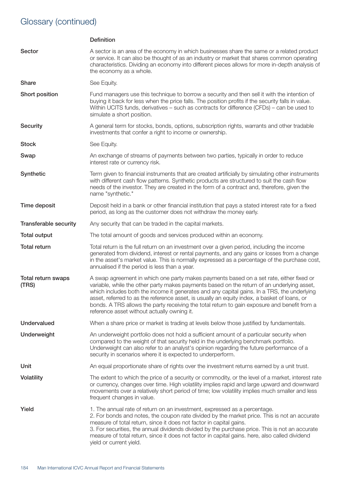|                              | <b>Definition</b>                                                                                                                                                                                                                                                                                                                                                                                                                                                                                                                   |
|------------------------------|-------------------------------------------------------------------------------------------------------------------------------------------------------------------------------------------------------------------------------------------------------------------------------------------------------------------------------------------------------------------------------------------------------------------------------------------------------------------------------------------------------------------------------------|
| Sector                       | A sector is an area of the economy in which businesses share the same or a related product<br>or service. It can also be thought of as an industry or market that shares common operating<br>characteristics. Dividing an economy into different pieces allows for more in-depth analysis of<br>the economy as a whole.                                                                                                                                                                                                             |
| Share                        | See Equity.                                                                                                                                                                                                                                                                                                                                                                                                                                                                                                                         |
| Short position               | Fund managers use this technique to borrow a security and then sell it with the intention of<br>buying it back for less when the price falls. The position profits if the security falls in value.<br>Within UCITS funds, derivatives – such as contracts for difference (CFDs) – can be used to<br>simulate a short position.                                                                                                                                                                                                      |
| <b>Security</b>              | A general term for stocks, bonds, options, subscription rights, warrants and other tradable<br>investments that confer a right to income or ownership.                                                                                                                                                                                                                                                                                                                                                                              |
| <b>Stock</b>                 | See Equity.                                                                                                                                                                                                                                                                                                                                                                                                                                                                                                                         |
| Swap                         | An exchange of streams of payments between two parties, typically in order to reduce<br>interest rate or currency risk.                                                                                                                                                                                                                                                                                                                                                                                                             |
| Synthetic                    | Term given to financial instruments that are created artificially by simulating other instruments<br>with different cash flow patterns. Synthetic products are structured to suit the cash flow<br>needs of the investor. They are created in the form of a contract and, therefore, given the<br>name "synthetic."                                                                                                                                                                                                                 |
| Time deposit                 | Deposit held in a bank or other financial institution that pays a stated interest rate for a fixed<br>period, as long as the customer does not withdraw the money early.                                                                                                                                                                                                                                                                                                                                                            |
| <b>Transferable security</b> | Any security that can be traded in the capital markets.                                                                                                                                                                                                                                                                                                                                                                                                                                                                             |
| <b>Total output</b>          | The total amount of goods and services produced within an economy.                                                                                                                                                                                                                                                                                                                                                                                                                                                                  |
| <b>Total return</b>          | Total return is the full return on an investment over a given period, including the income<br>generated from dividend, interest or rental payments, and any gains or losses from a change<br>in the asset's market value. This is normally expressed as a percentage of the purchase cost,<br>annualised if the period is less than a year.                                                                                                                                                                                         |
| Total return swaps<br>(TRS)  | A swap agreement in which one party makes payments based on a set rate, either fixed or<br>variable, while the other party makes payments based on the return of an underlying asset,<br>which includes both the income it generates and any capital gains. In a TRS, the underlying<br>asset, referred to as the reference asset, is usually an equity index, a basket of loans, or<br>bonds. A TRS allows the party receiving the total return to gain exposure and benefit from a<br>reference asset without actually owning it. |
| <b>Undervalued</b>           | When a share price or market is trading at levels below those justified by fundamentals.                                                                                                                                                                                                                                                                                                                                                                                                                                            |
| Underweight                  | An underweight portfolio does not hold a sufficient amount of a particular security when<br>compared to the weight of that security held in the underlying benchmark portfolio.<br>Underweight can also refer to an analyst's opinion regarding the future performance of a<br>security in scenarios where it is expected to underperform.                                                                                                                                                                                          |
| Unit                         | An equal proportionate share of rights over the investment returns earned by a unit trust.                                                                                                                                                                                                                                                                                                                                                                                                                                          |
| <b>Volatility</b>            | The extent to which the price of a security or commodity, or the level of a market, interest rate<br>or currency, changes over time. High volatility implies rapid and large upward and downward<br>movements over a relatively short period of time; low volatility implies much smaller and less<br>frequent changes in value.                                                                                                                                                                                                    |
| Yield                        | 1. The annual rate of return on an investment, expressed as a percentage.<br>2. For bonds and notes, the coupon rate divided by the market price. This is not an accurate<br>measure of total return, since it does not factor in capital gains.<br>3. For securities, the annual dividends divided by the purchase price. This is not an accurate<br>measure of total return, since it does not factor in capital gains. here, also called dividend<br>yield or current yield.                                                     |